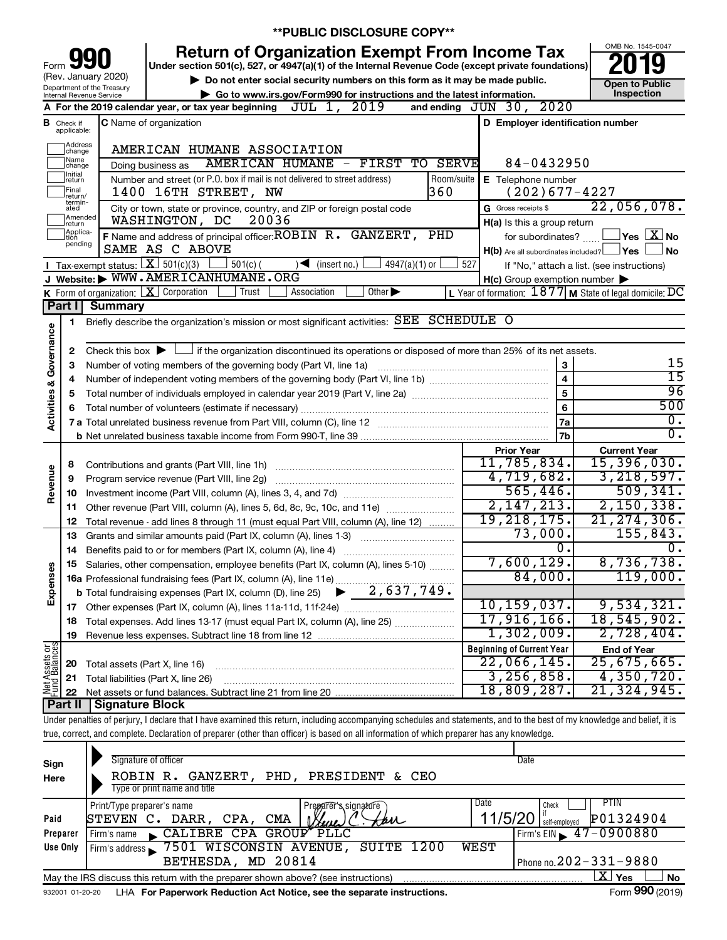|                                       |                                                                                       |                                                   | <b>**PUBLIC DISCLOSURE COPY**</b>                                                                                                                                          |            |                                                     |                                                           |
|---------------------------------------|---------------------------------------------------------------------------------------|---------------------------------------------------|----------------------------------------------------------------------------------------------------------------------------------------------------------------------------|------------|-----------------------------------------------------|-----------------------------------------------------------|
|                                       |                                                                                       |                                                   | <b>Return of Organization Exempt From Income Tax</b>                                                                                                                       |            |                                                     | OMB No. 1545-0047                                         |
| Form                                  |                                                                                       |                                                   | Under section 501(c), 527, or 4947(a)(1) of the Internal Revenue Code (except private foundations)                                                                         |            |                                                     |                                                           |
|                                       |                                                                                       | (Rev. January 2020)<br>Department of the Treasury | Do not enter social security numbers on this form as it may be made public.                                                                                                |            |                                                     | <b>Open to Public</b>                                     |
|                                       |                                                                                       | Internal Revenue Service                          | Go to www.irs.gov/Form990 for instructions and the latest information.<br>JUL 1,<br>2019                                                                                   |            | and ending JUN 30, 2020                             | Inspection                                                |
|                                       |                                                                                       |                                                   | A For the 2019 calendar year, or tax year beginning<br>C Name of organization                                                                                              |            | D Employer identification number                    |                                                           |
|                                       | <b>B</b> Check if applicable:                                                         |                                                   |                                                                                                                                                                            |            |                                                     |                                                           |
|                                       | Address<br>change                                                                     |                                                   | AMERICAN HUMANE ASSOCIATION                                                                                                                                                |            |                                                     |                                                           |
|                                       | Name<br>AMERICAN HUMANE - FIRST TO SERVE<br>84-0432950<br>Doing business as<br>change |                                                   |                                                                                                                                                                            |            |                                                     |                                                           |
|                                       | Initial<br>return                                                                     |                                                   | Number and street (or P.O. box if mail is not delivered to street address)                                                                                                 | Room/suite | E Telephone number                                  |                                                           |
|                                       | Final<br>return/<br>termin-                                                           |                                                   | 360<br>1400 16TH STREET, NW                                                                                                                                                |            | $(202)677 - 4227$                                   |                                                           |
|                                       | ated<br>Amended<br>return                                                             |                                                   | City or town, state or province, country, and ZIP or foreign postal code<br>WASHINGTON, DC<br>20036                                                                        |            | G Gross receipts \$                                 | 22,056,078.                                               |
|                                       | Applica-<br>tion                                                                      |                                                   | F Name and address of principal officer: ROBIN R. GANZERT, PHD                                                                                                             |            | H(a) Is this a group return<br>for subordinates?    | $\sqrt{}$ Yes $\sqrt{}$ $\overline{\rm X}$ No             |
|                                       | pending                                                                               |                                                   | SAME AS C ABOVE                                                                                                                                                            |            | $H(b)$ Are all subordinates included? $\Box$ Yes    | <b>No</b>                                                 |
|                                       |                                                                                       |                                                   | Tax-exempt status: $X \over 301(c)(3)$<br>$501(c)$ (<br>$\sqrt{\frac{1}{1}}$ (insert no.)<br>$4947(a)(1)$ or                                                               | 527        |                                                     | If "No," attach a list. (see instructions)                |
|                                       |                                                                                       |                                                   | J Website: WWW.AMERICANHUMANE.ORG                                                                                                                                          |            | $H(c)$ Group exemption number $\blacktriangleright$ |                                                           |
|                                       |                                                                                       |                                                   | K Form of organization: X Corporation<br>Trust<br>Association<br>Other $\blacktriangleright$                                                                               |            |                                                     | L Year of formation: $1877$ M State of legal domicile: DC |
|                                       | Part I                                                                                | <b>Summary</b>                                    |                                                                                                                                                                            |            |                                                     |                                                           |
|                                       | 1                                                                                     |                                                   | Briefly describe the organization's mission or most significant activities: SEE SCHEDULE O                                                                                 |            |                                                     |                                                           |
| Activities & Governance               |                                                                                       |                                                   | Check this box $\blacktriangleright$ $\Box$ if the organization discontinued its operations or disposed of more than 25% of its net assets.                                |            |                                                     |                                                           |
|                                       | 2                                                                                     |                                                   | 15                                                                                                                                                                         |            |                                                     |                                                           |
|                                       | 3                                                                                     |                                                   | 3<br>Number of voting members of the governing body (Part VI, line 1a)<br>$\overline{4}$                                                                                   |            |                                                     |                                                           |
|                                       | 4                                                                                     |                                                   |                                                                                                                                                                            |            | $\overline{5}$                                      | 15<br>96                                                  |
|                                       | 5                                                                                     |                                                   |                                                                                                                                                                            |            | $6\phantom{1}$                                      | 500                                                       |
|                                       | 6                                                                                     |                                                   | Total number of volunteers (estimate if necessary)                                                                                                                         |            | 7a                                                  | $\overline{0}$ .                                          |
|                                       |                                                                                       |                                                   |                                                                                                                                                                            |            | <b>7b</b>                                           | $\overline{0}$ .                                          |
|                                       |                                                                                       |                                                   |                                                                                                                                                                            |            | <b>Prior Year</b>                                   | <b>Current Year</b>                                       |
|                                       | 8                                                                                     |                                                   |                                                                                                                                                                            |            | 11,785,834.                                         | 15,396,030.                                               |
| Revenue                               | 9                                                                                     |                                                   | Program service revenue (Part VIII, line 2g)                                                                                                                               |            | 4,719,682.                                          | 3, 218, 597.                                              |
|                                       | 10                                                                                    |                                                   |                                                                                                                                                                            |            | 565,446.                                            | 509, 341.                                                 |
|                                       | 11                                                                                    |                                                   | Other revenue (Part VIII, column (A), lines 5, 6d, 8c, 9c, 10c, and 11e)                                                                                                   |            | 2, 147, 213.                                        | 2,150,338.                                                |
|                                       | 12                                                                                    |                                                   | Total revenue - add lines 8 through 11 (must equal Part VIII, column (A), line 12)                                                                                         |            | 19, 218, 175.                                       | 21, 274, 306.                                             |
|                                       | 13                                                                                    |                                                   | Grants and similar amounts paid (Part IX, column (A), lines 1-3)                                                                                                           |            | 73,000.                                             | 155,843.                                                  |
|                                       | 14                                                                                    |                                                   | Benefits paid to or for members (Part IX, column (A), line 4)                                                                                                              |            | 0.                                                  | 0.                                                        |
|                                       | 15                                                                                    |                                                   | Salaries, other compensation, employee benefits (Part IX, column (A), lines 5-10)                                                                                          |            | 7,600,129.                                          | 8,736,738.                                                |
| Expenses                              |                                                                                       |                                                   | 16a Professional fundraising fees (Part IX, column (A), line 11e)                                                                                                          |            | 84,000.                                             | 119,000.                                                  |
|                                       |                                                                                       |                                                   | 2,637,749.<br><b>b</b> Total fundraising expenses (Part IX, column (D), line 25)                                                                                           |            |                                                     |                                                           |
|                                       | 17                                                                                    |                                                   |                                                                                                                                                                            |            | 10, 159, 037.                                       | 9,534,321.                                                |
|                                       | 18                                                                                    |                                                   | Total expenses. Add lines 13-17 (must equal Part IX, column (A), line 25)                                                                                                  |            | 17,916,166.                                         | 18,545,902.                                               |
|                                       | 19                                                                                    |                                                   |                                                                                                                                                                            |            | 1,302,009.                                          | 2,728,404.                                                |
| <b>Net Assets or</b><br>Fund Balances |                                                                                       |                                                   |                                                                                                                                                                            |            | <b>Beginning of Current Year</b>                    | <b>End of Year</b>                                        |
|                                       | 20                                                                                    | Total assets (Part X, line 16)                    |                                                                                                                                                                            |            | 22,066,145.                                         | 25,675,665.                                               |
|                                       | 21                                                                                    |                                                   | Total liabilities (Part X, line 26)                                                                                                                                        |            | 3,256,858.<br>18,809,287.                           | 4,350,720.<br>21,324,945.                                 |
|                                       | 22                                                                                    |                                                   |                                                                                                                                                                            |            |                                                     |                                                           |
|                                       | Part II                                                                               | <b>Signature Block</b>                            | Under penalties of perjury, I declare that I have examined this return, including accompanying schedules and statements, and to the best of my knowledge and belief, it is |            |                                                     |                                                           |
|                                       |                                                                                       |                                                   | true, correct, and complete. Declaration of preparer (other than officer) is based on all information of which preparer has any knowledge.                                 |            |                                                     |                                                           |
|                                       |                                                                                       |                                                   |                                                                                                                                                                            |            |                                                     |                                                           |
|                                       |                                                                                       |                                                   |                                                                                                                                                                            |            |                                                     |                                                           |

| Sign<br>Here     | Signature of officer<br>ROBIN R. GANZERT, PHD, PRESIDENT & CEO<br>Type or print name and title                                                                                                                                                                                                                     | Date                                                                                             |
|------------------|--------------------------------------------------------------------------------------------------------------------------------------------------------------------------------------------------------------------------------------------------------------------------------------------------------------------|--------------------------------------------------------------------------------------------------|
| Paid<br>Preparer | Print/Type preparer's name<br>Prezarer's signature<br>DARR ,<br>CPA.<br><b>CMA</b><br>STEVEN C.<br>tan<br>Buri<br>CALIBRE CPA GROUP PLLC<br>Firm's name                                                                                                                                                            | Date<br>PTIN<br>Check<br>11/5/20<br>P01324904<br>self-emploved<br>Firm's EIN $\sqrt{47-0900880}$ |
| Use Only         | 7501 WISCONSIN AVENUE,<br>SUITE 1200<br>Firm's address<br>BETHESDA, MD 20814                                                                                                                                                                                                                                       | WEST<br>Phone no. $202 - 331 - 9880$<br>ΧI<br>Yes<br><b>No</b>                                   |
|                  | May the IRS discuss this return with the preparer shown above? (see instructions)<br>. The state of the state of the state of the state of the state of the state of the state of the state of the state of the state of the state of the state of the state of the state of the state of the state of the state o | $\mathbf{r} = \mathbf{0} \mathbf{0} \mathbf{0}$                                                  |

932001 01-20-20 **For Paperwork Reduction Act Notice, see the separate instructions.** LHA Form (2019)

Form **990** (2019)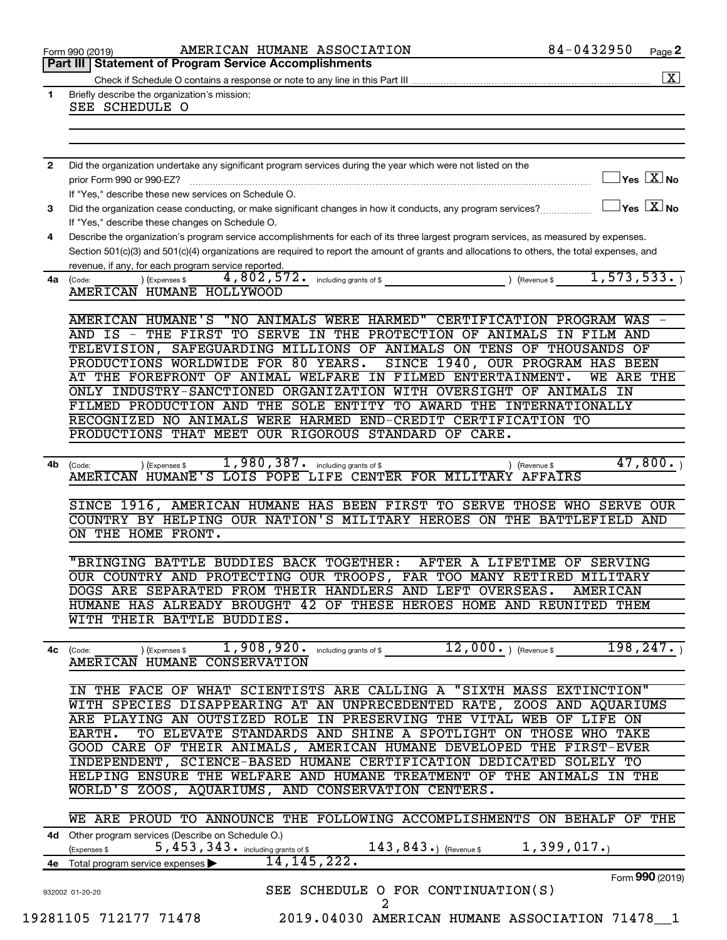|              | AMERICAN HUMANE ASSOCIATION<br>Form 990 (2019)                                                                                                                                                                                                                                       | 84-0432950                          | Page 2               |
|--------------|--------------------------------------------------------------------------------------------------------------------------------------------------------------------------------------------------------------------------------------------------------------------------------------|-------------------------------------|----------------------|
|              | <b>Statement of Program Service Accomplishments</b><br>Part III                                                                                                                                                                                                                      |                                     |                      |
|              |                                                                                                                                                                                                                                                                                      |                                     | $\boxed{\textbf{X}}$ |
| $\mathbf{1}$ | Briefly describe the organization's mission:<br>SEE SCHEDULE O                                                                                                                                                                                                                       |                                     |                      |
|              |                                                                                                                                                                                                                                                                                      |                                     |                      |
|              |                                                                                                                                                                                                                                                                                      |                                     |                      |
|              |                                                                                                                                                                                                                                                                                      |                                     |                      |
| 2            | Did the organization undertake any significant program services during the year which were not listed on the                                                                                                                                                                         |                                     |                      |
|              | prior Form 990 or 990-EZ?                                                                                                                                                                                                                                                            | $\exists$ Yes $\boxed{\text{X}}$ No |                      |
|              | If "Yes," describe these new services on Schedule O.                                                                                                                                                                                                                                 |                                     |                      |
| 3            | Did the organization cease conducting, or make significant changes in how it conducts, any program services?                                                                                                                                                                         | $\exists$ Yes $\boxed{\text{X}}$ No |                      |
|              | If "Yes," describe these changes on Schedule O.                                                                                                                                                                                                                                      |                                     |                      |
| 4            | Describe the organization's program service accomplishments for each of its three largest program services, as measured by expenses.<br>Section 501(c)(3) and 501(c)(4) organizations are required to report the amount of grants and allocations to others, the total expenses, and |                                     |                      |
|              | revenue, if any, for each program service reported.                                                                                                                                                                                                                                  |                                     |                      |
| 4a           | (Expenses \$<br>(Code:                                                                                                                                                                                                                                                               |                                     |                      |
|              | AMERICAN HUMANE HOLLYWOOD                                                                                                                                                                                                                                                            |                                     |                      |
|              |                                                                                                                                                                                                                                                                                      |                                     |                      |
|              | "NO ANIMALS WERE HARMED" CERTIFICATION PROGRAM WAS<br>AMERICAN HUMANE'S                                                                                                                                                                                                              |                                     |                      |
|              | THE FIRST TO SERVE IN THE PROTECTION OF ANIMALS<br>AND IS -                                                                                                                                                                                                                          | IN FILM AND                         |                      |
|              | SAFEGUARDING MILLIONS OF ANIMALS ON TENS OF THOUSANDS OF<br>TELEVISION,<br>PRODUCTIONS WORLDWIDE FOR 80 YEARS.                                                                                                                                                                       |                                     |                      |
|              | SINCE 1940, OUR PROGRAM HAS BEEN<br>AT THE FOREFRONT OF ANIMAL WELFARE IN FILMED ENTERTAINMENT.                                                                                                                                                                                      | WE ARE THE                          |                      |
|              | ONLY INDUSTRY-SANCTIONED ORGANIZATION WITH OVERSIGHT OF ANIMALS IN                                                                                                                                                                                                                   |                                     |                      |
|              | FILMED PRODUCTION AND THE SOLE ENTITY<br>TO AWARD THE INTERNATIONALLY                                                                                                                                                                                                                |                                     |                      |
|              | RECOGNIZED NO ANIMALS WERE HARMED END-CREDIT CERTIFICATION TO                                                                                                                                                                                                                        |                                     |                      |
|              | PRODUCTIONS THAT MEET OUR RIGOROUS STANDARD OF CARE.                                                                                                                                                                                                                                 |                                     |                      |
|              |                                                                                                                                                                                                                                                                                      |                                     |                      |
| 4b           | 1,980,387. including grants of \$<br>) (Expenses \$<br>(Code:                                                                                                                                                                                                                        | 47,800.<br>) (Revenue \$            |                      |
|              | AMERICAN HUMANE'S LOIS POPE LIFE CENTER FOR MILITARY AFFAIRS                                                                                                                                                                                                                         |                                     |                      |
|              | SINCE 1916, AMERICAN HUMANE HAS BEEN FIRST TO SERVE THOSE WHO SERVE OUR                                                                                                                                                                                                              |                                     |                      |
|              | COUNTRY BY HELPING OUR NATION'S MILITARY HEROES ON THE BATTLEFIELD AND                                                                                                                                                                                                               |                                     |                      |
|              | ON THE HOME FRONT.                                                                                                                                                                                                                                                                   |                                     |                      |
|              |                                                                                                                                                                                                                                                                                      |                                     |                      |
|              | "BRINGING BATTLE BUDDIES BACK TOGETHER:                                                                                                                                                                                                                                              | AFTER A LIFETIME OF SERVING         |                      |
|              | OUR COUNTRY AND PROTECTING OUR TROOPS, FAR TOO MANY RETIRED MILITARY                                                                                                                                                                                                                 |                                     |                      |
|              | DOGS ARE SEPARATED FROM THEIR HANDLERS AND LEFT OVERSEAS.                                                                                                                                                                                                                            | AMERICAN                            |                      |
|              | HUMANE HAS ALREADY BROUGHT 42 OF THESE HEROES HOME AND REUNITED THEM                                                                                                                                                                                                                 |                                     |                      |
|              | WITH THEIR BATTLE BUDDIES.                                                                                                                                                                                                                                                           |                                     |                      |
|              | $12,000.$ ) (Revenue \$<br>) (Expenses $\texttt{s}$ , 908 , 920 only including grants of $\texttt{s}$                                                                                                                                                                                | 198, 247.                           |                      |
|              | 4c (Code:<br>AMERICAN HUMANE CONSERVATION                                                                                                                                                                                                                                            |                                     |                      |
|              |                                                                                                                                                                                                                                                                                      |                                     |                      |
|              | IN THE FACE OF WHAT SCIENTISTS ARE CALLING A "SIXTH MASS EXTINCTION"                                                                                                                                                                                                                 |                                     |                      |
|              | WITH SPECIES DISAPPEARING AT AN UNPRECEDENTED RATE, ZOOS AND AQUARIUMS                                                                                                                                                                                                               |                                     |                      |
|              | ARE PLAYING AN OUTSIZED ROLE IN PRESERVING THE VITAL WEB OF LIFE ON                                                                                                                                                                                                                  |                                     |                      |
|              | EARTH.<br>TO ELEVATE STANDARDS AND SHINE A SPOTLIGHT ON THOSE WHO TAKE                                                                                                                                                                                                               |                                     |                      |
|              | GOOD CARE OF THEIR ANIMALS, AMERICAN HUMANE DEVELOPED THE FIRST-EVER                                                                                                                                                                                                                 |                                     |                      |
|              | INDEPENDENT, SCIENCE-BASED HUMANE CERTIFICATION DEDICATED SOLELY TO                                                                                                                                                                                                                  |                                     |                      |
|              | HELPING ENSURE THE WELFARE AND HUMANE TREATMENT OF THE ANIMALS IN THE<br>WORLD'S ZOOS, AQUARIUMS, AND CONSERVATION CENTERS.                                                                                                                                                          |                                     |                      |
|              |                                                                                                                                                                                                                                                                                      |                                     |                      |
|              | WE ARE PROUD TO ANNOUNCE THE FOLLOWING ACCOMPLISHMENTS ON BEHALF OF THE                                                                                                                                                                                                              |                                     |                      |
|              | 4d Other program services (Describe on Schedule O.)                                                                                                                                                                                                                                  |                                     |                      |
|              | 5, 453, 343. including grants of \$143, 843.) (Revenue \$<br>(Expenses \$                                                                                                                                                                                                            | $1,399,017$ . $)$                   |                      |
|              | 14, 145, 222.<br>4e Total program service expenses                                                                                                                                                                                                                                   |                                     |                      |
|              |                                                                                                                                                                                                                                                                                      | Form 990 (2019)                     |                      |
|              | SEE SCHEDULE O FOR CONTINUATION(S)<br>932002 01-20-20                                                                                                                                                                                                                                |                                     |                      |
|              | $\overline{2}$                                                                                                                                                                                                                                                                       |                                     |                      |
|              | 19281105 712177 71478 2019.04030 AMERICAN HUMANE ASSOCIATION 71478 1                                                                                                                                                                                                                 |                                     |                      |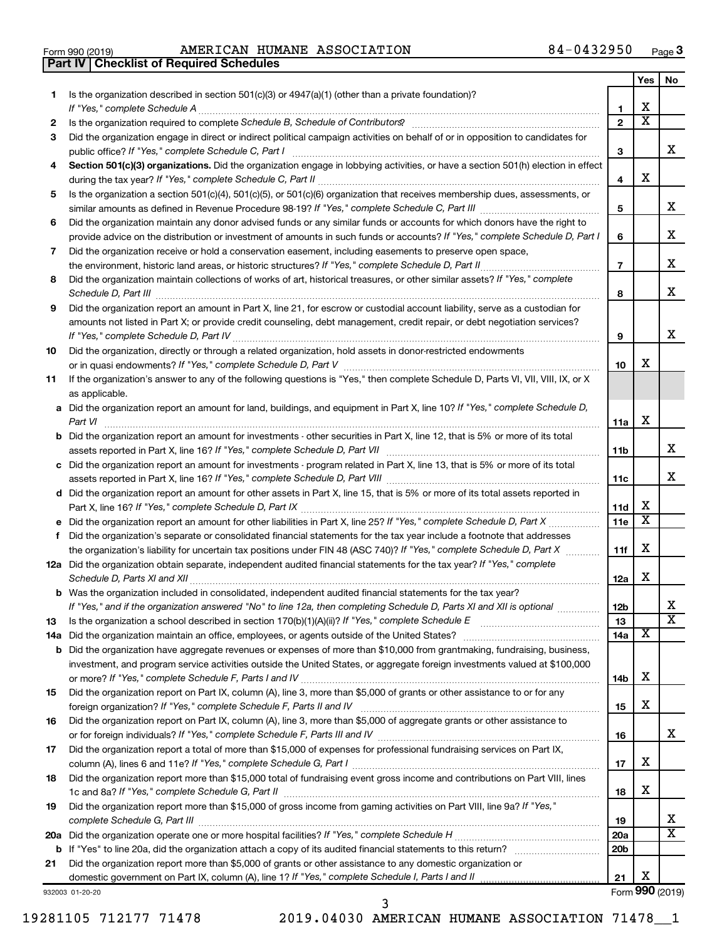| Form 990 (2019) |  |  |
|-----------------|--|--|

Form 990 (2019) Page AMERICAN HUMANE ASSOCIATION 84-0432950 **Part IV Checklist of Required Schedules**

|    |                                                                                                                                                    |                 | Yes                     | No                      |
|----|----------------------------------------------------------------------------------------------------------------------------------------------------|-----------------|-------------------------|-------------------------|
| 1. | Is the organization described in section 501(c)(3) or 4947(a)(1) (other than a private foundation)?                                                |                 |                         |                         |
|    |                                                                                                                                                    | 1               | Χ                       |                         |
| 2  |                                                                                                                                                    | $\mathbf{2}$    | $\overline{\texttt{x}}$ |                         |
| 3  | Did the organization engage in direct or indirect political campaign activities on behalf of or in opposition to candidates for                    |                 |                         |                         |
|    |                                                                                                                                                    | 3               |                         | x                       |
| 4  | Section 501(c)(3) organizations. Did the organization engage in lobbying activities, or have a section 501(h) election in effect                   | 4               | х                       |                         |
| 5  | Is the organization a section 501(c)(4), 501(c)(5), or 501(c)(6) organization that receives membership dues, assessments, or                       |                 |                         |                         |
|    |                                                                                                                                                    | 5               |                         | x                       |
| 6  | Did the organization maintain any donor advised funds or any similar funds or accounts for which donors have the right to                          |                 |                         |                         |
|    | provide advice on the distribution or investment of amounts in such funds or accounts? If "Yes," complete Schedule D, Part I                       | 6               |                         | х                       |
| 7  | Did the organization receive or hold a conservation easement, including easements to preserve open space,                                          |                 |                         |                         |
|    |                                                                                                                                                    | $\overline{7}$  |                         | х                       |
| 8  | Did the organization maintain collections of works of art, historical treasures, or other similar assets? If "Yes," complete                       |                 |                         |                         |
|    |                                                                                                                                                    | 8               |                         | х                       |
| 9  | Did the organization report an amount in Part X, line 21, for escrow or custodial account liability, serve as a custodian for                      |                 |                         |                         |
|    | amounts not listed in Part X; or provide credit counseling, debt management, credit repair, or debt negotiation services?                          | 9               |                         | х                       |
| 10 | Did the organization, directly or through a related organization, hold assets in donor-restricted endowments                                       |                 |                         |                         |
|    |                                                                                                                                                    | 10              | х                       |                         |
| 11 | If the organization's answer to any of the following questions is "Yes," then complete Schedule D, Parts VI, VII, VIII, IX, or X<br>as applicable. |                 |                         |                         |
|    | a Did the organization report an amount for land, buildings, and equipment in Part X, line 10? If "Yes," complete Schedule D,                      |                 |                         |                         |
|    |                                                                                                                                                    | 11a             | х                       |                         |
|    | <b>b</b> Did the organization report an amount for investments - other securities in Part X, line 12, that is 5% or more of its total              | 11 <sub>b</sub> |                         | х                       |
|    | c Did the organization report an amount for investments - program related in Part X, line 13, that is 5% or more of its total                      |                 |                         |                         |
|    |                                                                                                                                                    | 11c             |                         | х                       |
|    | d Did the organization report an amount for other assets in Part X, line 15, that is 5% or more of its total assets reported in                    |                 |                         |                         |
|    |                                                                                                                                                    | 11d             | х                       |                         |
|    |                                                                                                                                                    | 11e             | $\overline{\texttt{x}}$ |                         |
| f. | Did the organization's separate or consolidated financial statements for the tax year include a footnote that addresses                            |                 |                         |                         |
|    | the organization's liability for uncertain tax positions under FIN 48 (ASC 740)? If "Yes," complete Schedule D, Part X                             | 11f             | х                       |                         |
|    | 12a Did the organization obtain separate, independent audited financial statements for the tax year? If "Yes," complete                            | 12a             | х                       |                         |
|    | <b>b</b> Was the organization included in consolidated, independent audited financial statements for the tax year?                                 |                 |                         |                         |
|    | If "Yes," and if the organization answered "No" to line 12a, then completing Schedule D, Parts XI and XII is optional                              | 12 <sub>b</sub> |                         |                         |
| 13 |                                                                                                                                                    | 13              |                         | $\overline{\text{X}}$   |
|    |                                                                                                                                                    | 14a             | X                       |                         |
|    | <b>b</b> Did the organization have aggregate revenues or expenses of more than \$10,000 from grantmaking, fundraising, business,                   |                 |                         |                         |
|    | investment, and program service activities outside the United States, or aggregate foreign investments valued at \$100,000                         |                 | Χ                       |                         |
|    |                                                                                                                                                    | 14b             |                         |                         |
| 15 | Did the organization report on Part IX, column (A), line 3, more than \$5,000 of grants or other assistance to or for any                          |                 | Χ                       |                         |
| 16 | Did the organization report on Part IX, column (A), line 3, more than \$5,000 of aggregate grants or other assistance to                           | 15              |                         |                         |
|    |                                                                                                                                                    | 16              |                         | x                       |
| 17 | Did the organization report a total of more than \$15,000 of expenses for professional fundraising services on Part IX,                            |                 |                         |                         |
|    |                                                                                                                                                    | 17              | Χ                       |                         |
| 18 | Did the organization report more than \$15,000 total of fundraising event gross income and contributions on Part VIII, lines                       |                 |                         |                         |
|    |                                                                                                                                                    | 18              | Χ                       |                         |
| 19 | Did the organization report more than \$15,000 of gross income from gaming activities on Part VIII, line 9a? If "Yes,"                             |                 |                         |                         |
|    |                                                                                                                                                    | 19              |                         | x                       |
|    |                                                                                                                                                    | 20a             |                         | $\overline{\mathtt{x}}$ |
|    |                                                                                                                                                    | 20b             |                         |                         |
| 21 | Did the organization report more than \$5,000 of grants or other assistance to any domestic organization or                                        |                 |                         |                         |
|    |                                                                                                                                                    | 21              | Χ                       |                         |

932003 01-20-20

19281105 712177 71478 2019.04030 AMERICAN HUMANE ASSOCIATION 71478\_\_1

3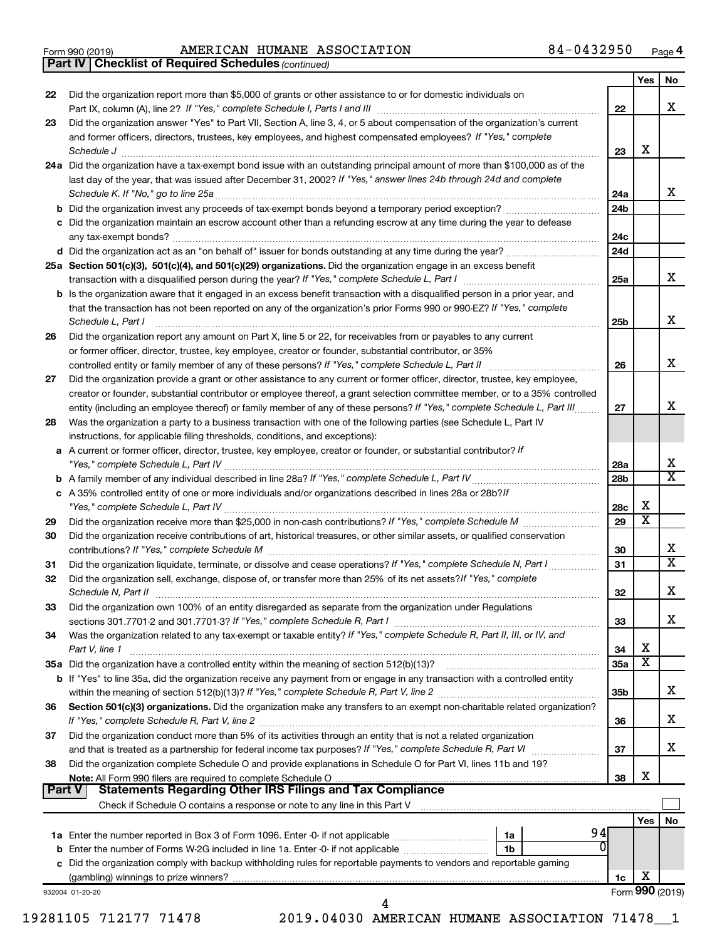|  | Form 990 (2019) |  |
|--|-----------------|--|
|  |                 |  |

Form 990 (2019) Page AMERICAN HUMANE ASSOCIATION 84-0432950

*(continued)* **Part IV Checklist of Required Schedules**

|               | <b>Part IV   Checklist of Required Schedules (continued)</b>                                                                                                       |                 |                         |                         |
|---------------|--------------------------------------------------------------------------------------------------------------------------------------------------------------------|-----------------|-------------------------|-------------------------|
|               |                                                                                                                                                                    |                 | Yes                     | No                      |
| 22            | Did the organization report more than \$5,000 of grants or other assistance to or for domestic individuals on                                                      |                 |                         |                         |
|               |                                                                                                                                                                    | 22              |                         | х                       |
| 23            | Did the organization answer "Yes" to Part VII, Section A, line 3, 4, or 5 about compensation of the organization's current                                         |                 |                         |                         |
|               | and former officers, directors, trustees, key employees, and highest compensated employees? If "Yes," complete                                                     |                 | х                       |                         |
|               | 24a Did the organization have a tax-exempt bond issue with an outstanding principal amount of more than \$100,000 as of the                                        | 23              |                         |                         |
|               | last day of the year, that was issued after December 31, 2002? If "Yes," answer lines 24b through 24d and complete                                                 |                 |                         |                         |
|               | Schedule K. If "No," go to line 25a                                                                                                                                | 24a             |                         | х                       |
|               |                                                                                                                                                                    | 24b             |                         |                         |
|               | c Did the organization maintain an escrow account other than a refunding escrow at any time during the year to defease                                             |                 |                         |                         |
|               |                                                                                                                                                                    | 24c             |                         |                         |
|               |                                                                                                                                                                    | 24d             |                         |                         |
|               | 25a Section 501(c)(3), 501(c)(4), and 501(c)(29) organizations. Did the organization engage in an excess benefit                                                   |                 |                         |                         |
|               |                                                                                                                                                                    | 25a             |                         | х                       |
|               | <b>b</b> Is the organization aware that it engaged in an excess benefit transaction with a disqualified person in a prior year, and                                |                 |                         |                         |
|               | that the transaction has not been reported on any of the organization's prior Forms 990 or 990-EZ? If "Yes," complete                                              |                 |                         |                         |
|               | Schedule L, Part I                                                                                                                                                 | 25b             |                         | х                       |
| 26            | Did the organization report any amount on Part X, line 5 or 22, for receivables from or payables to any current                                                    |                 |                         |                         |
|               | or former officer, director, trustee, key employee, creator or founder, substantial contributor, or 35%                                                            |                 |                         | х                       |
| 27            | Did the organization provide a grant or other assistance to any current or former officer, director, trustee, key employee,                                        | 26              |                         |                         |
|               | creator or founder, substantial contributor or employee thereof, a grant selection committee member, or to a 35% controlled                                        |                 |                         |                         |
|               | entity (including an employee thereof) or family member of any of these persons? If "Yes," complete Schedule L, Part III                                           | 27              |                         | х                       |
| 28            | Was the organization a party to a business transaction with one of the following parties (see Schedule L, Part IV                                                  |                 |                         |                         |
|               | instructions, for applicable filing thresholds, conditions, and exceptions):                                                                                       |                 |                         |                         |
|               | a A current or former officer, director, trustee, key employee, creator or founder, or substantial contributor? If                                                 |                 |                         |                         |
|               |                                                                                                                                                                    | 28a             |                         | х                       |
|               |                                                                                                                                                                    | 28 <sub>b</sub> |                         | х                       |
|               | c A 35% controlled entity of one or more individuals and/or organizations described in lines 28a or 28b?If                                                         |                 |                         |                         |
|               |                                                                                                                                                                    | 28c             | х                       |                         |
| 29            |                                                                                                                                                                    | 29              | $\overline{\textbf{x}}$ |                         |
| 30            | Did the organization receive contributions of art, historical treasures, or other similar assets, or qualified conservation                                        |                 |                         | х                       |
| 31            | Did the organization liquidate, terminate, or dissolve and cease operations? If "Yes," complete Schedule N, Part I                                                 | 30<br>31        |                         | $\overline{\mathbf{X}}$ |
| 32            | Did the organization sell, exchange, dispose of, or transfer more than 25% of its net assets? If "Yes," complete                                                   |                 |                         |                         |
|               | Schedule N. Part II                                                                                                                                                | 32              |                         | х                       |
| 33            | Did the organization own 100% of an entity disregarded as separate from the organization under Regulations                                                         |                 |                         |                         |
|               |                                                                                                                                                                    | 33              |                         | x                       |
| 34            | Was the organization related to any tax-exempt or taxable entity? If "Yes," complete Schedule R, Part II, III, or IV, and                                          |                 |                         |                         |
|               | Part V, line 1                                                                                                                                                     | 34              | х                       |                         |
|               |                                                                                                                                                                    | 35a             | X                       |                         |
|               | b If "Yes" to line 35a, did the organization receive any payment from or engage in any transaction with a controlled entity                                        |                 |                         |                         |
|               |                                                                                                                                                                    | 35b             |                         | x                       |
| 36            | Section 501(c)(3) organizations. Did the organization make any transfers to an exempt non-charitable related organization?                                         |                 |                         | х                       |
|               |                                                                                                                                                                    | 36              |                         |                         |
| 37            | Did the organization conduct more than 5% of its activities through an entity that is not a related organization                                                   | 37              |                         | х                       |
| 38            | Did the organization complete Schedule O and provide explanations in Schedule O for Part VI, lines 11b and 19?                                                     |                 |                         |                         |
|               | Note: All Form 990 filers are required to complete Schedule O                                                                                                      | 38              | х                       |                         |
| <b>Part V</b> | <b>Statements Regarding Other IRS Filings and Tax Compliance</b>                                                                                                   |                 |                         |                         |
|               | Check if Schedule O contains a response or note to any line in this Part V [11] [12] contains the container contains a response or note to any line in this Part V |                 |                         |                         |
|               |                                                                                                                                                                    |                 | Yes                     | No                      |
|               | 94<br>1a                                                                                                                                                           |                 |                         |                         |
|               | 0<br>1b                                                                                                                                                            |                 |                         |                         |
|               | c Did the organization comply with backup withholding rules for reportable payments to vendors and reportable gaming                                               |                 |                         |                         |
|               |                                                                                                                                                                    | 1c              | х                       | Form 990 (2019)         |
|               | 932004 01-20-20<br>4                                                                                                                                               |                 |                         |                         |
|               |                                                                                                                                                                    |                 |                         |                         |

19281105 712177 71478 2019.04030 AMERICAN HUMANE ASSOCIATION 71478\_\_1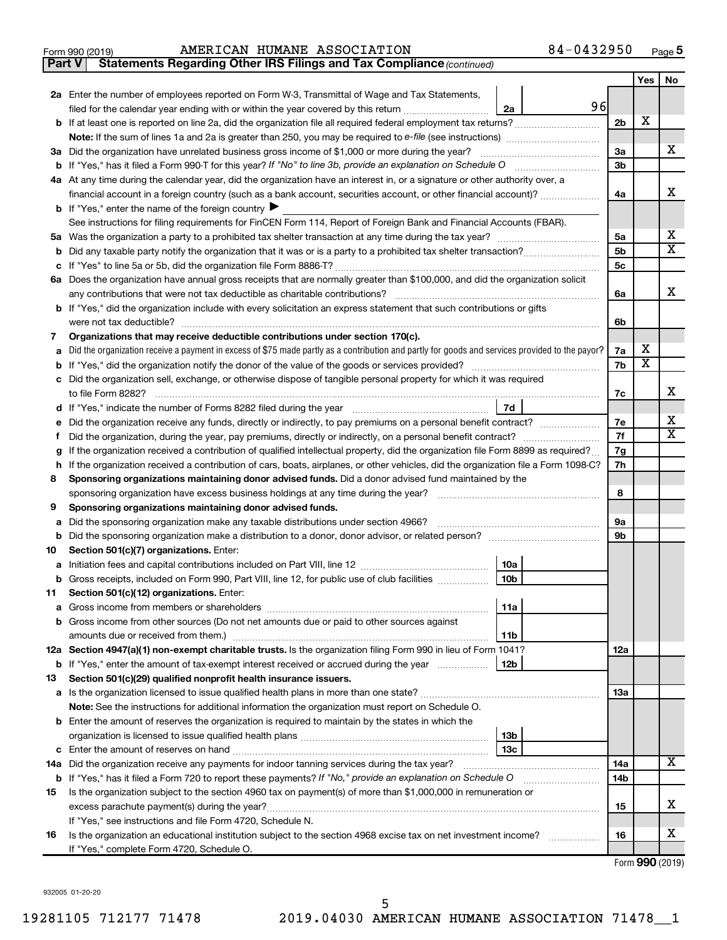| 990 (2019) | AMI |  |  |  |  |
|------------|-----|--|--|--|--|
|------------|-----|--|--|--|--|

## Form 990 (2019) Page AMERICAN HUMANE ASSOCIATION 84-0432950

**Part V** Statements Regarding Other IRS Filings and Tax Compliance (continued)

|    |                                                                                                                                                                                                                                  |                | Yes                     | No                      |
|----|----------------------------------------------------------------------------------------------------------------------------------------------------------------------------------------------------------------------------------|----------------|-------------------------|-------------------------|
|    | 2a Enter the number of employees reported on Form W-3, Transmittal of Wage and Tax Statements,                                                                                                                                   |                |                         |                         |
|    | 96<br>filed for the calendar year ending with or within the year covered by this return<br>2a                                                                                                                                    |                |                         |                         |
|    |                                                                                                                                                                                                                                  | 2b             | x                       |                         |
|    | <b>Note:</b> If the sum of lines 1a and 2a is greater than 250, you may be required to e-file (see instructions) <i></i>                                                                                                         |                |                         |                         |
|    | 3a Did the organization have unrelated business gross income of \$1,000 or more during the year?                                                                                                                                 | За             |                         | x                       |
|    |                                                                                                                                                                                                                                  | 3b             |                         |                         |
|    | 4a At any time during the calendar year, did the organization have an interest in, or a signature or other authority over, a                                                                                                     |                |                         |                         |
|    | financial account in a foreign country (such as a bank account, securities account, or other financial account)?                                                                                                                 | 4a             |                         | X.                      |
|    | <b>b</b> If "Yes," enter the name of the foreign country $\blacktriangleright$                                                                                                                                                   |                |                         |                         |
|    | See instructions for filing requirements for FinCEN Form 114, Report of Foreign Bank and Financial Accounts (FBAR).                                                                                                              |                |                         |                         |
|    |                                                                                                                                                                                                                                  | 5a             |                         | x                       |
|    |                                                                                                                                                                                                                                  | 5b             |                         | $\overline{\mathbf{X}}$ |
|    |                                                                                                                                                                                                                                  | 5 <sub>c</sub> |                         |                         |
|    | 6a Does the organization have annual gross receipts that are normally greater than \$100,000, and did the organization solicit                                                                                                   |                |                         | x                       |
|    | any contributions that were not tax deductible as charitable contributions?                                                                                                                                                      | 6a             |                         |                         |
|    | b If "Yes," did the organization include with every solicitation an express statement that such contributions or gifts                                                                                                           |                |                         |                         |
|    | were not tax deductible?                                                                                                                                                                                                         | 6b             |                         |                         |
| 7  | Organizations that may receive deductible contributions under section 170(c).<br>Did the organization receive a payment in excess of \$75 made partly as a contribution and partly for goods and services provided to the payor? | 7a             | х                       |                         |
| a  |                                                                                                                                                                                                                                  | 7b             | $\overline{\textbf{x}}$ |                         |
|    | c Did the organization sell, exchange, or otherwise dispose of tangible personal property for which it was required                                                                                                              |                |                         |                         |
|    | to file Form 8282?                                                                                                                                                                                                               | 7c             |                         | x                       |
|    | 7d                                                                                                                                                                                                                               |                |                         |                         |
| е  | Did the organization receive any funds, directly or indirectly, to pay premiums on a personal benefit contract?                                                                                                                  | 7e             |                         | х                       |
|    |                                                                                                                                                                                                                                  | 7f             |                         | X                       |
| g  | If the organization received a contribution of qualified intellectual property, did the organization file Form 8899 as required?                                                                                                 | 7g             |                         |                         |
| h. | If the organization received a contribution of cars, boats, airplanes, or other vehicles, did the organization file a Form 1098-C?                                                                                               | 7h             |                         |                         |
| 8  | Sponsoring organizations maintaining donor advised funds. Did a donor advised fund maintained by the                                                                                                                             |                |                         |                         |
|    | sponsoring organization have excess business holdings at any time during the year?                                                                                                                                               | 8              |                         |                         |
| 9  | Sponsoring organizations maintaining donor advised funds.                                                                                                                                                                        |                |                         |                         |
| а  | Did the sponsoring organization make any taxable distributions under section 4966?                                                                                                                                               | 9а             |                         |                         |
| b  |                                                                                                                                                                                                                                  | 9b             |                         |                         |
| 10 | Section 501(c)(7) organizations. Enter:                                                                                                                                                                                          |                |                         |                         |
| а  | 10a                                                                                                                                                                                                                              |                |                         |                         |
| b  | 10 <sub>b</sub><br>Gross receipts, included on Form 990, Part VIII, line 12, for public use of club facilities                                                                                                                   |                |                         |                         |
| 11 | Section 501(c)(12) organizations. Enter:                                                                                                                                                                                         |                |                         |                         |
|    | 11a                                                                                                                                                                                                                              |                |                         |                         |
|    | <b>b</b> Gross income from other sources (Do not net amounts due or paid to other sources against                                                                                                                                |                |                         |                         |
|    | amounts due or received from them.)<br>11b<br>12a Section 4947(a)(1) non-exempt charitable trusts. Is the organization filing Form 990 in lieu of Form 1041?                                                                     | 12a            |                         |                         |
|    | <b>b</b> If "Yes," enter the amount of tax-exempt interest received or accrued during the year<br>12b                                                                                                                            |                |                         |                         |
| 13 | Section 501(c)(29) qualified nonprofit health insurance issuers.                                                                                                                                                                 |                |                         |                         |
|    | a Is the organization licensed to issue qualified health plans in more than one state?                                                                                                                                           | 13a            |                         |                         |
|    | Note: See the instructions for additional information the organization must report on Schedule O.                                                                                                                                |                |                         |                         |
|    | <b>b</b> Enter the amount of reserves the organization is required to maintain by the states in which the                                                                                                                        |                |                         |                         |
|    | 13 <sub>b</sub>                                                                                                                                                                                                                  |                |                         |                         |
|    | 13с<br><b>c</b> Enter the amount of reserves on hand                                                                                                                                                                             |                |                         |                         |
|    | 14a Did the organization receive any payments for indoor tanning services during the tax year?                                                                                                                                   | 14a            |                         | x                       |
|    | <b>b</b> If "Yes," has it filed a Form 720 to report these payments? If "No," provide an explanation on Schedule O                                                                                                               | 14b            |                         |                         |
| 15 | Is the organization subject to the section 4960 tax on payment(s) of more than \$1,000,000 in remuneration or                                                                                                                    |                |                         |                         |
|    | excess parachute payment(s) during the year?                                                                                                                                                                                     | 15             |                         | x                       |
|    | If "Yes," see instructions and file Form 4720, Schedule N.                                                                                                                                                                       |                |                         |                         |
| 16 | Is the organization an educational institution subject to the section 4968 excise tax on net investment income?                                                                                                                  | 16             |                         | х                       |
|    | If "Yes," complete Form 4720, Schedule O.                                                                                                                                                                                        |                |                         |                         |

Form (2019) **990**

932005 01-20-20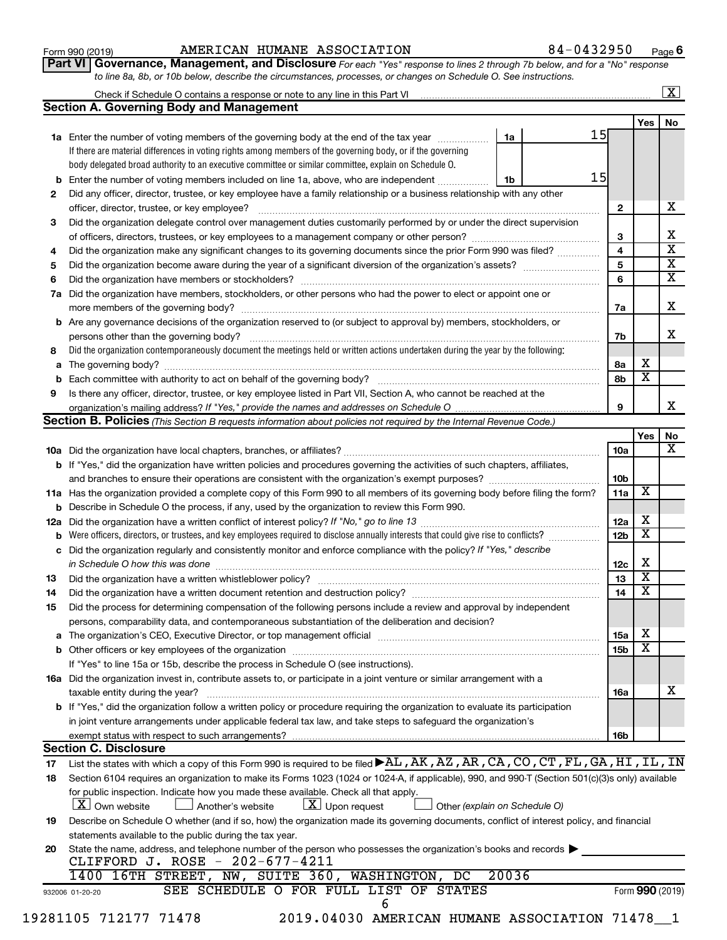| Form 990 (2019) |  |
|-----------------|--|
|-----------------|--|

## Form 990 (2019) Page AMERICAN HUMANE ASSOCIATION 84-0432950

**6**

**Part VI** Governance, Management, and Disclosure For each "Yes" response to lines 2 through 7b below, and for a "No" response *to line 8a, 8b, or 10b below, describe the circumstances, processes, or changes on Schedule O. See instructions.*

|     | Check if Schedule O contains a response or note to any line in this Part VI [1] [1] [1] [1] [1] [1] [1] [1] [1                                                                                                                |       |    |    |                 |                         | $\mathbf{X}$ |
|-----|-------------------------------------------------------------------------------------------------------------------------------------------------------------------------------------------------------------------------------|-------|----|----|-----------------|-------------------------|--------------|
|     | <b>Section A. Governing Body and Management</b>                                                                                                                                                                               |       |    |    |                 |                         |              |
|     |                                                                                                                                                                                                                               |       |    | 15 |                 | Yes                     | No           |
|     | 1a Enter the number of voting members of the governing body at the end of the tax year                                                                                                                                        |       | 1a |    |                 |                         |              |
|     | If there are material differences in voting rights among members of the governing body, or if the governing                                                                                                                   |       |    |    |                 |                         |              |
|     | body delegated broad authority to an executive committee or similar committee, explain on Schedule O.                                                                                                                         |       |    | 15 |                 |                         |              |
| b   | Enter the number of voting members included on line 1a, above, who are independent                                                                                                                                            |       | 1b |    |                 |                         |              |
| 2   | Did any officer, director, trustee, or key employee have a family relationship or a business relationship with any other                                                                                                      |       |    |    |                 |                         |              |
|     | officer, director, trustee, or key employee?                                                                                                                                                                                  |       |    |    | $\mathbf{2}$    |                         |              |
| 3   | Did the organization delegate control over management duties customarily performed by or under the direct supervision                                                                                                         |       |    |    |                 |                         |              |
|     |                                                                                                                                                                                                                               |       |    |    | 3               |                         |              |
| 4   | Did the organization make any significant changes to its governing documents since the prior Form 990 was filed?                                                                                                              |       |    |    | 4               |                         |              |
| 5   |                                                                                                                                                                                                                               |       |    |    | 5               |                         |              |
| 6   |                                                                                                                                                                                                                               |       |    |    | 6               |                         |              |
| 7a  | Did the organization have members, stockholders, or other persons who had the power to elect or appoint one or                                                                                                                |       |    |    |                 |                         |              |
|     |                                                                                                                                                                                                                               |       |    |    | 7a              |                         |              |
| b   | Are any governance decisions of the organization reserved to (or subject to approval by) members, stockholders, or                                                                                                            |       |    |    |                 |                         |              |
|     |                                                                                                                                                                                                                               |       |    |    | 7b              |                         |              |
| 8   | Did the organization contemporaneously document the meetings held or written actions undertaken during the year by the following:                                                                                             |       |    |    |                 |                         |              |
| а   |                                                                                                                                                                                                                               |       |    |    | 8а              | х                       |              |
| b   |                                                                                                                                                                                                                               |       |    |    | 8b              | $\overline{\textbf{x}}$ |              |
| 9   | Is there any officer, director, trustee, or key employee listed in Part VII, Section A, who cannot be reached at the                                                                                                          |       |    |    |                 |                         |              |
|     |                                                                                                                                                                                                                               |       |    |    | 9               |                         |              |
|     | <b>Section B. Policies</b> (This Section B requests information about policies not required by the Internal Revenue Code.)                                                                                                    |       |    |    |                 |                         |              |
|     |                                                                                                                                                                                                                               |       |    |    |                 | Yes                     |              |
|     |                                                                                                                                                                                                                               |       |    |    | 10a             |                         |              |
|     | <b>b</b> If "Yes," did the organization have written policies and procedures governing the activities of such chapters, affiliates,                                                                                           |       |    |    |                 |                         |              |
|     |                                                                                                                                                                                                                               |       |    |    | 10b             |                         |              |
|     | 11a Has the organization provided a complete copy of this Form 990 to all members of its governing body before filing the form?                                                                                               |       |    |    | 11a             | X                       |              |
|     | <b>b</b> Describe in Schedule O the process, if any, used by the organization to review this Form 990.                                                                                                                        |       |    |    |                 |                         |              |
| 12a |                                                                                                                                                                                                                               |       |    |    | 12a             | х                       |              |
| b   | Were officers, directors, or trustees, and key employees required to disclose annually interests that could give rise to conflicts?                                                                                           |       |    |    | 12 <sub>b</sub> | $\overline{\mathbf{X}}$ |              |
| с   | Did the organization regularly and consistently monitor and enforce compliance with the policy? If "Yes," describe                                                                                                            |       |    |    |                 |                         |              |
|     |                                                                                                                                                                                                                               |       |    |    | 12c             | Х                       |              |
| 13  |                                                                                                                                                                                                                               |       |    |    | 13              | $\overline{\mathbf{X}}$ |              |
|     | Did the organization have a written document retention and destruction policy? [11] manufaction manufaction in                                                                                                                |       |    |    | 14              | $\overline{\mathbf{X}}$ |              |
| 14  |                                                                                                                                                                                                                               |       |    |    |                 |                         |              |
| 15  | Did the process for determining compensation of the following persons include a review and approval by independent                                                                                                            |       |    |    |                 |                         |              |
|     | persons, comparability data, and contemporaneous substantiation of the deliberation and decision?                                                                                                                             |       |    |    |                 | х                       |              |
| а   | The organization's CEO, Executive Director, or top management official [111] [11] manument content of the organization's CEO, Executive Director, or top management official [11] manument content of the organization of the |       |    |    | 15a             | $\overline{\textbf{x}}$ |              |
|     |                                                                                                                                                                                                                               |       |    |    | 15 <sub>b</sub> |                         |              |
|     | If "Yes" to line 15a or 15b, describe the process in Schedule O (see instructions).                                                                                                                                           |       |    |    |                 |                         |              |
|     | 16a Did the organization invest in, contribute assets to, or participate in a joint venture or similar arrangement with a                                                                                                     |       |    |    |                 |                         |              |
|     | taxable entity during the year?                                                                                                                                                                                               |       |    |    | 16a             |                         |              |
|     | b If "Yes," did the organization follow a written policy or procedure requiring the organization to evaluate its participation                                                                                                |       |    |    |                 |                         |              |
|     | in joint venture arrangements under applicable federal tax law, and take steps to safeguard the organization's                                                                                                                |       |    |    |                 |                         |              |
|     | exempt status with respect to such arrangements?                                                                                                                                                                              |       |    |    | 16b             |                         |              |
|     | <b>Section C. Disclosure</b>                                                                                                                                                                                                  |       |    |    |                 |                         |              |
| 17  | List the states with which a copy of this Form 990 is required to be filed AL, AK, AZ, AR, CA, CO, CT, FL, GA, HI, IL, IN                                                                                                     |       |    |    |                 |                         |              |
| 18  | Section 6104 requires an organization to make its Forms 1023 (1024 or 1024-A, if applicable), 990, and 990-T (Section 501(c)(3)s only) available                                                                              |       |    |    |                 |                         |              |
|     | for public inspection. Indicate how you made these available. Check all that apply.                                                                                                                                           |       |    |    |                 |                         |              |
|     | $\lfloor x \rfloor$ Upon request<br><b>X</b> Own website<br>Another's website<br>Other (explain on Schedule O)                                                                                                                |       |    |    |                 |                         |              |
| 19  | Describe on Schedule O whether (and if so, how) the organization made its governing documents, conflict of interest policy, and financial                                                                                     |       |    |    |                 |                         |              |
|     | statements available to the public during the tax year.                                                                                                                                                                       |       |    |    |                 |                         |              |
| 20  | State the name, address, and telephone number of the person who possesses the organization's books and records                                                                                                                |       |    |    |                 |                         |              |
|     | CLIFFORD J. ROSE - 202-677-4211                                                                                                                                                                                               |       |    |    |                 |                         |              |
|     | 1400 16TH STREET, NW, SUITE 360, WASHINGTON, DC                                                                                                                                                                               | 20036 |    |    |                 |                         |              |
|     | SEE SCHEDULE O FOR FULL LIST OF STATES<br>932006 01-20-20                                                                                                                                                                     |       |    |    |                 | Form 990 (2019)         |              |
|     | 6                                                                                                                                                                                                                             |       |    |    |                 |                         |              |
|     | 19281105 712177 71478<br>2019.04030 AMERICAN HUMANE ASSOCIATION 71478 1                                                                                                                                                       |       |    |    |                 |                         |              |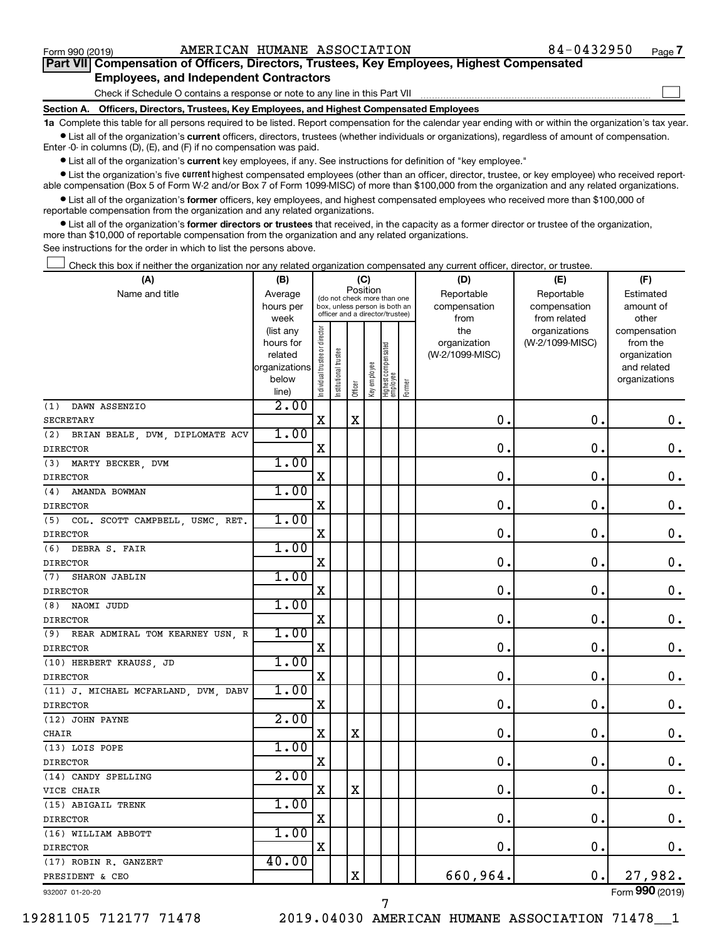$\Box$ 

| Part VII Compensation of Officers, Directors, Trustees, Key Employees, Highest Compensated |  |  |  |  |
|--------------------------------------------------------------------------------------------|--|--|--|--|
| <b>Employees, and Independent Contractors</b>                                              |  |  |  |  |

Check if Schedule O contains a response or note to any line in this Part VII

**Section A. Officers, Directors, Trustees, Key Employees, and Highest Compensated Employees**

**1a**  Complete this table for all persons required to be listed. Report compensation for the calendar year ending with or within the organization's tax year.  $\bullet$  List all of the organization's current officers, directors, trustees (whether individuals or organizations), regardless of amount of compensation.

Enter -0- in columns (D), (E), and (F) if no compensation was paid.

**•** List all of the organization's current key employees, if any. See instructions for definition of "key employee."

• List the organization's five *current* highest compensated employees (other than an officer, director, trustee, or key employee) who received reportable compensation (Box 5 of Form W-2 and/or Box 7 of Form 1099-MISC) of more than \$100,000 from the organization and any related organizations.

 $\bullet$  List all of the organization's former officers, key employees, and highest compensated employees who received more than \$100,000 of reportable compensation from the organization and any related organizations.

**•** List all of the organization's former directors or trustees that received, in the capacity as a former director or trustee of the organization, more than \$10,000 of reportable compensation from the organization and any related organizations.

See instructions for the order in which to list the persons above.

Check this box if neither the organization nor any related organization compensated any current officer, director, or trustee.  $\Box$ 

| (A)                                    | (B)                  |                                |                                                                  | (C)         |              |                                   |        | (D)                             | (E)             | (F)                      |
|----------------------------------------|----------------------|--------------------------------|------------------------------------------------------------------|-------------|--------------|-----------------------------------|--------|---------------------------------|-----------------|--------------------------|
| Name and title                         | Average              |                                | (do not check more than one                                      | Position    |              |                                   |        | Reportable                      | Reportable      | Estimated                |
|                                        | hours per            |                                | box, unless person is both an<br>officer and a director/trustee) |             |              |                                   |        | compensation                    | compensation    | amount of                |
|                                        | week                 |                                |                                                                  |             |              |                                   |        | from                            | from related    | other                    |
|                                        | (list any            | Individual trustee or director |                                                                  |             |              |                                   |        | the                             | organizations   | compensation             |
|                                        | hours for<br>related |                                |                                                                  |             |              |                                   |        | organization<br>(W-2/1099-MISC) | (W-2/1099-MISC) | from the<br>organization |
|                                        | organizations        |                                |                                                                  |             |              |                                   |        |                                 |                 | and related              |
|                                        | below                |                                |                                                                  |             |              |                                   |        |                                 |                 | organizations            |
|                                        | line)                |                                | Institutional trustee                                            | Officer     | Key employee | Highest compensated<br>  employee | Former |                                 |                 |                          |
| DAWN ASSENZIO<br>(1)                   | 2.00                 |                                |                                                                  |             |              |                                   |        |                                 |                 |                          |
| <b>SECRETARY</b>                       |                      | $\mathbf X$                    |                                                                  | X           |              |                                   |        | 0.                              | $\mathbf 0$ .   | 0.                       |
| BRIAN BEALE, DVM, DIPLOMATE ACV<br>(2) | 1.00                 |                                |                                                                  |             |              |                                   |        |                                 |                 |                          |
| <b>DIRECTOR</b>                        |                      | X                              |                                                                  |             |              |                                   |        | $\mathbf 0$ .                   | $\mathbf 0$ .   | $\mathbf 0$ .            |
| (3)<br>MARTY BECKER, DVM               | 1.00                 |                                |                                                                  |             |              |                                   |        |                                 |                 |                          |
| <b>DIRECTOR</b>                        |                      | $\mathbf X$                    |                                                                  |             |              |                                   |        | $\mathbf 0$ .                   | 0.              | 0.                       |
| AMANDA BOWMAN<br>(4)                   | 1.00                 |                                |                                                                  |             |              |                                   |        |                                 |                 |                          |
| <b>DIRECTOR</b>                        |                      | X                              |                                                                  |             |              |                                   |        | 0.                              | $\mathbf 0$ .   | $\boldsymbol{0}$ .       |
| (5)<br>COL. SCOTT CAMPBELL, USMC, RET. | 1.00                 |                                |                                                                  |             |              |                                   |        |                                 |                 |                          |
| <b>DIRECTOR</b>                        |                      | X                              |                                                                  |             |              |                                   |        | 0                               | $\mathbf 0$ .   | $\mathbf 0$ .            |
| DEBRA S. FAIR<br>(6)                   | 1.00                 |                                |                                                                  |             |              |                                   |        |                                 |                 |                          |
| <b>DIRECTOR</b>                        |                      | X                              |                                                                  |             |              |                                   |        | $\mathbf 0$                     | $\mathbf 0$ .   | $\mathbf 0$ .            |
| (7)<br><b>SHARON JABLIN</b>            | 1.00                 |                                |                                                                  |             |              |                                   |        |                                 |                 |                          |
| <b>DIRECTOR</b>                        |                      | X                              |                                                                  |             |              |                                   |        | $\mathbf 0$ .                   | $\mathbf 0$ .   | $\mathbf 0$ .            |
| (8) NAOMI JUDD                         | 1.00                 |                                |                                                                  |             |              |                                   |        |                                 |                 |                          |
| <b>DIRECTOR</b>                        |                      | X                              |                                                                  |             |              |                                   |        | $\mathbf 0$ .                   | $\mathbf 0$ .   | $\mathbf 0$ .            |
| REAR ADMIRAL TOM KEARNEY USN, R<br>(9) | 1.00                 |                                |                                                                  |             |              |                                   |        |                                 |                 |                          |
| <b>DIRECTOR</b>                        |                      | X                              |                                                                  |             |              |                                   |        | $\mathbf 0$ .                   | $\mathbf 0$ .   | $\mathbf 0$ .            |
| (10) HERBERT KRAUSS, JD                | 1.00                 |                                |                                                                  |             |              |                                   |        |                                 |                 |                          |
| <b>DIRECTOR</b>                        |                      | $\mathbf X$                    |                                                                  |             |              |                                   |        | $\mathbf 0$ .                   | $\mathbf 0$ .   | 0.                       |
| (11) J. MICHAEL MCFARLAND, DVM, DABV   | 1.00                 |                                |                                                                  |             |              |                                   |        |                                 |                 |                          |
| <b>DIRECTOR</b>                        |                      | $\mathbf X$                    |                                                                  |             |              |                                   |        | $\mathbf 0$                     | $\mathbf 0$ .   | $\mathbf 0$ .            |
| (12) JOHN PAYNE                        | 2.00                 |                                |                                                                  |             |              |                                   |        |                                 |                 |                          |
| CHAIR                                  |                      | X                              |                                                                  | $\mathbf X$ |              |                                   |        | $\mathbf 0$                     | $\mathbf 0$ .   | $\mathbf 0$ .            |
| (13) LOIS POPE                         | 1.00                 |                                |                                                                  |             |              |                                   |        |                                 |                 |                          |
| <b>DIRECTOR</b>                        |                      | X                              |                                                                  |             |              |                                   |        | $\mathbf 0$                     | $\mathbf 0$ .   | $\mathbf 0$ .            |
| (14) CANDY SPELLING                    | 2.00                 |                                |                                                                  |             |              |                                   |        |                                 |                 |                          |
| VICE CHAIR                             |                      | $\mathbf X$                    |                                                                  | $\mathbf X$ |              |                                   |        | $\mathbf 0$ .                   | $\mathbf 0$ .   | $\mathbf 0$ .            |
| (15) ABIGAIL TRENK                     | 1.00                 |                                |                                                                  |             |              |                                   |        |                                 |                 |                          |
| <b>DIRECTOR</b>                        |                      | X                              |                                                                  |             |              |                                   |        | $\mathbf 0$ .                   | $\mathbf 0$     | $\mathbf 0$ .            |
| (16) WILLIAM ABBOTT                    | 1.00                 |                                |                                                                  |             |              |                                   |        |                                 |                 |                          |
| <b>DIRECTOR</b>                        |                      | X                              |                                                                  |             |              |                                   |        | $\mathbf 0$ .                   | $\mathbf 0$ .   | 0.                       |
| (17) ROBIN R. GANZERT                  | 40.00                |                                |                                                                  |             |              |                                   |        |                                 |                 |                          |
| PRESIDENT & CEO                        |                      |                                |                                                                  | X           |              |                                   |        | 660,964.                        | 0.              | 27,982.                  |
| 932007 01-20-20                        |                      |                                |                                                                  |             |              |                                   |        |                                 |                 | Form 990 (2019)          |

7

932007 01-20-20

19281105 712177 71478 2019.04030 AMERICAN HUMANE ASSOCIATION 71478\_\_1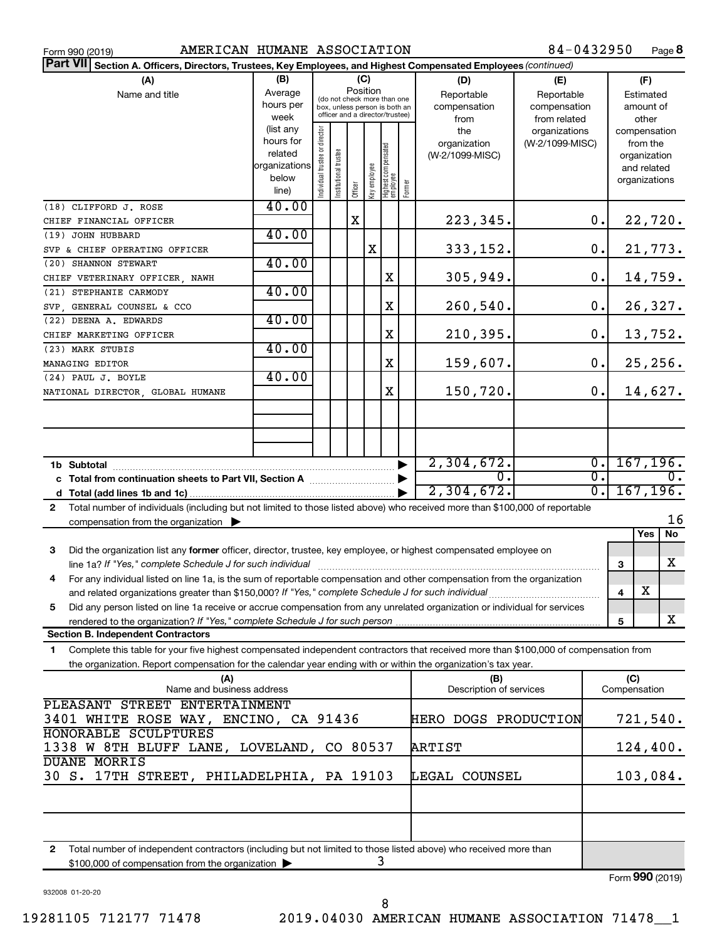| AMERICAN HUMANE ASSOCIATION<br>Form 990 (2019)                                                                                                                                                           |                                                                      |                                                                                                                    |                       |         |              |                                   |        |                                           | 84-0432950                                        |                                                           | Page 8                    |
|----------------------------------------------------------------------------------------------------------------------------------------------------------------------------------------------------------|----------------------------------------------------------------------|--------------------------------------------------------------------------------------------------------------------|-----------------------|---------|--------------|-----------------------------------|--------|-------------------------------------------|---------------------------------------------------|-----------------------------------------------------------|---------------------------|
| Part VII Section A. Officers, Directors, Trustees, Key Employees, and Highest Compensated Employees (continued)                                                                                          |                                                                      |                                                                                                                    |                       |         |              |                                   |        |                                           |                                                   |                                                           |                           |
| (A)<br>Name and title                                                                                                                                                                                    | (B)<br>Average<br>hours per<br>week                                  | (C)<br>Position<br>(do not check more than one<br>box, unless person is both an<br>officer and a director/trustee) |                       |         |              |                                   |        | (D)<br>Reportable<br>compensation<br>from | (E)<br>Reportable<br>compensation<br>from related | Estimated                                                 | (F)<br>amount of<br>other |
|                                                                                                                                                                                                          | (list any<br>hours for<br>related<br>organizations<br>below<br>line) | Individual trustee or director                                                                                     | Institutional trustee | Officer | Key employee | Highest compensated<br>  employee | Former | the<br>organization<br>(W-2/1099-MISC)    | organizations<br>(W-2/1099-MISC)                  | compensation<br>from the<br>organization<br>organizations | and related               |
| (18) CLIFFORD J. ROSE                                                                                                                                                                                    | 40.00                                                                |                                                                                                                    |                       |         |              |                                   |        |                                           |                                                   |                                                           |                           |
| CHIEF FINANCIAL OFFICER                                                                                                                                                                                  |                                                                      |                                                                                                                    |                       | х       |              |                                   |        | 223,345.                                  | 0.                                                |                                                           | 22,720.                   |
| (19) JOHN HUBBARD                                                                                                                                                                                        | 40.00                                                                |                                                                                                                    |                       |         | X            |                                   |        | 333,152.                                  | 0.                                                |                                                           |                           |
| SVP & CHIEF OPERATING OFFICER<br>(20) SHANNON STEWART                                                                                                                                                    | 40.00                                                                |                                                                                                                    |                       |         |              |                                   |        |                                           |                                                   |                                                           | 21,773.                   |
| CHIEF VETERINARY OFFICER, NAWH                                                                                                                                                                           |                                                                      |                                                                                                                    |                       |         |              | X                                 |        | 305,949.                                  | 0.                                                |                                                           | 14,759.                   |
| (21) STEPHANIE CARMODY                                                                                                                                                                                   | 40.00                                                                |                                                                                                                    |                       |         |              |                                   |        |                                           |                                                   |                                                           |                           |
| SVP, GENERAL COUNSEL & CCO                                                                                                                                                                               |                                                                      |                                                                                                                    |                       |         |              | Χ                                 |        | 260,540.                                  | 0.                                                |                                                           | 26,327.                   |
| (22) DEENA A. EDWARDS                                                                                                                                                                                    | 40.00                                                                |                                                                                                                    |                       |         |              |                                   |        |                                           |                                                   |                                                           |                           |
| CHIEF MARKETING OFFICER                                                                                                                                                                                  |                                                                      |                                                                                                                    |                       |         |              | Χ                                 |        | 210,395.                                  | 0.                                                |                                                           | 13,752.                   |
| (23) MARK STUBIS                                                                                                                                                                                         | 40.00                                                                |                                                                                                                    |                       |         |              |                                   |        |                                           |                                                   |                                                           |                           |
| MANAGING EDITOR                                                                                                                                                                                          |                                                                      |                                                                                                                    |                       |         |              | Χ                                 |        | 159,607.                                  | 0.                                                |                                                           | 25, 256.                  |
| (24) PAUL J. BOYLE                                                                                                                                                                                       | 40.00                                                                |                                                                                                                    |                       |         |              |                                   |        |                                           |                                                   |                                                           |                           |
| NATIONAL DIRECTOR, GLOBAL HUMANE                                                                                                                                                                         |                                                                      |                                                                                                                    |                       |         |              | Χ                                 |        | 150,720.                                  | 0.                                                |                                                           | 14,627.                   |
|                                                                                                                                                                                                          |                                                                      |                                                                                                                    |                       |         |              |                                   |        |                                           |                                                   |                                                           |                           |
|                                                                                                                                                                                                          |                                                                      |                                                                                                                    |                       |         |              |                                   |        |                                           |                                                   |                                                           |                           |
|                                                                                                                                                                                                          |                                                                      |                                                                                                                    |                       |         |              |                                   |        |                                           |                                                   |                                                           |                           |
|                                                                                                                                                                                                          |                                                                      |                                                                                                                    |                       |         |              |                                   |        | 2,304,672.                                | $\overline{0}$ .                                  |                                                           | 167, 196.                 |
|                                                                                                                                                                                                          |                                                                      |                                                                                                                    |                       |         |              |                                   |        | $\mathbf{0}$ .                            | $\overline{0}$ .                                  |                                                           | $\overline{0}$ .          |
|                                                                                                                                                                                                          |                                                                      |                                                                                                                    |                       |         |              |                                   |        | 2,304,672.                                | $\overline{0}$ .                                  |                                                           | 167, 196.                 |
| Total number of individuals (including but not limited to those listed above) who received more than \$100,000 of reportable<br>$\mathbf{2}$<br>compensation from the organization $\blacktriangleright$ |                                                                      |                                                                                                                    |                       |         |              |                                   |        |                                           |                                                   |                                                           | 16                        |
|                                                                                                                                                                                                          |                                                                      |                                                                                                                    |                       |         |              |                                   |        |                                           |                                                   | Yes                                                       | No                        |
| 3<br>Did the organization list any former officer, director, trustee, key employee, or highest compensated employee on                                                                                   |                                                                      |                                                                                                                    |                       |         |              |                                   |        |                                           |                                                   | 3                                                         | X                         |
| For any individual listed on line 1a, is the sum of reportable compensation and other compensation from the organization<br>4                                                                            |                                                                      |                                                                                                                    |                       |         |              |                                   |        |                                           |                                                   |                                                           |                           |
|                                                                                                                                                                                                          |                                                                      |                                                                                                                    |                       |         |              |                                   |        |                                           |                                                   | X<br>4                                                    |                           |
| Did any person listed on line 1a receive or accrue compensation from any unrelated organization or individual for services<br>5                                                                          |                                                                      |                                                                                                                    |                       |         |              |                                   |        |                                           |                                                   |                                                           |                           |
| rendered to the organization? If "Yes," complete Schedule J for such person.<br><b>Section B. Independent Contractors</b>                                                                                |                                                                      |                                                                                                                    |                       |         |              |                                   |        |                                           |                                                   | 5                                                         | х                         |
| Complete this table for your five highest compensated independent contractors that received more than \$100,000 of compensation from<br>1.                                                               |                                                                      |                                                                                                                    |                       |         |              |                                   |        |                                           |                                                   |                                                           |                           |
| the organization. Report compensation for the calendar year ending with or within the organization's tax year.                                                                                           |                                                                      |                                                                                                                    |                       |         |              |                                   |        |                                           |                                                   |                                                           |                           |
| (A)<br>Name and business address                                                                                                                                                                         |                                                                      |                                                                                                                    |                       |         |              |                                   |        | (B)<br>Description of services            |                                                   | (C)<br>Compensation                                       |                           |
| PLEASANT STREET ENTERTAINMENT                                                                                                                                                                            |                                                                      |                                                                                                                    |                       |         |              |                                   |        |                                           |                                                   |                                                           |                           |
| 3401 WHITE ROSE WAY, ENCINO, CA 91436                                                                                                                                                                    |                                                                      |                                                                                                                    |                       |         |              |                                   |        | HERO DOGS PRODUCTION                      |                                                   |                                                           | 721,540.                  |
| HONORABLE SCULPTURES<br>1338 W 8TH BLUFF LANE, LOVELAND, CO 80537                                                                                                                                        |                                                                      |                                                                                                                    |                       |         |              |                                   |        | ARTIST                                    |                                                   |                                                           | 124,400.                  |
| <b>DUANE MORRIS</b>                                                                                                                                                                                      |                                                                      |                                                                                                                    |                       |         |              |                                   |        |                                           |                                                   |                                                           |                           |
| 30 S. 17TH STREET, PHILADELPHIA, PA 19103                                                                                                                                                                |                                                                      |                                                                                                                    |                       |         |              |                                   |        | LEGAL COUNSEL                             |                                                   |                                                           | 103,084.                  |
|                                                                                                                                                                                                          |                                                                      |                                                                                                                    |                       |         |              |                                   |        |                                           |                                                   |                                                           |                           |
|                                                                                                                                                                                                          |                                                                      |                                                                                                                    |                       |         |              |                                   |        |                                           |                                                   |                                                           |                           |
|                                                                                                                                                                                                          |                                                                      |                                                                                                                    |                       |         |              |                                   |        |                                           |                                                   |                                                           |                           |
| Total number of independent contractors (including but not limited to those listed above) who received more than<br>2                                                                                    |                                                                      |                                                                                                                    |                       |         |              |                                   |        |                                           |                                                   |                                                           |                           |
| \$100,000 of compensation from the organization >                                                                                                                                                        |                                                                      |                                                                                                                    |                       |         |              | 3                                 |        |                                           |                                                   |                                                           |                           |

932008 01-20-20

Form (2019) **990**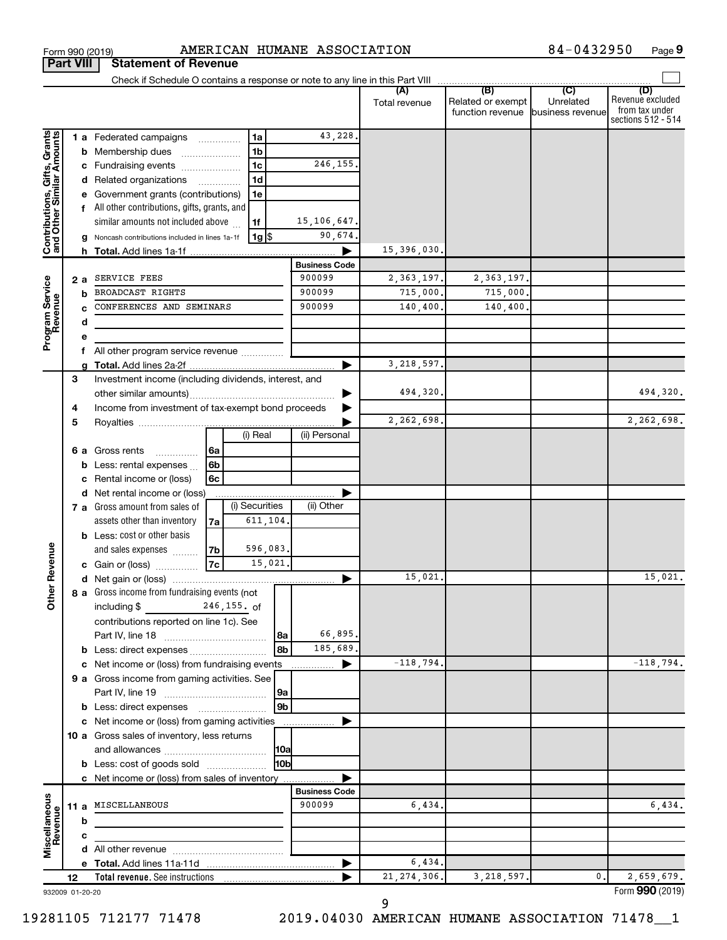|                                                           |    |   | Check if Schedule O contains a response or note to any line in this Part VIII |    |                    |          |                      |               |                                              |                                      |                                                                 |
|-----------------------------------------------------------|----|---|-------------------------------------------------------------------------------|----|--------------------|----------|----------------------|---------------|----------------------------------------------|--------------------------------------|-----------------------------------------------------------------|
|                                                           |    |   |                                                                               |    |                    |          |                      | Total revenue | (B)<br>Related or exempt<br>function revenue | (C)<br>Unrelated<br>business revenue | (D)<br>Revenue excluded<br>from tax under<br>sections 512 - 514 |
|                                                           |    |   | 1 a Federated campaigns                                                       |    | 1a                 |          | 43,228.              |               |                                              |                                      |                                                                 |
| Contributions, Gifts, Grants<br>and Other Similar Amounts |    |   | <b>b</b> Membership dues<br>$\ldots \ldots \ldots \ldots \ldots$              |    | 1 <sub>b</sub>     |          |                      |               |                                              |                                      |                                                                 |
|                                                           |    |   | c Fundraising events                                                          |    | 1 <sub>c</sub>     |          | 246,155.             |               |                                              |                                      |                                                                 |
|                                                           |    |   | d Related organizations                                                       |    | 1 <sub>d</sub>     |          |                      |               |                                              |                                      |                                                                 |
|                                                           |    |   | e Government grants (contributions)                                           |    | 1e                 |          |                      |               |                                              |                                      |                                                                 |
|                                                           |    |   | f All other contributions, gifts, grants, and                                 |    |                    |          |                      |               |                                              |                                      |                                                                 |
|                                                           |    |   | similar amounts not included above                                            |    | 1f                 |          | 15,106,647.          |               |                                              |                                      |                                                                 |
|                                                           |    |   | g Noncash contributions included in lines 1a-1f                               |    | $1g$ $\frac{1}{3}$ |          | 90,674.              |               |                                              |                                      |                                                                 |
|                                                           |    |   |                                                                               |    |                    |          |                      | 15,396,030.   |                                              |                                      |                                                                 |
|                                                           |    |   |                                                                               |    |                    |          | <b>Business Code</b> |               |                                              |                                      |                                                                 |
|                                                           |    |   | 2 a SERVICE FEES                                                              |    |                    |          | 900099               | 2, 363, 197.  | 2, 363, 197.                                 |                                      |                                                                 |
| Program Service<br>Revenue                                |    | b | BROADCAST RIGHTS                                                              |    |                    |          | 900099               | 715,000.      | 715,000.                                     |                                      |                                                                 |
|                                                           |    |   | CONFERENCES AND SEMINARS                                                      |    |                    |          | 900099               | 140, 400.     | 140,400.                                     |                                      |                                                                 |
|                                                           |    | d |                                                                               |    |                    |          |                      |               |                                              |                                      |                                                                 |
|                                                           |    | е |                                                                               |    |                    |          |                      |               |                                              |                                      |                                                                 |
|                                                           |    |   | f All other program service revenue                                           |    |                    |          |                      |               |                                              |                                      |                                                                 |
|                                                           |    |   |                                                                               |    |                    |          |                      | 3, 218, 597.  |                                              |                                      |                                                                 |
|                                                           | 3  |   | Investment income (including dividends, interest, and                         |    |                    |          |                      |               |                                              |                                      |                                                                 |
|                                                           |    |   |                                                                               |    |                    |          |                      | 494,320.      |                                              |                                      | 494,320.                                                        |
|                                                           | 4  |   | Income from investment of tax-exempt bond proceeds                            |    |                    |          |                      |               |                                              |                                      |                                                                 |
|                                                           | 5  |   |                                                                               |    |                    |          |                      | 2,262,698.    |                                              |                                      | 2,262,698.                                                      |
|                                                           |    |   |                                                                               |    | (i) Real           |          | (ii) Personal        |               |                                              |                                      |                                                                 |
|                                                           |    |   | <b>6 a</b> Gross rents<br>.                                                   | 6a |                    |          |                      |               |                                              |                                      |                                                                 |
|                                                           |    |   | <b>b</b> Less: rental expenses $\ldots$                                       | 6b |                    |          |                      |               |                                              |                                      |                                                                 |
|                                                           |    |   | c Rental income or (loss)                                                     | 6с |                    |          |                      |               |                                              |                                      |                                                                 |
|                                                           |    |   | d Net rental income or (loss)                                                 |    |                    |          |                      |               |                                              |                                      |                                                                 |
|                                                           |    |   | 7 a Gross amount from sales of                                                |    | (i) Securities     |          | (ii) Other           |               |                                              |                                      |                                                                 |
|                                                           |    |   | assets other than inventory                                                   | 7а |                    | 611,104. |                      |               |                                              |                                      |                                                                 |
|                                                           |    |   | <b>b</b> Less: cost or other basis                                            |    |                    |          |                      |               |                                              |                                      |                                                                 |
|                                                           |    |   | and sales expenses                                                            | 7b |                    | 596,083. |                      |               |                                              |                                      |                                                                 |
|                                                           |    |   | c Gain or (loss)                                                              | 7c |                    | 15,021.  |                      |               |                                              |                                      |                                                                 |
| <b>Other Revenue</b>                                      |    |   |                                                                               |    |                    |          |                      | 15,021        |                                              |                                      | 15,021.                                                         |
|                                                           |    |   | 8 a Gross income from fundraising events (not                                 |    |                    |          |                      |               |                                              |                                      |                                                                 |
|                                                           |    |   | including $$$ 246,155. of                                                     |    |                    |          |                      |               |                                              |                                      |                                                                 |
|                                                           |    |   | contributions reported on line 1c). See                                       |    |                    |          |                      |               |                                              |                                      |                                                                 |
|                                                           |    |   |                                                                               |    |                    | 8a       | 66,895.              |               |                                              |                                      |                                                                 |
|                                                           |    |   |                                                                               |    |                    | 8b       | 185,689.             |               |                                              |                                      |                                                                 |
|                                                           |    |   | c Net income or (loss) from fundraising events                                |    |                    |          |                      | $-118,794.$   |                                              |                                      | $-118,794.$                                                     |
|                                                           |    |   | 9 a Gross income from gaming activities. See                                  |    |                    |          |                      |               |                                              |                                      |                                                                 |
|                                                           |    |   |                                                                               |    |                    | 9a       |                      |               |                                              |                                      |                                                                 |
|                                                           |    |   | <b>b</b> Less: direct expenses                                                |    |                    | 9b       |                      |               |                                              |                                      |                                                                 |
|                                                           |    |   | c Net income or (loss) from gaming activities                                 |    |                    |          |                      |               |                                              |                                      |                                                                 |
|                                                           |    |   | 10 a Gross sales of inventory, less returns                                   |    |                    |          |                      |               |                                              |                                      |                                                                 |
|                                                           |    |   |                                                                               |    |                    | 10a      |                      |               |                                              |                                      |                                                                 |
|                                                           |    |   | <b>b</b> Less: cost of goods sold                                             |    |                    | l10bl    |                      |               |                                              |                                      |                                                                 |
|                                                           |    |   | c Net income or (loss) from sales of inventory                                |    |                    |          |                      |               |                                              |                                      |                                                                 |
|                                                           |    |   |                                                                               |    |                    |          | <b>Business Code</b> |               |                                              |                                      |                                                                 |
| Miscellaneous                                             |    |   | 11 a MISCELLANEOUS                                                            |    |                    |          | 900099               | 6,434.        |                                              |                                      | 6,434.                                                          |
| Revenue                                                   |    | b |                                                                               |    |                    |          |                      |               |                                              |                                      |                                                                 |
|                                                           |    | c |                                                                               |    |                    |          |                      |               |                                              |                                      |                                                                 |
|                                                           |    |   |                                                                               |    |                    |          |                      |               |                                              |                                      |                                                                 |
|                                                           |    |   |                                                                               |    |                    |          |                      | 6,434.        |                                              |                                      |                                                                 |
|                                                           | 12 |   | <b>Total revenue.</b> See instructions                                        |    |                    |          |                      | 21, 274, 306. | 3,218,597.                                   | 0.                                   | 2,659,679.                                                      |
| 932009 01-20-20                                           |    |   |                                                                               |    |                    |          |                      |               |                                              |                                      | Form 990 (2019)                                                 |

932009 01-20-20

**Part VIII Statement of Revenue**

9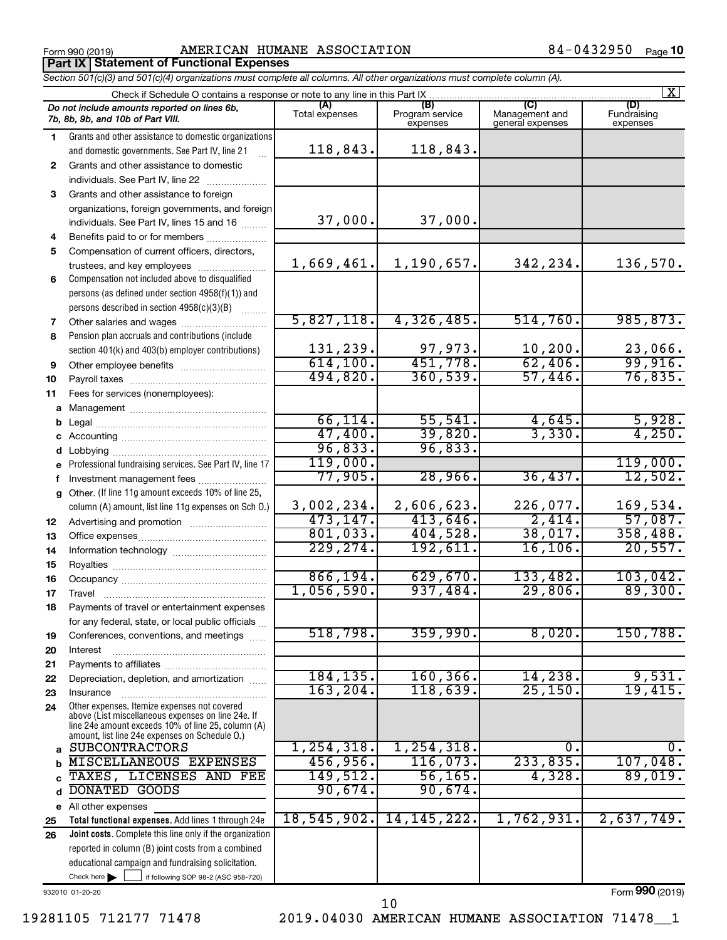Form 990 (2019) Page AMERICAN HUMANE ASSOCIATION 84-0432950 **Part IX Statement of Functional Expenses**

|          | Section 501(c)(3) and 501(c)(4) organizations must complete all columns. All other organizations must complete column (A).                                                                                 |                       |                                    |                                           |                                |
|----------|------------------------------------------------------------------------------------------------------------------------------------------------------------------------------------------------------------|-----------------------|------------------------------------|-------------------------------------------|--------------------------------|
|          | Check if Schedule O contains a response or note to any line in this Part IX.                                                                                                                               |                       |                                    |                                           | $\mathbf{X}$                   |
|          | Do not include amounts reported on lines 6b,<br>7b, 8b, 9b, and 10b of Part VIII.                                                                                                                          | (A)<br>Total expenses | (B)<br>Program service<br>expenses | (C)<br>Management and<br>general expenses | (D)<br>Fundraising<br>expenses |
| 1        | Grants and other assistance to domestic organizations                                                                                                                                                      |                       |                                    |                                           |                                |
|          | and domestic governments. See Part IV, line 21                                                                                                                                                             | 118,843.              | 118,843.                           |                                           |                                |
| 2        | Grants and other assistance to domestic                                                                                                                                                                    |                       |                                    |                                           |                                |
|          | individuals. See Part IV, line 22                                                                                                                                                                          |                       |                                    |                                           |                                |
| 3        | Grants and other assistance to foreign                                                                                                                                                                     |                       |                                    |                                           |                                |
|          | organizations, foreign governments, and foreign                                                                                                                                                            |                       |                                    |                                           |                                |
|          | individuals. See Part IV, lines 15 and 16                                                                                                                                                                  | 37,000.               | 37,000.                            |                                           |                                |
| 4        | Benefits paid to or for members                                                                                                                                                                            |                       |                                    |                                           |                                |
| 5        | Compensation of current officers, directors,                                                                                                                                                               |                       |                                    |                                           |                                |
|          | trustees, and key employees                                                                                                                                                                                | 1,669,461.            | 1,190,657.                         | 342,234.                                  | 136,570.                       |
| 6        | Compensation not included above to disqualified                                                                                                                                                            |                       |                                    |                                           |                                |
|          | persons (as defined under section 4958(f)(1)) and                                                                                                                                                          |                       |                                    |                                           |                                |
|          | persons described in section 4958(c)(3)(B)                                                                                                                                                                 |                       |                                    |                                           |                                |
| 7        |                                                                                                                                                                                                            | 5,827,118.            | 4,326,485.                         | 514,760.                                  | 985, 873.                      |
| 8        | Pension plan accruals and contributions (include                                                                                                                                                           |                       |                                    |                                           |                                |
|          | section 401(k) and 403(b) employer contributions)                                                                                                                                                          | 131,239.              | $\frac{97,973.}{451,778.}$         | 10, 200.                                  | 23,066.                        |
| 9        | Other employee benefits                                                                                                                                                                                    | 614, 100.             |                                    | 62,406.                                   | 99,916.                        |
| 10       |                                                                                                                                                                                                            | 494,820.              | 360,539.                           | 57,446.                                   | 76,835.                        |
| 11       | Fees for services (nonemployees):                                                                                                                                                                          |                       |                                    |                                           |                                |
| a        |                                                                                                                                                                                                            |                       |                                    |                                           |                                |
|          |                                                                                                                                                                                                            | 66, 114.              | 55,541.                            | $\frac{4,645}{3,330}$                     | 5,928.                         |
|          |                                                                                                                                                                                                            | 47,400.               | 39,820.                            |                                           | 4,250.                         |
|          |                                                                                                                                                                                                            | 96,833.               | 96,833.                            |                                           |                                |
|          | e Professional fundraising services. See Part IV, line 17                                                                                                                                                  | 119,000.<br>77,905.   |                                    | 36,437.                                   | 119,000.<br>12,502.            |
|          | f Investment management fees                                                                                                                                                                               |                       | 28,966.                            |                                           |                                |
|          | g Other. (If line 11g amount exceeds 10% of line 25,                                                                                                                                                       | 3,002,234.            | 2,606,623.                         | 226,077.                                  | 169,534.                       |
|          | column (A) amount, list line 11g expenses on Sch O.)                                                                                                                                                       | 473, 147.             | 413,646.                           | 2,414.                                    | 57,087.                        |
| 12       |                                                                                                                                                                                                            | 801,033.              | 404,528.                           | 38,017.                                   | 358,488.                       |
| 13       |                                                                                                                                                                                                            | 229, 274.             | 192,611.                           | 16, 106.                                  | 20,557.                        |
| 14       |                                                                                                                                                                                                            |                       |                                    |                                           |                                |
| 15<br>16 |                                                                                                                                                                                                            | 866, 194.             | 629,670.                           | 133,482.                                  | 103,042.                       |
| 17       |                                                                                                                                                                                                            | 1,056,590.            | 937,484.                           | 29,806.                                   | 89,300.                        |
| 18       | Payments of travel or entertainment expenses                                                                                                                                                               |                       |                                    |                                           |                                |
|          | for any federal, state, or local public officials                                                                                                                                                          |                       |                                    |                                           |                                |
| 19       | Conferences, conventions, and meetings                                                                                                                                                                     | 518,798.              | 359,990.                           | 8,020.                                    | 150, 788.                      |
| 20       | Interest                                                                                                                                                                                                   |                       |                                    |                                           |                                |
| 21       |                                                                                                                                                                                                            |                       |                                    |                                           |                                |
| 22       | Depreciation, depletion, and amortization                                                                                                                                                                  | 184, 135.             | 160, 366.                          | 14,238.                                   | 9,531.                         |
| 23       | Insurance                                                                                                                                                                                                  | 163, 204.             | 118,639.                           | 25, 150.                                  | 19,415.                        |
| 24       | Other expenses. Itemize expenses not covered<br>above (List miscellaneous expenses on line 24e. If<br>line 24e amount exceeds 10% of line 25, column (A)<br>amount, list line 24e expenses on Schedule O.) |                       |                                    |                                           |                                |
| a        | <b>SUBCONTRACTORS</b>                                                                                                                                                                                      | 1, 254, 318.          | 1, 254, 318.                       | 0.                                        |                                |
|          | <b>MISCELLANEOUS EXPENSES</b>                                                                                                                                                                              | 456,956.              | 116,073.                           | 233,835.                                  | 107,048.                       |
|          | TAXES, LICENSES AND FEE                                                                                                                                                                                    | 149,512.              | 56, 165.                           | 4,328.                                    | 89,019.                        |
| d        | <b>DONATED GOODS</b>                                                                                                                                                                                       | 90,674.               | 90,674.                            |                                           |                                |
|          | e All other expenses                                                                                                                                                                                       |                       |                                    |                                           |                                |
| 25       | Total functional expenses. Add lines 1 through 24e                                                                                                                                                         | 18,545,902.           | 14, 145, 222.                      | 1,762,931.                                | 2,637,749.                     |
| 26       | Joint costs. Complete this line only if the organization                                                                                                                                                   |                       |                                    |                                           |                                |
|          | reported in column (B) joint costs from a combined                                                                                                                                                         |                       |                                    |                                           |                                |
|          | educational campaign and fundraising solicitation.                                                                                                                                                         |                       |                                    |                                           |                                |
|          | Check here $\blacktriangleright$<br>if following SOP 98-2 (ASC 958-720)                                                                                                                                    |                       |                                    |                                           |                                |

932010 01-20-20

Form (2019) **990**

19281105 712177 71478 2019.04030 AMERICAN HUMANE ASSOCIATION 71478\_\_1 10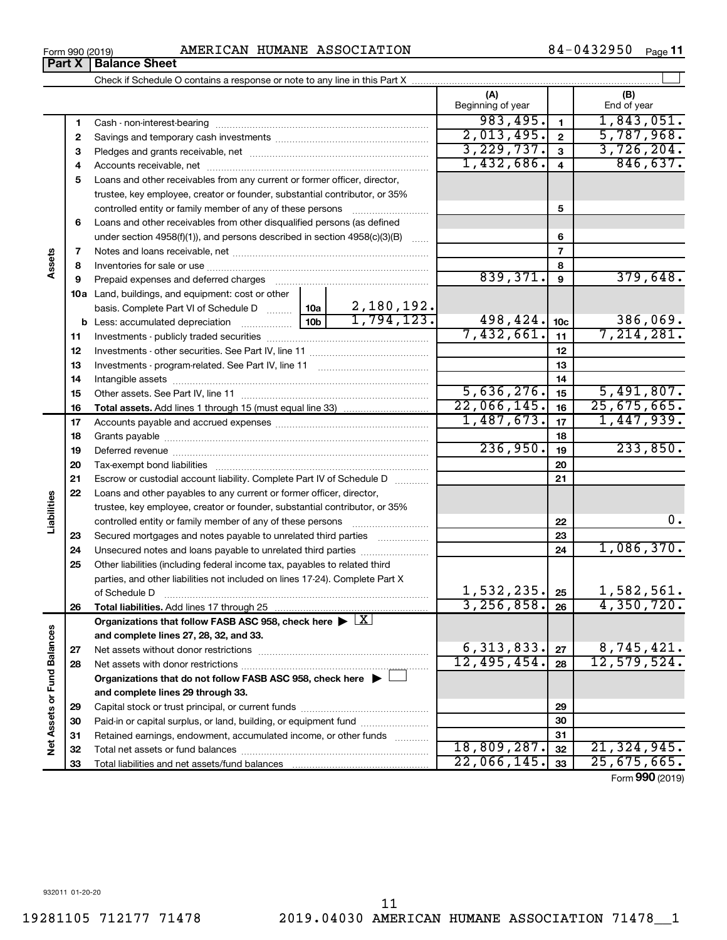**32 33** **32 33**

 $22,066,145.$   $33 \mid 25,675,665.$ 

Form (2019) **990**

Check if Schedule O contains a response or note to any line in this Part X **Part X** | Balance Sheet

Total net assets or fund balances ~~~~~~~~~~~~~~~~~~~~~~

Total liabilities and net assets/fund balances

Form 990 (2019) Page AMERICAN HUMANE ASSOCIATION 84-0432950

|                             |              |                                                                                                                 | (A)<br>Beginning of year |                 | (B)<br>End of year |
|-----------------------------|--------------|-----------------------------------------------------------------------------------------------------------------|--------------------------|-----------------|--------------------|
|                             | 1            | Cash - non-interest-bearing                                                                                     | 983,495.                 | $\mathbf{1}$    | 1,843,051.         |
|                             | $\mathbf{2}$ |                                                                                                                 | 2,013,495.               | $\mathbf{2}$    | 5,787,968.         |
|                             | 3            |                                                                                                                 | 3,229,737.               | 3               | 3,726,204.         |
|                             | 4            |                                                                                                                 | 1,432,686.               | $\overline{4}$  | 846,637.           |
|                             | 5            | Loans and other receivables from any current or former officer, director,                                       |                          |                 |                    |
|                             |              | trustee, key employee, creator or founder, substantial contributor, or 35%                                      |                          |                 |                    |
|                             |              | controlled entity or family member of any of these persons                                                      |                          | 5               |                    |
|                             | 6            | Loans and other receivables from other disqualified persons (as defined                                         |                          |                 |                    |
|                             |              | under section 4958(f)(1)), and persons described in section 4958(c)(3)(B)                                       |                          | 6               |                    |
|                             | 7            |                                                                                                                 |                          | $\overline{7}$  |                    |
| Assets                      | 8            |                                                                                                                 |                          | 8               |                    |
|                             | 9            | Prepaid expenses and deferred charges [11] [11] Prepaid expenses and deferred charges [11] [11] Arman and the P | 839,371.                 | 9               | 379,648.           |
|                             |              | 10a Land, buildings, and equipment: cost or other                                                               |                          |                 |                    |
|                             |              | 2,180,192.<br>basis. Complete Part VI of Schedule D  10a                                                        |                          |                 |                    |
|                             |              | 1,794,123.<br>10 <sub>b</sub>                                                                                   | 498,424.                 | 10 <sub>c</sub> | 386,069.           |
|                             | 11           |                                                                                                                 | 7,432,661.               | 11              | 7,214,281.         |
|                             | 12           |                                                                                                                 |                          | 12              |                    |
|                             | 13           |                                                                                                                 |                          | 13              |                    |
|                             | 14           |                                                                                                                 |                          | 14              |                    |
|                             | 15           |                                                                                                                 | 5,636,276.               | 15              | 5,491,807.         |
|                             | 16           |                                                                                                                 | 22,066,145.              | 16              | 25,675,665.        |
|                             | 17           |                                                                                                                 | 1,487,673.               | 17              | 1,447,939.         |
|                             | 18           |                                                                                                                 |                          | 18              |                    |
|                             | 19           |                                                                                                                 | 236,950.                 | 19              | 233,850.           |
|                             | 20           |                                                                                                                 |                          | 20              |                    |
|                             | 21           | Escrow or custodial account liability. Complete Part IV of Schedule D                                           |                          | 21              |                    |
|                             | 22           | Loans and other payables to any current or former officer, director,                                            |                          |                 |                    |
| Liabilities                 |              | trustee, key employee, creator or founder, substantial contributor, or 35%                                      |                          |                 |                    |
|                             |              | controlled entity or family member of any of these persons                                                      |                          | 22              | 0.                 |
|                             | 23           | Secured mortgages and notes payable to unrelated third parties                                                  |                          | 23              |                    |
|                             | 24           | Unsecured notes and loans payable to unrelated third parties                                                    |                          | 24              | 1,086,370.         |
|                             | 25           | Other liabilities (including federal income tax, payables to related third                                      |                          |                 |                    |
|                             |              | parties, and other liabilities not included on lines 17-24). Complete Part X                                    | 1,532,235.               |                 | 1,582,561.         |
|                             |              | of Schedule D                                                                                                   | 3, 256, 858.             | 25              | 4,350,720.         |
|                             | 26           | Organizations that follow FASB ASC 958, check here $\triangleright \lfloor X \rfloor$                           |                          | 26              |                    |
|                             |              |                                                                                                                 |                          |                 |                    |
|                             |              | and complete lines 27, 28, 32, and 33.                                                                          | 6,313,833.               | 27              | 8,745,421.         |
|                             | 27           | Net assets without donor restrictions                                                                           | 12,495,454.              |                 | 12,579,524.        |
| Net Assets or Fund Balances | 28           |                                                                                                                 |                          | 28              |                    |
|                             |              | Organizations that do not follow FASB ASC 958, check here $\blacktriangleright$ [                               |                          |                 |                    |
|                             |              | and complete lines 29 through 33.                                                                               |                          |                 |                    |
|                             | 29           |                                                                                                                 |                          | 29              |                    |
|                             | 30           | Paid-in or capital surplus, or land, building, or equipment fund                                                |                          | 30              |                    |
|                             | 31           | Retained earnings, endowment, accumulated income, or other funds                                                | 18,809,287.              | 31<br>32        | 21, 324, 945.      |
|                             | 32           |                                                                                                                 |                          |                 |                    |

 $\perp$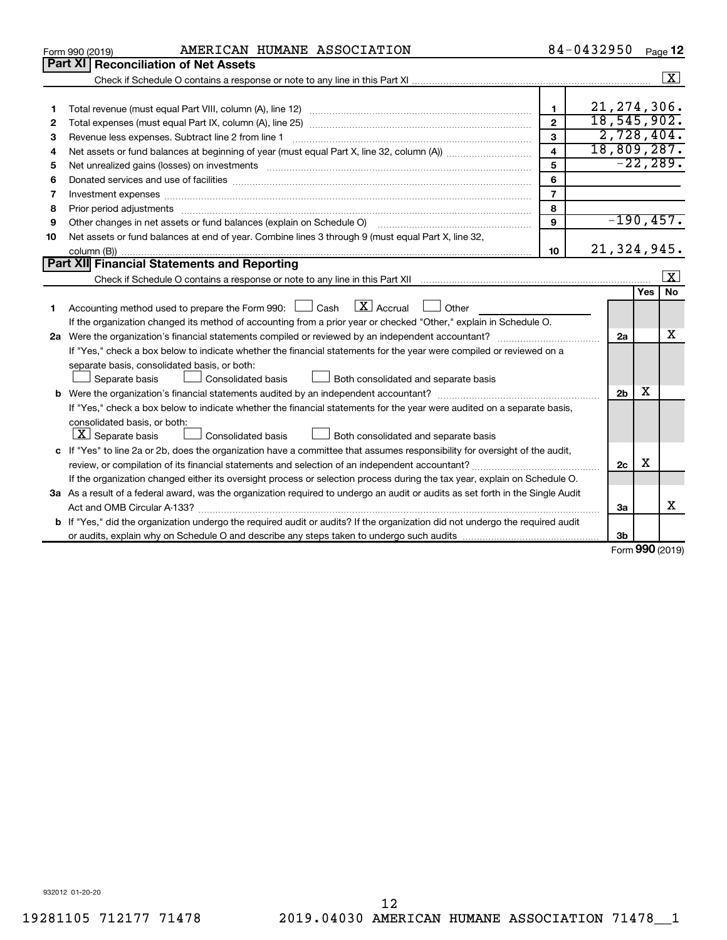|    | AMERICAN HUMANE ASSOCIATION<br>Form 990 (2019)                                                                                       |                         | 84-0432950     |        | Page 12              |  |  |
|----|--------------------------------------------------------------------------------------------------------------------------------------|-------------------------|----------------|--------|----------------------|--|--|
|    | <b>Part XI</b><br><b>Reconciliation of Net Assets</b>                                                                                |                         |                |        |                      |  |  |
|    |                                                                                                                                      |                         |                |        | $\boxed{\textbf{X}}$ |  |  |
|    |                                                                                                                                      |                         |                |        |                      |  |  |
| 1  |                                                                                                                                      | $\mathbf{1}$            | 21, 274, 306.  |        |                      |  |  |
| 2  |                                                                                                                                      | $\overline{2}$          | 18, 545, 902.  |        |                      |  |  |
| 3  | Revenue less expenses. Subtract line 2 from line 1                                                                                   | 3                       | 2,728,404.     |        |                      |  |  |
| 4  |                                                                                                                                      | $\overline{\mathbf{4}}$ | 18,809,287.    |        |                      |  |  |
| 5  |                                                                                                                                      | 5                       |                |        | $-22, 289.$          |  |  |
| 6  |                                                                                                                                      | 6                       |                |        |                      |  |  |
| 7  |                                                                                                                                      | $\overline{7}$          |                |        |                      |  |  |
| 8  |                                                                                                                                      | 8                       |                |        |                      |  |  |
| 9  | Other changes in net assets or fund balances (explain on Schedule O)                                                                 | 9                       | $-190, 457.$   |        |                      |  |  |
| 10 | Net assets or fund balances at end of year. Combine lines 3 through 9 (must equal Part X, line 32,                                   |                         |                |        |                      |  |  |
|    |                                                                                                                                      | 10                      | 21,324,945.    |        |                      |  |  |
|    | <b>Part XII</b> Financial Statements and Reporting                                                                                   |                         |                |        |                      |  |  |
|    |                                                                                                                                      |                         |                |        | X                    |  |  |
|    |                                                                                                                                      |                         |                | Yes    | <b>No</b>            |  |  |
| 1  | $\lfloor x \rfloor$ Accrual<br>Accounting method used to prepare the Form 990: $\Box$ Cash<br>$\Box$ Other                           |                         |                |        |                      |  |  |
|    | If the organization changed its method of accounting from a prior year or checked "Other," explain in Schedule O.                    |                         |                |        |                      |  |  |
|    |                                                                                                                                      |                         |                |        |                      |  |  |
|    | If "Yes," check a box below to indicate whether the financial statements for the year were compiled or reviewed on a                 |                         |                |        |                      |  |  |
|    | separate basis, consolidated basis, or both:                                                                                         |                         |                |        |                      |  |  |
|    | Consolidated basis<br>Both consolidated and separate basis<br>Separate basis                                                         |                         |                |        |                      |  |  |
|    |                                                                                                                                      |                         | 2 <sub>b</sub> | х      |                      |  |  |
|    | If "Yes," check a box below to indicate whether the financial statements for the year were audited on a separate basis,              |                         |                |        |                      |  |  |
|    | consolidated basis, or both:                                                                                                         |                         |                |        |                      |  |  |
|    | $ \mathbf{X} $ Separate basis<br>Consolidated basis<br>Both consolidated and separate basis                                          |                         |                |        |                      |  |  |
|    | c If "Yes" to line 2a or 2b, does the organization have a committee that assumes responsibility for oversight of the audit,          |                         |                |        |                      |  |  |
|    | review, or compilation of its financial statements and selection of an independent accountant?                                       |                         | 2c             | X      |                      |  |  |
|    | If the organization changed either its oversight process or selection process during the tax year, explain on Schedule O.            |                         |                |        |                      |  |  |
|    | 3a As a result of a federal award, was the organization required to undergo an audit or audits as set forth in the Single Audit      |                         |                |        |                      |  |  |
|    | Act and OMB Circular A-133?                                                                                                          |                         | За             |        | x                    |  |  |
|    | <b>b</b> If "Yes," did the organization undergo the required audit or audits? If the organization did not undergo the required audit |                         |                |        |                      |  |  |
|    |                                                                                                                                      |                         | Зb             | $\sim$ |                      |  |  |

Form (2019) **990**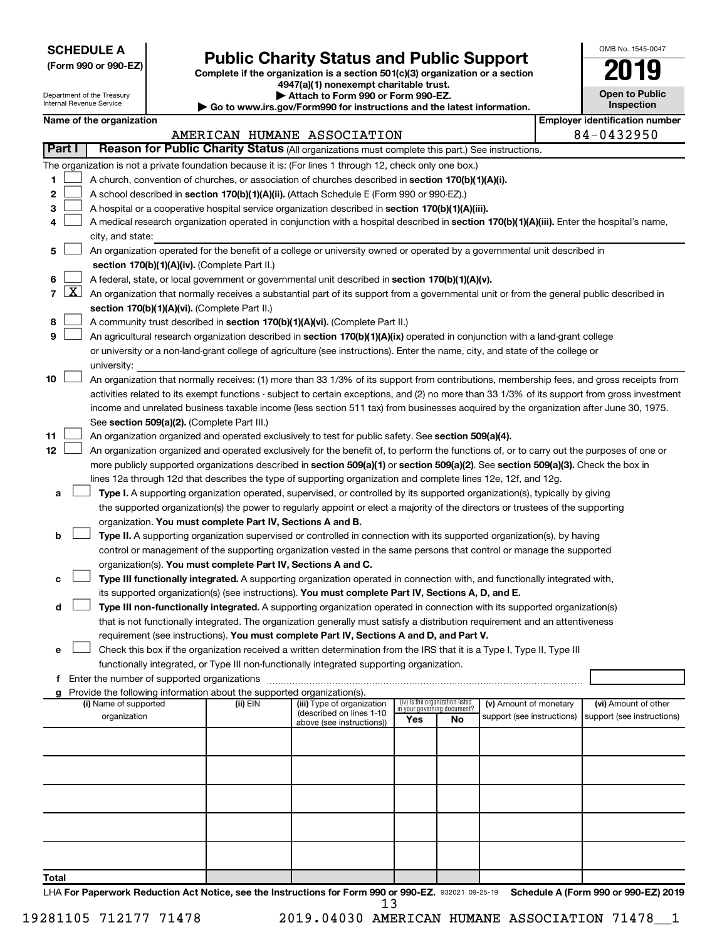**SCHEDULE A**

Department of the Treasury Internal Revenue Service

# Form 990 or 990-EZ) **Public Charity Status and Public Support**<br>
Complete if the organization is a section 501(c)(3) organization or a section<br> **2019**

**4947(a)(1) nonexempt charitable trust. | Attach to Form 990 or Form 990-EZ.** 

**| Go to www.irs.gov/Form990 for instructions and the latest information.**

| 19                                    |
|---------------------------------------|
| <b>Open to Public</b><br>Inspection   |
| <b>Employer identification number</b> |

OMB No. 1545-0047

Ш

|  | Name of the organization |
|--|--------------------------|
|--|--------------------------|

|              |                 |                                                                                                                                                                                                                      |          | AMERICAN HUMANE ASSOCIATION                           |                                                                |    |                            |  | 84-0432950                 |  |  |  |
|--------------|-----------------|----------------------------------------------------------------------------------------------------------------------------------------------------------------------------------------------------------------------|----------|-------------------------------------------------------|----------------------------------------------------------------|----|----------------------------|--|----------------------------|--|--|--|
|              | Part I          | Reason for Public Charity Status (All organizations must complete this part.) See instructions.                                                                                                                      |          |                                                       |                                                                |    |                            |  |                            |  |  |  |
|              |                 | The organization is not a private foundation because it is: (For lines 1 through 12, check only one box.)                                                                                                            |          |                                                       |                                                                |    |                            |  |                            |  |  |  |
| 1.           |                 | A church, convention of churches, or association of churches described in section 170(b)(1)(A)(i).                                                                                                                   |          |                                                       |                                                                |    |                            |  |                            |  |  |  |
| 2            |                 | A school described in section 170(b)(1)(A)(ii). (Attach Schedule E (Form 990 or 990-EZ).)                                                                                                                            |          |                                                       |                                                                |    |                            |  |                            |  |  |  |
| 3            |                 | A hospital or a cooperative hospital service organization described in section 170(b)(1)(A)(iii).                                                                                                                    |          |                                                       |                                                                |    |                            |  |                            |  |  |  |
| 4            |                 | A medical research organization operated in conjunction with a hospital described in section 170(b)(1)(A)(iii). Enter the hospital's name,                                                                           |          |                                                       |                                                                |    |                            |  |                            |  |  |  |
|              |                 | city, and state:                                                                                                                                                                                                     |          |                                                       |                                                                |    |                            |  |                            |  |  |  |
| 5.           |                 | An organization operated for the benefit of a college or university owned or operated by a governmental unit described in                                                                                            |          |                                                       |                                                                |    |                            |  |                            |  |  |  |
|              |                 | section 170(b)(1)(A)(iv). (Complete Part II.)                                                                                                                                                                        |          |                                                       |                                                                |    |                            |  |                            |  |  |  |
| 6.           |                 | A federal, state, or local government or governmental unit described in section 170(b)(1)(A)(v).                                                                                                                     |          |                                                       |                                                                |    |                            |  |                            |  |  |  |
|              | $7 \mid X \mid$ | An organization that normally receives a substantial part of its support from a governmental unit or from the general public described in                                                                            |          |                                                       |                                                                |    |                            |  |                            |  |  |  |
|              |                 | section 170(b)(1)(A)(vi). (Complete Part II.)                                                                                                                                                                        |          |                                                       |                                                                |    |                            |  |                            |  |  |  |
| 8            |                 | A community trust described in section 170(b)(1)(A)(vi). (Complete Part II.)                                                                                                                                         |          |                                                       |                                                                |    |                            |  |                            |  |  |  |
| 9            |                 | An agricultural research organization described in section 170(b)(1)(A)(ix) operated in conjunction with a land-grant college                                                                                        |          |                                                       |                                                                |    |                            |  |                            |  |  |  |
|              |                 | or university or a non-land-grant college of agriculture (see instructions). Enter the name, city, and state of the college or                                                                                       |          |                                                       |                                                                |    |                            |  |                            |  |  |  |
|              |                 | university:                                                                                                                                                                                                          |          |                                                       |                                                                |    |                            |  |                            |  |  |  |
| 10           |                 | An organization that normally receives: (1) more than 33 1/3% of its support from contributions, membership fees, and gross receipts from                                                                            |          |                                                       |                                                                |    |                            |  |                            |  |  |  |
|              |                 | activities related to its exempt functions - subject to certain exceptions, and (2) no more than 33 1/3% of its support from gross investment                                                                        |          |                                                       |                                                                |    |                            |  |                            |  |  |  |
|              |                 | income and unrelated business taxable income (less section 511 tax) from businesses acquired by the organization after June 30, 1975.                                                                                |          |                                                       |                                                                |    |                            |  |                            |  |  |  |
|              |                 | See section 509(a)(2). (Complete Part III.)                                                                                                                                                                          |          |                                                       |                                                                |    |                            |  |                            |  |  |  |
| 11           |                 | An organization organized and operated exclusively to test for public safety. See section 509(a)(4).                                                                                                                 |          |                                                       |                                                                |    |                            |  |                            |  |  |  |
| 12           |                 | An organization organized and operated exclusively for the benefit of, to perform the functions of, or to carry out the purposes of one or                                                                           |          |                                                       |                                                                |    |                            |  |                            |  |  |  |
|              |                 | more publicly supported organizations described in section 509(a)(1) or section 509(a)(2). See section 509(a)(3). Check the box in                                                                                   |          |                                                       |                                                                |    |                            |  |                            |  |  |  |
|              |                 | lines 12a through 12d that describes the type of supporting organization and complete lines 12e, 12f, and 12g.                                                                                                       |          |                                                       |                                                                |    |                            |  |                            |  |  |  |
| а            |                 | Type I. A supporting organization operated, supervised, or controlled by its supported organization(s), typically by giving                                                                                          |          |                                                       |                                                                |    |                            |  |                            |  |  |  |
|              |                 | the supported organization(s) the power to regularly appoint or elect a majority of the directors or trustees of the supporting                                                                                      |          |                                                       |                                                                |    |                            |  |                            |  |  |  |
|              |                 | organization. You must complete Part IV, Sections A and B.                                                                                                                                                           |          |                                                       |                                                                |    |                            |  |                            |  |  |  |
| b            |                 | Type II. A supporting organization supervised or controlled in connection with its supported organization(s), by having                                                                                              |          |                                                       |                                                                |    |                            |  |                            |  |  |  |
|              |                 | control or management of the supporting organization vested in the same persons that control or manage the supported                                                                                                 |          |                                                       |                                                                |    |                            |  |                            |  |  |  |
|              |                 | organization(s). You must complete Part IV, Sections A and C.                                                                                                                                                        |          |                                                       |                                                                |    |                            |  |                            |  |  |  |
| с            |                 | Type III functionally integrated. A supporting organization operated in connection with, and functionally integrated with,                                                                                           |          |                                                       |                                                                |    |                            |  |                            |  |  |  |
|              |                 | its supported organization(s) (see instructions). You must complete Part IV, Sections A, D, and E.                                                                                                                   |          |                                                       |                                                                |    |                            |  |                            |  |  |  |
| d            |                 | Type III non-functionally integrated. A supporting organization operated in connection with its supported organization(s)                                                                                            |          |                                                       |                                                                |    |                            |  |                            |  |  |  |
|              |                 | that is not functionally integrated. The organization generally must satisfy a distribution requirement and an attentiveness                                                                                         |          |                                                       |                                                                |    |                            |  |                            |  |  |  |
|              |                 | requirement (see instructions). You must complete Part IV, Sections A and D, and Part V.                                                                                                                             |          |                                                       |                                                                |    |                            |  |                            |  |  |  |
| е            |                 | Check this box if the organization received a written determination from the IRS that it is a Type I, Type II, Type III<br>functionally integrated, or Type III non-functionally integrated supporting organization. |          |                                                       |                                                                |    |                            |  |                            |  |  |  |
| f.           |                 | Enter the number of supported organizations                                                                                                                                                                          |          |                                                       |                                                                |    |                            |  |                            |  |  |  |
| a            |                 | Provide the following information about the supported organization(s).                                                                                                                                               |          |                                                       |                                                                |    |                            |  |                            |  |  |  |
|              |                 | (i) Name of supported                                                                                                                                                                                                | (ii) EIN | (iii) Type of organization                            | (iv) Is the organization listed<br>in your governing document? |    | (v) Amount of monetary     |  | (vi) Amount of other       |  |  |  |
|              |                 | organization                                                                                                                                                                                                         |          | (described on lines 1-10<br>above (see instructions)) | Yes                                                            | No | support (see instructions) |  | support (see instructions) |  |  |  |
|              |                 |                                                                                                                                                                                                                      |          |                                                       |                                                                |    |                            |  |                            |  |  |  |
|              |                 |                                                                                                                                                                                                                      |          |                                                       |                                                                |    |                            |  |                            |  |  |  |
|              |                 |                                                                                                                                                                                                                      |          |                                                       |                                                                |    |                            |  |                            |  |  |  |
|              |                 |                                                                                                                                                                                                                      |          |                                                       |                                                                |    |                            |  |                            |  |  |  |
|              |                 |                                                                                                                                                                                                                      |          |                                                       |                                                                |    |                            |  |                            |  |  |  |
|              |                 |                                                                                                                                                                                                                      |          |                                                       |                                                                |    |                            |  |                            |  |  |  |
|              |                 |                                                                                                                                                                                                                      |          |                                                       |                                                                |    |                            |  |                            |  |  |  |
|              |                 |                                                                                                                                                                                                                      |          |                                                       |                                                                |    |                            |  |                            |  |  |  |
|              |                 |                                                                                                                                                                                                                      |          |                                                       |                                                                |    |                            |  |                            |  |  |  |
|              |                 |                                                                                                                                                                                                                      |          |                                                       |                                                                |    |                            |  |                            |  |  |  |
| <b>Total</b> |                 |                                                                                                                                                                                                                      |          |                                                       |                                                                |    |                            |  |                            |  |  |  |

LHA For Paperwork Reduction Act Notice, see the Instructions for Form 990 or 990-EZ. 932021 09-25-19 Schedule A (Form 990 or 990-EZ) 2019 13

19281105 712177 71478 2019.04030 AMERICAN HUMANE ASSOCIATION 71478\_\_1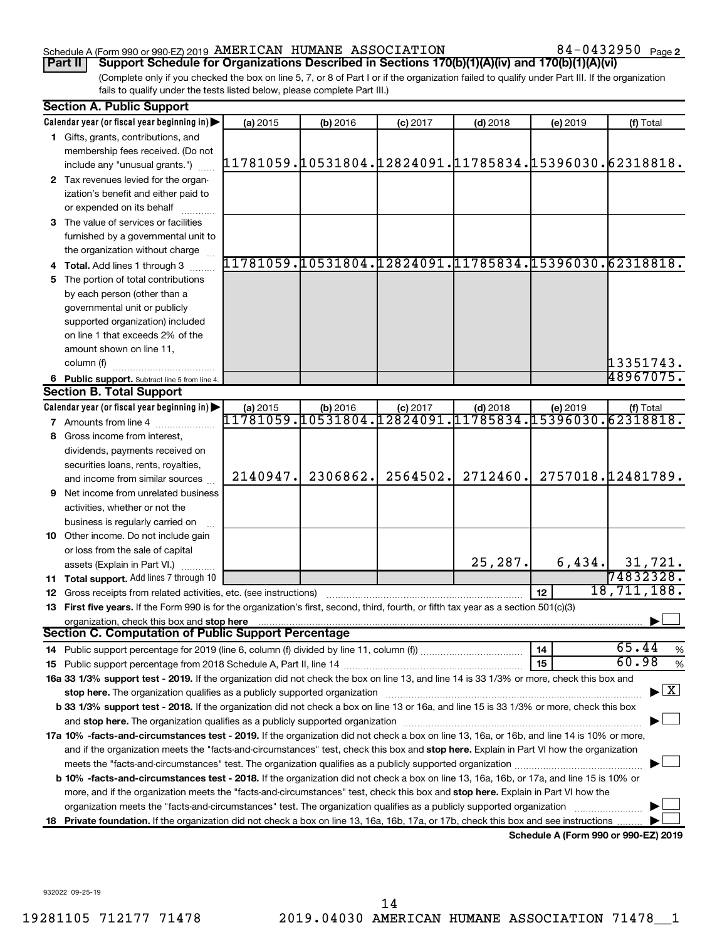## Schedule A (Form 990 or 990-EZ) 2019 Page AMERICAN HUMANE ASSOCIATION 84-0432950

84-0432950 Page 2

(Complete only if you checked the box on line 5, 7, or 8 of Part I or if the organization failed to qualify under Part III. If the organization fails to qualify under the tests listed below, please complete Part III.) **Part II Support Schedule for Organizations Described in Sections 170(b)(1)(A)(iv) and 170(b)(1)(A)(vi)**

| <b>Section A. Public Support</b>                                                                                                                                                                                                                                   |                                          |  |  |  |  |  |  |  |  |  |
|--------------------------------------------------------------------------------------------------------------------------------------------------------------------------------------------------------------------------------------------------------------------|------------------------------------------|--|--|--|--|--|--|--|--|--|
| Calendar year (or fiscal year beginning in)<br>(b) 2016<br>(a) 2015<br>$(c)$ 2017<br>$(d)$ 2018                                                                                                                                                                    | (e) 2019<br>(f) Total                    |  |  |  |  |  |  |  |  |  |
| 1 Gifts, grants, contributions, and                                                                                                                                                                                                                                |                                          |  |  |  |  |  |  |  |  |  |
| membership fees received. (Do not                                                                                                                                                                                                                                  |                                          |  |  |  |  |  |  |  |  |  |
| ,11781059.10531804.12824091.11785834.15396030.62318818<br>include any "unusual grants.")                                                                                                                                                                           |                                          |  |  |  |  |  |  |  |  |  |
| 2 Tax revenues levied for the organ-                                                                                                                                                                                                                               |                                          |  |  |  |  |  |  |  |  |  |
| ization's benefit and either paid to                                                                                                                                                                                                                               |                                          |  |  |  |  |  |  |  |  |  |
| or expended on its behalf                                                                                                                                                                                                                                          |                                          |  |  |  |  |  |  |  |  |  |
| 3 The value of services or facilities                                                                                                                                                                                                                              |                                          |  |  |  |  |  |  |  |  |  |
| furnished by a governmental unit to                                                                                                                                                                                                                                |                                          |  |  |  |  |  |  |  |  |  |
| the organization without charge                                                                                                                                                                                                                                    |                                          |  |  |  |  |  |  |  |  |  |
| <u>11781059,10531804,12824091,11785834,15396030,62318818,</u><br>4 Total. Add lines 1 through 3                                                                                                                                                                    |                                          |  |  |  |  |  |  |  |  |  |
| The portion of total contributions<br>5                                                                                                                                                                                                                            |                                          |  |  |  |  |  |  |  |  |  |
| by each person (other than a                                                                                                                                                                                                                                       |                                          |  |  |  |  |  |  |  |  |  |
| governmental unit or publicly                                                                                                                                                                                                                                      |                                          |  |  |  |  |  |  |  |  |  |
| supported organization) included                                                                                                                                                                                                                                   |                                          |  |  |  |  |  |  |  |  |  |
| on line 1 that exceeds 2% of the                                                                                                                                                                                                                                   |                                          |  |  |  |  |  |  |  |  |  |
| amount shown on line 11,                                                                                                                                                                                                                                           |                                          |  |  |  |  |  |  |  |  |  |
| column (f)                                                                                                                                                                                                                                                         | 13351743.                                |  |  |  |  |  |  |  |  |  |
| 6 Public support. Subtract line 5 from line 4.                                                                                                                                                                                                                     | 48967075.                                |  |  |  |  |  |  |  |  |  |
| <b>Section B. Total Support</b>                                                                                                                                                                                                                                    |                                          |  |  |  |  |  |  |  |  |  |
| Calendar year (or fiscal year beginning in)<br>$(b)$ 2016<br>$(c)$ 2017<br>$(d)$ 2018<br>(a) 2015                                                                                                                                                                  | (e) 2019<br>(f) Total                    |  |  |  |  |  |  |  |  |  |
| 11781059.10531804.12824091.<br>11785834.<br><b>7</b> Amounts from line 4                                                                                                                                                                                           | 15396030.62318818.                       |  |  |  |  |  |  |  |  |  |
| Gross income from interest,<br>8                                                                                                                                                                                                                                   |                                          |  |  |  |  |  |  |  |  |  |
| dividends, payments received on                                                                                                                                                                                                                                    |                                          |  |  |  |  |  |  |  |  |  |
| securities loans, rents, royalties,                                                                                                                                                                                                                                |                                          |  |  |  |  |  |  |  |  |  |
| 2564502.<br>2140947.<br>2306862.<br>2712460.<br>and income from similar sources                                                                                                                                                                                    | 2757018.12481789.                        |  |  |  |  |  |  |  |  |  |
| Net income from unrelated business<br>9                                                                                                                                                                                                                            |                                          |  |  |  |  |  |  |  |  |  |
| activities, whether or not the                                                                                                                                                                                                                                     |                                          |  |  |  |  |  |  |  |  |  |
| business is regularly carried on                                                                                                                                                                                                                                   |                                          |  |  |  |  |  |  |  |  |  |
| 10 Other income. Do not include gain                                                                                                                                                                                                                               |                                          |  |  |  |  |  |  |  |  |  |
| or loss from the sale of capital                                                                                                                                                                                                                                   |                                          |  |  |  |  |  |  |  |  |  |
| 25,287.<br>assets (Explain in Part VI.)                                                                                                                                                                                                                            | 6,434.<br>31,721.                        |  |  |  |  |  |  |  |  |  |
| 11 Total support. Add lines 7 through 10                                                                                                                                                                                                                           | 74832328.                                |  |  |  |  |  |  |  |  |  |
| 12<br>12 Gross receipts from related activities, etc. (see instructions)                                                                                                                                                                                           | 18, 711, 188.                            |  |  |  |  |  |  |  |  |  |
| 13 First five years. If the Form 990 is for the organization's first, second, third, fourth, or fifth tax year as a section 501(c)(3)                                                                                                                              |                                          |  |  |  |  |  |  |  |  |  |
| organization, check this box and stop here                                                                                                                                                                                                                         |                                          |  |  |  |  |  |  |  |  |  |
| <b>Section C. Computation of Public Support Percentage</b>                                                                                                                                                                                                         |                                          |  |  |  |  |  |  |  |  |  |
| 14                                                                                                                                                                                                                                                                 | 65.44<br>%                               |  |  |  |  |  |  |  |  |  |
| 15                                                                                                                                                                                                                                                                 | 60.98<br>%                               |  |  |  |  |  |  |  |  |  |
| 16a 33 1/3% support test - 2019. If the organization did not check the box on line 13, and line 14 is 33 1/3% or more, check this box and                                                                                                                          |                                          |  |  |  |  |  |  |  |  |  |
| stop here. The organization qualifies as a publicly supported organization                                                                                                                                                                                         | $\blacktriangleright$ $\boxed{\text{X}}$ |  |  |  |  |  |  |  |  |  |
| b 33 1/3% support test - 2018. If the organization did not check a box on line 13 or 16a, and line 15 is 33 1/3% or more, check this box                                                                                                                           |                                          |  |  |  |  |  |  |  |  |  |
|                                                                                                                                                                                                                                                                    |                                          |  |  |  |  |  |  |  |  |  |
| 17a 10% -facts-and-circumstances test - 2019. If the organization did not check a box on line 13, 16a, or 16b, and line 14 is 10% or more,                                                                                                                         |                                          |  |  |  |  |  |  |  |  |  |
| and if the organization meets the "facts-and-circumstances" test, check this box and stop here. Explain in Part VI how the organization                                                                                                                            |                                          |  |  |  |  |  |  |  |  |  |
| meets the "facts-and-circumstances" test. The organization qualifies as a publicly supported organization <i>manumumumum</i>                                                                                                                                       |                                          |  |  |  |  |  |  |  |  |  |
| b 10% -facts-and-circumstances test - 2018. If the organization did not check a box on line 13, 16a, 16b, or 17a, and line 15 is 10% or                                                                                                                            |                                          |  |  |  |  |  |  |  |  |  |
| more, and if the organization meets the "facts-and-circumstances" test, check this box and stop here. Explain in Part VI how the                                                                                                                                   |                                          |  |  |  |  |  |  |  |  |  |
|                                                                                                                                                                                                                                                                    |                                          |  |  |  |  |  |  |  |  |  |
| organization meets the "facts-and-circumstances" test. The organization qualifies as a publicly supported organization<br>Private foundation. If the organization did not check a box on line 13, 16a, 16b, 17a, or 17b, check this box and see instructions<br>18 |                                          |  |  |  |  |  |  |  |  |  |

**Schedule A (Form 990 or 990-EZ) 2019**

932022 09-25-19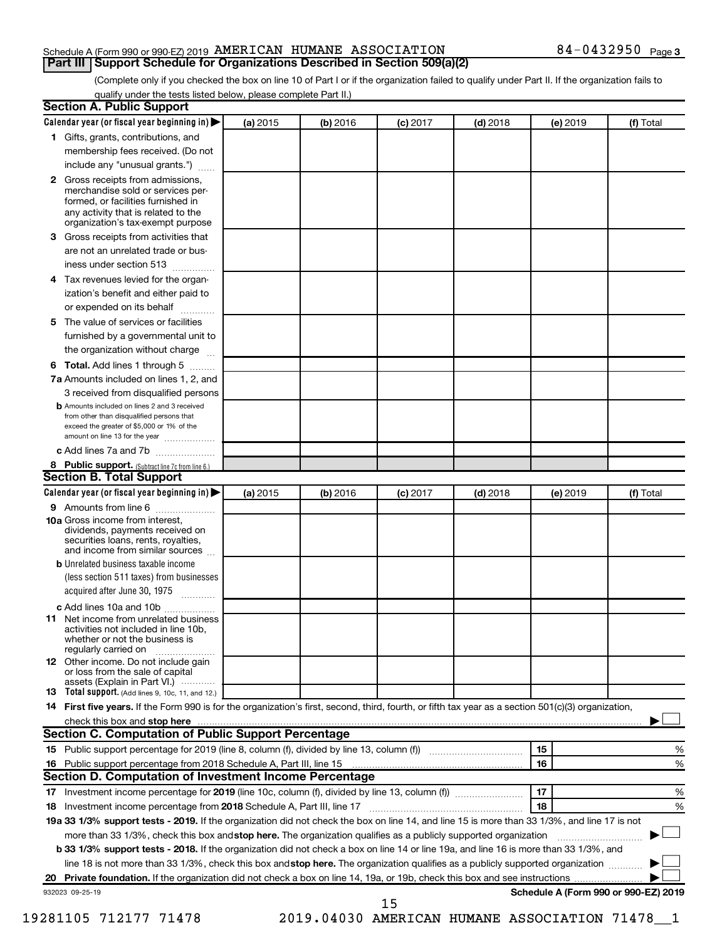## Schedule A (Form 990 or 990-EZ) 2019 Page AMERICAN HUMANE ASSOCIATION 84-0432950 **Part III Support Schedule for Organizations Described in Section 509(a)(2)**

(Complete only if you checked the box on line 10 of Part I or if the organization failed to qualify under Part II. If the organization fails to qualify under the tests listed below, please complete Part II.)

| (a) 2015 | (b) 2016 | $(c)$ 2017                                          | $(d)$ 2018                                                   |                                                                                                                                                                                                                                                                                                                                                                                  | (f) Total                                                                                                                                                                                                                                                                                                                                                         |
|----------|----------|-----------------------------------------------------|--------------------------------------------------------------|----------------------------------------------------------------------------------------------------------------------------------------------------------------------------------------------------------------------------------------------------------------------------------------------------------------------------------------------------------------------------------|-------------------------------------------------------------------------------------------------------------------------------------------------------------------------------------------------------------------------------------------------------------------------------------------------------------------------------------------------------------------|
|          |          |                                                     |                                                              |                                                                                                                                                                                                                                                                                                                                                                                  |                                                                                                                                                                                                                                                                                                                                                                   |
|          |          |                                                     |                                                              |                                                                                                                                                                                                                                                                                                                                                                                  |                                                                                                                                                                                                                                                                                                                                                                   |
|          |          |                                                     |                                                              |                                                                                                                                                                                                                                                                                                                                                                                  |                                                                                                                                                                                                                                                                                                                                                                   |
|          |          |                                                     |                                                              |                                                                                                                                                                                                                                                                                                                                                                                  |                                                                                                                                                                                                                                                                                                                                                                   |
|          |          |                                                     |                                                              |                                                                                                                                                                                                                                                                                                                                                                                  |                                                                                                                                                                                                                                                                                                                                                                   |
|          |          |                                                     |                                                              |                                                                                                                                                                                                                                                                                                                                                                                  |                                                                                                                                                                                                                                                                                                                                                                   |
|          |          |                                                     |                                                              |                                                                                                                                                                                                                                                                                                                                                                                  |                                                                                                                                                                                                                                                                                                                                                                   |
|          |          |                                                     |                                                              |                                                                                                                                                                                                                                                                                                                                                                                  |                                                                                                                                                                                                                                                                                                                                                                   |
|          |          |                                                     |                                                              |                                                                                                                                                                                                                                                                                                                                                                                  |                                                                                                                                                                                                                                                                                                                                                                   |
|          |          |                                                     |                                                              |                                                                                                                                                                                                                                                                                                                                                                                  |                                                                                                                                                                                                                                                                                                                                                                   |
|          |          |                                                     |                                                              |                                                                                                                                                                                                                                                                                                                                                                                  |                                                                                                                                                                                                                                                                                                                                                                   |
|          |          |                                                     |                                                              |                                                                                                                                                                                                                                                                                                                                                                                  | %                                                                                                                                                                                                                                                                                                                                                                 |
|          |          |                                                     |                                                              |                                                                                                                                                                                                                                                                                                                                                                                  | %                                                                                                                                                                                                                                                                                                                                                                 |
|          |          |                                                     |                                                              |                                                                                                                                                                                                                                                                                                                                                                                  |                                                                                                                                                                                                                                                                                                                                                                   |
|          |          |                                                     |                                                              |                                                                                                                                                                                                                                                                                                                                                                                  | %                                                                                                                                                                                                                                                                                                                                                                 |
|          |          |                                                     |                                                              |                                                                                                                                                                                                                                                                                                                                                                                  |                                                                                                                                                                                                                                                                                                                                                                   |
|          |          |                                                     |                                                              |                                                                                                                                                                                                                                                                                                                                                                                  | %                                                                                                                                                                                                                                                                                                                                                                 |
|          |          |                                                     |                                                              |                                                                                                                                                                                                                                                                                                                                                                                  |                                                                                                                                                                                                                                                                                                                                                                   |
|          |          |                                                     |                                                              |                                                                                                                                                                                                                                                                                                                                                                                  |                                                                                                                                                                                                                                                                                                                                                                   |
|          |          |                                                     |                                                              |                                                                                                                                                                                                                                                                                                                                                                                  |                                                                                                                                                                                                                                                                                                                                                                   |
|          |          |                                                     |                                                              |                                                                                                                                                                                                                                                                                                                                                                                  |                                                                                                                                                                                                                                                                                                                                                                   |
|          |          |                                                     |                                                              |                                                                                                                                                                                                                                                                                                                                                                                  |                                                                                                                                                                                                                                                                                                                                                                   |
|          |          |                                                     |                                                              |                                                                                                                                                                                                                                                                                                                                                                                  | b 33 1/3% support tests - 2018. If the organization did not check a box on line 14 or line 19a, and line 16 is more than 33 1/3%, and<br>line 18 is not more than 33 1/3%, check this box and stop here. The organization qualifies as a publicly supported organization<br>Schedule A (Form 990 or 990-EZ) 2019                                                  |
|          |          | Section C. Computation of Public Support Percentage | Section D. Computation of Investment Income Percentage<br>15 | check this box and stop here <i>manual content of the content of the state in the content of the content of the content of the content of the content of the content of the content of the content of the content of the content</i><br>15<br>16<br>17<br>18<br>more than 33 1/3%, check this box and stop here. The organization qualifies as a publicly supported organization | (e) 2019<br>14 First five years. If the Form 990 is for the organization's first, second, third, fourth, or fifth tax year as a section 501(c)(3) organization,<br>19a 33 1/3% support tests - 2019. If the organization did not check the box on line 14, and line 15 is more than 33 1/3%, and line 17 is not<br>2019.04030 AMERICAN HUMANE ASSOCIATION 71478 1 |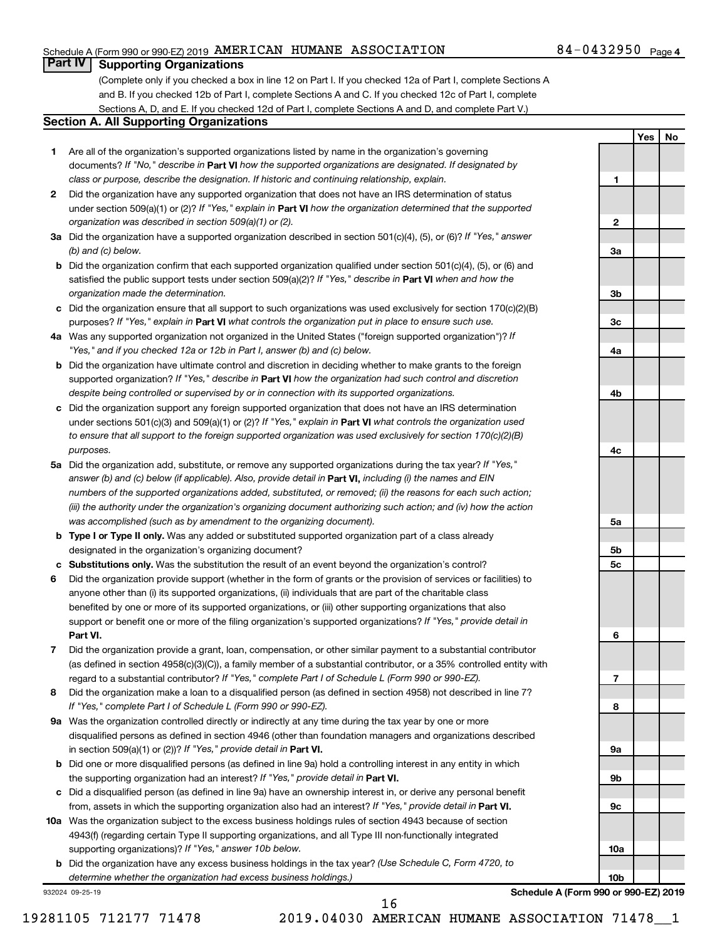## Schedule A (Form 990 or 990-EZ) 2019 Page AMERICAN HUMANE ASSOCIATION 84-0432950

## **Part IV Supporting Organizations**

(Complete only if you checked a box in line 12 on Part I. If you checked 12a of Part I, complete Sections A and B. If you checked 12b of Part I, complete Sections A and C. If you checked 12c of Part I, complete Sections A, D, and E. If you checked 12d of Part I, complete Sections A and D, and complete Part V.)

## **Section A. All Supporting Organizations**

- **1** Are all of the organization's supported organizations listed by name in the organization's governing documents? If "No," describe in Part VI how the supported organizations are designated. If designated by *class or purpose, describe the designation. If historic and continuing relationship, explain.*
- **2** Did the organization have any supported organization that does not have an IRS determination of status under section 509(a)(1) or (2)? If "Yes," explain in Part **VI** how the organization determined that the supported *organization was described in section 509(a)(1) or (2).*
- **3a** Did the organization have a supported organization described in section 501(c)(4), (5), or (6)? If "Yes," answer *(b) and (c) below.*
- **b** Did the organization confirm that each supported organization qualified under section 501(c)(4), (5), or (6) and satisfied the public support tests under section 509(a)(2)? If "Yes," describe in Part VI when and how the *organization made the determination.*
- **c** Did the organization ensure that all support to such organizations was used exclusively for section 170(c)(2)(B) purposes? If "Yes," explain in Part VI what controls the organization put in place to ensure such use.
- **4 a** *If* Was any supported organization not organized in the United States ("foreign supported organization")? *"Yes," and if you checked 12a or 12b in Part I, answer (b) and (c) below.*
- **b** Did the organization have ultimate control and discretion in deciding whether to make grants to the foreign supported organization? If "Yes," describe in Part VI how the organization had such control and discretion *despite being controlled or supervised by or in connection with its supported organizations.*
- **c** Did the organization support any foreign supported organization that does not have an IRS determination under sections 501(c)(3) and 509(a)(1) or (2)? If "Yes," explain in Part VI what controls the organization used *to ensure that all support to the foreign supported organization was used exclusively for section 170(c)(2)(B) purposes.*
- **5a** Did the organization add, substitute, or remove any supported organizations during the tax year? If "Yes," answer (b) and (c) below (if applicable). Also, provide detail in **Part VI,** including (i) the names and EIN *numbers of the supported organizations added, substituted, or removed; (ii) the reasons for each such action; (iii) the authority under the organization's organizing document authorizing such action; and (iv) how the action was accomplished (such as by amendment to the organizing document).*
- **b** Type I or Type II only. Was any added or substituted supported organization part of a class already designated in the organization's organizing document?
- **c Substitutions only.**  Was the substitution the result of an event beyond the organization's control?
- **6** Did the organization provide support (whether in the form of grants or the provision of services or facilities) to **Part VI.** support or benefit one or more of the filing organization's supported organizations? If "Yes," provide detail in anyone other than (i) its supported organizations, (ii) individuals that are part of the charitable class benefited by one or more of its supported organizations, or (iii) other supporting organizations that also
- **7** Did the organization provide a grant, loan, compensation, or other similar payment to a substantial contributor regard to a substantial contributor? If "Yes," complete Part I of Schedule L (Form 990 or 990-EZ). (as defined in section 4958(c)(3)(C)), a family member of a substantial contributor, or a 35% controlled entity with
- **8** Did the organization make a loan to a disqualified person (as defined in section 4958) not described in line 7? *If "Yes," complete Part I of Schedule L (Form 990 or 990-EZ).*
- **9 a** Was the organization controlled directly or indirectly at any time during the tax year by one or more in section 509(a)(1) or (2))? If "Yes," provide detail in **Part VI.** disqualified persons as defined in section 4946 (other than foundation managers and organizations described
- **b** Did one or more disqualified persons (as defined in line 9a) hold a controlling interest in any entity in which the supporting organization had an interest? If "Yes," provide detail in Part VI.
- **c** Did a disqualified person (as defined in line 9a) have an ownership interest in, or derive any personal benefit from, assets in which the supporting organization also had an interest? If "Yes," provide detail in Part VI.
- **10 a** Was the organization subject to the excess business holdings rules of section 4943 because of section supporting organizations)? If "Yes," answer 10b below. 4943(f) (regarding certain Type II supporting organizations, and all Type III non-functionally integrated
	- **b** Did the organization have any excess business holdings in the tax year? (Use Schedule C, Form 4720, to *determine whether the organization had excess business holdings.)*

932024 09-25-19

**Yes No 1 2 3a 3b 3c 4a 4b 4c 5a 5b 5c 6 7 8 9a 9b 9c**

**Schedule A (Form 990 or 990-EZ) 2019**

**10a**

**10b**

16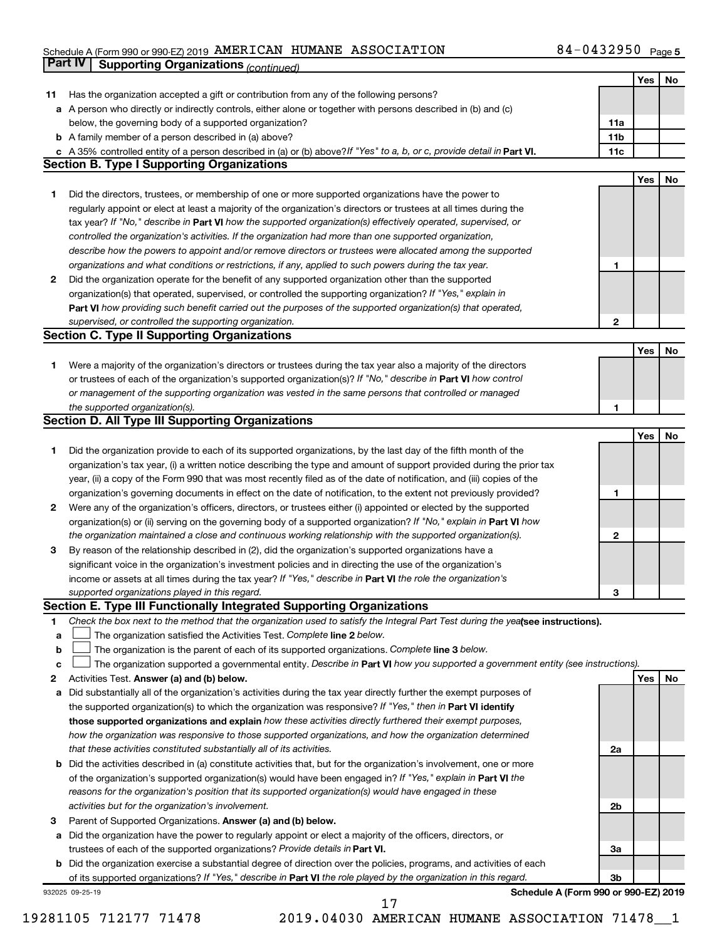### Schedule A (Form 990 or 990-EZ) 2019 AMERICAN HUMANE ASSOCIATION 8 4 - 0 4 3 2 9 5 0 Page AMERICAN HUMANE ASSOCIATION 84-0432950

|    | <b>Part IV</b><br><b>Supporting Organizations (continued)</b>                                                                   |                 |            |    |
|----|---------------------------------------------------------------------------------------------------------------------------------|-----------------|------------|----|
|    |                                                                                                                                 |                 | Yes        | No |
| 11 | Has the organization accepted a gift or contribution from any of the following persons?                                         |                 |            |    |
| а  | A person who directly or indirectly controls, either alone or together with persons described in (b) and (c)                    |                 |            |    |
|    | below, the governing body of a supported organization?                                                                          | 11a             |            |    |
|    | <b>b</b> A family member of a person described in (a) above?                                                                    | 11 <sub>b</sub> |            |    |
|    | c A 35% controlled entity of a person described in (a) or (b) above? If "Yes" to a, b, or c, provide detail in Part VI.         | 11c             |            |    |
|    | <b>Section B. Type I Supporting Organizations</b>                                                                               |                 |            |    |
|    |                                                                                                                                 |                 | <b>Yes</b> | No |
| 1. | Did the directors, trustees, or membership of one or more supported organizations have the power to                             |                 |            |    |
|    | regularly appoint or elect at least a majority of the organization's directors or trustees at all times during the              |                 |            |    |
|    | tax year? If "No," describe in Part VI how the supported organization(s) effectively operated, supervised, or                   |                 |            |    |
|    | controlled the organization's activities. If the organization had more than one supported organization,                         |                 |            |    |
|    | describe how the powers to appoint and/or remove directors or trustees were allocated among the supported                       |                 |            |    |
|    | organizations and what conditions or restrictions, if any, applied to such powers during the tax year.                          | 1               |            |    |
| 2  | Did the organization operate for the benefit of any supported organization other than the supported                             |                 |            |    |
|    | organization(s) that operated, supervised, or controlled the supporting organization? If "Yes," explain in                      |                 |            |    |
|    | Part VI how providing such benefit carried out the purposes of the supported organization(s) that operated,                     |                 |            |    |
|    | supervised, or controlled the supporting organization.                                                                          | $\mathbf{2}$    |            |    |
|    | <b>Section C. Type II Supporting Organizations</b>                                                                              |                 |            |    |
|    |                                                                                                                                 |                 | Yes        | No |
| 1. | Were a majority of the organization's directors or trustees during the tax year also a majority of the directors                |                 |            |    |
|    | or trustees of each of the organization's supported organization(s)? If "No," describe in Part VI how control                   |                 |            |    |
|    | or management of the supporting organization was vested in the same persons that controlled or managed                          |                 |            |    |
|    | the supported organization(s).                                                                                                  | 1               |            |    |
|    | <b>Section D. All Type III Supporting Organizations</b>                                                                         |                 |            |    |
|    |                                                                                                                                 |                 | Yes        | No |
| 1  | Did the organization provide to each of its supported organizations, by the last day of the fifth month of the                  |                 |            |    |
|    | organization's tax year, (i) a written notice describing the type and amount of support provided during the prior tax           |                 |            |    |
|    | year, (ii) a copy of the Form 990 that was most recently filed as of the date of notification, and (iii) copies of the          |                 |            |    |
|    | organization's governing documents in effect on the date of notification, to the extent not previously provided?                | 1               |            |    |
| 2  | Were any of the organization's officers, directors, or trustees either (i) appointed or elected by the supported                |                 |            |    |
|    | organization(s) or (ii) serving on the governing body of a supported organization? If "No," explain in Part VI how              |                 |            |    |
|    | the organization maintained a close and continuous working relationship with the supported organization(s).                     | $\mathbf{2}$    |            |    |
| 3  | By reason of the relationship described in (2), did the organization's supported organizations have a                           |                 |            |    |
|    | significant voice in the organization's investment policies and in directing the use of the organization's                      |                 |            |    |
|    | income or assets at all times during the tax year? If "Yes," describe in Part VI the role the organization's                    |                 |            |    |
|    | supported organizations played in this regard.                                                                                  | З               |            |    |
|    | Section E. Type III Functionally Integrated Supporting Organizations                                                            |                 |            |    |
| 1  | Check the box next to the method that the organization used to satisfy the Integral Part Test during the yealsee instructions). |                 |            |    |
| a  | The organization satisfied the Activities Test. Complete line 2 below.                                                          |                 |            |    |
| b  | The organization is the parent of each of its supported organizations. Complete line 3 below.                                   |                 |            |    |
| c  | The organization supported a governmental entity. Describe in Part VI how you supported a government entity (see instructions). |                 |            |    |
| 2  | Activities Test. Answer (a) and (b) below.                                                                                      |                 | Yes        | No |
| а  | Did substantially all of the organization's activities during the tax year directly further the exempt purposes of              |                 |            |    |
|    | the supported organization(s) to which the organization was responsive? If "Yes," then in Part VI identify                      |                 |            |    |
|    | those supported organizations and explain how these activities directly furthered their exempt purposes,                        |                 |            |    |
|    | how the organization was responsive to those supported organizations, and how the organization determined                       |                 |            |    |
|    | that these activities constituted substantially all of its activities.                                                          | 2a              |            |    |
| b  | Did the activities described in (a) constitute activities that, but for the organization's involvement, one or more             |                 |            |    |
|    | of the organization's supported organization(s) would have been engaged in? If "Yes," explain in Part VI the                    |                 |            |    |
|    | reasons for the organization's position that its supported organization(s) would have engaged in these                          |                 |            |    |
|    | activities but for the organization's involvement.                                                                              | 2b              |            |    |
| з  | Parent of Supported Organizations. Answer (a) and (b) below.                                                                    |                 |            |    |
| а  | Did the organization have the power to regularly appoint or elect a majority of the officers, directors, or                     |                 |            |    |
|    | trustees of each of the supported organizations? Provide details in Part VI.                                                    | За              |            |    |
| b  | Did the organization exercise a substantial degree of direction over the policies, programs, and activities of each             |                 |            |    |
|    | of its supported organizations? If "Yes," describe in Part VI the role played by the organization in this regard.               | Зb              |            |    |
|    |                                                                                                                                 |                 |            |    |

932025 09-25-19

**Schedule A (Form 990 or 990-EZ) 2019**

17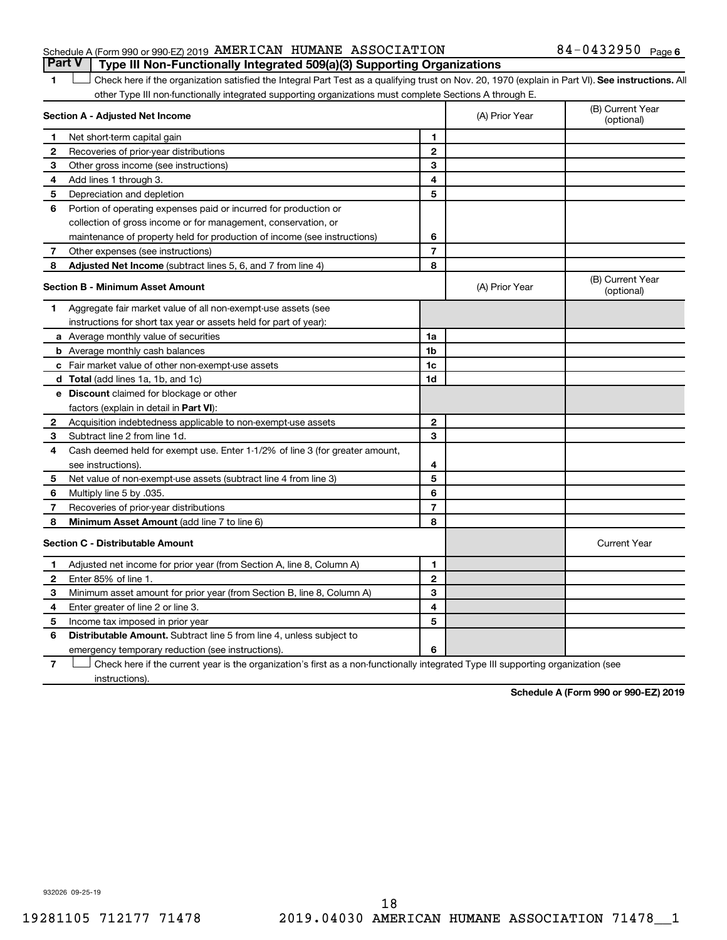## Schedule A (Form 990 or 990-EZ) 2019 Page AMERICAN HUMANE ASSOCIATION 84-0432950 **Part V Type III Non-Functionally Integrated 509(a)(3) Supporting Organizations**

1 **Letter See instructions.** All Check here if the organization satisfied the Integral Part Test as a qualifying trust on Nov. 20, 1970 (explain in Part VI). See instructions. All other Type III non-functionally integrated supporting organizations must complete Sections A through E.

| Section A - Adjusted Net Income |                                                                                                                                   |                | (A) Prior Year | (B) Current Year<br>(optional) |
|---------------------------------|-----------------------------------------------------------------------------------------------------------------------------------|----------------|----------------|--------------------------------|
| 1                               | Net short-term capital gain                                                                                                       | $\mathbf{1}$   |                |                                |
| 2                               | Recoveries of prior-year distributions                                                                                            | $\mathbf{2}$   |                |                                |
| 3                               | Other gross income (see instructions)                                                                                             | 3              |                |                                |
| 4                               | Add lines 1 through 3.                                                                                                            | 4              |                |                                |
| 5                               | Depreciation and depletion                                                                                                        | 5              |                |                                |
| 6                               | Portion of operating expenses paid or incurred for production or                                                                  |                |                |                                |
|                                 | collection of gross income or for management, conservation, or                                                                    |                |                |                                |
|                                 | maintenance of property held for production of income (see instructions)                                                          | 6              |                |                                |
| 7                               | Other expenses (see instructions)                                                                                                 | $\overline{7}$ |                |                                |
| 8                               | Adjusted Net Income (subtract lines 5, 6, and 7 from line 4)                                                                      | 8              |                |                                |
|                                 | <b>Section B - Minimum Asset Amount</b>                                                                                           |                | (A) Prior Year | (B) Current Year<br>(optional) |
| 1                               | Aggregate fair market value of all non-exempt-use assets (see                                                                     |                |                |                                |
|                                 | instructions for short tax year or assets held for part of year):                                                                 |                |                |                                |
|                                 | <b>a</b> Average monthly value of securities                                                                                      | 1a             |                |                                |
|                                 | <b>b</b> Average monthly cash balances                                                                                            | 1 <sub>b</sub> |                |                                |
|                                 | <b>c</b> Fair market value of other non-exempt-use assets                                                                         | 1c             |                |                                |
|                                 | <b>d</b> Total (add lines 1a, 1b, and 1c)                                                                                         | 1d             |                |                                |
|                                 | e Discount claimed for blockage or other                                                                                          |                |                |                                |
|                                 | factors (explain in detail in Part VI):                                                                                           |                |                |                                |
| 2                               | Acquisition indebtedness applicable to non-exempt-use assets                                                                      | $\mathbf{2}$   |                |                                |
| 3                               | Subtract line 2 from line 1d.                                                                                                     | 3              |                |                                |
| 4                               | Cash deemed held for exempt use. Enter 1-1/2% of line 3 (for greater amount,                                                      |                |                |                                |
|                                 | see instructions).                                                                                                                | 4              |                |                                |
| 5                               | Net value of non-exempt-use assets (subtract line 4 from line 3)                                                                  | 5              |                |                                |
| 6                               | Multiply line 5 by .035.                                                                                                          | 6              |                |                                |
| 7                               | Recoveries of prior-year distributions                                                                                            | $\overline{7}$ |                |                                |
| 8                               | Minimum Asset Amount (add line 7 to line 6)                                                                                       | 8              |                |                                |
|                                 | <b>Section C - Distributable Amount</b>                                                                                           |                |                | <b>Current Year</b>            |
| 1                               | Adjusted net income for prior year (from Section A, line 8, Column A)                                                             | $\mathbf{1}$   |                |                                |
| 2                               | Enter 85% of line 1.                                                                                                              | $\mathbf{2}$   |                |                                |
| з                               | Minimum asset amount for prior year (from Section B, line 8, Column A)                                                            | 3              |                |                                |
| 4                               | Enter greater of line 2 or line 3.                                                                                                | 4              |                |                                |
| 5                               | Income tax imposed in prior year                                                                                                  | 5              |                |                                |
| 6                               | <b>Distributable Amount.</b> Subtract line 5 from line 4, unless subject to                                                       |                |                |                                |
|                                 | emergency temporary reduction (see instructions).                                                                                 | 6              |                |                                |
| 7                               | Check here if the current year is the organization's first as a non-functionally integrated Type III supporting organization (see |                |                |                                |

instructions).

**Schedule A (Form 990 or 990-EZ) 2019**

932026 09-25-19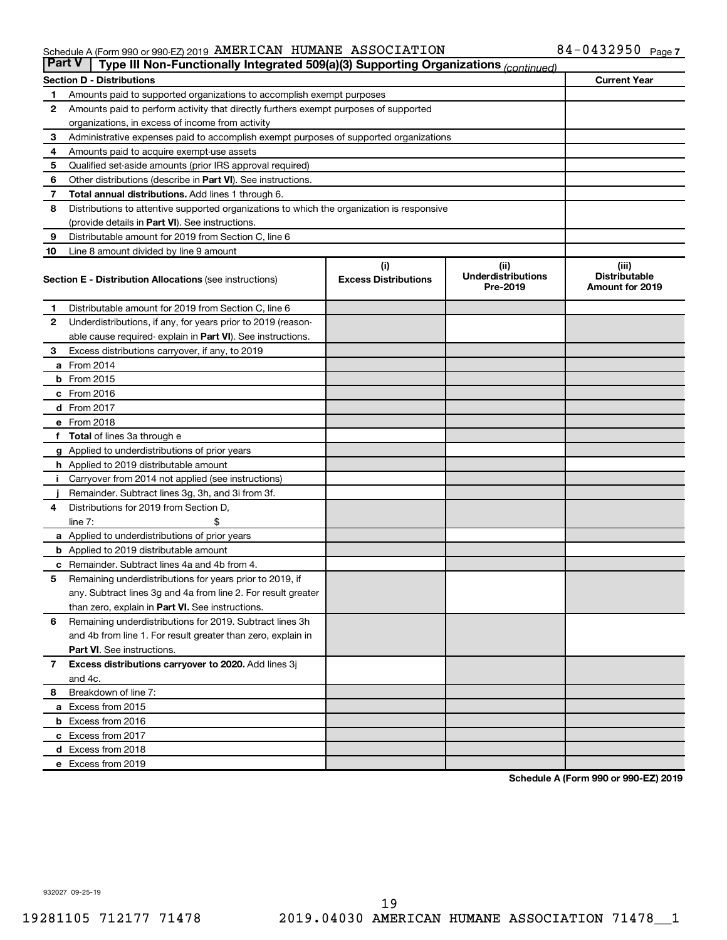## Schedule A (Form 990 or 990-EZ) 2019 Page AMERICAN HUMANE ASSOCIATION 84-0432950

| <b>Part V</b><br>Type III Non-Functionally Integrated 509(a)(3) Supporting Organizations (continued) |                                                                                            |                                    |                                               |                                                         |  |  |  |  |
|------------------------------------------------------------------------------------------------------|--------------------------------------------------------------------------------------------|------------------------------------|-----------------------------------------------|---------------------------------------------------------|--|--|--|--|
|                                                                                                      | <b>Current Year</b><br><b>Section D - Distributions</b>                                    |                                    |                                               |                                                         |  |  |  |  |
| 1                                                                                                    | Amounts paid to supported organizations to accomplish exempt purposes                      |                                    |                                               |                                                         |  |  |  |  |
| $\mathbf{2}$                                                                                         | Amounts paid to perform activity that directly furthers exempt purposes of supported       |                                    |                                               |                                                         |  |  |  |  |
|                                                                                                      | organizations, in excess of income from activity                                           |                                    |                                               |                                                         |  |  |  |  |
| 3                                                                                                    | Administrative expenses paid to accomplish exempt purposes of supported organizations      |                                    |                                               |                                                         |  |  |  |  |
| 4                                                                                                    | Amounts paid to acquire exempt-use assets                                                  |                                    |                                               |                                                         |  |  |  |  |
| 5                                                                                                    | Qualified set-aside amounts (prior IRS approval required)                                  |                                    |                                               |                                                         |  |  |  |  |
| 6                                                                                                    | Other distributions (describe in <b>Part VI</b> ). See instructions.                       |                                    |                                               |                                                         |  |  |  |  |
| 7                                                                                                    | Total annual distributions. Add lines 1 through 6.                                         |                                    |                                               |                                                         |  |  |  |  |
| 8                                                                                                    | Distributions to attentive supported organizations to which the organization is responsive |                                    |                                               |                                                         |  |  |  |  |
|                                                                                                      | (provide details in Part VI). See instructions.                                            |                                    |                                               |                                                         |  |  |  |  |
| 9                                                                                                    | Distributable amount for 2019 from Section C, line 6                                       |                                    |                                               |                                                         |  |  |  |  |
| 10                                                                                                   | Line 8 amount divided by line 9 amount                                                     |                                    |                                               |                                                         |  |  |  |  |
|                                                                                                      | <b>Section E - Distribution Allocations (see instructions)</b>                             | (i)<br><b>Excess Distributions</b> | (ii)<br><b>Underdistributions</b><br>Pre-2019 | (iii)<br><b>Distributable</b><br><b>Amount for 2019</b> |  |  |  |  |
| 1                                                                                                    | Distributable amount for 2019 from Section C, line 6                                       |                                    |                                               |                                                         |  |  |  |  |
| $\mathbf{2}$                                                                                         | Underdistributions, if any, for years prior to 2019 (reason-                               |                                    |                                               |                                                         |  |  |  |  |
|                                                                                                      | able cause required- explain in Part VI). See instructions.                                |                                    |                                               |                                                         |  |  |  |  |
| 3                                                                                                    | Excess distributions carryover, if any, to 2019                                            |                                    |                                               |                                                         |  |  |  |  |
|                                                                                                      | a From 2014                                                                                |                                    |                                               |                                                         |  |  |  |  |
|                                                                                                      | $b$ From 2015                                                                              |                                    |                                               |                                                         |  |  |  |  |
|                                                                                                      | c From 2016                                                                                |                                    |                                               |                                                         |  |  |  |  |
|                                                                                                      | <b>d</b> From 2017                                                                         |                                    |                                               |                                                         |  |  |  |  |
|                                                                                                      | e From 2018                                                                                |                                    |                                               |                                                         |  |  |  |  |
|                                                                                                      | f Total of lines 3a through e                                                              |                                    |                                               |                                                         |  |  |  |  |
|                                                                                                      | <b>g</b> Applied to underdistributions of prior years                                      |                                    |                                               |                                                         |  |  |  |  |
|                                                                                                      | <b>h</b> Applied to 2019 distributable amount                                              |                                    |                                               |                                                         |  |  |  |  |
| Ť.                                                                                                   | Carryover from 2014 not applied (see instructions)                                         |                                    |                                               |                                                         |  |  |  |  |
|                                                                                                      | Remainder. Subtract lines 3g, 3h, and 3i from 3f.                                          |                                    |                                               |                                                         |  |  |  |  |
| 4                                                                                                    | Distributions for 2019 from Section D,                                                     |                                    |                                               |                                                         |  |  |  |  |
|                                                                                                      | line $7:$                                                                                  |                                    |                                               |                                                         |  |  |  |  |
|                                                                                                      | <b>a</b> Applied to underdistributions of prior years                                      |                                    |                                               |                                                         |  |  |  |  |
|                                                                                                      | <b>b</b> Applied to 2019 distributable amount                                              |                                    |                                               |                                                         |  |  |  |  |
| c                                                                                                    | Remainder. Subtract lines 4a and 4b from 4.                                                |                                    |                                               |                                                         |  |  |  |  |
| 5                                                                                                    | Remaining underdistributions for years prior to 2019, if                                   |                                    |                                               |                                                         |  |  |  |  |
|                                                                                                      | any. Subtract lines 3g and 4a from line 2. For result greater                              |                                    |                                               |                                                         |  |  |  |  |
|                                                                                                      | than zero, explain in Part VI. See instructions.                                           |                                    |                                               |                                                         |  |  |  |  |
| 6                                                                                                    | Remaining underdistributions for 2019. Subtract lines 3h                                   |                                    |                                               |                                                         |  |  |  |  |
|                                                                                                      | and 4b from line 1. For result greater than zero, explain in                               |                                    |                                               |                                                         |  |  |  |  |
|                                                                                                      | <b>Part VI.</b> See instructions.                                                          |                                    |                                               |                                                         |  |  |  |  |
| $\overline{7}$                                                                                       | Excess distributions carryover to 2020. Add lines 3j                                       |                                    |                                               |                                                         |  |  |  |  |
|                                                                                                      | and 4c.                                                                                    |                                    |                                               |                                                         |  |  |  |  |
| 8                                                                                                    | Breakdown of line 7:                                                                       |                                    |                                               |                                                         |  |  |  |  |
|                                                                                                      | a Excess from 2015                                                                         |                                    |                                               |                                                         |  |  |  |  |
|                                                                                                      | <b>b</b> Excess from 2016                                                                  |                                    |                                               |                                                         |  |  |  |  |
|                                                                                                      | c Excess from 2017                                                                         |                                    |                                               |                                                         |  |  |  |  |
|                                                                                                      | d Excess from 2018                                                                         |                                    |                                               |                                                         |  |  |  |  |
|                                                                                                      | e Excess from 2019                                                                         |                                    |                                               |                                                         |  |  |  |  |

**Schedule A (Form 990 or 990-EZ) 2019**

932027 09-25-19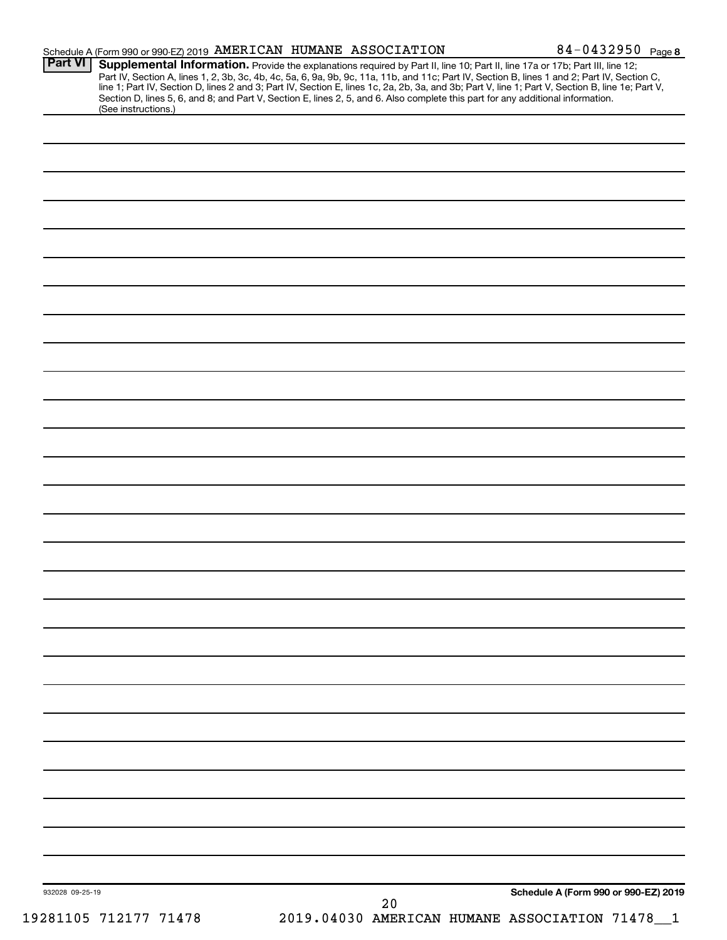| <b>Part VI</b>        | Schedule A (Form 990 or 990-EZ) 2019 AMERICAN HUMANE ASSOCIATION<br>Supplemental Information. Provide the explanations required by Part II, line 10; Part II, line 17a or 17b; Part III, line 12;                                                                                   |    |                                                | 84-0432950 Page 8 |
|-----------------------|-------------------------------------------------------------------------------------------------------------------------------------------------------------------------------------------------------------------------------------------------------------------------------------|----|------------------------------------------------|-------------------|
|                       | Part IV, Section A, lines 1, 2, 3b, 3c, 4b, 4c, 5a, 6, 9a, 9b, 9c, 11a, 11b, and 11c; Part IV, Section B, lines 1 and 2; Part IV, Section C,                                                                                                                                        |    |                                                |                   |
|                       | line 1; Part IV, Section D, lines 2 and 3; Part IV, Section E, lines 1c, 2a, 2b, 3a, and 3b; Part V, line 1; Part V, Section B, line 1e; Part V,<br>Section D, lines 5, 6, and 8; and Part V, Section E, lines 2, 5, and 6. Also complete this part for any additional information. |    |                                                |                   |
| (See instructions.)   |                                                                                                                                                                                                                                                                                     |    |                                                |                   |
|                       |                                                                                                                                                                                                                                                                                     |    |                                                |                   |
|                       |                                                                                                                                                                                                                                                                                     |    |                                                |                   |
|                       |                                                                                                                                                                                                                                                                                     |    |                                                |                   |
|                       |                                                                                                                                                                                                                                                                                     |    |                                                |                   |
|                       |                                                                                                                                                                                                                                                                                     |    |                                                |                   |
|                       |                                                                                                                                                                                                                                                                                     |    |                                                |                   |
|                       |                                                                                                                                                                                                                                                                                     |    |                                                |                   |
|                       |                                                                                                                                                                                                                                                                                     |    |                                                |                   |
|                       |                                                                                                                                                                                                                                                                                     |    |                                                |                   |
|                       |                                                                                                                                                                                                                                                                                     |    |                                                |                   |
|                       |                                                                                                                                                                                                                                                                                     |    |                                                |                   |
|                       |                                                                                                                                                                                                                                                                                     |    |                                                |                   |
|                       |                                                                                                                                                                                                                                                                                     |    |                                                |                   |
|                       |                                                                                                                                                                                                                                                                                     |    |                                                |                   |
|                       |                                                                                                                                                                                                                                                                                     |    |                                                |                   |
|                       |                                                                                                                                                                                                                                                                                     |    |                                                |                   |
|                       |                                                                                                                                                                                                                                                                                     |    |                                                |                   |
|                       |                                                                                                                                                                                                                                                                                     |    |                                                |                   |
|                       |                                                                                                                                                                                                                                                                                     |    |                                                |                   |
|                       |                                                                                                                                                                                                                                                                                     |    |                                                |                   |
|                       |                                                                                                                                                                                                                                                                                     |    |                                                |                   |
|                       |                                                                                                                                                                                                                                                                                     |    |                                                |                   |
|                       |                                                                                                                                                                                                                                                                                     |    |                                                |                   |
|                       |                                                                                                                                                                                                                                                                                     |    |                                                |                   |
|                       |                                                                                                                                                                                                                                                                                     |    |                                                |                   |
|                       |                                                                                                                                                                                                                                                                                     |    |                                                |                   |
|                       |                                                                                                                                                                                                                                                                                     |    |                                                |                   |
|                       |                                                                                                                                                                                                                                                                                     |    |                                                |                   |
|                       |                                                                                                                                                                                                                                                                                     |    |                                                |                   |
|                       |                                                                                                                                                                                                                                                                                     |    |                                                |                   |
|                       |                                                                                                                                                                                                                                                                                     |    |                                                |                   |
|                       |                                                                                                                                                                                                                                                                                     |    |                                                |                   |
|                       |                                                                                                                                                                                                                                                                                     |    |                                                |                   |
|                       |                                                                                                                                                                                                                                                                                     |    |                                                |                   |
|                       |                                                                                                                                                                                                                                                                                     |    |                                                |                   |
|                       |                                                                                                                                                                                                                                                                                     |    |                                                |                   |
|                       |                                                                                                                                                                                                                                                                                     |    |                                                |                   |
|                       |                                                                                                                                                                                                                                                                                     |    |                                                |                   |
|                       |                                                                                                                                                                                                                                                                                     |    |                                                |                   |
|                       |                                                                                                                                                                                                                                                                                     |    |                                                |                   |
|                       |                                                                                                                                                                                                                                                                                     |    |                                                |                   |
|                       |                                                                                                                                                                                                                                                                                     |    |                                                |                   |
|                       |                                                                                                                                                                                                                                                                                     |    |                                                |                   |
|                       |                                                                                                                                                                                                                                                                                     |    |                                                |                   |
|                       |                                                                                                                                                                                                                                                                                     |    |                                                |                   |
|                       |                                                                                                                                                                                                                                                                                     |    |                                                |                   |
|                       |                                                                                                                                                                                                                                                                                     |    |                                                |                   |
|                       |                                                                                                                                                                                                                                                                                     |    |                                                |                   |
|                       |                                                                                                                                                                                                                                                                                     |    |                                                |                   |
| 932028 09-25-19       |                                                                                                                                                                                                                                                                                     |    | Schedule A (Form 990 or 990-EZ) 2019           |                   |
|                       |                                                                                                                                                                                                                                                                                     | 20 |                                                |                   |
| 19281105 712177 71478 |                                                                                                                                                                                                                                                                                     |    | 2019.04030 AMERICAN HUMANE ASSOCIATION 71478_1 |                   |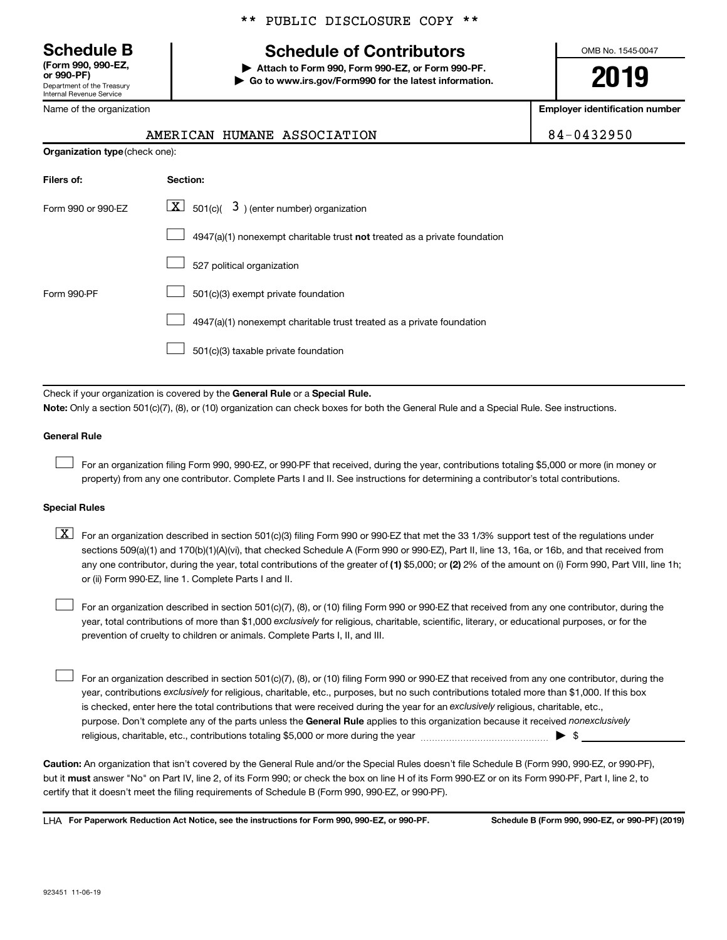# **(Form 990, 990-EZ,**

Department of the Treasury Internal Revenue Service

Name of the organization

## \*\* PUBLIC DISCLOSURE COPY \*\*

## **Schedule B Schedule of Contributors**

**or 990-PF) | Attach to Form 990, Form 990-EZ, or Form 990-PF. | Go to www.irs.gov/Form990 for the latest information.** OMB No. 1545-0047

**2019**

**Employer identification number**

| 4-0432950 |  |
|-----------|--|
|-----------|--|

|  | AMERICAN HUMANE ASSOCIATION | 84-0432950 |
|--|-----------------------------|------------|
|  |                             |            |

| <b>Organization type (check one):</b> |                                                                           |  |  |  |  |  |  |  |
|---------------------------------------|---------------------------------------------------------------------------|--|--|--|--|--|--|--|
| Filers of:                            | Section:                                                                  |  |  |  |  |  |  |  |
| Form 990 or 990-EZ                    | $\lfloor x \rfloor$ 501(c)( 3) (enter number) organization                |  |  |  |  |  |  |  |
|                                       | 4947(a)(1) nonexempt charitable trust not treated as a private foundation |  |  |  |  |  |  |  |
|                                       | 527 political organization                                                |  |  |  |  |  |  |  |
| Form 990-PF                           | 501(c)(3) exempt private foundation                                       |  |  |  |  |  |  |  |
|                                       | 4947(a)(1) nonexempt charitable trust treated as a private foundation     |  |  |  |  |  |  |  |
|                                       | 501(c)(3) taxable private foundation                                      |  |  |  |  |  |  |  |
|                                       |                                                                           |  |  |  |  |  |  |  |

Check if your organization is covered by the General Rule or a Special Rule.

**Note:**  Only a section 501(c)(7), (8), or (10) organization can check boxes for both the General Rule and a Special Rule. See instructions.

## **General Rule**

 $\Box$ 

For an organization filing Form 990, 990-EZ, or 990-PF that received, during the year, contributions totaling \$5,000 or more (in money or property) from any one contributor. Complete Parts I and II. See instructions for determining a contributor's total contributions.

## **Special Rules**

any one contributor, during the year, total contributions of the greater of (1) \$5,000; or (2) 2% of the amount on (i) Form 990, Part VIII, line 1h;  $\boxed{\text{X}}$  For an organization described in section 501(c)(3) filing Form 990 or 990-EZ that met the 33 1/3% support test of the regulations under sections 509(a)(1) and 170(b)(1)(A)(vi), that checked Schedule A (Form 990 or 990-EZ), Part II, line 13, 16a, or 16b, and that received from or (ii) Form 990-EZ, line 1. Complete Parts I and II.

year, total contributions of more than \$1,000 *exclusively* for religious, charitable, scientific, literary, or educational purposes, or for the For an organization described in section 501(c)(7), (8), or (10) filing Form 990 or 990-EZ that received from any one contributor, during the prevention of cruelty to children or animals. Complete Parts I, II, and III.  $\Box$ 

purpose. Don't complete any of the parts unless the General Rule applies to this organization because it received nonexclusively year, contributions exclusively for religious, charitable, etc., purposes, but no such contributions totaled more than \$1,000. If this box is checked, enter here the total contributions that were received during the year for an exclusively religious, charitable, etc., For an organization described in section 501(c)(7), (8), or (10) filing Form 990 or 990-EZ that received from any one contributor, during the religious, charitable, etc., contributions totaling \$5,000 or more during the year  $~\ldots\ldots\ldots\ldots\ldots\ldots\ldots\ldots\blacktriangleright~$ \$  $\Box$ 

**Caution:**  An organization that isn't covered by the General Rule and/or the Special Rules doesn't file Schedule B (Form 990, 990-EZ, or 990-PF),  **must** but it answer "No" on Part IV, line 2, of its Form 990; or check the box on line H of its Form 990-EZ or on its Form 990-PF, Part I, line 2, to certify that it doesn't meet the filing requirements of Schedule B (Form 990, 990-EZ, or 990-PF).

**For Paperwork Reduction Act Notice, see the instructions for Form 990, 990-EZ, or 990-PF. Schedule B (Form 990, 990-EZ, or 990-PF) (2019)** LHA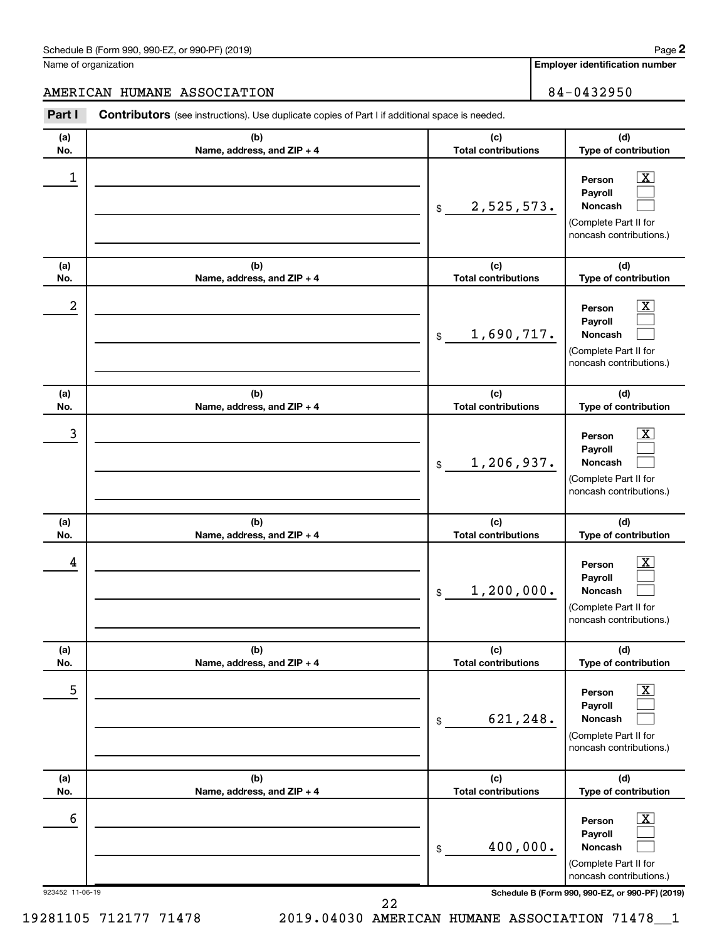## Schedule B (Form 990, 990-EZ, or 990-PF) (2019)

Name of organization

**Employer identification number**

AMERICAN HUMANE ASSOCIATION **84-0432950** 

### **(a) No. (b) Name, address, and ZIP + 4 (c) Total contributions (d) Type of contribution Person Payroll Noncash (a) No. (b) Name, address, and ZIP + 4 (c) Total contributions (d) Type of contribution Person Payroll Noncash (a) No. (b) Name, address, and ZIP + 4 (c) Total contributions (d) Type of contribution Person Payroll Noncash (a) No. (b) Name, address, and ZIP + 4 (c) Total contributions (d) Type of contribution Person Payroll Noncash (a) No. (b) Name, address, and ZIP + 4 (c) Total contributions (d) Type of contribution Person Payroll Noncash (a) No. (b) Name, address, and ZIP + 4 (c) Total contributions (d) Type of contribution Person Payroll Noncash Part I** Contributors (see instructions). Use duplicate copies of Part I if additional space is needed. \$ (Complete Part II for noncash contributions.) \$ (Complete Part II for noncash contributions.) \$ (Complete Part II for noncash contributions.) \$ (Complete Part II for noncash contributions.) \$ (Complete Part II for noncash contributions.) \$ (Complete Part II for noncash contributions.)  $\lfloor x \rfloor$  $\Box$  $\Box$  $\overline{\mathbf{X}}$  $\Box$  $\Box$  $\boxed{\textbf{X}}$  $\Box$  $\Box$  $\boxed{\textbf{X}}$  $\Box$  $\Box$  $\boxed{\text{X}}$  $\Box$  $\Box$  $\boxed{\text{X}}$  $\Box$  $\Box$  $\begin{array}{|c|c|c|c|c|}\hline \ \text{1} & \text{Person} & \text{X} \ \hline \end{array}$ 2,525,573.  $2$  Person  $\overline{\text{X}}$ 1,690,717.  $\begin{array}{|c|c|c|c|c|c|}\hline \text{3} & \text{Person} & \text{X} \ \hline \end{array}$ 1,206,937.  $\begin{array}{|c|c|c|c|c|}\hline \text{4} & \text{Person} & \text{\textbf{X}}\ \hline \end{array}$ 1,200,000. 5 X 621,248.  $\overline{6}$  Person  $\overline{X}$ 400,000.

**2**

923452 11-06-19 **Schedule B (Form 990, 990-EZ, or 990-PF) (2019)**

22

19281105 712177 71478 2019.04030 AMERICAN HUMANE ASSOCIATION 71478\_\_1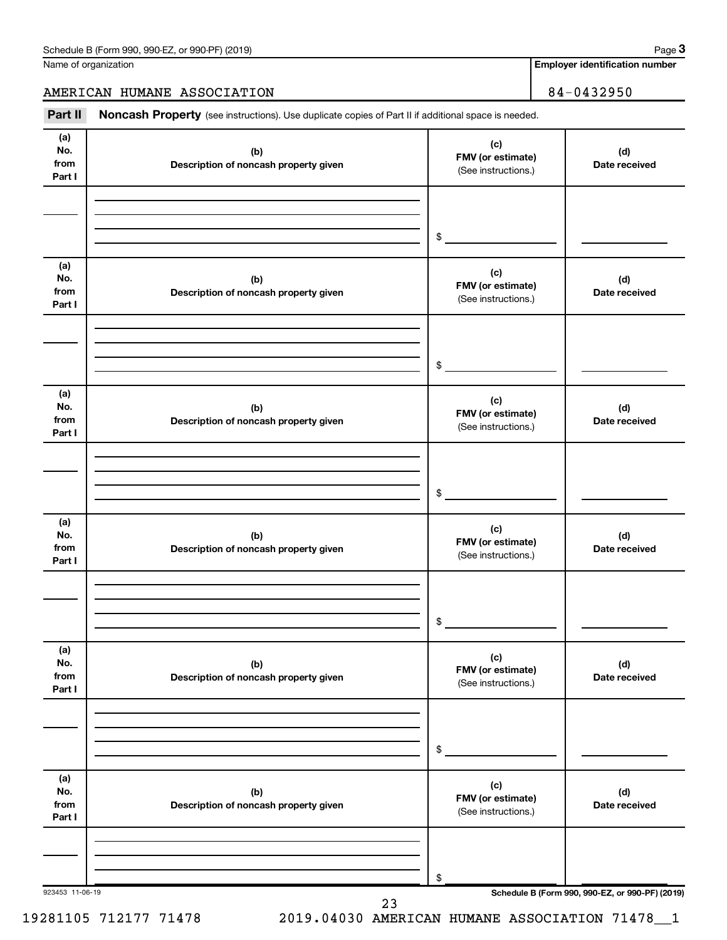**Employer identification number 3**

AMERICAN HUMANE ASSOCIATION 84-0432950

Part II Noncash Property (see instructions). Use duplicate copies of Part II if additional space is needed.

| (a)<br>No.<br>from<br>Part I | (b)<br>Description of noncash property given | (c)<br>FMV (or estimate)<br>(See instructions.) | (d)<br>Date received                            |
|------------------------------|----------------------------------------------|-------------------------------------------------|-------------------------------------------------|
|                              |                                              | $\$$                                            |                                                 |
| (a)<br>No.<br>from<br>Part I | (b)<br>Description of noncash property given | (c)<br>FMV (or estimate)<br>(See instructions.) | (d)<br>Date received                            |
|                              |                                              | $\$$                                            |                                                 |
| (a)<br>No.<br>from<br>Part I | (b)<br>Description of noncash property given | (c)<br>FMV (or estimate)<br>(See instructions.) | (d)<br>Date received                            |
|                              |                                              | $\$$                                            |                                                 |
| (a)<br>No.<br>from<br>Part I | (b)<br>Description of noncash property given | (c)<br>FMV (or estimate)<br>(See instructions.) | (d)<br>Date received                            |
|                              |                                              | $\$$                                            |                                                 |
| (a)<br>No.<br>from<br>Part I | (b)<br>Description of noncash property given | (c)<br>FMV (or estimate)<br>(See instructions.) | (d)<br>Date received                            |
|                              |                                              | \$                                              |                                                 |
| (a)<br>No.<br>from<br>Part I | (b)<br>Description of noncash property given | (c)<br>FMV (or estimate)<br>(See instructions.) | (d)<br>Date received                            |
|                              |                                              | \$                                              |                                                 |
| 923453 11-06-19              | ົາ                                           |                                                 | Schedule B (Form 990, 990-EZ, or 990-PF) (2019) |

23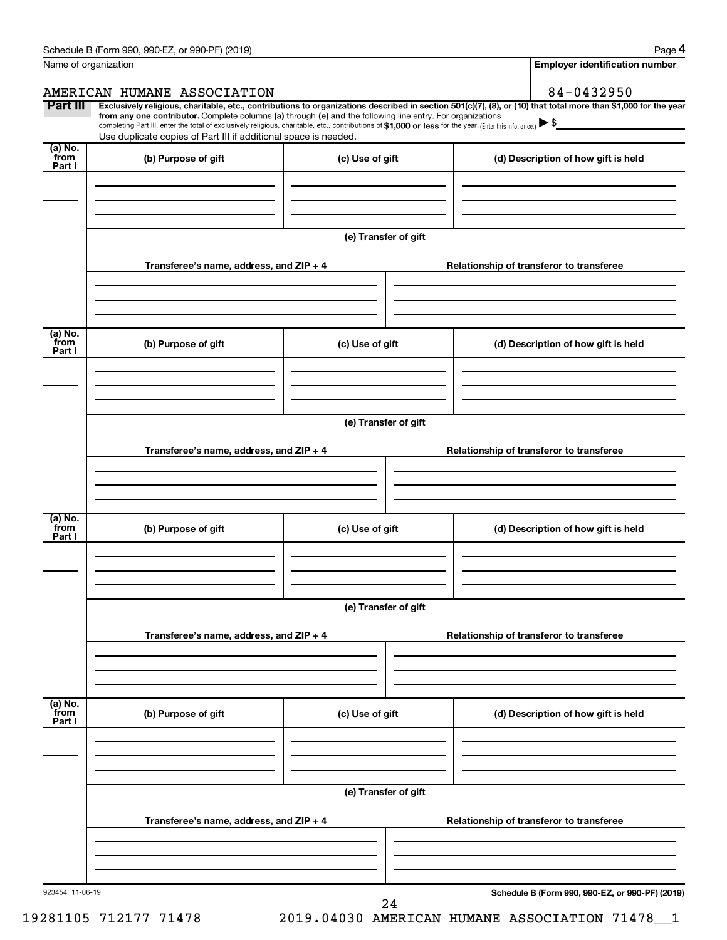**4**

|                           | Name of organization                                                                                                                                                                                                                                                                                                                                               |                      |  | <b>Employer identification number</b>                                                                                                                          |
|---------------------------|--------------------------------------------------------------------------------------------------------------------------------------------------------------------------------------------------------------------------------------------------------------------------------------------------------------------------------------------------------------------|----------------------|--|----------------------------------------------------------------------------------------------------------------------------------------------------------------|
|                           | AMERICAN HUMANE ASSOCIATION                                                                                                                                                                                                                                                                                                                                        |                      |  | 84-0432950                                                                                                                                                     |
| Part III                  | from any one contributor. Complete columns (a) through (e) and the following line entry. For organizations<br>completing Part III, enter the total of exclusively religious, charitable, etc., contributions of \$1,000 or less for the year. (Enter this info. once.) $\blacktriangleright$ \$<br>Use duplicate copies of Part III if additional space is needed. |                      |  | Exclusively religious, charitable, etc., contributions to organizations described in section 501(c)(7), (8), or (10) that total more than \$1,000 for the year |
| (a) No.<br>from<br>Part I | (b) Purpose of gift                                                                                                                                                                                                                                                                                                                                                | (c) Use of gift      |  | (d) Description of how gift is held                                                                                                                            |
|                           |                                                                                                                                                                                                                                                                                                                                                                    | (e) Transfer of gift |  |                                                                                                                                                                |
|                           | Transferee's name, address, and ZIP + 4                                                                                                                                                                                                                                                                                                                            |                      |  | Relationship of transferor to transferee                                                                                                                       |
| (a) No.<br>from<br>Part I | (b) Purpose of gift                                                                                                                                                                                                                                                                                                                                                | (c) Use of gift      |  | (d) Description of how gift is held                                                                                                                            |
|                           |                                                                                                                                                                                                                                                                                                                                                                    |                      |  |                                                                                                                                                                |
|                           | Transferee's name, address, and ZIP + 4                                                                                                                                                                                                                                                                                                                            | (e) Transfer of gift |  | Relationship of transferor to transferee                                                                                                                       |
| (a) No.<br>from<br>Part I | (b) Purpose of gift                                                                                                                                                                                                                                                                                                                                                | (c) Use of gift      |  | (d) Description of how gift is held                                                                                                                            |
|                           | Transferee's name, address, and ZIP + 4                                                                                                                                                                                                                                                                                                                            | (e) Transfer of gift |  | Relationship of transferor to transferee                                                                                                                       |
| (a) No.<br>from<br>Part I | (b) Purpose of gift                                                                                                                                                                                                                                                                                                                                                | (c) Use of gift      |  | (d) Description of how gift is held                                                                                                                            |
|                           |                                                                                                                                                                                                                                                                                                                                                                    |                      |  |                                                                                                                                                                |
|                           | Transferee's name, address, and ZIP + 4                                                                                                                                                                                                                                                                                                                            | (e) Transfer of gift |  | Relationship of transferor to transferee                                                                                                                       |
| 923454 11-06-19           |                                                                                                                                                                                                                                                                                                                                                                    | 24                   |  | Schedule B (Form 990, 990-EZ, or 990-PF) (2019)                                                                                                                |

<sup>19281105 712177 71478 2019.04030</sup> AMERICAN HUMANE ASSOCIATION 71478\_\_1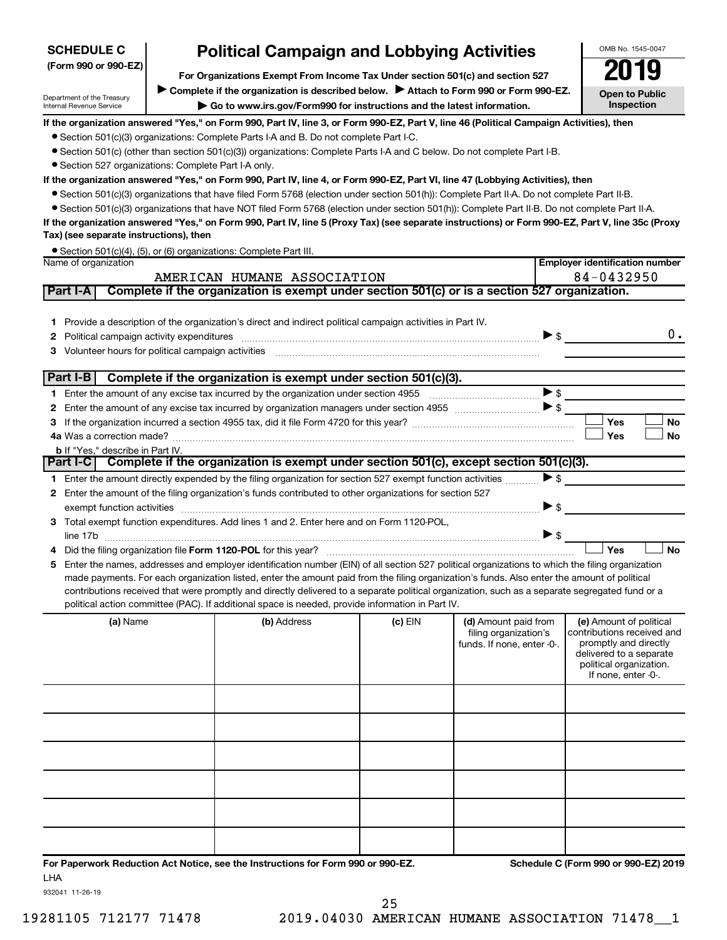| <b>SCHEDULE C</b>                                                                                                                                                                      | <b>Political Campaign and Lobbying Activities</b>                                                                        | OMB No. 1545-0047                                                                                                                                                                                                                                                                              |         |                            |                          |                                                    |  |  |  |  |  |
|----------------------------------------------------------------------------------------------------------------------------------------------------------------------------------------|--------------------------------------------------------------------------------------------------------------------------|------------------------------------------------------------------------------------------------------------------------------------------------------------------------------------------------------------------------------------------------------------------------------------------------|---------|----------------------------|--------------------------|----------------------------------------------------|--|--|--|--|--|
| (Form 990 or 990-EZ)                                                                                                                                                                   | For Organizations Exempt From Income Tax Under section 501(c) and section 527                                            |                                                                                                                                                                                                                                                                                                |         |                            | 2019                     |                                                    |  |  |  |  |  |
|                                                                                                                                                                                        |                                                                                                                          | Complete if the organization is described below.<br>Attach to Form 990 or Form 990-EZ.                                                                                                                                                                                                         |         |                            |                          | <b>Open to Public</b>                              |  |  |  |  |  |
| Department of the Treasury<br>Internal Revenue Service                                                                                                                                 | Go to www.irs.gov/Form990 for instructions and the latest information.                                                   |                                                                                                                                                                                                                                                                                                |         |                            |                          |                                                    |  |  |  |  |  |
|                                                                                                                                                                                        |                                                                                                                          | If the organization answered "Yes," on Form 990, Part IV, line 3, or Form 990-EZ, Part V, line 46 (Political Campaign Activities), then                                                                                                                                                        |         |                            |                          |                                                    |  |  |  |  |  |
| • Section 501(c)(3) organizations: Complete Parts I-A and B. Do not complete Part I-C.                                                                                                 |                                                                                                                          |                                                                                                                                                                                                                                                                                                |         |                            |                          |                                                    |  |  |  |  |  |
|                                                                                                                                                                                        | • Section 501(c) (other than section 501(c)(3)) organizations: Complete Parts I-A and C below. Do not complete Part I-B. |                                                                                                                                                                                                                                                                                                |         |                            |                          |                                                    |  |  |  |  |  |
| • Section 527 organizations: Complete Part I-A only.<br>If the organization answered "Yes," on Form 990, Part IV, line 4, or Form 990-EZ, Part VI, line 47 (Lobbying Activities), then |                                                                                                                          |                                                                                                                                                                                                                                                                                                |         |                            |                          |                                                    |  |  |  |  |  |
|                                                                                                                                                                                        |                                                                                                                          | ● Section 501(c)(3) organizations that have filed Form 5768 (election under section 501(h)): Complete Part II-A. Do not complete Part II-B.                                                                                                                                                    |         |                            |                          |                                                    |  |  |  |  |  |
|                                                                                                                                                                                        |                                                                                                                          | • Section 501(c)(3) organizations that have NOT filed Form 5768 (election under section 501(h)): Complete Part II-B. Do not complete Part II-A.                                                                                                                                                |         |                            |                          |                                                    |  |  |  |  |  |
|                                                                                                                                                                                        |                                                                                                                          | If the organization answered "Yes," on Form 990, Part IV, line 5 (Proxy Tax) (see separate instructions) or Form 990-EZ, Part V, line 35c (Proxy                                                                                                                                               |         |                            |                          |                                                    |  |  |  |  |  |
| Tax) (see separate instructions), then                                                                                                                                                 |                                                                                                                          |                                                                                                                                                                                                                                                                                                |         |                            |                          |                                                    |  |  |  |  |  |
|                                                                                                                                                                                        |                                                                                                                          | Section 501(c)(4), (5), or (6) organizations: Complete Part III.                                                                                                                                                                                                                               |         |                            |                          |                                                    |  |  |  |  |  |
| Name of organization                                                                                                                                                                   |                                                                                                                          |                                                                                                                                                                                                                                                                                                |         |                            |                          | <b>Employer identification number</b>              |  |  |  |  |  |
|                                                                                                                                                                                        |                                                                                                                          | AMERICAN HUMANE ASSOCIATION                                                                                                                                                                                                                                                                    |         |                            |                          | 84-0432950                                         |  |  |  |  |  |
| Part I-A                                                                                                                                                                               |                                                                                                                          | Complete if the organization is exempt under section 501(c) or is a section 527 organization.                                                                                                                                                                                                  |         |                            |                          |                                                    |  |  |  |  |  |
|                                                                                                                                                                                        |                                                                                                                          |                                                                                                                                                                                                                                                                                                |         |                            |                          |                                                    |  |  |  |  |  |
|                                                                                                                                                                                        |                                                                                                                          | 1 Provide a description of the organization's direct and indirect political campaign activities in Part IV.                                                                                                                                                                                    |         |                            |                          |                                                    |  |  |  |  |  |
| 2                                                                                                                                                                                      |                                                                                                                          |                                                                                                                                                                                                                                                                                                |         |                            | $\triangleright$ \$      | $0$ .                                              |  |  |  |  |  |
| 3.                                                                                                                                                                                     |                                                                                                                          | Volunteer hours for political campaign activities [11] matter content to the form of the content of the content of the content of the content of the content of the content of the content of the content of the content of th                                                                 |         |                            |                          |                                                    |  |  |  |  |  |
| Part I-B                                                                                                                                                                               |                                                                                                                          | Complete if the organization is exempt under section 501(c)(3).                                                                                                                                                                                                                                |         |                            |                          |                                                    |  |  |  |  |  |
|                                                                                                                                                                                        |                                                                                                                          |                                                                                                                                                                                                                                                                                                |         |                            | $\blacktriangleright$ \$ |                                                    |  |  |  |  |  |
| 2                                                                                                                                                                                      |                                                                                                                          |                                                                                                                                                                                                                                                                                                |         |                            |                          |                                                    |  |  |  |  |  |
| 3.                                                                                                                                                                                     |                                                                                                                          |                                                                                                                                                                                                                                                                                                |         |                            |                          | Yes<br>No                                          |  |  |  |  |  |
|                                                                                                                                                                                        |                                                                                                                          |                                                                                                                                                                                                                                                                                                |         |                            |                          | Yes<br><b>No</b>                                   |  |  |  |  |  |
| <b>b</b> If "Yes," describe in Part IV.                                                                                                                                                |                                                                                                                          |                                                                                                                                                                                                                                                                                                |         |                            |                          |                                                    |  |  |  |  |  |
|                                                                                                                                                                                        |                                                                                                                          | Part I-C Complete if the organization is exempt under section 501(c), except section 501(c)(3).                                                                                                                                                                                                |         |                            |                          |                                                    |  |  |  |  |  |
|                                                                                                                                                                                        |                                                                                                                          | 1 Enter the amount directly expended by the filing organization for section 527 exempt function activities                                                                                                                                                                                     |         |                            | $\blacktriangleright$ \$ |                                                    |  |  |  |  |  |
|                                                                                                                                                                                        |                                                                                                                          | 2 Enter the amount of the filing organization's funds contributed to other organizations for section 527                                                                                                                                                                                       |         |                            |                          |                                                    |  |  |  |  |  |
|                                                                                                                                                                                        |                                                                                                                          |                                                                                                                                                                                                                                                                                                |         |                            | $\blacktriangleright$ \$ |                                                    |  |  |  |  |  |
|                                                                                                                                                                                        |                                                                                                                          | 3 Total exempt function expenditures. Add lines 1 and 2. Enter here and on Form 1120-POL,                                                                                                                                                                                                      |         |                            |                          |                                                    |  |  |  |  |  |
|                                                                                                                                                                                        |                                                                                                                          |                                                                                                                                                                                                                                                                                                |         |                            | $\triangleright$ \$      |                                                    |  |  |  |  |  |
|                                                                                                                                                                                        |                                                                                                                          |                                                                                                                                                                                                                                                                                                |         |                            |                          | Yes<br><b>No</b>                                   |  |  |  |  |  |
| 5                                                                                                                                                                                      |                                                                                                                          | Enter the names, addresses and employer identification number (EIN) of all section 527 political organizations to which the filing organization<br>made payments. For each organization listed, enter the amount paid from the filing organization's funds. Also enter the amount of political |         |                            |                          |                                                    |  |  |  |  |  |
|                                                                                                                                                                                        |                                                                                                                          | contributions received that were promptly and directly delivered to a separate political organization, such as a separate segregated fund or a                                                                                                                                                 |         |                            |                          |                                                    |  |  |  |  |  |
|                                                                                                                                                                                        |                                                                                                                          | political action committee (PAC). If additional space is needed, provide information in Part IV.                                                                                                                                                                                               |         |                            |                          |                                                    |  |  |  |  |  |
| (a) Name                                                                                                                                                                               |                                                                                                                          | (b) Address                                                                                                                                                                                                                                                                                    | (c) EIN | (d) Amount paid from       |                          | (e) Amount of political                            |  |  |  |  |  |
|                                                                                                                                                                                        |                                                                                                                          |                                                                                                                                                                                                                                                                                                |         | filing organization's      |                          | contributions received and                         |  |  |  |  |  |
|                                                                                                                                                                                        |                                                                                                                          |                                                                                                                                                                                                                                                                                                |         | funds. If none, enter -0-. |                          | promptly and directly                              |  |  |  |  |  |
|                                                                                                                                                                                        |                                                                                                                          |                                                                                                                                                                                                                                                                                                |         |                            |                          | delivered to a separate<br>political organization. |  |  |  |  |  |
|                                                                                                                                                                                        |                                                                                                                          |                                                                                                                                                                                                                                                                                                |         |                            |                          | If none, enter -0-.                                |  |  |  |  |  |
|                                                                                                                                                                                        |                                                                                                                          |                                                                                                                                                                                                                                                                                                |         |                            |                          |                                                    |  |  |  |  |  |
|                                                                                                                                                                                        |                                                                                                                          |                                                                                                                                                                                                                                                                                                |         |                            |                          |                                                    |  |  |  |  |  |
|                                                                                                                                                                                        |                                                                                                                          |                                                                                                                                                                                                                                                                                                |         |                            |                          |                                                    |  |  |  |  |  |
|                                                                                                                                                                                        |                                                                                                                          |                                                                                                                                                                                                                                                                                                |         |                            |                          |                                                    |  |  |  |  |  |
|                                                                                                                                                                                        |                                                                                                                          |                                                                                                                                                                                                                                                                                                |         |                            |                          |                                                    |  |  |  |  |  |
|                                                                                                                                                                                        |                                                                                                                          |                                                                                                                                                                                                                                                                                                |         |                            |                          |                                                    |  |  |  |  |  |
|                                                                                                                                                                                        |                                                                                                                          |                                                                                                                                                                                                                                                                                                |         |                            |                          |                                                    |  |  |  |  |  |

**For Paperwork Reduction Act Notice, see the Instructions for Form 990 or 990-EZ. Schedule C (Form 990 or 990-EZ) 2019** LHA

932041 11-26-19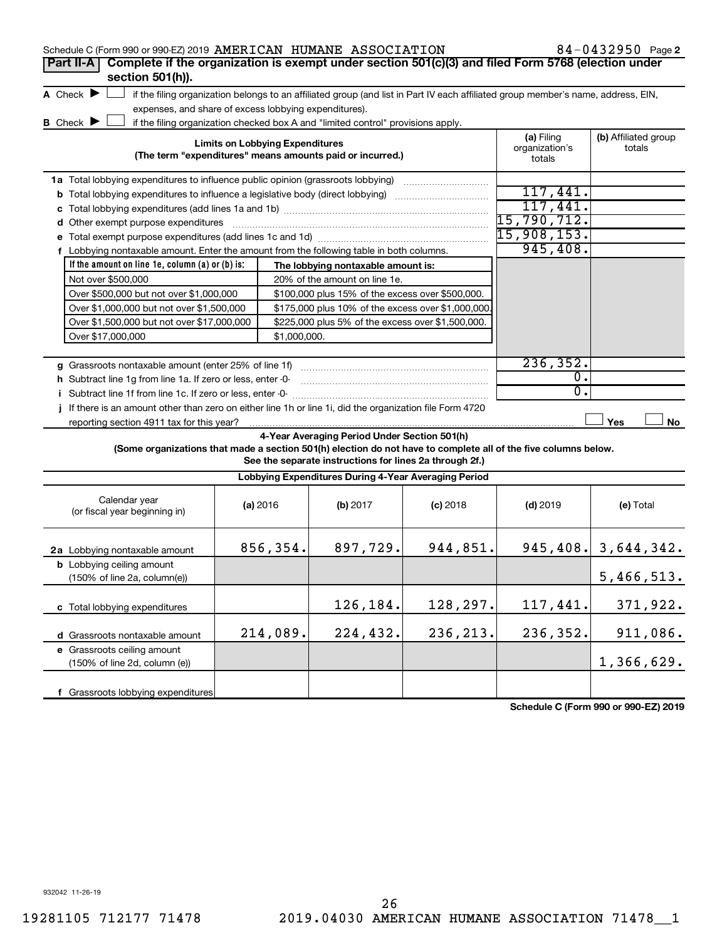| 84-0432950 Page 2<br>Schedule C (Form 990 or 990-EZ) 2019 AMERICAN HUMANE ASSOCIATION                           |                                                                                                                                                                    |                              |                                                                                                         |            |             |                          |  |  |  |  |
|-----------------------------------------------------------------------------------------------------------------|--------------------------------------------------------------------------------------------------------------------------------------------------------------------|------------------------------|---------------------------------------------------------------------------------------------------------|------------|-------------|--------------------------|--|--|--|--|
| Complete if the organization is exempt under section 501(c)(3) and filed Form 5768 (election under<br>Part II-A |                                                                                                                                                                    |                              |                                                                                                         |            |             |                          |  |  |  |  |
| section 501(h)).                                                                                                |                                                                                                                                                                    |                              |                                                                                                         |            |             |                          |  |  |  |  |
|                                                                                                                 | A Check $\blacktriangleright$<br>if the filing organization belongs to an affiliated group (and list in Part IV each affiliated group member's name, address, EIN, |                              |                                                                                                         |            |             |                          |  |  |  |  |
|                                                                                                                 | expenses, and share of excess lobbying expenditures).                                                                                                              |                              |                                                                                                         |            |             |                          |  |  |  |  |
| <b>B</b> Check <b>D</b>                                                                                         |                                                                                                                                                                    |                              | if the filing organization checked box A and "limited control" provisions apply.                        |            |             |                          |  |  |  |  |
| <b>Limits on Lobbying Expenditures</b>                                                                          |                                                                                                                                                                    | (a) Filing<br>organization's | (b) Affiliated group<br>totals                                                                          |            |             |                          |  |  |  |  |
| (The term "expenditures" means amounts paid or incurred.)<br>totals                                             |                                                                                                                                                                    |                              |                                                                                                         |            |             |                          |  |  |  |  |
| 1a Total lobbying expenditures to influence public opinion (grassroots lobbying)                                |                                                                                                                                                                    |                              |                                                                                                         |            |             |                          |  |  |  |  |
| <b>b</b> Total lobbying expenditures to influence a legislative body (direct lobbying) <i>manumumumum</i>       |                                                                                                                                                                    |                              |                                                                                                         |            | 117,441.    |                          |  |  |  |  |
|                                                                                                                 |                                                                                                                                                                    |                              |                                                                                                         |            | 117,441.    |                          |  |  |  |  |
| d Other exempt purpose expenditures                                                                             |                                                                                                                                                                    |                              |                                                                                                         |            | 15,790,712. |                          |  |  |  |  |
|                                                                                                                 |                                                                                                                                                                    |                              |                                                                                                         |            | 15,908,153. |                          |  |  |  |  |
| f Lobbying nontaxable amount. Enter the amount from the following table in both columns.                        |                                                                                                                                                                    |                              |                                                                                                         |            | 945, 408.   |                          |  |  |  |  |
| If the amount on line 1e, column $(a)$ or $(b)$ is:                                                             |                                                                                                                                                                    |                              | The lobbying nontaxable amount is:                                                                      |            |             |                          |  |  |  |  |
| Not over \$500,000                                                                                              |                                                                                                                                                                    |                              | 20% of the amount on line 1e.                                                                           |            |             |                          |  |  |  |  |
| Over \$500,000 but not over \$1,000,000                                                                         |                                                                                                                                                                    |                              | \$100,000 plus 15% of the excess over \$500,000.                                                        |            |             |                          |  |  |  |  |
| Over \$1,000,000 but not over \$1,500,000                                                                       |                                                                                                                                                                    |                              | \$175,000 plus 10% of the excess over \$1,000,000                                                       |            |             |                          |  |  |  |  |
| Over \$1,500,000 but not over \$17,000,000                                                                      | \$225,000 plus 5% of the excess over \$1,500,000.                                                                                                                  |                              |                                                                                                         |            |             |                          |  |  |  |  |
| Over \$17,000,000                                                                                               |                                                                                                                                                                    | \$1,000,000.                 |                                                                                                         |            |             |                          |  |  |  |  |
|                                                                                                                 |                                                                                                                                                                    |                              |                                                                                                         |            |             |                          |  |  |  |  |
| g Grassroots nontaxable amount (enter 25% of line 1f)                                                           |                                                                                                                                                                    |                              |                                                                                                         |            | 236, 352.   |                          |  |  |  |  |
| h Subtract line 1q from line 1a. If zero or less, enter -0-                                                     |                                                                                                                                                                    |                              |                                                                                                         |            | 0.          |                          |  |  |  |  |
|                                                                                                                 |                                                                                                                                                                    |                              |                                                                                                         |            | 0.          |                          |  |  |  |  |
| If there is an amount other than zero on either line 1h or line 1i, did the organization file Form 4720         |                                                                                                                                                                    |                              |                                                                                                         |            |             |                          |  |  |  |  |
| reporting section 4911 tax for this year?                                                                       |                                                                                                                                                                    |                              |                                                                                                         |            |             | Yes<br>No                |  |  |  |  |
| (Some organizations that made a section 501(h) election do not have to complete all of the five columns below.  |                                                                                                                                                                    |                              | 4-Year Averaging Period Under Section 501(h)<br>See the separate instructions for lines 2a through 2f.) |            |             |                          |  |  |  |  |
|                                                                                                                 |                                                                                                                                                                    |                              | Lobbying Expenditures During 4-Year Averaging Period                                                    |            |             |                          |  |  |  |  |
|                                                                                                                 |                                                                                                                                                                    |                              |                                                                                                         |            |             |                          |  |  |  |  |
| Calendar year<br>(or fiscal year beginning in)                                                                  | (a) 2016                                                                                                                                                           |                              | (b) 2017                                                                                                | $(c)$ 2018 | $(d)$ 2019  | (e) Total                |  |  |  |  |
|                                                                                                                 |                                                                                                                                                                    |                              |                                                                                                         |            |             |                          |  |  |  |  |
|                                                                                                                 |                                                                                                                                                                    |                              |                                                                                                         |            |             |                          |  |  |  |  |
| 2a Lobbying nontaxable amount                                                                                   |                                                                                                                                                                    | 856,354.                     | 897,729.                                                                                                | 944,851.   |             | $945, 408.$ 3, 644, 342. |  |  |  |  |
| <b>b</b> Lobbying ceiling amount                                                                                |                                                                                                                                                                    |                              |                                                                                                         |            |             |                          |  |  |  |  |
| (150% of line 2a, column(e))                                                                                    |                                                                                                                                                                    |                              |                                                                                                         |            |             | 5,466,513.               |  |  |  |  |
|                                                                                                                 |                                                                                                                                                                    |                              |                                                                                                         |            |             |                          |  |  |  |  |
| c Total lobbying expenditures                                                                                   |                                                                                                                                                                    |                              | 126,184.                                                                                                | 128,297.   | 117,441.    | 371,922.                 |  |  |  |  |
| d Grassroots nontaxable amount                                                                                  |                                                                                                                                                                    | 214,089.                     | 224,432.                                                                                                | 236, 213.  | 236,352.    | 911,086.                 |  |  |  |  |
| e Grassroots ceiling amount                                                                                     |                                                                                                                                                                    |                              |                                                                                                         |            |             |                          |  |  |  |  |
| (150% of line 2d, column (e))                                                                                   |                                                                                                                                                                    |                              |                                                                                                         |            |             | 1,366,629.               |  |  |  |  |

**Schedule C (Form 990 or 990-EZ) 2019**

**f** Grassroots lobbying expenditures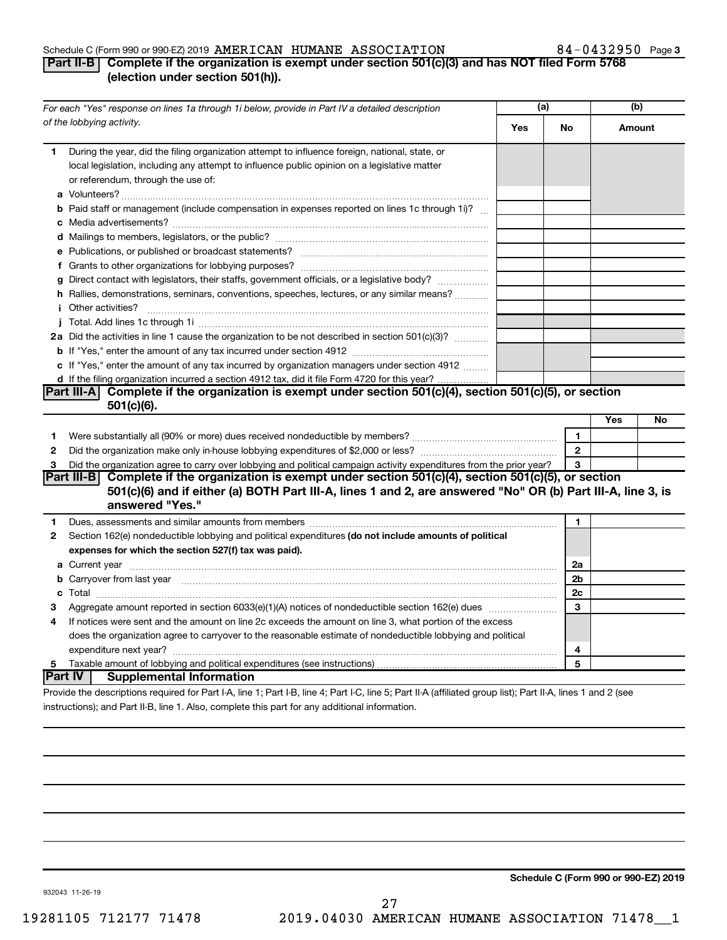## Schedule C (Form 990 or 990-EZ) 2019 Page AMERICAN HUMANE ASSOCIATION 84-0432950

## 84-0432950 Page 3

## **Part II-B Complete if the organization is exempt under section 501(c)(3) and has NOT filed Form 5768 (election under section 501(h)).**

| For each "Yes" response on lines 1a through 1i below, provide in Part IV a detailed description |                                                                                                                                                                                                                                      | (a) |                | (b) |        |
|-------------------------------------------------------------------------------------------------|--------------------------------------------------------------------------------------------------------------------------------------------------------------------------------------------------------------------------------------|-----|----------------|-----|--------|
|                                                                                                 | of the lobbying activity.                                                                                                                                                                                                            | Yes | No             |     | Amount |
| 1                                                                                               | During the year, did the filing organization attempt to influence foreign, national, state, or<br>local legislation, including any attempt to influence public opinion on a legislative matter<br>or referendum, through the use of: |     |                |     |        |
|                                                                                                 | <b>b</b> Paid staff or management (include compensation in expenses reported on lines 1c through 1i)?                                                                                                                                |     |                |     |        |
|                                                                                                 |                                                                                                                                                                                                                                      |     |                |     |        |
|                                                                                                 |                                                                                                                                                                                                                                      |     |                |     |        |
|                                                                                                 |                                                                                                                                                                                                                                      |     |                |     |        |
|                                                                                                 | g Direct contact with legislators, their staffs, government officials, or a legislative body?                                                                                                                                        |     |                |     |        |
|                                                                                                 | h Rallies, demonstrations, seminars, conventions, speeches, lectures, or any similar means?                                                                                                                                          |     |                |     |        |
|                                                                                                 | <b>i</b> Other activities?                                                                                                                                                                                                           |     |                |     |        |
|                                                                                                 |                                                                                                                                                                                                                                      |     |                |     |        |
|                                                                                                 | 2a Did the activities in line 1 cause the organization to be not described in section 501(c)(3)?                                                                                                                                     |     |                |     |        |
|                                                                                                 |                                                                                                                                                                                                                                      |     |                |     |        |
|                                                                                                 | c If "Yes," enter the amount of any tax incurred by organization managers under section 4912                                                                                                                                         |     |                |     |        |
|                                                                                                 | d If the filing organization incurred a section 4912 tax, did it file Form 4720 for this year?                                                                                                                                       |     |                |     |        |
|                                                                                                 | Part III-A Complete if the organization is exempt under section $501(c)(4)$ , section $501(c)(5)$ , or section                                                                                                                       |     |                |     |        |
|                                                                                                 | $501(c)(6)$ .                                                                                                                                                                                                                        |     |                |     |        |
|                                                                                                 |                                                                                                                                                                                                                                      |     |                | Yes | No     |
| 1                                                                                               |                                                                                                                                                                                                                                      |     | $\mathbf{1}$   |     |        |
| $\mathbf{2}$                                                                                    |                                                                                                                                                                                                                                      |     | $\mathbf{2}$   |     |        |
| 3                                                                                               | Did the organization agree to carry over lobbying and political campaign activity expenditures from the prior year?                                                                                                                  |     | 3              |     |        |
|                                                                                                 | Part III-B Complete if the organization is exempt under section 501(c)(4), section 501(c)(5), or section<br>501(c)(6) and if either (a) BOTH Part III-A, lines 1 and 2, are answered "No" OR (b) Part III-A, line 3, is              |     |                |     |        |
|                                                                                                 | answered "Yes."                                                                                                                                                                                                                      |     |                |     |        |
| 1.                                                                                              | Dues, assessments and similar amounts from members [111] Dues, assessments and similar members [11] Dues, assessments and similar amounts from members [11] Dues, assessments and similar amounts from members [11] Dues and S       |     | 1              |     |        |
| 2                                                                                               | Section 162(e) nondeductible lobbying and political expenditures (do not include amounts of political                                                                                                                                |     |                |     |        |
|                                                                                                 | expenses for which the section 527(f) tax was paid).                                                                                                                                                                                 |     |                |     |        |
|                                                                                                 |                                                                                                                                                                                                                                      |     | 2a             |     |        |
|                                                                                                 | b Carryover from last year manufactured and content to content the content of the content of the content of the content of the content of the content of the content of the content of the content of the content of the conte       |     | 2 <sub>b</sub> |     |        |
|                                                                                                 |                                                                                                                                                                                                                                      |     | 2c             |     |        |
| З                                                                                               |                                                                                                                                                                                                                                      |     | 3              |     |        |
| 4                                                                                               | If notices were sent and the amount on line 2c exceeds the amount on line 3, what portion of the excess                                                                                                                              |     |                |     |        |
|                                                                                                 | does the organization agree to carryover to the reasonable estimate of nondeductible lobbying and political                                                                                                                          |     |                |     |        |
|                                                                                                 |                                                                                                                                                                                                                                      |     | 4              |     |        |
| 5                                                                                               |                                                                                                                                                                                                                                      |     | 5              |     |        |
|                                                                                                 | ∣Part IV ⊺<br><b>Supplemental Information</b>                                                                                                                                                                                        |     |                |     |        |
|                                                                                                 | Provide the descriptions required for Part I-A, line 1; Part I-B, line 4; Part I-C, line 5; Part II-A (affiliated group list); Part II-A, lines 1 and 2 (see                                                                         |     |                |     |        |

instructions); and Part II-B, line 1. Also, complete this part for any additional information.

**Schedule C (Form 990 or 990-EZ) 2019**

932043 11-26-19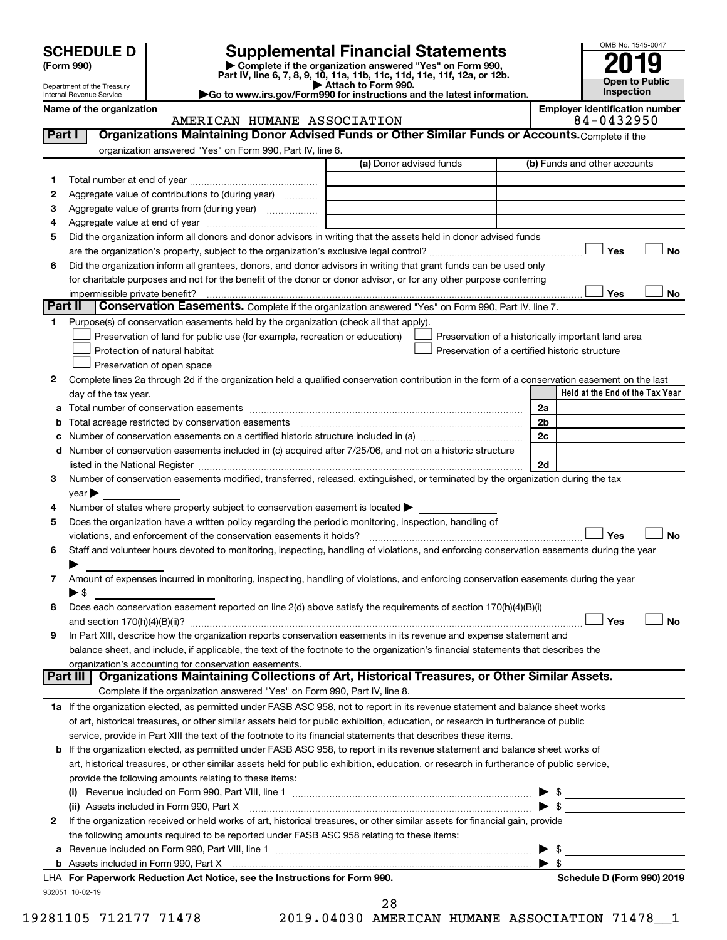| (Form 990) |
|------------|
|            |

# **SCHEDULE D Supplemental Financial Statements**<br> **Form 990 2019**<br> **Part IV** line 6.7.8.9.10, 11a, 11b, 11d, 11d, 11d, 11d, 11d, 12a, 0r, 12b

**(Form 990) | Complete if the organization answered "Yes" on Form 990, Part IV, line 6, 7, 8, 9, 10, 11a, 11b, 11c, 11d, 11e, 11f, 12a, or 12b.**

**| Attach to Form 990. |Go to www.irs.gov/Form990 for instructions and the latest information.**



| Name of the organization   |  |
|----------------------------|--|
| Internal Revenue Service   |  |
| Department of the Treasury |  |

## on<br> **NAMERICAN HUMANE ASSOCIATION**<br>
24-0432950 AMERICAN HUMANE ASSOCIATION

| 1  | organization answered "Yes" on Form 990, Part IV, line 6.                                                                                                                                                                      | (a) Donor advised funds | (b) Funds and other accounts                       |           |
|----|--------------------------------------------------------------------------------------------------------------------------------------------------------------------------------------------------------------------------------|-------------------------|----------------------------------------------------|-----------|
|    |                                                                                                                                                                                                                                |                         |                                                    |           |
| 2  | Aggregate value of contributions to (during year)                                                                                                                                                                              |                         |                                                    |           |
| з  | Aggregate value of grants from (during year)                                                                                                                                                                                   |                         |                                                    |           |
| 4  |                                                                                                                                                                                                                                |                         |                                                    |           |
| 5  | Did the organization inform all donors and donor advisors in writing that the assets held in donor advised funds                                                                                                               |                         |                                                    |           |
|    |                                                                                                                                                                                                                                |                         | Yes                                                | No        |
| 6  | Did the organization inform all grantees, donors, and donor advisors in writing that grant funds can be used only                                                                                                              |                         |                                                    |           |
|    | for charitable purposes and not for the benefit of the donor or donor advisor, or for any other purpose conferring                                                                                                             |                         |                                                    |           |
|    |                                                                                                                                                                                                                                |                         | Yes                                                | No        |
|    | Part II<br>Conservation Easements. Complete if the organization answered "Yes" on Form 990, Part IV, line 7.                                                                                                                   |                         |                                                    |           |
| 1. | Purpose(s) of conservation easements held by the organization (check all that apply).                                                                                                                                          |                         |                                                    |           |
|    | Preservation of land for public use (for example, recreation or education)                                                                                                                                                     |                         | Preservation of a historically important land area |           |
|    | Protection of natural habitat                                                                                                                                                                                                  |                         | Preservation of a certified historic structure     |           |
|    | Preservation of open space                                                                                                                                                                                                     |                         |                                                    |           |
| 2  | Complete lines 2a through 2d if the organization held a qualified conservation contribution in the form of a conservation easement on the last                                                                                 |                         |                                                    |           |
|    | day of the tax year.                                                                                                                                                                                                           |                         | Held at the End of the Tax Year                    |           |
| а  |                                                                                                                                                                                                                                |                         | 2a                                                 |           |
|    | Total acreage restricted by conservation easements                                                                                                                                                                             |                         | 2 <sub>b</sub>                                     |           |
|    | Number of conservation easements on a certified historic structure included in (a) manufacture included in (a)                                                                                                                 |                         | 2c                                                 |           |
| d  | Number of conservation easements included in (c) acquired after 7/25/06, and not on a historic structure                                                                                                                       |                         |                                                    |           |
|    | listed in the National Register [111] Marshall Register [11] Marshall Register [11] Marshall Register [11] Marshall Register [11] Marshall Register [11] Marshall Register [11] Marshall Register [11] Marshall Register [11]  |                         | 2d                                                 |           |
| 3  | Number of conservation easements modified, transferred, released, extinguished, or terminated by the organization during the tax                                                                                               |                         |                                                    |           |
|    | year                                                                                                                                                                                                                           |                         |                                                    |           |
| 4  | Number of states where property subject to conservation easement is located >                                                                                                                                                  |                         |                                                    |           |
| 5  | Does the organization have a written policy regarding the periodic monitoring, inspection, handling of                                                                                                                         |                         |                                                    |           |
|    |                                                                                                                                                                                                                                |                         | Yes                                                | <b>No</b> |
|    | violations, and enforcement of the conservation easements it holds? [[11,11]] will reconservation easements it holds? [11] will reconservation easements it holds? [11] will reconservation easements it holds? [11] will reco |                         |                                                    |           |
| 6  | Staff and volunteer hours devoted to monitoring, inspecting, handling of violations, and enforcing conservation easements during the year                                                                                      |                         |                                                    |           |
| 7  |                                                                                                                                                                                                                                |                         |                                                    |           |
|    | Amount of expenses incurred in monitoring, inspecting, handling of violations, and enforcing conservation easements during the year                                                                                            |                         |                                                    |           |
|    | $\blacktriangleright$ s                                                                                                                                                                                                        |                         |                                                    |           |
| 8  | Does each conservation easement reported on line 2(d) above satisfy the requirements of section 170(h)(4)(B)(i)                                                                                                                |                         | Yes                                                | No        |
|    |                                                                                                                                                                                                                                |                         |                                                    |           |
| 9  | In Part XIII, describe how the organization reports conservation easements in its revenue and expense statement and                                                                                                            |                         |                                                    |           |
|    | balance sheet, and include, if applicable, the text of the footnote to the organization's financial statements that describes the                                                                                              |                         |                                                    |           |
|    | organization's accounting for conservation easements.<br>Organizations Maintaining Collections of Art, Historical Treasures, or Other Similar Assets.<br>Part III                                                              |                         |                                                    |           |
|    |                                                                                                                                                                                                                                |                         |                                                    |           |
|    | Complete if the organization answered "Yes" on Form 990, Part IV, line 8.                                                                                                                                                      |                         |                                                    |           |
|    |                                                                                                                                                                                                                                |                         |                                                    |           |
|    | 1a If the organization elected, as permitted under FASB ASC 958, not to report in its revenue statement and balance sheet works                                                                                                |                         |                                                    |           |
|    | of art, historical treasures, or other similar assets held for public exhibition, education, or research in furtherance of public                                                                                              |                         |                                                    |           |
|    | service, provide in Part XIII the text of the footnote to its financial statements that describes these items.                                                                                                                 |                         |                                                    |           |
|    | <b>b</b> If the organization elected, as permitted under FASB ASC 958, to report in its revenue statement and balance sheet works of                                                                                           |                         |                                                    |           |
|    | art, historical treasures, or other similar assets held for public exhibition, education, or research in furtherance of public service,                                                                                        |                         |                                                    |           |
|    | provide the following amounts relating to these items:                                                                                                                                                                         |                         |                                                    |           |
|    |                                                                                                                                                                                                                                |                         |                                                    |           |
|    | (ii) Assets included in Form 990, Part X                                                                                                                                                                                       |                         | $\blacktriangleright$ \$                           |           |
|    | If the organization received or held works of art, historical treasures, or other similar assets for financial gain, provide                                                                                                   |                         |                                                    |           |
|    | the following amounts required to be reported under FASB ASC 958 relating to these items:                                                                                                                                      |                         |                                                    |           |
| а  |                                                                                                                                                                                                                                |                         | - \$                                               |           |
|    |                                                                                                                                                                                                                                |                         | $\blacktriangleright$ s                            |           |
|    | LHA For Paperwork Reduction Act Notice, see the Instructions for Form 990.                                                                                                                                                     |                         | Schedule D (Form 990) 2019                         |           |
| 2  | 932051 10-02-19                                                                                                                                                                                                                |                         |                                                    |           |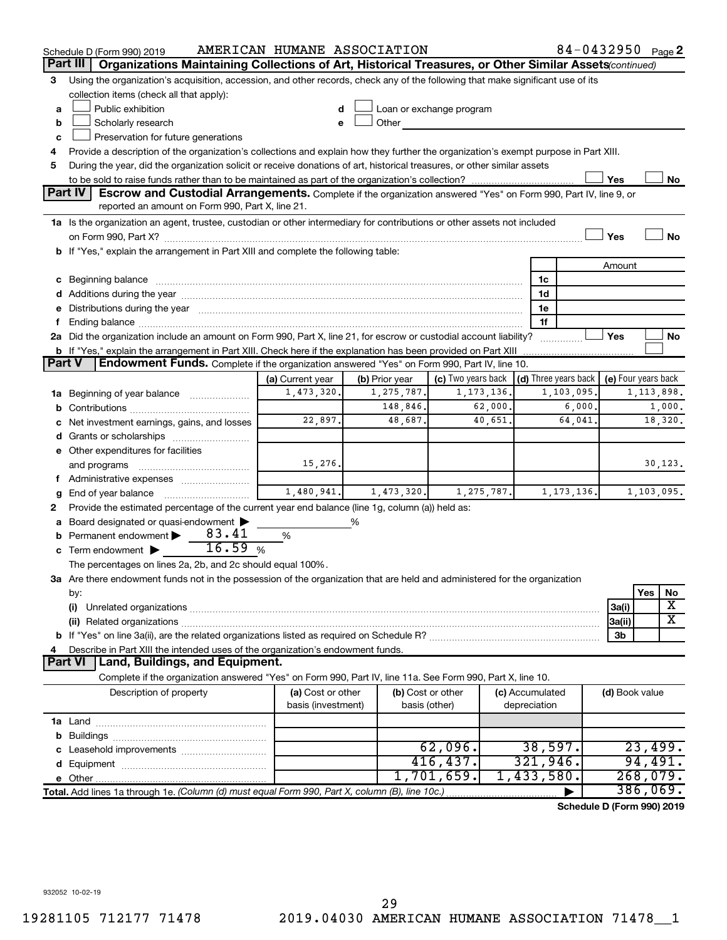|               | Schedule D (Form 990) 2019                                                                                                                                                                                                     | AMERICAN HUMANE ASSOCIATION    |                                |                          |              |                 | $84 - 0432950$ Page 2                                                 |                     |              |          |
|---------------|--------------------------------------------------------------------------------------------------------------------------------------------------------------------------------------------------------------------------------|--------------------------------|--------------------------------|--------------------------|--------------|-----------------|-----------------------------------------------------------------------|---------------------|--------------|----------|
|               | Organizations Maintaining Collections of Art, Historical Treasures, or Other Similar Assets (continued)<br>Part III                                                                                                            |                                |                                |                          |              |                 |                                                                       |                     |              |          |
| 3             | Using the organization's acquisition, accession, and other records, check any of the following that make significant use of its                                                                                                |                                |                                |                          |              |                 |                                                                       |                     |              |          |
|               | collection items (check all that apply):                                                                                                                                                                                       |                                |                                |                          |              |                 |                                                                       |                     |              |          |
| a             | Public exhibition                                                                                                                                                                                                              |                                |                                | Loan or exchange program |              |                 |                                                                       |                     |              |          |
| b             | Scholarly research                                                                                                                                                                                                             |                                | Other                          |                          |              |                 |                                                                       |                     |              |          |
| c             | Preservation for future generations                                                                                                                                                                                            |                                |                                |                          |              |                 |                                                                       |                     |              |          |
| 4             | Provide a description of the organization's collections and explain how they further the organization's exempt purpose in Part XIII.                                                                                           |                                |                                |                          |              |                 |                                                                       |                     |              |          |
| 5             | During the year, did the organization solicit or receive donations of art, historical treasures, or other similar assets                                                                                                       |                                |                                |                          |              |                 |                                                                       |                     |              |          |
|               |                                                                                                                                                                                                                                |                                |                                |                          |              |                 |                                                                       | Yes                 |              | No       |
|               | Part IV<br><b>Escrow and Custodial Arrangements.</b> Complete if the organization answered "Yes" on Form 990, Part IV, line 9, or                                                                                              |                                |                                |                          |              |                 |                                                                       |                     |              |          |
|               | reported an amount on Form 990, Part X, line 21.                                                                                                                                                                               |                                |                                |                          |              |                 |                                                                       |                     |              |          |
|               | 1a Is the organization an agent, trustee, custodian or other intermediary for contributions or other assets not included                                                                                                       |                                |                                |                          |              |                 |                                                                       |                     |              |          |
|               |                                                                                                                                                                                                                                |                                |                                |                          |              |                 |                                                                       | Yes                 |              | No       |
|               | b If "Yes," explain the arrangement in Part XIII and complete the following table:                                                                                                                                             |                                |                                |                          |              |                 |                                                                       |                     |              |          |
|               |                                                                                                                                                                                                                                |                                |                                |                          |              |                 |                                                                       | Amount              |              |          |
|               | c Beginning balance measurements and the contract of the contract of the contract of the contract of the contract of the contract of the contract of the contract of the contract of the contract of the contract of the contr |                                |                                |                          |              | 1c              |                                                                       |                     |              |          |
|               |                                                                                                                                                                                                                                |                                |                                |                          |              | 1d              |                                                                       |                     |              |          |
|               | e Distributions during the year manufactured and contain an account of the year manufactured and the year manufactured and the year manufactured and the year manufactured and the year manufactured and the year manufactured |                                |                                |                          |              | 1e              |                                                                       |                     |              |          |
|               |                                                                                                                                                                                                                                |                                |                                |                          |              | 1f              |                                                                       |                     |              |          |
|               | 2a Did the organization include an amount on Form 990, Part X, line 21, for escrow or custodial account liability?                                                                                                             |                                |                                |                          |              |                 | .                                                                     | Yes                 |              | No       |
|               | <b>b</b> If "Yes," explain the arrangement in Part XIII. Check here if the explanation has been provided on Part XIII                                                                                                          |                                |                                |                          |              |                 |                                                                       |                     |              |          |
| <b>Part V</b> | Endowment Funds. Complete if the organization answered "Yes" on Form 990, Part IV, line 10.                                                                                                                                    |                                |                                |                          |              |                 |                                                                       |                     |              |          |
|               |                                                                                                                                                                                                                                | (a) Current year<br>1,473,320. | (b) Prior year<br>1, 275, 787. |                          | 1, 173, 136. |                 | (c) Two years back $\vert$ (d) Three years back $\vert$<br>1,103,095. | (e) Four years back | 1, 113, 898. |          |
|               | <b>1a</b> Beginning of year balance <i>manumum</i>                                                                                                                                                                             |                                | 148,846.                       |                          | 62,000.      |                 | 6,000.                                                                |                     |              | 1,000.   |
|               |                                                                                                                                                                                                                                | 22,897.                        | 48,687.                        |                          | 40,651.      |                 | 64,041.                                                               |                     |              | 18,320.  |
|               | c Net investment earnings, gains, and losses                                                                                                                                                                                   |                                |                                |                          |              |                 |                                                                       |                     |              |          |
|               |                                                                                                                                                                                                                                |                                |                                |                          |              |                 |                                                                       |                     |              |          |
|               | e Other expenditures for facilities                                                                                                                                                                                            | 15,276.                        |                                |                          |              |                 |                                                                       |                     |              | 30, 123. |
|               | and programs                                                                                                                                                                                                                   |                                |                                |                          |              |                 |                                                                       |                     |              |          |
|               | f Administrative expenses<br><b>g</b> End of year balance $\ldots$                                                                                                                                                             | 1,480,941.                     | 1,473,320.                     |                          | 1, 275, 787. |                 | 1, 173, 136.                                                          |                     | 1,103,095.   |          |
| 2             | Provide the estimated percentage of the current year end balance (line 1g, column (a)) held as:                                                                                                                                |                                |                                |                          |              |                 |                                                                       |                     |              |          |
|               | a Board designated or quasi-endowment >                                                                                                                                                                                        |                                | %                              |                          |              |                 |                                                                       |                     |              |          |
|               | 83.41<br><b>b</b> Permanent endowment $\blacktriangleright$                                                                                                                                                                    | %                              |                                |                          |              |                 |                                                                       |                     |              |          |
|               | 16.59<br>c Term endowment $\blacktriangleright$                                                                                                                                                                                | %                              |                                |                          |              |                 |                                                                       |                     |              |          |
|               | The percentages on lines 2a, 2b, and 2c should equal 100%.                                                                                                                                                                     |                                |                                |                          |              |                 |                                                                       |                     |              |          |
|               | 3a Are there endowment funds not in the possession of the organization that are held and administered for the organization                                                                                                     |                                |                                |                          |              |                 |                                                                       |                     |              |          |
|               | by:                                                                                                                                                                                                                            |                                |                                |                          |              |                 |                                                                       |                     | Yes          | No       |
|               | (i)                                                                                                                                                                                                                            |                                |                                |                          |              |                 |                                                                       | 3a(i)               |              | х        |
|               |                                                                                                                                                                                                                                |                                |                                |                          |              |                 |                                                                       | 3a(ii)              |              | x        |
|               |                                                                                                                                                                                                                                |                                |                                |                          |              |                 |                                                                       | 3b                  |              |          |
| 4             | Describe in Part XIII the intended uses of the organization's endowment funds.                                                                                                                                                 |                                |                                |                          |              |                 |                                                                       |                     |              |          |
|               | Land, Buildings, and Equipment.<br><b>Part VI</b>                                                                                                                                                                              |                                |                                |                          |              |                 |                                                                       |                     |              |          |
|               | Complete if the organization answered "Yes" on Form 990, Part IV, line 11a. See Form 990, Part X, line 10.                                                                                                                     |                                |                                |                          |              |                 |                                                                       |                     |              |          |
|               | Description of property                                                                                                                                                                                                        | (a) Cost or other              |                                | (b) Cost or other        |              | (c) Accumulated |                                                                       | (d) Book value      |              |          |
|               |                                                                                                                                                                                                                                | basis (investment)             |                                | basis (other)            |              | depreciation    |                                                                       |                     |              |          |
|               |                                                                                                                                                                                                                                |                                |                                |                          |              |                 |                                                                       |                     |              |          |
|               |                                                                                                                                                                                                                                |                                |                                |                          |              |                 |                                                                       |                     |              |          |
|               |                                                                                                                                                                                                                                |                                |                                | 62,096.                  |              |                 | 38,597.                                                               |                     | 23,499.      |          |
|               |                                                                                                                                                                                                                                |                                |                                | 416, 437.                |              | 321,946.        |                                                                       |                     | 94,491.      |          |
|               |                                                                                                                                                                                                                                |                                |                                | 1,701,659.               |              | 1,433,580.      |                                                                       |                     | 268,079.     |          |
|               | Total. Add lines 1a through 1e. (Column (d) must equal Form 990, Part X, column (B), line 10c.)                                                                                                                                |                                |                                |                          |              |                 |                                                                       |                     | 386,069.     |          |
|               |                                                                                                                                                                                                                                |                                |                                |                          |              |                 | Schedule D (Form 990) 2019                                            |                     |              |          |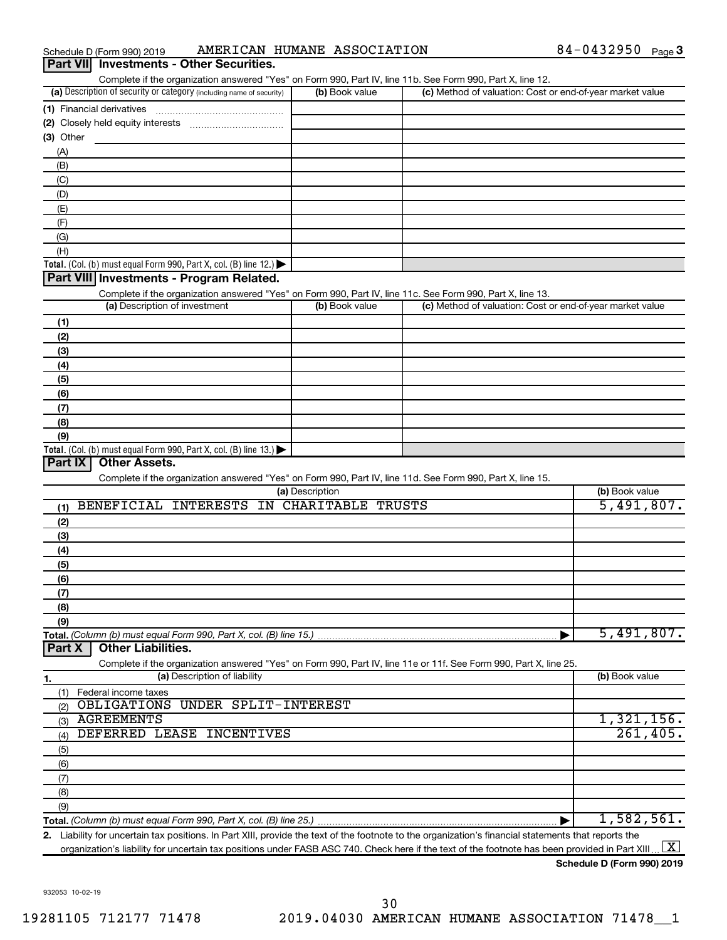| Schedule D (Form 990) 2019 |                                                 | AMERICAN HUMANE ASSOCIATION | 84-0432950 | Page 3 |
|----------------------------|-------------------------------------------------|-----------------------------|------------|--------|
|                            | <b>Part VII</b> Investments - Other Securities. |                             |            |        |

| Complete if the organization answered "Yes" on Form 990, Part IV, line 11b. See Form 990, Part X, line 12.        |                      |                                                           |                |
|-------------------------------------------------------------------------------------------------------------------|----------------------|-----------------------------------------------------------|----------------|
| (a) Description of security or category (including name of security)                                              | (b) Book value       | (c) Method of valuation: Cost or end-of-year market value |                |
|                                                                                                                   |                      |                                                           |                |
|                                                                                                                   |                      |                                                           |                |
| (3) Other                                                                                                         |                      |                                                           |                |
| (A)                                                                                                               |                      |                                                           |                |
| (B)                                                                                                               |                      |                                                           |                |
| (C)                                                                                                               |                      |                                                           |                |
|                                                                                                                   |                      |                                                           |                |
| (D)                                                                                                               |                      |                                                           |                |
| (E)                                                                                                               |                      |                                                           |                |
| (F)                                                                                                               |                      |                                                           |                |
| (G)                                                                                                               |                      |                                                           |                |
| (H)                                                                                                               |                      |                                                           |                |
| Total. (Col. (b) must equal Form 990, Part X, col. (B) line 12.)                                                  |                      |                                                           |                |
| Part VIII Investments - Program Related.                                                                          |                      |                                                           |                |
| Complete if the organization answered "Yes" on Form 990, Part IV, line 11c. See Form 990, Part X, line 13.        |                      |                                                           |                |
| (a) Description of investment                                                                                     | (b) Book value       | (c) Method of valuation: Cost or end-of-year market value |                |
| (1)                                                                                                               |                      |                                                           |                |
| (2)                                                                                                               |                      |                                                           |                |
| (3)                                                                                                               |                      |                                                           |                |
| (4)                                                                                                               |                      |                                                           |                |
| (5)                                                                                                               |                      |                                                           |                |
| (6)                                                                                                               |                      |                                                           |                |
| (7)                                                                                                               |                      |                                                           |                |
| (8)                                                                                                               |                      |                                                           |                |
| (9)                                                                                                               |                      |                                                           |                |
| Total. (Col. (b) must equal Form 990, Part X, col. (B) line 13.)                                                  |                      |                                                           |                |
| Part IX<br><b>Other Assets.</b>                                                                                   |                      |                                                           |                |
|                                                                                                                   |                      |                                                           |                |
| Complete if the organization answered "Yes" on Form 990, Part IV, line 11d. See Form 990, Part X, line 15.        | (a) Description      |                                                           | (b) Book value |
| BENEFICIAL INTERESTS                                                                                              | IN CHARITABLE TRUSTS |                                                           | 5,491,807.     |
| (1)                                                                                                               |                      |                                                           |                |
| (2)                                                                                                               |                      |                                                           |                |
| (3)                                                                                                               |                      |                                                           |                |
| (4)                                                                                                               |                      |                                                           |                |
| (5)                                                                                                               |                      |                                                           |                |
| (6)                                                                                                               |                      |                                                           |                |
| (7)                                                                                                               |                      |                                                           |                |
| (8)                                                                                                               |                      |                                                           |                |
| (9)                                                                                                               |                      |                                                           |                |
| Total. (Column (b) must equal Form 990, Part X, col. (B) line 15.)                                                |                      |                                                           | 5,491,807.     |
| <b>Other Liabilities.</b><br>Part X                                                                               |                      |                                                           |                |
| Complete if the organization answered "Yes" on Form 990, Part IV, line 11e or 11f. See Form 990, Part X, line 25. |                      |                                                           |                |
| (a) Description of liability<br>1.                                                                                |                      |                                                           | (b) Book value |
| Federal income taxes<br>(1)                                                                                       |                      |                                                           |                |
| <b>UNDER SPLIT-INTEREST</b><br>OBLIGATIONS<br>(2)                                                                 |                      |                                                           |                |
| <b>AGREEMENTS</b><br>(3)                                                                                          |                      |                                                           | 1,321,156.     |
| DEFERRED LEASE INCENTIVES<br>(4)                                                                                  |                      |                                                           | 261,405.       |
|                                                                                                                   |                      |                                                           |                |
| (5)                                                                                                               |                      |                                                           |                |
| (6)                                                                                                               |                      |                                                           |                |
| (7)                                                                                                               |                      |                                                           |                |
| (8)                                                                                                               |                      |                                                           |                |
|                                                                                                                   |                      |                                                           |                |
| (9)                                                                                                               |                      |                                                           | 1,582,561.     |

**2.** Liability for uncertain tax positions. In Part XIII, provide the text of the footnote to the organization's financial statements that reports the organization's liability for uncertain tax positions under FASB ASC 740. Check here if the text of the footnote has been provided in Part XIII ...  $\fbox{\bf X}$ 

**Schedule D (Form 990) 2019**

932053 10-02-19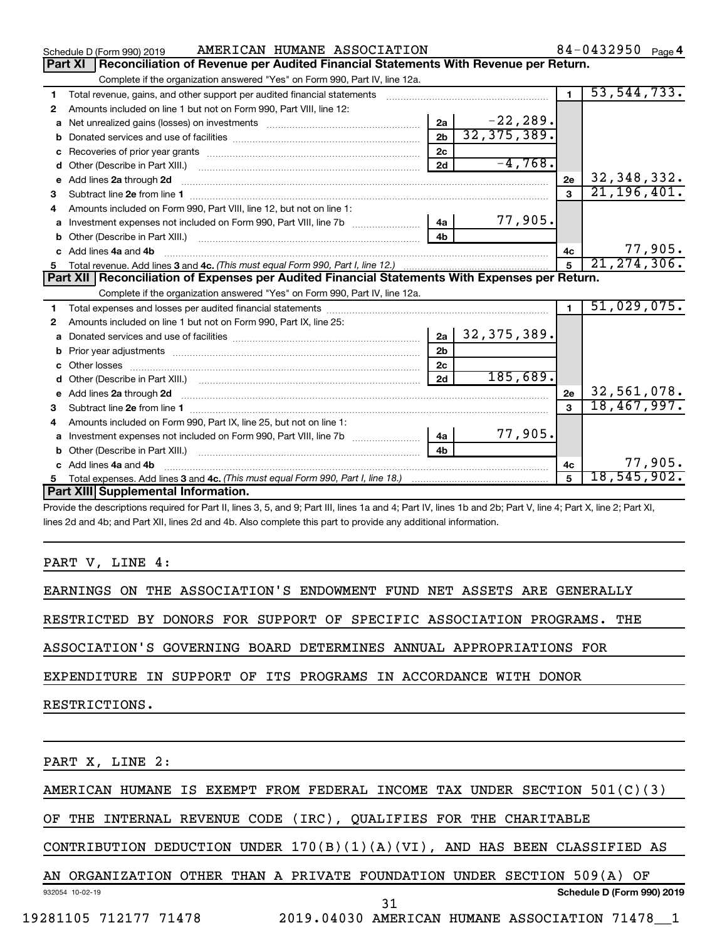|    | AMERICAN HUMANE ASSOCIATION<br>Schedule D (Form 990) 2019                                                                                                                                                                           |                | 84-0432950 $_{Page 4}$ |         |
|----|-------------------------------------------------------------------------------------------------------------------------------------------------------------------------------------------------------------------------------------|----------------|------------------------|---------|
|    | Reconciliation of Revenue per Audited Financial Statements With Revenue per Return.<br>Part XI                                                                                                                                      |                |                        |         |
|    | Complete if the organization answered "Yes" on Form 990, Part IV, line 12a.                                                                                                                                                         |                |                        |         |
| 1  | Total revenue, gains, and other support per audited financial statements                                                                                                                                                            | 1.             | 53, 544, 733.          |         |
| 2  | Amounts included on line 1 but not on Form 990, Part VIII, line 12:                                                                                                                                                                 |                |                        |         |
| a  | 2a                                                                                                                                                                                                                                  | $-22, 289.$    |                        |         |
| b  | 2 <sub>b</sub>                                                                                                                                                                                                                      | 32, 375, 389.  |                        |         |
| с  | 2 <sub>c</sub>                                                                                                                                                                                                                      |                |                        |         |
| d  | 2d                                                                                                                                                                                                                                  | $-4,768.$      |                        |         |
|    | e Add lines 2a through 2d                                                                                                                                                                                                           | 2e             | 32, 348, 332.          |         |
| 3  |                                                                                                                                                                                                                                     |                | 21, 196, 401.          |         |
| 4  | Amounts included on Form 990, Part VIII, line 12, but not on line 1:                                                                                                                                                                |                |                        |         |
|    | 4a<br>Investment expenses not included on Form 990, Part VIII, line 7b [100] [100] [100] [100] [100] [100] [100] [10                                                                                                                | 77,905.        |                        |         |
| b  | 4b                                                                                                                                                                                                                                  |                |                        |         |
| c. | Add lines 4a and 4b                                                                                                                                                                                                                 | 4 <sub>c</sub> |                        | 77,905. |
|    |                                                                                                                                                                                                                                     |                | 21, 274, 306.          |         |
|    | Part XII Reconciliation of Expenses per Audited Financial Statements With Expenses per Return.                                                                                                                                      |                |                        |         |
|    | Complete if the organization answered "Yes" on Form 990, Part IV, line 12a.                                                                                                                                                         |                |                        |         |
| 1  |                                                                                                                                                                                                                                     | $\blacksquare$ | 51,029,075.            |         |
| 2  | Amounts included on line 1 but not on Form 990, Part IX, line 25:                                                                                                                                                                   |                |                        |         |
| a  | 32, 375, 389.<br>2a                                                                                                                                                                                                                 |                |                        |         |
| b  | 2 <sub>b</sub>                                                                                                                                                                                                                      |                |                        |         |
|    | 2 <sub>c</sub>                                                                                                                                                                                                                      |                |                        |         |
|    | 2d                                                                                                                                                                                                                                  | 185,689.       |                        |         |
|    | e Add lines 2a through 2d <b>contract and a contract and a contract a</b> contract a contract and a contract a contract a contract a contract a contract a contract a contract a contract a contract a contract a contract a contra | 2e             | 32,561,078.            |         |
| 3  |                                                                                                                                                                                                                                     |                | 18,467,997.            |         |
| 4  | Amounts included on Form 990, Part IX, line 25, but not on line 1:                                                                                                                                                                  |                |                        |         |
|    | Investment expenses not included on Form 990, Part VIII, line 7b [100] [100] [100] [100] [100] [100] [100] [10<br>4a                                                                                                                | 77,905.        |                        |         |
|    | 4 <sub>h</sub>                                                                                                                                                                                                                      |                |                        |         |
| C. | Add lines 4a and 4b                                                                                                                                                                                                                 | 4 <sub>c</sub> |                        | 77,905. |
|    |                                                                                                                                                                                                                                     | 5              | 18,545,902.            |         |
|    | Part XIII Supplemental Information.                                                                                                                                                                                                 |                |                        |         |
|    |                                                                                                                                                                                                                                     |                |                        |         |

 $\frac{1}{2}$ 

lines 2d and 4b; and Part XII, lines 2d and 4b. Also complete this part to provide any additional information.

## PART V, LINE 4:

EARNINGS ON THE ASSOCIATION'S ENDOWMENT FUND NET ASSETS ARE GENERALLY

RESTRICTED BY DONORS FOR SUPPORT OF SPECIFIC ASSOCIATION PROGRAMS. THE

ASSOCIATION'S GOVERNING BOARD DETERMINES ANNUAL APPROPRIATIONS FOR

EXPENDITURE IN SUPPORT OF ITS PROGRAMS IN ACCORDANCE WITH DONOR

RESTRICTIONS.

PART X, LINE 2:

AMERICAN HUMANE IS EXEMPT FROM FEDERAL INCOME TAX UNDER SECTION 501(C)(3)

OF THE INTERNAL REVENUE CODE (IRC), QUALIFIES FOR THE CHARITABLE

CONTRIBUTION DEDUCTION UNDER  $170(B)(1)(A)(VI)$ , AND HAS BEEN CLASSIFIED AS

932054 10-02-19 **Schedule D (Form 990) 2019** AN ORGANIZATION OTHER THAN A PRIVATE FOUNDATION UNDER SECTION 509(A) OF

31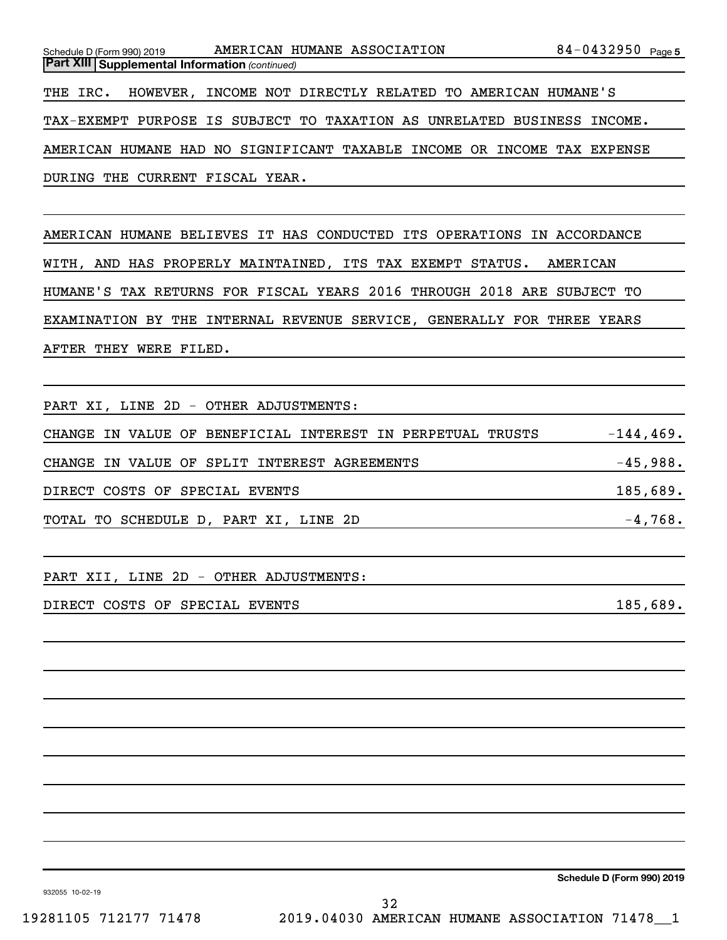| Schedule D (Form 990) 2019                              | AMERICAN HUMANE ASSOCIATION                                             | $84 - 0432950$ Page 5 |
|---------------------------------------------------------|-------------------------------------------------------------------------|-----------------------|
| <b>Part XIII   Supplemental Information (continued)</b> |                                                                         |                       |
|                                                         | THE IRC. HOWEVER, INCOME NOT DIRECTLY RELATED TO AMERICAN HUMANE'S      |                       |
|                                                         | TAX-EXEMPT PURPOSE IS SUBJECT TO TAXATION AS UNRELATED BUSINESS INCOME. |                       |
|                                                         | AMERICAN HUMANE HAD NO SIGNIFICANT TAXABLE INCOME OR INCOME TAX EXPENSE |                       |
| DURING THE CURRENT FISCAL YEAR.                         |                                                                         |                       |

AMERICAN HUMANE BELIEVES IT HAS CONDUCTED ITS OPERATIONS IN ACCORDANCE WITH, AND HAS PROPERLY MAINTAINED, ITS TAX EXEMPT STATUS. AMERICAN HUMANE'S TAX RETURNS FOR FISCAL YEARS 2016 THROUGH 2018 ARE SUBJECT TO EXAMINATION BY THE INTERNAL REVENUE SERVICE, GENERALLY FOR THREE YEARS AFTER THEY WERE FILED.

PART XI, LINE 2D - OTHER ADJUSTMENTS:

CHANGE IN VALUE OF BENEFICIAL INTEREST IN PERPETUAL TRUSTS  $-144, 469$ . CHANGE IN VALUE OF SPLIT INTEREST AGREEMENTS FOR SAMILLARY CHANGE 15,988. DIRECT COSTS OF SPECIAL EVENTS **185,689.** THE SERVICE SERVICE SERVICE SERVICE SERVICE SERVICE SERVICE SERVICE SERVICE SERVICE SERVICE SERVICE SERVICE SERVICE SERVICE SERVICE SERVICE SERVICE SERVICE SERVICE SERVICE SERVICE TOTAL TO SCHEDULE D, PART XI, LINE 2D  $-4,768$ .

PART XII, LINE 2D - OTHER ADJUSTMENTS:

DIRECT COSTS OF SPECIAL EVENTS **185,689.** THE SERVICE SERVICE SERVICE SERVICE SERVICE SERVICE SERVICE SERVICE SERVICE SERVICE SERVICE SERVICE SERVICE SERVICE SERVICE SERVICE SERVICE SERVICE SERVICE SERVICE SERVICE SERVICE

**Schedule D (Form 990) 2019**

932055 10-02-19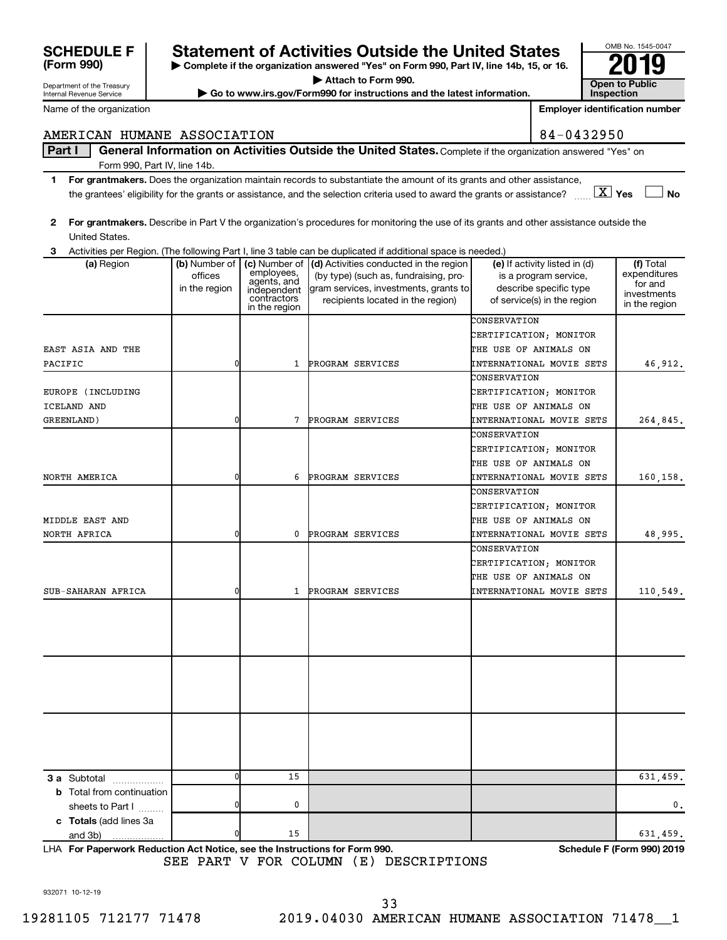|  | c Totals ( |
|--|------------|

932071 10-12-19

33

SEE PART V FOR COLUMN (E) DESCRIPTIONS

**2 For grantmakers.**  Describe in Part V the organization's procedures for monitoring the use of its grants and other assistance outside the

Form 990, Part IV, line 14b.

| (a) Region                       | offices<br>in the region | employees,<br>agents, and<br>independent<br>contractors<br>in the region | (b) Number of $\vert$ (c) Number of $\vert$ (d) Activities conducted in the region<br>(by type) (such as, fundraising, pro-<br>gram services, investments, grants to<br>recipients located in the region) | (e) If activity listed in (d)<br>is a program service,<br>describe specific type<br>of service(s) in the region | (f) Total<br>expenditures<br>for and<br>investments<br>in the region |
|----------------------------------|--------------------------|--------------------------------------------------------------------------|-----------------------------------------------------------------------------------------------------------------------------------------------------------------------------------------------------------|-----------------------------------------------------------------------------------------------------------------|----------------------------------------------------------------------|
|                                  |                          |                                                                          |                                                                                                                                                                                                           | CONSERVATION                                                                                                    |                                                                      |
|                                  |                          |                                                                          |                                                                                                                                                                                                           | CERTIFICATION; MONITOR                                                                                          |                                                                      |
| EAST ASIA AND THE                |                          |                                                                          |                                                                                                                                                                                                           | THE USE OF ANIMALS ON                                                                                           |                                                                      |
| PACIFIC                          | $\overline{0}$           | $\mathbf{1}$                                                             | PROGRAM SERVICES                                                                                                                                                                                          | INTERNATIONAL MOVIE SETS                                                                                        | 46,912.                                                              |
|                                  |                          |                                                                          |                                                                                                                                                                                                           | CONSERVATION                                                                                                    |                                                                      |
| EUROPE (INCLUDING                |                          |                                                                          |                                                                                                                                                                                                           | CERTIFICATION; MONITOR                                                                                          |                                                                      |
| ICELAND AND                      |                          |                                                                          |                                                                                                                                                                                                           | THE USE OF ANIMALS ON                                                                                           |                                                                      |
| GREENLAND)                       | 0                        | $7\phantom{.0}$                                                          | PROGRAM SERVICES                                                                                                                                                                                          | INTERNATIONAL MOVIE SETS                                                                                        | 264,845.                                                             |
|                                  |                          |                                                                          |                                                                                                                                                                                                           | CONSERVATION                                                                                                    |                                                                      |
|                                  |                          |                                                                          |                                                                                                                                                                                                           | CERTIFICATION; MONITOR                                                                                          |                                                                      |
|                                  |                          |                                                                          |                                                                                                                                                                                                           | THE USE OF ANIMALS ON                                                                                           |                                                                      |
| NORTH AMERICA                    | 0                        | 6                                                                        | PROGRAM SERVICES                                                                                                                                                                                          | INTERNATIONAL MOVIE SETS                                                                                        | 160,158.                                                             |
|                                  |                          |                                                                          |                                                                                                                                                                                                           | CONSERVATION                                                                                                    |                                                                      |
|                                  |                          |                                                                          |                                                                                                                                                                                                           | CERTIFICATION; MONITOR                                                                                          |                                                                      |
| MIDDLE EAST AND                  |                          |                                                                          |                                                                                                                                                                                                           | THE USE OF ANIMALS ON                                                                                           |                                                                      |
| NORTH AFRICA                     | 0                        | 0                                                                        | PROGRAM SERVICES                                                                                                                                                                                          | INTERNATIONAL MOVIE SETS                                                                                        | 48,995.                                                              |
|                                  |                          |                                                                          |                                                                                                                                                                                                           | CONSERVATION                                                                                                    |                                                                      |
|                                  |                          |                                                                          |                                                                                                                                                                                                           | CERTIFICATION; MONITOR                                                                                          |                                                                      |
|                                  |                          |                                                                          |                                                                                                                                                                                                           | THE USE OF ANIMALS ON                                                                                           |                                                                      |
| SUB-SAHARAN AFRICA               | 0                        | 1                                                                        | PROGRAM SERVICES                                                                                                                                                                                          | INTERNATIONAL MOVIE SETS                                                                                        | 110,549.                                                             |
|                                  |                          |                                                                          |                                                                                                                                                                                                           |                                                                                                                 |                                                                      |
|                                  |                          |                                                                          |                                                                                                                                                                                                           |                                                                                                                 |                                                                      |
|                                  |                          |                                                                          |                                                                                                                                                                                                           |                                                                                                                 |                                                                      |
|                                  |                          |                                                                          |                                                                                                                                                                                                           |                                                                                                                 |                                                                      |
|                                  |                          |                                                                          |                                                                                                                                                                                                           |                                                                                                                 |                                                                      |
|                                  |                          |                                                                          |                                                                                                                                                                                                           |                                                                                                                 |                                                                      |
|                                  |                          |                                                                          |                                                                                                                                                                                                           |                                                                                                                 |                                                                      |
|                                  |                          |                                                                          |                                                                                                                                                                                                           |                                                                                                                 |                                                                      |
|                                  |                          |                                                                          |                                                                                                                                                                                                           |                                                                                                                 |                                                                      |
|                                  |                          |                                                                          |                                                                                                                                                                                                           |                                                                                                                 |                                                                      |
|                                  |                          |                                                                          |                                                                                                                                                                                                           |                                                                                                                 |                                                                      |
|                                  |                          |                                                                          |                                                                                                                                                                                                           |                                                                                                                 |                                                                      |
|                                  | $\overline{0}$           | 15                                                                       |                                                                                                                                                                                                           |                                                                                                                 | 631,459.                                                             |
| <b>3 a</b> Subtotal              |                          |                                                                          |                                                                                                                                                                                                           |                                                                                                                 |                                                                      |
| <b>b</b> Total from continuation | 0                        | 0                                                                        |                                                                                                                                                                                                           |                                                                                                                 | 0.                                                                   |
| sheets to Part I                 |                          |                                                                          |                                                                                                                                                                                                           |                                                                                                                 |                                                                      |
| c Totals (add lines 3a           | 0I                       | 15                                                                       |                                                                                                                                                                                                           |                                                                                                                 |                                                                      |
| and 3b)                          |                          |                                                                          |                                                                                                                                                                                                           |                                                                                                                 | 631,459.                                                             |

**3** United States. Activities per Region. (The following Part I, line 3 table can be duplicated if additional space is needed.)

**1 For grantmakers.**  Does the organization maintain records to substantiate the amount of its grants and other assistance,

|  | AMERICAN HUMANE ASSOCIATION                                                                                          | 84-0432950 |
|--|----------------------------------------------------------------------------------------------------------------------|------------|
|  | Part I   General Information on Activities Outside the United States. Complete if the organization answered "Yes" on |            |

## **EF | Statement of Activities Outside the United States**

**| Complete if the organization answered "Yes" on Form 990, Part IV, line 14b, 15, or 16. | Attach to Form 990.**

**Yes No** the grantees' eligibility for the grants or assistance, and the selection criteria used to award the grants or assistance? ~~ † † X

**| Go to www.irs.gov/Form990 for instructions and the latest information. Open to Public** 

OMB No. 1545-0047 **Inspection**

**Employer identification number**

| $84 - 0432950$ |  |  |  |  |
|----------------|--|--|--|--|

| <b>SCHEDULI</b> |  |
|-----------------|--|
| (Form 990)      |  |

Department of the Treasury Internal Revenue Service

Name of the organization

**For Paperwork Reduction Act Notice, see the Instructions for Form 990. Schedule F (Form 990) 2019** LHA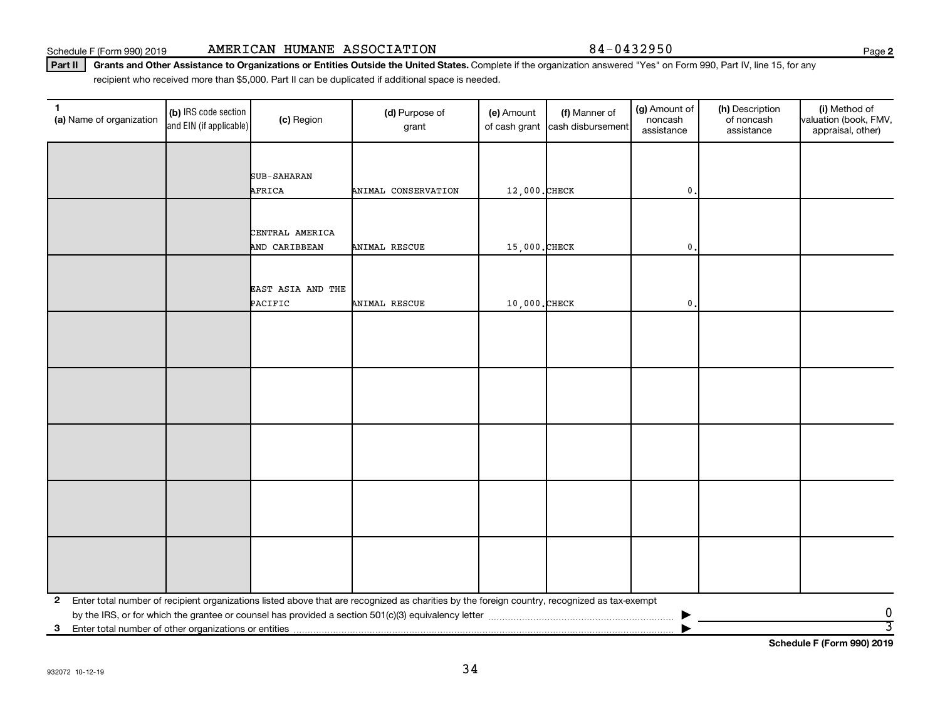Schedule F (Form 990) 2019 Page AMERICAN HUMANE ASSOCIATION 84-0432950

Part II | Grants and Other Assistance to Organizations or Entities Outside the United States. Complete if the organization answered "Yes" on Form 990, Part IV, line 15, for any recipient who received more than \$5,000. Part II can be duplicated if additional space is needed.

| $\mathbf{1}$<br>(a) Name of organization | (b) IRS code section<br>and EIN (if applicable) | (c) Region                       | (d) Purpose of<br>grant                                                                                                                      | (e) Amount<br>of cash grant | (f) Manner of<br>cash disbursement | (g) Amount of<br>noncash<br>assistance | (h) Description<br>of noncash<br>assistance | (i) Method of<br>valuation (book, FMV,<br>appraisal, other) |
|------------------------------------------|-------------------------------------------------|----------------------------------|----------------------------------------------------------------------------------------------------------------------------------------------|-----------------------------|------------------------------------|----------------------------------------|---------------------------------------------|-------------------------------------------------------------|
|                                          |                                                 |                                  |                                                                                                                                              |                             |                                    |                                        |                                             |                                                             |
|                                          |                                                 | SUB-SAHARAN                      |                                                                                                                                              |                             |                                    |                                        |                                             |                                                             |
|                                          |                                                 | AFRICA                           | ANIMAL CONSERVATION                                                                                                                          | 12,000. CHECK               |                                    | $\mathbf{0}$                           |                                             |                                                             |
|                                          |                                                 |                                  |                                                                                                                                              |                             |                                    |                                        |                                             |                                                             |
|                                          |                                                 |                                  |                                                                                                                                              |                             |                                    |                                        |                                             |                                                             |
|                                          |                                                 | CENTRAL AMERICA<br>AND CARIBBEAN | ANIMAL RESCUE                                                                                                                                | 15,000. CHECK               |                                    | $\mathbf{0}$                           |                                             |                                                             |
|                                          |                                                 |                                  |                                                                                                                                              |                             |                                    |                                        |                                             |                                                             |
|                                          |                                                 |                                  |                                                                                                                                              |                             |                                    |                                        |                                             |                                                             |
|                                          |                                                 | EAST ASIA AND THE<br>PACIFIC     | ANIMAL RESCUE                                                                                                                                | 10,000. CHECK               |                                    | $\mathbf{0}$                           |                                             |                                                             |
|                                          |                                                 |                                  |                                                                                                                                              |                             |                                    |                                        |                                             |                                                             |
|                                          |                                                 |                                  |                                                                                                                                              |                             |                                    |                                        |                                             |                                                             |
|                                          |                                                 |                                  |                                                                                                                                              |                             |                                    |                                        |                                             |                                                             |
|                                          |                                                 |                                  |                                                                                                                                              |                             |                                    |                                        |                                             |                                                             |
|                                          |                                                 |                                  |                                                                                                                                              |                             |                                    |                                        |                                             |                                                             |
|                                          |                                                 |                                  |                                                                                                                                              |                             |                                    |                                        |                                             |                                                             |
|                                          |                                                 |                                  |                                                                                                                                              |                             |                                    |                                        |                                             |                                                             |
|                                          |                                                 |                                  |                                                                                                                                              |                             |                                    |                                        |                                             |                                                             |
|                                          |                                                 |                                  |                                                                                                                                              |                             |                                    |                                        |                                             |                                                             |
|                                          |                                                 |                                  |                                                                                                                                              |                             |                                    |                                        |                                             |                                                             |
|                                          |                                                 |                                  |                                                                                                                                              |                             |                                    |                                        |                                             |                                                             |
|                                          |                                                 |                                  |                                                                                                                                              |                             |                                    |                                        |                                             |                                                             |
|                                          |                                                 |                                  |                                                                                                                                              |                             |                                    |                                        |                                             |                                                             |
|                                          |                                                 |                                  |                                                                                                                                              |                             |                                    |                                        |                                             |                                                             |
|                                          |                                                 |                                  |                                                                                                                                              |                             |                                    |                                        |                                             |                                                             |
|                                          |                                                 |                                  |                                                                                                                                              |                             |                                    |                                        |                                             |                                                             |
| $\mathbf{2}$                             |                                                 |                                  | Enter total number of recipient organizations listed above that are recognized as charities by the foreign country, recognized as tax-exempt |                             |                                    |                                        |                                             |                                                             |
|                                          |                                                 |                                  |                                                                                                                                              |                             |                                    |                                        |                                             | 0<br>3                                                      |
|                                          |                                                 |                                  |                                                                                                                                              |                             |                                    |                                        |                                             |                                                             |

**Schedule F (Form 990) 2019**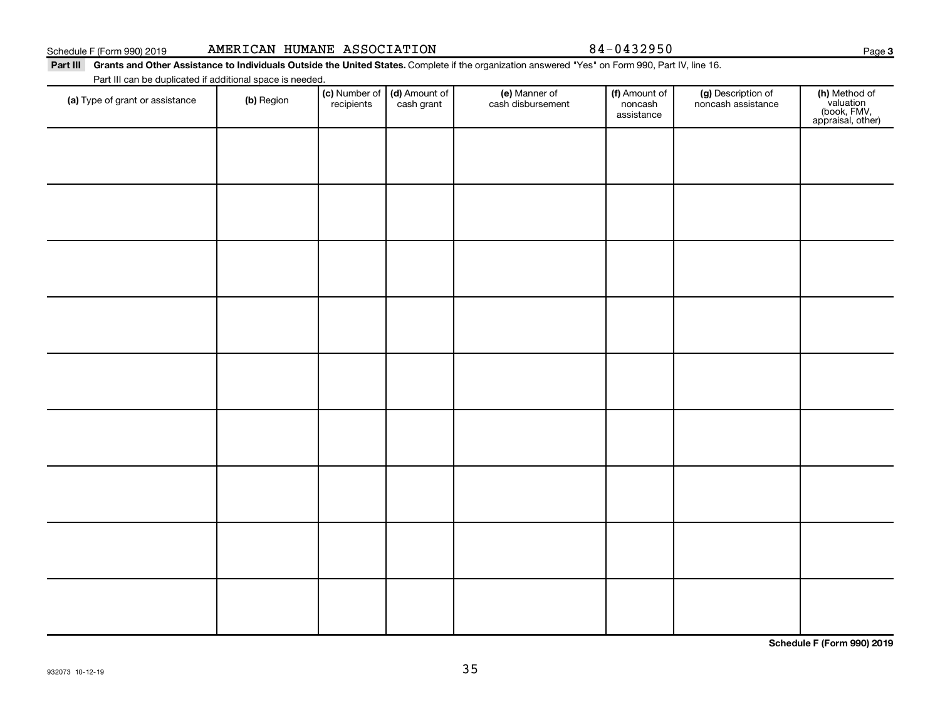| Schedule F (Form 990) 2019 |  | AMERICAN HUMANE ASSOCIATION |
|----------------------------|--|-----------------------------|
|                            |  |                             |

84-0432950

**3**

Part III Grants and Other Assistance to Individuals Outside the United States. Complete if the organization answered "Yes" on Form 990, Part IV, line 16. Part III can be duplicated if additional space is needed.

| (a) Type of grant or assistance | (b) Region | (c) Number of (d) Amount of<br>recipients cash grant | (e) Manner of<br>cash disbursement | (f) Amount of<br>noncash<br>assistance | (g) Description of<br>noncash assistance | (h) Method of<br>valuation<br>(book, FMV,<br>appraisal, other) |
|---------------------------------|------------|------------------------------------------------------|------------------------------------|----------------------------------------|------------------------------------------|----------------------------------------------------------------|
|                                 |            |                                                      |                                    |                                        |                                          |                                                                |
|                                 |            |                                                      |                                    |                                        |                                          |                                                                |
|                                 |            |                                                      |                                    |                                        |                                          |                                                                |
|                                 |            |                                                      |                                    |                                        |                                          |                                                                |
|                                 |            |                                                      |                                    |                                        |                                          |                                                                |
|                                 |            |                                                      |                                    |                                        |                                          |                                                                |
|                                 |            |                                                      |                                    |                                        |                                          |                                                                |
|                                 |            |                                                      |                                    |                                        |                                          |                                                                |
|                                 |            |                                                      |                                    |                                        |                                          |                                                                |

**Schedule F (Form 990) 2019**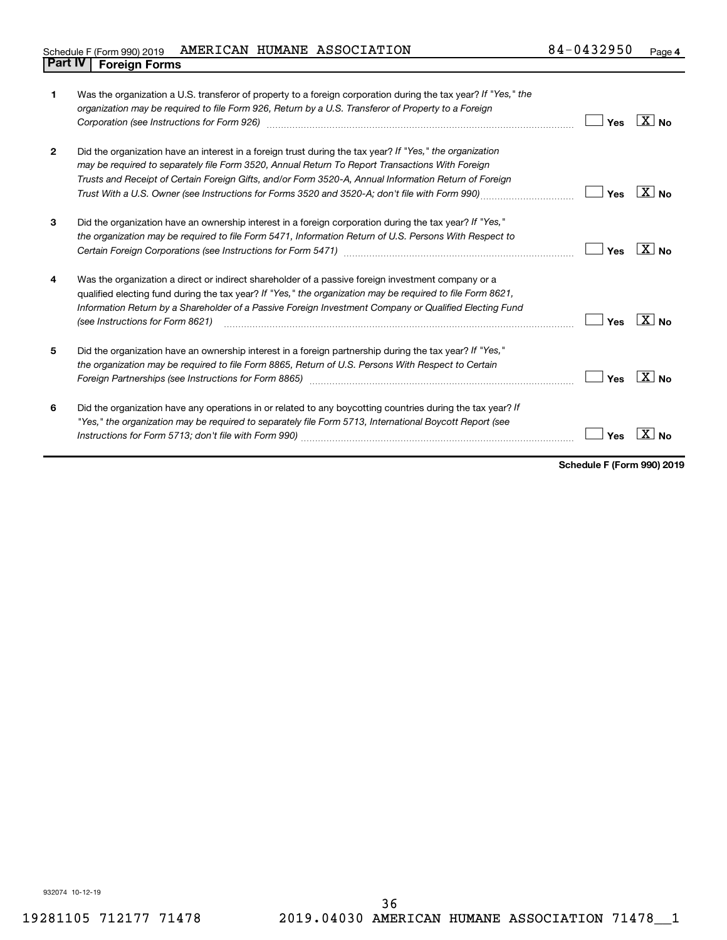## Schedule F (Form 990) 2019 AMERICAN HUMANE ASSOCIATION  $84-0432950$  Page **Part IV F** (Form 990) 2019 **19**<br>**Part IV Foreign Forms**

| 1              | Was the organization a U.S. transferor of property to a foreign corporation during the tax year? If "Yes," the<br>organization may be required to file Form 926, Return by a U.S. Transferor of Property to a Foreign<br>Corporation (see Instructions for Form 926)                                                                                                                                                   | Yes        | $ X _{\text{No}}$ |
|----------------|------------------------------------------------------------------------------------------------------------------------------------------------------------------------------------------------------------------------------------------------------------------------------------------------------------------------------------------------------------------------------------------------------------------------|------------|-------------------|
| $\overline{2}$ | Did the organization have an interest in a foreign trust during the tax year? If "Yes," the organization<br>may be required to separately file Form 3520, Annual Return To Report Transactions With Foreign<br>Trusts and Receipt of Certain Foreign Gifts, and/or Form 3520-A, Annual Information Return of Foreign<br>Trust With a U.S. Owner (see Instructions for Forms 3520 and 3520-A; don't file with Form 990) | <b>Yes</b> | $ X _{\text{No}}$ |
| 3              | Did the organization have an ownership interest in a foreign corporation during the tax year? If "Yes,"<br>the organization may be required to file Form 5471, Information Return of U.S. Persons With Respect to                                                                                                                                                                                                      | Yes        | $X _{N_{\Omega}}$ |
| 4              | Was the organization a direct or indirect shareholder of a passive foreign investment company or a<br>qualified electing fund during the tax year? If "Yes," the organization may be required to file Form 8621,<br>Information Return by a Shareholder of a Passive Foreign Investment Company or Qualified Electing Fund<br>(see Instructions for Form 8621)                                                         | Yes        | $\overline{X}$ No |
| 5              | Did the organization have an ownership interest in a foreign partnership during the tax year? If "Yes,"<br>the organization may be required to file Form 8865, Return of U.S. Persons With Respect to Certain                                                                                                                                                                                                          | Yes        | $X _{N_{\Omega}}$ |
| 6              | Did the organization have any operations in or related to any boycotting countries during the tax year? If<br>"Yes," the organization may be required to separately file Form 5713, International Boycott Report (see                                                                                                                                                                                                  | Yes        |                   |

**Schedule F (Form 990) 2019**

932074 10-12-19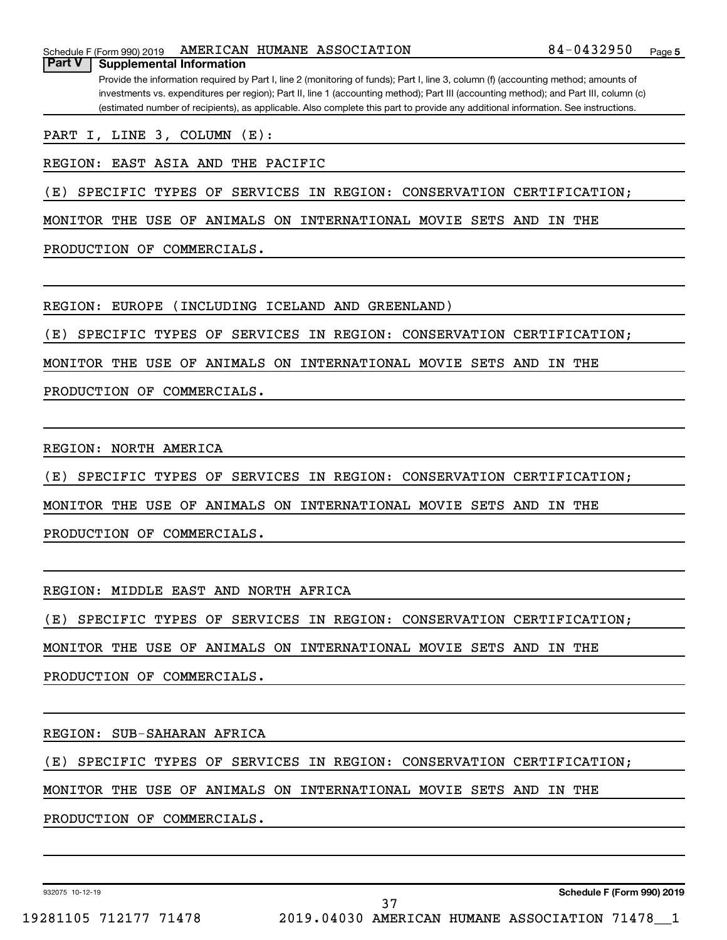Provide the information required by Part I, line 2 (monitoring of funds); Part I, line 3, column (f) (accounting method; amounts of investments vs. expenditures per region); Part II, line 1 (accounting method); Part III (accounting method); and Part III, column (c) (estimated number of recipients), as applicable. Also complete this part to provide any additional information. See instructions. **Part V Supplemental Information**

PART I, LINE 3, COLUMN (E):

REGION: EAST ASIA AND THE PACIFIC

(E) SPECIFIC TYPES OF SERVICES IN REGION: CONSERVATION CERTIFICATION;

MONITOR THE USE OF ANIMALS ON INTERNATIONAL MOVIE SETS AND IN THE

PRODUCTION OF COMMERCIALS.

REGION: EUROPE (INCLUDING ICELAND AND GREENLAND)

(E) SPECIFIC TYPES OF SERVICES IN REGION: CONSERVATION CERTIFICATION;

MONITOR THE USE OF ANIMALS ON INTERNATIONAL MOVIE SETS AND IN THE

PRODUCTION OF COMMERCIALS.

REGION: NORTH AMERICA

(E) SPECIFIC TYPES OF SERVICES IN REGION: CONSERVATION CERTIFICATION;

MONITOR THE USE OF ANIMALS ON INTERNATIONAL MOVIE SETS AND IN THE

PRODUCTION OF COMMERCIALS.

REGION: MIDDLE EAST AND NORTH AFRICA

(E) SPECIFIC TYPES OF SERVICES IN REGION: CONSERVATION CERTIFICATION;

MONITOR THE USE OF ANIMALS ON INTERNATIONAL MOVIE SETS AND IN THE

PRODUCTION OF COMMERCIALS.

REGION: SUB-SAHARAN AFRICA

(E) SPECIFIC TYPES OF SERVICES IN REGION: CONSERVATION CERTIFICATION;

MONITOR THE USE OF ANIMALS ON INTERNATIONAL MOVIE SETS AND IN THE

PRODUCTION OF COMMERCIALS.

932075 10-12-19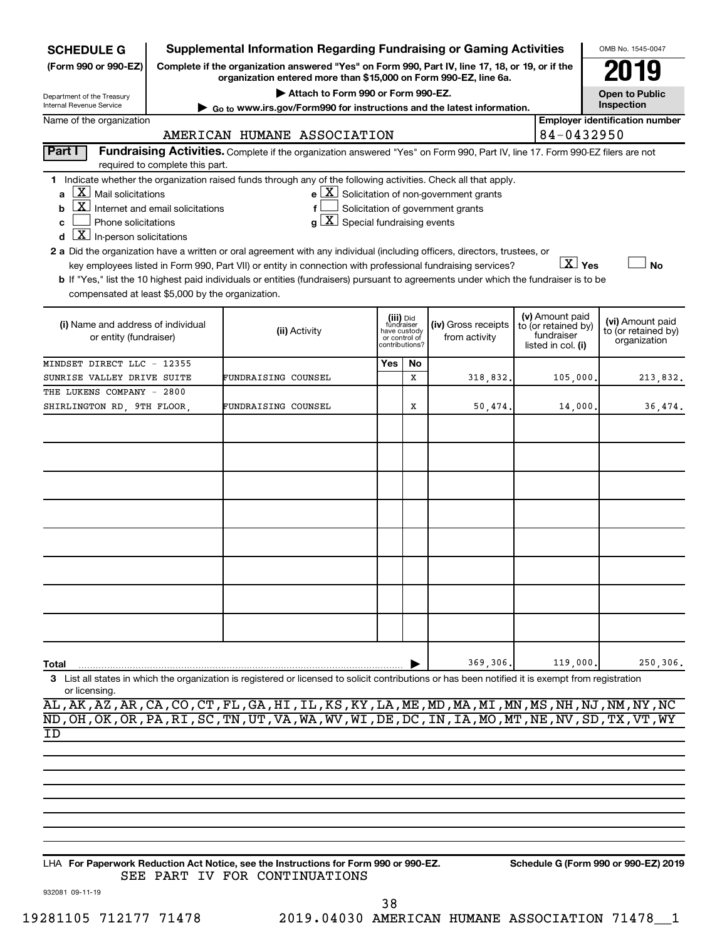| <b>SCHEDULE G</b>                                                                                                                                                                                                                              | <b>Supplemental Information Regarding Fundraising or Gaming Activities</b>                                                                                                                          |                                                                                                                                                                                                                                                                                                                                                                                                                                                                                                                                                    | OMB No. 1545-0047                                                          |    |                                                                                                   |  |                        |                                                     |
|------------------------------------------------------------------------------------------------------------------------------------------------------------------------------------------------------------------------------------------------|-----------------------------------------------------------------------------------------------------------------------------------------------------------------------------------------------------|----------------------------------------------------------------------------------------------------------------------------------------------------------------------------------------------------------------------------------------------------------------------------------------------------------------------------------------------------------------------------------------------------------------------------------------------------------------------------------------------------------------------------------------------------|----------------------------------------------------------------------------|----|---------------------------------------------------------------------------------------------------|--|------------------------|-----------------------------------------------------|
| (Form 990 or 990-EZ)                                                                                                                                                                                                                           |                                                                                                                                                                                                     | Complete if the organization answered "Yes" on Form 990, Part IV, line 17, 18, or 19, or if the<br>organization entered more than \$15,000 on Form 990-EZ, line 6a.                                                                                                                                                                                                                                                                                                                                                                                |                                                                            |    |                                                                                                   |  |                        |                                                     |
| Department of the Treasury                                                                                                                                                                                                                     |                                                                                                                                                                                                     |                                                                                                                                                                                                                                                                                                                                                                                                                                                                                                                                                    | <b>Open to Public</b>                                                      |    |                                                                                                   |  |                        |                                                     |
| Internal Revenue Service<br>Name of the organization                                                                                                                                                                                           |                                                                                                                                                                                                     | $\triangleright$ Go to www.irs.gov/Form990 for instructions and the latest information.                                                                                                                                                                                                                                                                                                                                                                                                                                                            |                                                                            |    |                                                                                                   |  |                        | Inspection<br><b>Employer identification number</b> |
|                                                                                                                                                                                                                                                |                                                                                                                                                                                                     | AMERICAN HUMANE ASSOCIATION                                                                                                                                                                                                                                                                                                                                                                                                                                                                                                                        |                                                                            |    |                                                                                                   |  | 84-0432950             |                                                     |
| Part I                                                                                                                                                                                                                                         |                                                                                                                                                                                                     | Fundraising Activities. Complete if the organization answered "Yes" on Form 990, Part IV, line 17. Form 990-EZ filers are not                                                                                                                                                                                                                                                                                                                                                                                                                      |                                                                            |    |                                                                                                   |  |                        |                                                     |
|                                                                                                                                                                                                                                                | required to complete this part.                                                                                                                                                                     |                                                                                                                                                                                                                                                                                                                                                                                                                                                                                                                                                    |                                                                            |    |                                                                                                   |  |                        |                                                     |
| $\mathbf{a}$ $\mathbf{X}$ Mail solicitations<br>$\boxed{\text{X}}$ Internet and email solicitations<br>b<br>Phone solicitations<br>C<br>$\boxed{\textbf{X}}$ In-person solicitations<br>d<br>compensated at least \$5,000 by the organization. |                                                                                                                                                                                                     | 1 Indicate whether the organization raised funds through any of the following activities. Check all that apply.<br>f<br>$g\mid X$ Special fundraising events<br>2 a Did the organization have a written or oral agreement with any individual (including officers, directors, trustees, or<br>key employees listed in Form 990, Part VII) or entity in connection with professional fundraising services?<br>b If "Yes," list the 10 highest paid individuals or entities (fundraisers) pursuant to agreements under which the fundraiser is to be |                                                                            |    | $e$ $\boxed{\text{X}}$ Solicitation of non-government grants<br>Solicitation of government grants |  | $\boxed{\text{X}}$ Yes | No                                                  |
|                                                                                                                                                                                                                                                | (iii) Did<br>fundraiser<br>(iv) Gross receipts<br>(i) Name and address of individual<br>(ii) Activity<br>have custody<br>or entity (fundraiser)<br>from activity<br>or control of<br>contributions? |                                                                                                                                                                                                                                                                                                                                                                                                                                                                                                                                                    | (v) Amount paid<br>to (or retained by)<br>fundraiser<br>listed in col. (i) |    | (vi) Amount paid<br>to (or retained by)<br>organization                                           |  |                        |                                                     |
| MINDSET DIRECT LLC - 12355                                                                                                                                                                                                                     |                                                                                                                                                                                                     |                                                                                                                                                                                                                                                                                                                                                                                                                                                                                                                                                    | Yes                                                                        | No |                                                                                                   |  |                        |                                                     |
| SUNRISE VALLEY DRIVE SUITE                                                                                                                                                                                                                     |                                                                                                                                                                                                     | FUNDRAISING COUNSEL                                                                                                                                                                                                                                                                                                                                                                                                                                                                                                                                |                                                                            | x  | 318,832.                                                                                          |  | 105,000                | 213,832.                                            |
| THE LUKENS COMPANY - 2800                                                                                                                                                                                                                      |                                                                                                                                                                                                     |                                                                                                                                                                                                                                                                                                                                                                                                                                                                                                                                                    |                                                                            |    |                                                                                                   |  |                        |                                                     |
| SHIRLINGTON RD, 9TH FLOOR,                                                                                                                                                                                                                     |                                                                                                                                                                                                     | FUNDRAISING COUNSEL                                                                                                                                                                                                                                                                                                                                                                                                                                                                                                                                |                                                                            | X  | 50,474.                                                                                           |  | 14,000                 | 36,474.                                             |
|                                                                                                                                                                                                                                                |                                                                                                                                                                                                     |                                                                                                                                                                                                                                                                                                                                                                                                                                                                                                                                                    |                                                                            |    |                                                                                                   |  |                        |                                                     |
|                                                                                                                                                                                                                                                |                                                                                                                                                                                                     |                                                                                                                                                                                                                                                                                                                                                                                                                                                                                                                                                    |                                                                            |    |                                                                                                   |  |                        |                                                     |
|                                                                                                                                                                                                                                                |                                                                                                                                                                                                     |                                                                                                                                                                                                                                                                                                                                                                                                                                                                                                                                                    |                                                                            |    |                                                                                                   |  |                        |                                                     |
|                                                                                                                                                                                                                                                |                                                                                                                                                                                                     |                                                                                                                                                                                                                                                                                                                                                                                                                                                                                                                                                    |                                                                            |    |                                                                                                   |  |                        |                                                     |
|                                                                                                                                                                                                                                                |                                                                                                                                                                                                     |                                                                                                                                                                                                                                                                                                                                                                                                                                                                                                                                                    |                                                                            |    |                                                                                                   |  |                        |                                                     |
|                                                                                                                                                                                                                                                |                                                                                                                                                                                                     |                                                                                                                                                                                                                                                                                                                                                                                                                                                                                                                                                    |                                                                            |    |                                                                                                   |  |                        |                                                     |
|                                                                                                                                                                                                                                                |                                                                                                                                                                                                     |                                                                                                                                                                                                                                                                                                                                                                                                                                                                                                                                                    |                                                                            |    |                                                                                                   |  |                        |                                                     |
|                                                                                                                                                                                                                                                |                                                                                                                                                                                                     |                                                                                                                                                                                                                                                                                                                                                                                                                                                                                                                                                    |                                                                            |    |                                                                                                   |  |                        |                                                     |
|                                                                                                                                                                                                                                                |                                                                                                                                                                                                     |                                                                                                                                                                                                                                                                                                                                                                                                                                                                                                                                                    |                                                                            |    |                                                                                                   |  |                        |                                                     |
|                                                                                                                                                                                                                                                |                                                                                                                                                                                                     |                                                                                                                                                                                                                                                                                                                                                                                                                                                                                                                                                    |                                                                            |    |                                                                                                   |  |                        |                                                     |
|                                                                                                                                                                                                                                                |                                                                                                                                                                                                     |                                                                                                                                                                                                                                                                                                                                                                                                                                                                                                                                                    |                                                                            |    |                                                                                                   |  |                        |                                                     |
|                                                                                                                                                                                                                                                |                                                                                                                                                                                                     |                                                                                                                                                                                                                                                                                                                                                                                                                                                                                                                                                    |                                                                            |    |                                                                                                   |  |                        |                                                     |
|                                                                                                                                                                                                                                                |                                                                                                                                                                                                     |                                                                                                                                                                                                                                                                                                                                                                                                                                                                                                                                                    |                                                                            |    |                                                                                                   |  |                        |                                                     |
| Total                                                                                                                                                                                                                                          |                                                                                                                                                                                                     |                                                                                                                                                                                                                                                                                                                                                                                                                                                                                                                                                    |                                                                            |    | 369,306.                                                                                          |  | 119,000                | 250,306.                                            |
| or licensing.                                                                                                                                                                                                                                  |                                                                                                                                                                                                     | List all states in which the organization is registered or licensed to solicit contributions or has been notified it is exempt from registration<br>AL, AK, AZ, AR, CA, CO, CT, FL, GA, HI, IL, KS, KY, LA, ME, MD, MA, MI, MN, MS, NH, NJ, NM, NY, NC                                                                                                                                                                                                                                                                                             |                                                                            |    |                                                                                                   |  |                        |                                                     |

ND,OH,OK,OR,PA,RI,SC,TN,UT,VA,WA,WV,WI,DE,DC,IN,IA,MO,MT,NE,NV,SD,TX,VT,WY

ID

**For Paperwork Reduction Act Notice, see the Instructions for Form 990 or 990-EZ. Schedule G (Form 990 or 990-EZ) 2019** LHA SEE PART IV FOR CONTINUATIONS

38

932081 09-11-19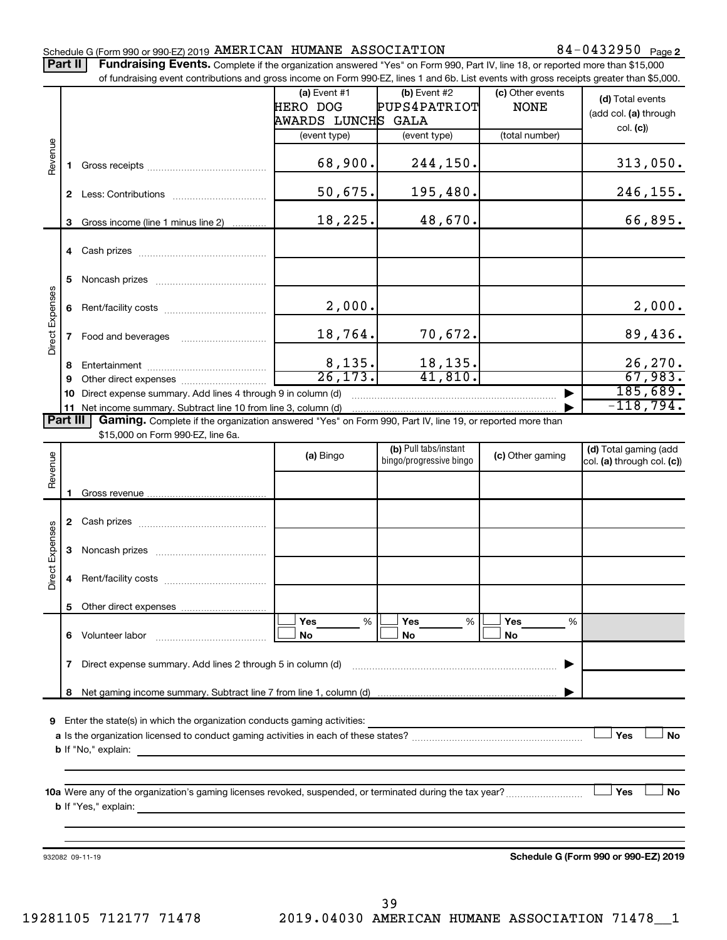## Schedule G (Form 990 or 990-EZ) 2019 Page AMERICAN HUMANE ASSOCIATION 84-0432950

84-0432950 Page 2

Part II | Fundraising Events. Complete if the organization answered "Yes" on Form 990, Part IV, line 18, or reported more than \$15,000

|                 |              | of fundraising event contributions and gross income on Form 990-EZ, lines 1 and 6b. List events with gross receipts greater than \$5,000. |                                  |                                                  |                  |                                      |
|-----------------|--------------|-------------------------------------------------------------------------------------------------------------------------------------------|----------------------------------|--------------------------------------------------|------------------|--------------------------------------|
|                 |              |                                                                                                                                           | $(a)$ Event #1                   | (b) Event #2                                     | (c) Other events | (d) Total events                     |
|                 |              |                                                                                                                                           | <b>HERO DOG</b>                  | PUPS4PATRIOT                                     | <b>NONE</b>      |                                      |
|                 |              |                                                                                                                                           | AWARDS LUNCH <mark>S GALA</mark> |                                                  |                  | (add col. (a) through                |
|                 |              |                                                                                                                                           | (event type)                     | (event type)                                     | (total number)   | col. (c)                             |
|                 |              |                                                                                                                                           |                                  |                                                  |                  |                                      |
| Revenue         | 1.           |                                                                                                                                           | 68,900.                          | 244,150.                                         |                  | 313,050.                             |
|                 |              |                                                                                                                                           |                                  |                                                  |                  |                                      |
|                 |              |                                                                                                                                           | 50,675.                          | 195,480.                                         |                  | 246, 155.                            |
|                 |              |                                                                                                                                           |                                  |                                                  |                  |                                      |
|                 |              |                                                                                                                                           | 18,225.                          | 48,670.                                          |                  | 66,895.                              |
|                 | 3            | Gross income (line 1 minus line 2)                                                                                                        |                                  |                                                  |                  |                                      |
|                 |              |                                                                                                                                           |                                  |                                                  |                  |                                      |
|                 |              |                                                                                                                                           |                                  |                                                  |                  |                                      |
|                 |              |                                                                                                                                           |                                  |                                                  |                  |                                      |
|                 | 5            |                                                                                                                                           |                                  |                                                  |                  |                                      |
|                 |              |                                                                                                                                           | 2,000.                           |                                                  |                  |                                      |
|                 | 6            |                                                                                                                                           |                                  |                                                  |                  | 2,000.                               |
| Direct Expenses |              |                                                                                                                                           | 18,764.                          | 70,672.                                          |                  |                                      |
|                 | $\mathbf{7}$ | Food and beverages                                                                                                                        |                                  |                                                  |                  | 89,436.                              |
|                 |              |                                                                                                                                           |                                  | 18,135.                                          |                  | 26, 270.                             |
|                 | 8            |                                                                                                                                           | $\frac{8,135.}{26,173.}$         | 41,810.                                          |                  | 67,983.                              |
|                 | 9            |                                                                                                                                           |                                  |                                                  |                  | 185,689.                             |
|                 | 10           | Direct expense summary. Add lines 4 through 9 in column (d)                                                                               |                                  |                                                  |                  |                                      |
|                 |              | 11 Net income summary. Subtract line 10 from line 3, column (d)                                                                           |                                  |                                                  |                  | $-118,794.$                          |
| Part III        |              | Gaming. Complete if the organization answered "Yes" on Form 990, Part IV, line 19, or reported more than                                  |                                  |                                                  |                  |                                      |
|                 |              | \$15,000 on Form 990-EZ, line 6a.                                                                                                         |                                  |                                                  |                  |                                      |
|                 |              |                                                                                                                                           | (a) Bingo                        | (b) Pull tabs/instant<br>bingo/progressive bingo | (c) Other gaming | (d) Total gaming (add                |
|                 |              |                                                                                                                                           |                                  |                                                  |                  | col. (a) through col. (c))           |
| Revenue         |              |                                                                                                                                           |                                  |                                                  |                  |                                      |
|                 | 1.           |                                                                                                                                           |                                  |                                                  |                  |                                      |
|                 |              |                                                                                                                                           |                                  |                                                  |                  |                                      |
|                 |              |                                                                                                                                           |                                  |                                                  |                  |                                      |
|                 |              |                                                                                                                                           |                                  |                                                  |                  |                                      |
|                 | 3            |                                                                                                                                           |                                  |                                                  |                  |                                      |
| Direct Expenses |              |                                                                                                                                           |                                  |                                                  |                  |                                      |
|                 | 4            |                                                                                                                                           |                                  |                                                  |                  |                                      |
|                 |              |                                                                                                                                           |                                  |                                                  |                  |                                      |
|                 |              | 5 Other direct expenses                                                                                                                   |                                  |                                                  |                  |                                      |
|                 |              |                                                                                                                                           | %<br><b>Yes</b>                  | %<br>Yes                                         | Yes<br>%         |                                      |
|                 |              | 6 Volunteer labor                                                                                                                         | No                               | No                                               | No               |                                      |
|                 |              |                                                                                                                                           |                                  |                                                  |                  |                                      |
|                 | 7            | Direct expense summary. Add lines 2 through 5 in column (d)                                                                               |                                  |                                                  |                  |                                      |
|                 |              |                                                                                                                                           |                                  |                                                  |                  |                                      |
|                 |              |                                                                                                                                           |                                  |                                                  |                  |                                      |
|                 |              |                                                                                                                                           |                                  |                                                  |                  |                                      |
| 9               |              | Enter the state(s) in which the organization conducts gaming activities:                                                                  |                                  |                                                  |                  |                                      |
|                 |              |                                                                                                                                           |                                  |                                                  |                  | Yes<br>No                            |
|                 |              |                                                                                                                                           |                                  |                                                  |                  |                                      |
|                 |              |                                                                                                                                           |                                  |                                                  |                  |                                      |
|                 |              |                                                                                                                                           |                                  |                                                  |                  |                                      |
|                 |              |                                                                                                                                           |                                  |                                                  |                  | Yes<br>No                            |
|                 |              |                                                                                                                                           |                                  |                                                  |                  |                                      |
|                 |              |                                                                                                                                           |                                  |                                                  |                  |                                      |
|                 |              |                                                                                                                                           |                                  |                                                  |                  |                                      |
|                 |              | 932082 09-11-19                                                                                                                           |                                  |                                                  |                  | Schedule G (Form 990 or 990-EZ) 2019 |

19281105 712177 71478 2019.04030 AMERICAN HUMANE ASSOCIATION 71478\_\_1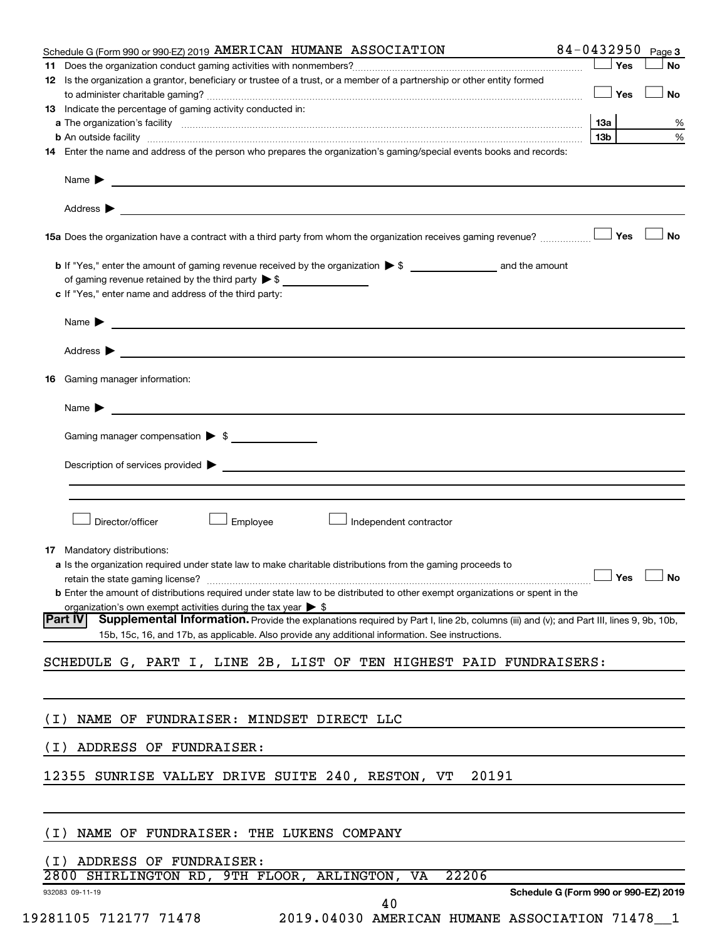|       | 84-0432950<br>Schedule G (Form 990 or 990-EZ) 2019 AMERICAN HUMANE ASSOCIATION                                                                                                                                                       |     |            | Page 3 |
|-------|--------------------------------------------------------------------------------------------------------------------------------------------------------------------------------------------------------------------------------------|-----|------------|--------|
|       |                                                                                                                                                                                                                                      |     | Yes        | No     |
|       | 12 Is the organization a grantor, beneficiary or trustee of a trust, or a member of a partnership or other entity formed                                                                                                             |     |            |        |
|       |                                                                                                                                                                                                                                      |     | $\Box$ Yes | No     |
|       | 13 Indicate the percentage of gaming activity conducted in:                                                                                                                                                                          |     |            |        |
|       | a The organization's facility <b>contained to the contract of the contract of the contract of the contract of the contract of the contract of the contract of the contract of the contract of the contract of the contract of th</b> | 13а |            |        |
|       |                                                                                                                                                                                                                                      | 13b |            |        |
|       | 14 Enter the name and address of the person who prepares the organization's gaming/special events books and records:                                                                                                                 |     |            |        |
|       | Name <b>Decision of the Community of the Community of the Community of the Community of the Community of the Community of the Community of the Community of the Community of the Community of the Community of the Community of </b> |     |            |        |
|       |                                                                                                                                                                                                                                      |     |            |        |
|       | 15a Does the organization have a contract with a third party from whom the organization receives gaming revenue?                                                                                                                     |     | Yes        | No     |
|       |                                                                                                                                                                                                                                      |     |            |        |
|       |                                                                                                                                                                                                                                      |     |            |        |
|       | of gaming revenue retained by the third party $\triangleright$ \$                                                                                                                                                                    |     |            |        |
|       | c If "Yes," enter name and address of the third party:                                                                                                                                                                               |     |            |        |
|       | Name $\blacktriangleright$                                                                                                                                                                                                           |     |            |        |
|       | Address >                                                                                                                                                                                                                            |     |            |        |
|       | 16 Gaming manager information:                                                                                                                                                                                                       |     |            |        |
|       |                                                                                                                                                                                                                                      |     |            |        |
|       | Name > 2008 - 2008 - 2009 - 2009 - 2009 - 2009 - 2009 - 2009 - 2009 - 2009 - 2009 - 2009 - 2009 - 2009 - 2009 - 2009 - 2009 - 2009 - 2009 - 2009 - 2009 - 2009 - 2009 - 2009 - 2009 - 2009 - 2009 - 2009 - 2009 - 2009 - 2009        |     |            |        |
|       | Gaming manager compensation > \$                                                                                                                                                                                                     |     |            |        |
|       |                                                                                                                                                                                                                                      |     |            |        |
|       |                                                                                                                                                                                                                                      |     |            |        |
|       |                                                                                                                                                                                                                                      |     |            |        |
|       |                                                                                                                                                                                                                                      |     |            |        |
|       | Employee<br>Director/officer<br>Independent contractor                                                                                                                                                                               |     |            |        |
|       |                                                                                                                                                                                                                                      |     |            |        |
| 17    | Mandatory distributions:                                                                                                                                                                                                             |     |            |        |
|       | a Is the organization required under state law to make charitable distributions from the gaming proceeds to                                                                                                                          |     |            |        |
|       | retain the state gaming license? $\Box$ No                                                                                                                                                                                           |     |            |        |
|       | <b>b</b> Enter the amount of distributions required under state law to be distributed to other exempt organizations or spent in the                                                                                                  |     |            |        |
|       | organization's own exempt activities during the tax year $\triangleright$ \$                                                                                                                                                         |     |            |        |
|       | Supplemental Information. Provide the explanations required by Part I, line 2b, columns (iii) and (v); and Part III, lines 9, 9b, 10b,<br><b>Part IV</b>                                                                             |     |            |        |
|       | 15b, 15c, 16, and 17b, as applicable. Also provide any additional information. See instructions.                                                                                                                                     |     |            |        |
|       | SCHEDULE G, PART I, LINE 2B, LIST OF TEN HIGHEST PAID FUNDRAISERS:                                                                                                                                                                   |     |            |        |
|       |                                                                                                                                                                                                                                      |     |            |        |
| ( I ) | NAME OF FUNDRAISER: MINDSET DIRECT LLC                                                                                                                                                                                               |     |            |        |
|       |                                                                                                                                                                                                                                      |     |            |        |
| ( I ) | ADDRESS OF FUNDRAISER:                                                                                                                                                                                                               |     |            |        |
|       | 12355 SUNRISE VALLEY DRIVE SUITE 240, RESTON, VT<br>20191                                                                                                                                                                            |     |            |        |
|       |                                                                                                                                                                                                                                      |     |            |        |
| (I)   | NAME OF FUNDRAISER: THE LUKENS COMPANY                                                                                                                                                                                               |     |            |        |
|       |                                                                                                                                                                                                                                      |     |            |        |
|       |                                                                                                                                                                                                                                      |     |            |        |
|       | (I) ADDRESS OF FUNDRAISER:<br>2800 SHIRLINGTON RD, 9TH FLOOR, ARLINGTON, VA<br>22206                                                                                                                                                 |     |            |        |
|       | Schedule G (Form 990 or 990-EZ) 2019<br>932083 09-11-19                                                                                                                                                                              |     |            |        |
|       | 40<br>19281105 712177 71478<br>2019.04030 AMERICAN HUMANE ASSOCIATION 71478_1                                                                                                                                                        |     |            |        |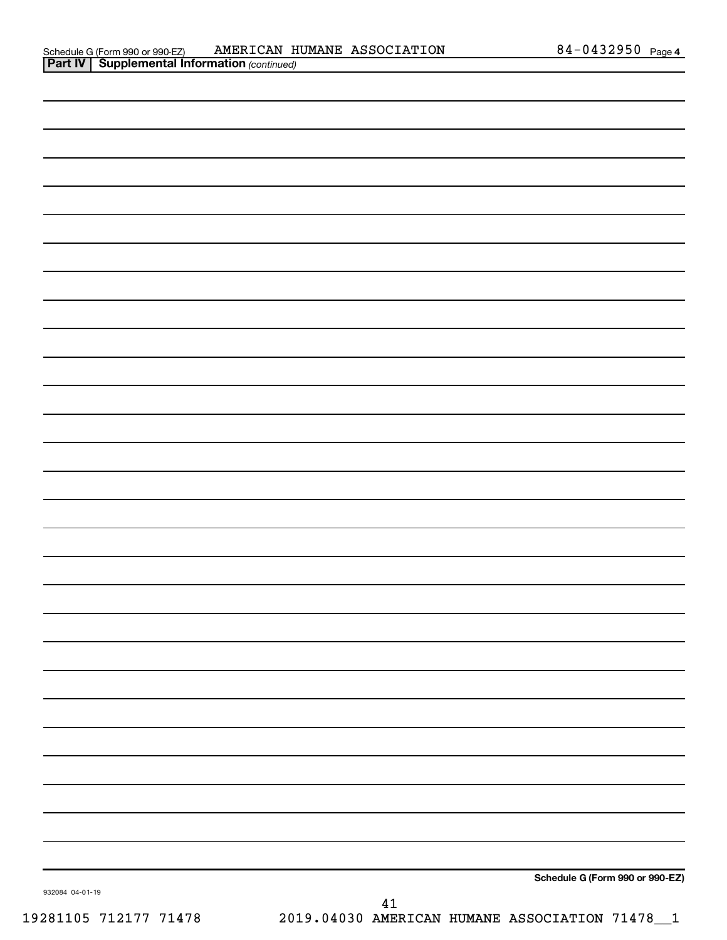| 932084 04-01-19 |        | Schedule G (Form 990 or 990-EZ) |
|-----------------|--------|---------------------------------|
|                 | $41\,$ |                                 |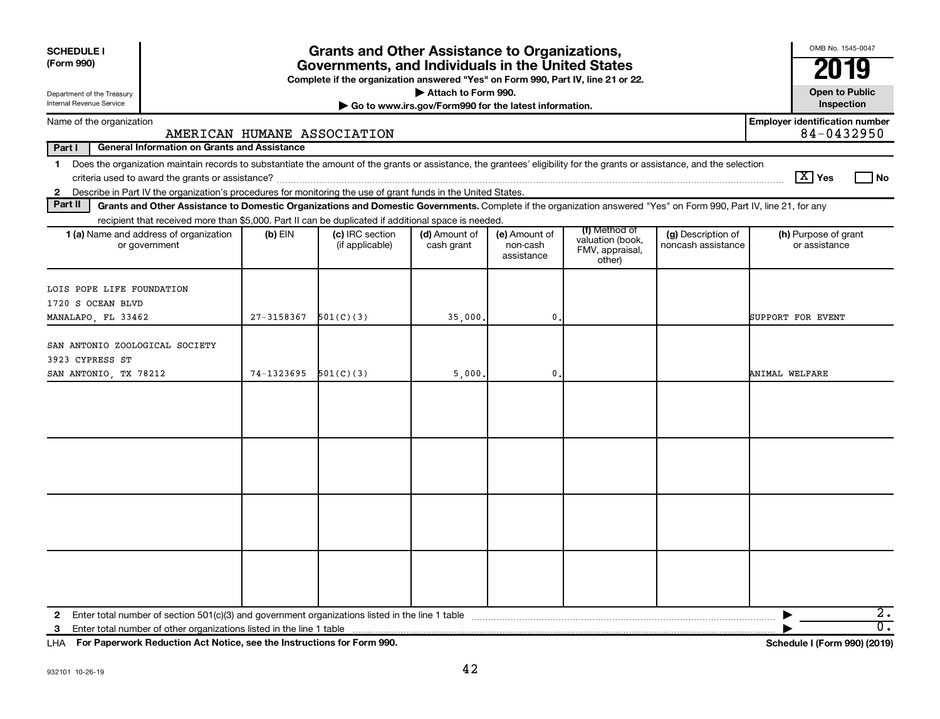| <b>SCHEDULE I</b>                                                                                                                                                                                                                                                                                              |            | <b>Grants and Other Assistance to Organizations,</b>                                                                                  |                                                                              |                                         |                                                                |                                          | OMB No. 1545-0047                                   |
|----------------------------------------------------------------------------------------------------------------------------------------------------------------------------------------------------------------------------------------------------------------------------------------------------------------|------------|---------------------------------------------------------------------------------------------------------------------------------------|------------------------------------------------------------------------------|-----------------------------------------|----------------------------------------------------------------|------------------------------------------|-----------------------------------------------------|
| (Form 990)                                                                                                                                                                                                                                                                                                     |            | Governments, and Individuals in the United States<br>Complete if the organization answered "Yes" on Form 990, Part IV, line 21 or 22. |                                                                              |                                         |                                                                |                                          |                                                     |
| Department of the Treasury<br>Internal Revenue Service                                                                                                                                                                                                                                                         |            |                                                                                                                                       | Attach to Form 990.<br>Go to www.irs.gov/Form990 for the latest information. |                                         |                                                                |                                          | <b>Open to Public</b><br>Inspection                 |
| Name of the organization                                                                                                                                                                                                                                                                                       |            | AMERICAN HUMANE ASSOCIATION                                                                                                           |                                                                              |                                         |                                                                |                                          | <b>Employer identification number</b><br>84-0432950 |
| Part I<br><b>General Information on Grants and Assistance</b>                                                                                                                                                                                                                                                  |            |                                                                                                                                       |                                                                              |                                         |                                                                |                                          |                                                     |
| Does the organization maintain records to substantiate the amount of the grants or assistance, the grantees' eligibility for the grants or assistance, and the selection<br>$\mathbf 1$                                                                                                                        |            |                                                                                                                                       |                                                                              |                                         |                                                                |                                          | $\lceil \text{X} \rceil$ Yes<br>l No                |
| Describe in Part IV the organization's procedures for monitoring the use of grant funds in the United States.<br>$\mathbf{2}$<br>Part II<br>Grants and Other Assistance to Domestic Organizations and Domestic Governments. Complete if the organization answered "Yes" on Form 990, Part IV, line 21, for any |            |                                                                                                                                       |                                                                              |                                         |                                                                |                                          |                                                     |
| recipient that received more than \$5,000. Part II can be duplicated if additional space is needed.                                                                                                                                                                                                            |            |                                                                                                                                       |                                                                              |                                         |                                                                |                                          |                                                     |
| 1 (a) Name and address of organization<br>or government                                                                                                                                                                                                                                                        | $(b)$ EIN  | (c) IRC section<br>(if applicable)                                                                                                    | (d) Amount of<br>cash grant                                                  | (e) Amount of<br>non-cash<br>assistance | (f) Method of<br>valuation (book,<br>FMV, appraisal,<br>other) | (g) Description of<br>noncash assistance | (h) Purpose of grant<br>or assistance               |
| LOIS POPE LIFE FOUNDATION<br>1720 S OCEAN BLVD<br>MANALAPO, FL 33462                                                                                                                                                                                                                                           | 27-3158367 | 501(C)(3)                                                                                                                             | 35,000.                                                                      | 0.                                      |                                                                |                                          | SUPPORT FOR EVENT                                   |
| SAN ANTONIO ZOOLOGICAL SOCIETY<br>3923 CYPRESS ST<br>SAN ANTONIO, TX 78212                                                                                                                                                                                                                                     | 74-1323695 | 501(C)(3)                                                                                                                             | 5,000                                                                        | 0                                       |                                                                |                                          | ANIMAL WELFARE                                      |
|                                                                                                                                                                                                                                                                                                                |            |                                                                                                                                       |                                                                              |                                         |                                                                |                                          |                                                     |
| Enter total number of other organizations listed in the line 1 table<br>3                                                                                                                                                                                                                                      |            |                                                                                                                                       |                                                                              |                                         |                                                                |                                          | $2\cdot$<br>$\overline{0}$ .                        |

**For Paperwork Reduction Act Notice, see the Instructions for Form 990. Schedule I (Form 990) (2019)** LHA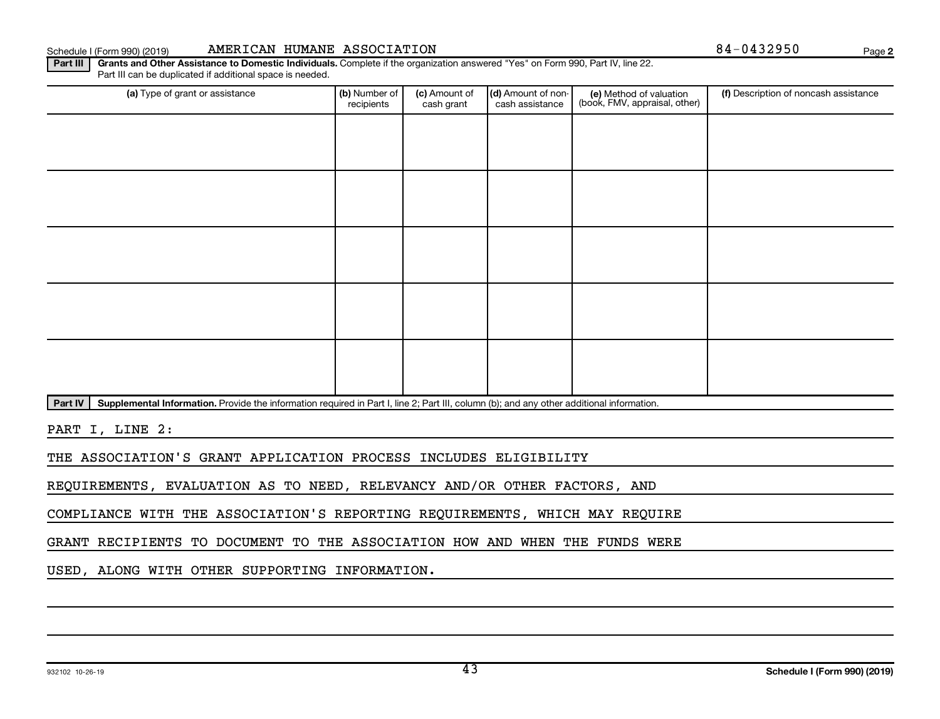(a) Type of grant or assistance **(b)** Number of  $|$  **(c)** Amount of  $|$  **(d)** Amount of non- $|$  **(e)** Method of valuation  $|$  **(f)** 

(c) Amount of cash grant

Schedule I (Form 990) (2019) MINITICAN HUMANE ASSOCIATION 84-0432950 Page

(d) Amount of noncash assistance

(e) Method of valuation (book, FMV, appraisal, other)

Part IV | Supplemental Information. Provide the information required in Part I, line 2; Part III, column (b); and any other additional information.

Part III | Grants and Other Assistance to Domestic Individuals. Complete if the organization answered "Yes" on Form 990, Part IV, line 22.

recipients

PART I, LINE 2:

THE ASSOCIATION'S GRANT APPLICATION PROCESS INCLUDES ELIGIBILITY

REQUIREMENTS, EVALUATION AS TO NEED, RELEVANCY AND/OR OTHER FACTORS, AND

COMPLIANCE WITH THE ASSOCIATION'S REPORTING REQUIREMENTS, WHICH MAY REQUIRE

GRANT RECIPIENTS TO DOCUMENT TO THE ASSOCIATION HOW AND WHEN THE FUNDS WERE

USED, ALONG WITH OTHER SUPPORTING INFORMATION.

Part III can be duplicated if additional space is needed.

**2**

(f) Description of noncash assistance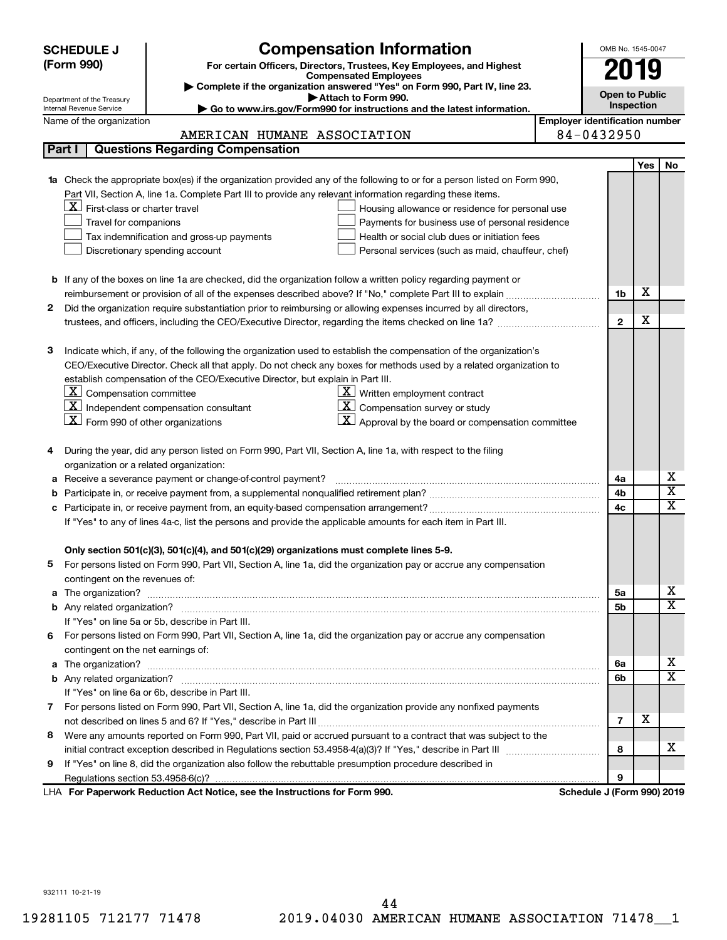|        | <b>Compensation Information</b><br><b>SCHEDULE J</b>                                                                                                                                                                                     |                                       | OMB No. 1545-0047     |            |                             |
|--------|------------------------------------------------------------------------------------------------------------------------------------------------------------------------------------------------------------------------------------------|---------------------------------------|-----------------------|------------|-----------------------------|
|        | (Form 990)<br>For certain Officers, Directors, Trustees, Key Employees, and Highest                                                                                                                                                      |                                       |                       |            |                             |
|        | <b>Compensated Employees</b>                                                                                                                                                                                                             |                                       |                       | 019        |                             |
|        | Complete if the organization answered "Yes" on Form 990, Part IV, line 23.<br>Attach to Form 990.                                                                                                                                        |                                       | <b>Open to Public</b> |            |                             |
|        | Department of the Treasury<br>Go to www.irs.gov/Form990 for instructions and the latest information.<br>Internal Revenue Service                                                                                                         |                                       | Inspection            |            |                             |
|        | Name of the organization                                                                                                                                                                                                                 | <b>Employer identification number</b> |                       |            |                             |
|        | AMERICAN HUMANE ASSOCIATION                                                                                                                                                                                                              | 84-0432950                            |                       |            |                             |
| Part I | <b>Questions Regarding Compensation</b>                                                                                                                                                                                                  |                                       |                       |            |                             |
|        |                                                                                                                                                                                                                                          |                                       |                       | <b>Yes</b> | No                          |
|        | Check the appropriate box(es) if the organization provided any of the following to or for a person listed on Form 990,                                                                                                                   |                                       |                       |            |                             |
|        | Part VII, Section A, line 1a. Complete Part III to provide any relevant information regarding these items.                                                                                                                               |                                       |                       |            |                             |
|        | $X$ First-class or charter travel<br>Housing allowance or residence for personal use                                                                                                                                                     |                                       |                       |            |                             |
|        | Travel for companions<br>Payments for business use of personal residence                                                                                                                                                                 |                                       |                       |            |                             |
|        | Health or social club dues or initiation fees<br>Tax indemnification and gross-up payments                                                                                                                                               |                                       |                       |            |                             |
|        | Discretionary spending account<br>Personal services (such as maid, chauffeur, chef)                                                                                                                                                      |                                       |                       |            |                             |
|        |                                                                                                                                                                                                                                          |                                       |                       |            |                             |
|        | <b>b</b> If any of the boxes on line 1a are checked, did the organization follow a written policy regarding payment or                                                                                                                   |                                       |                       |            |                             |
|        |                                                                                                                                                                                                                                          |                                       | 1b                    | X          |                             |
| 2      | Did the organization require substantiation prior to reimbursing or allowing expenses incurred by all directors,                                                                                                                         |                                       |                       |            |                             |
|        |                                                                                                                                                                                                                                          |                                       | $\mathbf{2}$          | х          |                             |
|        |                                                                                                                                                                                                                                          |                                       |                       |            |                             |
| з      | Indicate which, if any, of the following the organization used to establish the compensation of the organization's<br>CEO/Executive Director. Check all that apply. Do not check any boxes for methods used by a related organization to |                                       |                       |            |                             |
|        | establish compensation of the CEO/Executive Director, but explain in Part III.                                                                                                                                                           |                                       |                       |            |                             |
|        | $ \mathbf{X} $ Compensation committee<br>$\underline{\mathbf{X}}$ Written employment contract                                                                                                                                            |                                       |                       |            |                             |
|        | $\boxed{\text{X}}$ Independent compensation consultant<br>$ \mathbf{X} $ Compensation survey or study                                                                                                                                    |                                       |                       |            |                             |
|        | $ \mathbf{X} $ Form 990 of other organizations<br><u>X  </u><br>Approval by the board or compensation committee                                                                                                                          |                                       |                       |            |                             |
|        |                                                                                                                                                                                                                                          |                                       |                       |            |                             |
| 4      | During the year, did any person listed on Form 990, Part VII, Section A, line 1a, with respect to the filing                                                                                                                             |                                       |                       |            |                             |
|        | organization or a related organization:                                                                                                                                                                                                  |                                       |                       |            |                             |
| а      | Receive a severance payment or change-of-control payment?                                                                                                                                                                                |                                       | 4a                    |            | х                           |
| b      |                                                                                                                                                                                                                                          |                                       | 4b                    |            | $\overline{\textnormal{x}}$ |
| с      |                                                                                                                                                                                                                                          |                                       | 4c                    |            | $\overline{\textnormal{x}}$ |
|        | If "Yes" to any of lines 4a-c, list the persons and provide the applicable amounts for each item in Part III.                                                                                                                            |                                       |                       |            |                             |
|        |                                                                                                                                                                                                                                          |                                       |                       |            |                             |
|        | Only section 501(c)(3), 501(c)(4), and 501(c)(29) organizations must complete lines 5-9.                                                                                                                                                 |                                       |                       |            |                             |
|        | For persons listed on Form 990, Part VII, Section A, line 1a, did the organization pay or accrue any compensation                                                                                                                        |                                       |                       |            |                             |
|        | contingent on the revenues of:                                                                                                                                                                                                           |                                       |                       |            |                             |
| a      |                                                                                                                                                                                                                                          |                                       | 5a                    |            | х                           |
|        |                                                                                                                                                                                                                                          |                                       | 5b                    |            | $\overline{\mathbf{X}}$     |
|        | If "Yes" on line 5a or 5b, describe in Part III.                                                                                                                                                                                         |                                       |                       |            |                             |
| 6.     | For persons listed on Form 990, Part VII, Section A, line 1a, did the organization pay or accrue any compensation                                                                                                                        |                                       |                       |            |                             |
|        | contingent on the net earnings of:                                                                                                                                                                                                       |                                       |                       |            |                             |
| a      |                                                                                                                                                                                                                                          |                                       | 6а                    |            | х                           |
|        |                                                                                                                                                                                                                                          |                                       | 6b                    |            | $\overline{\mathbf{X}}$     |
|        | If "Yes" on line 6a or 6b, describe in Part III.                                                                                                                                                                                         |                                       |                       |            |                             |
|        | 7 For persons listed on Form 990, Part VII, Section A, line 1a, did the organization provide any nonfixed payments                                                                                                                       |                                       |                       |            |                             |
|        |                                                                                                                                                                                                                                          |                                       | 7                     | х          |                             |
| 8      | Were any amounts reported on Form 990, Part VII, paid or accrued pursuant to a contract that was subject to the                                                                                                                          |                                       |                       |            |                             |
|        |                                                                                                                                                                                                                                          |                                       | 8                     |            | х                           |
| 9      | If "Yes" on line 8, did the organization also follow the rebuttable presumption procedure described in                                                                                                                                   |                                       |                       |            |                             |
|        |                                                                                                                                                                                                                                          |                                       | 9                     |            |                             |
|        | LHA For Paperwork Reduction Act Notice, see the Instructions for Form 990.                                                                                                                                                               | Schedule J (Form 990) 2019            |                       |            |                             |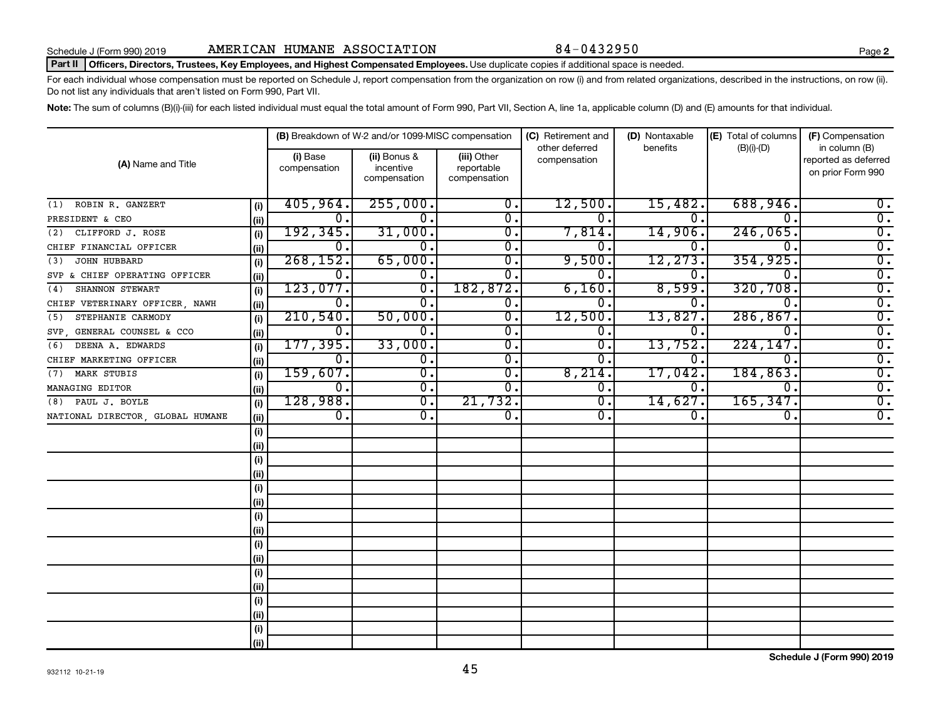## Part II | Officers, Directors, Trustees, Key Employees, and Highest Compensated Employees. Use duplicate copies if additional space is needed.

For each individual whose compensation must be reported on Schedule J, report compensation from the organization on row (i) and from related organizations, described in the instructions, on row (ii). Do not list any individuals that aren't listed on Form 990, Part VII.

Note: The sum of columns (B)(i)-(iii) for each listed individual must equal the total amount of Form 990, Part VII, Section A, line 1a, applicable column (D) and (E) amounts for that individual.

| (A) Name and Title               |      |                          | (B) Breakdown of W-2 and/or 1099-MISC compensation |                                           | (C) Retirement and             | (D) Nontaxable | (E) Total of columns | (F) Compensation                                           |  |
|----------------------------------|------|--------------------------|----------------------------------------------------|-------------------------------------------|--------------------------------|----------------|----------------------|------------------------------------------------------------|--|
|                                  |      | (i) Base<br>compensation | (ii) Bonus &<br>incentive<br>compensation          | (iii) Other<br>reportable<br>compensation | other deferred<br>compensation | benefits       | $(B)(i)$ - $(D)$     | in column (B)<br>reported as deferred<br>on prior Form 990 |  |
| ROBIN R. GANZERT<br>(1)          | (i)  | 405,964.                 | 255,000.                                           | $\overline{0}$ .                          | 12,500.                        | 15,482.        | 688,946.             | 0.                                                         |  |
| PRESIDENT & CEO                  | (ii) | 0.                       | $0$ .                                              | $\overline{0}$ .                          | $\Omega$ .                     | 0.             | $\Omega$             | $\overline{0}$ .                                           |  |
| CLIFFORD J. ROSE<br>(2)          | (i)  | 192, 345.                | 31,000.                                            | 0.                                        | 7,814.                         | 14,906.        | 246,065.             | $\overline{0}$ .                                           |  |
| CHIEF FINANCIAL OFFICER          | (ii) | 0.                       | $\overline{0}$ .                                   | $\overline{0}$ .                          | 0                              | 0.             | $\Omega$             | $\overline{0}$ .                                           |  |
| JOHN HUBBARD<br>(3)              | (i)  | 268, 152.                | 65,000.                                            | $\overline{0}$ .                          | 9,500.                         | 12, 273.       | 354, 925.            | $\overline{0}$ .                                           |  |
| SVP & CHIEF OPERATING OFFICER    | (ii) | σ.                       | $\overline{\mathbf{0}}$ .                          | 0.                                        | $\mathbf 0$ .                  | 0.             | $\Omega$ .           | $\overline{0}$ .                                           |  |
| SHANNON STEWART<br>(4)           | (i)  | 123,077.                 | $\overline{\mathfrak{o}}$ .                        | 182,872.                                  | 6,160.                         | 8,599.         | 320,708.             | $\overline{0}$ .                                           |  |
| CHIEF VETERINARY OFFICER, NAWH   | (ii) | О.                       | σ.                                                 | $\overline{0}$ .                          | 0.                             | 0.             | $\overline{0}$ .     | $\overline{0}$ .                                           |  |
| STEPHANIE CARMODY<br>(5)         | (i)  | 210,540.                 | 50,000.                                            | $\overline{0}$ .                          | 12,500.                        | 13,827.        | 286, 867             | $\overline{0}$ .                                           |  |
| SVP GENERAL COUNSEL & CCO        | (ii) | О.                       | 0.                                                 | $\overline{0}$ .                          | 0.                             | 0.             | $\Omega$ .           | $\overline{0}$ .                                           |  |
| DEENA A. EDWARDS<br>(6)          | (i)  | 177, 395.                | 33,000.                                            | $\overline{\mathfrak{o}}$ .               | О.                             | 13,752.        | 224,147.             | $\overline{0}$ .                                           |  |
| CHIEF MARKETING OFFICER          | (ii) | σ.                       | $\overline{\mathfrak{o}}$ .                        | $\overline{\mathfrak{o}}$ .               | 0.                             | о.             | $\mathbf{0}$         | $\overline{0}$ .                                           |  |
| MARK STUBIS<br>(7)               | (i)  | 159,607.                 | $\overline{\mathfrak{o}}$ .                        | $\overline{\mathfrak{o}}$ .               | 8,214.                         | 17,042.        | 184,863.             | $\overline{0}$ .                                           |  |
| MANAGING EDITOR                  | (ii) | σ.                       | $\overline{\mathfrak{o}}$ .                        | $\overline{0}$ .                          | 0.                             | 0.             | $\overline{0}$ .     | $\overline{0}$ .                                           |  |
| (8) PAUL J. BOYLE                | (i)  | 128,988.                 | $\overline{\mathfrak{o}}$ .                        | 21,732.                                   | 0.                             | 14,627.        | 165, 347.            | $\overline{0}$ .                                           |  |
| NATIONAL DIRECTOR, GLOBAL HUMANE | (ii) | $\overline{0}$ .         | $\overline{\mathfrak{o}}$ .                        | $\overline{0}$ .                          | 0.                             | 0.             | $\overline{0}$ .     | $\overline{0}$ .                                           |  |
|                                  | (i)  |                          |                                                    |                                           |                                |                |                      |                                                            |  |
|                                  | (ii) |                          |                                                    |                                           |                                |                |                      |                                                            |  |
|                                  | (i)  |                          |                                                    |                                           |                                |                |                      |                                                            |  |
|                                  | (ii) |                          |                                                    |                                           |                                |                |                      |                                                            |  |
|                                  | (i)  |                          |                                                    |                                           |                                |                |                      |                                                            |  |
|                                  | (ii) |                          |                                                    |                                           |                                |                |                      |                                                            |  |
|                                  | (i)  |                          |                                                    |                                           |                                |                |                      |                                                            |  |
|                                  | (ii) |                          |                                                    |                                           |                                |                |                      |                                                            |  |
|                                  | (i)  |                          |                                                    |                                           |                                |                |                      |                                                            |  |
|                                  | (ii) |                          |                                                    |                                           |                                |                |                      |                                                            |  |
|                                  | (i)  |                          |                                                    |                                           |                                |                |                      |                                                            |  |
|                                  | (ii) |                          |                                                    |                                           |                                |                |                      |                                                            |  |
|                                  | (i)  |                          |                                                    |                                           |                                |                |                      |                                                            |  |
|                                  | (ii) |                          |                                                    |                                           |                                |                |                      |                                                            |  |
|                                  | (i)  |                          |                                                    |                                           |                                |                |                      |                                                            |  |
|                                  | (ii) |                          |                                                    |                                           |                                |                |                      |                                                            |  |

**Schedule J (Form 990) 2019**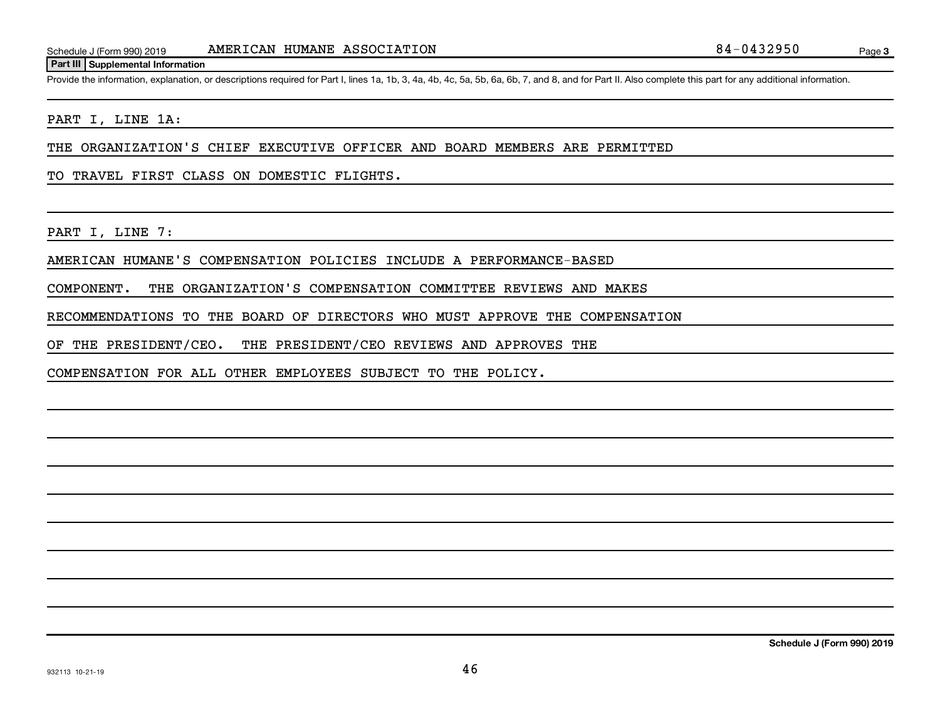## **Part III Supplemental Information**

Provide the information, explanation, or descriptions required for Part I, lines 1a, 1b, 3, 4a, 4b, 4c, 5a, 5b, 6a, 6b, 7, and 8, and for Part II. Also complete this part for any additional information.

## PART I, LINE 1A:

THE ORGANIZATION'S CHIEF EXECUTIVE OFFICER AND BOARD MEMBERS ARE PERMITTED

TO TRAVEL FIRST CLASS ON DOMESTIC FLIGHTS.

PART I, LINE 7:

AMERICAN HUMANE'S COMPENSATION POLICIES INCLUDE A PERFORMANCE-BASED

COMPONENT. THE ORGANIZATION'S COMPENSATION COMMITTEE REVIEWS AND MAKES

RECOMMENDATIONS TO THE BOARD OF DIRECTORS WHO MUST APPROVE THE COMPENSATION

OF THE PRESIDENT/CEO. THE PRESIDENT/CEO REVIEWS AND APPROVES THE

COMPENSATION FOR ALL OTHER EMPLOYEES SUBJECT TO THE POLICY.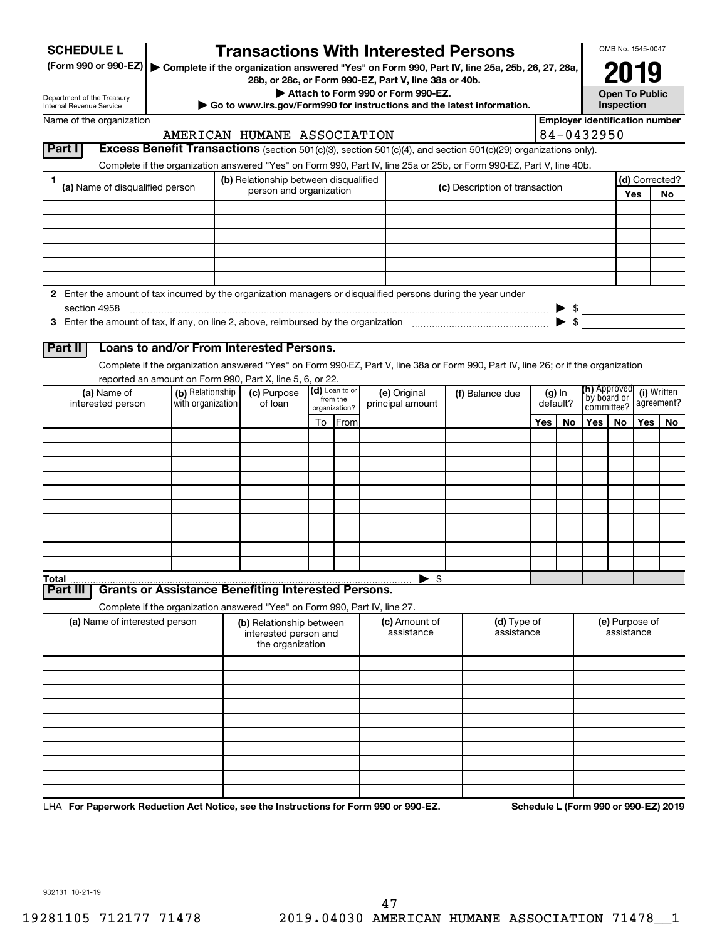| <b>SCHEDULE L</b>                                                                                                    |                                       |                                                                            |                           | <b>Transactions With Interested Persons</b>                                                                                        |  |                                |           |                      |                                       | OMB No. 1545-0047                                       |            |                |
|----------------------------------------------------------------------------------------------------------------------|---------------------------------------|----------------------------------------------------------------------------|---------------------------|------------------------------------------------------------------------------------------------------------------------------------|--|--------------------------------|-----------|----------------------|---------------------------------------|---------------------------------------------------------|------------|----------------|
| (Form 990 or 990-EZ)   Complete if the organization answered "Yes" on Form 990, Part IV, line 25a, 25b, 26, 27, 28a, |                                       |                                                                            |                           | 28b, or 28c, or Form 990-EZ, Part V, line 38a or 40b.                                                                              |  |                                |           |                      |                                       | 2019                                                    |            |                |
| Department of the Treasury<br>Internal Revenue Service                                                               |                                       |                                                                            |                           | Attach to Form 990 or Form 990-EZ.<br>Go to www.irs.gov/Form990 for instructions and the latest information.                       |  |                                |           |                      |                                       | <b>Open To Public</b><br>Inspection                     |            |                |
| Name of the organization                                                                                             |                                       |                                                                            |                           |                                                                                                                                    |  |                                |           |                      | <b>Employer identification number</b> |                                                         |            |                |
|                                                                                                                      |                                       | AMERICAN HUMANE ASSOCIATION                                                |                           |                                                                                                                                    |  |                                |           |                      | 84-0432950                            |                                                         |            |                |
| Part I                                                                                                               |                                       |                                                                            |                           | Excess Benefit Transactions (section 501(c)(3), section 501(c)(4), and section 501(c)(29) organizations only).                     |  |                                |           |                      |                                       |                                                         |            |                |
|                                                                                                                      |                                       |                                                                            |                           | Complete if the organization answered "Yes" on Form 990, Part IV, line 25a or 25b, or Form 990-EZ, Part V, line 40b.               |  |                                |           |                      |                                       |                                                         |            |                |
| 1<br>(a) Name of disqualified person                                                                                 |                                       | (b) Relationship between disqualified                                      |                           |                                                                                                                                    |  | (c) Description of transaction |           |                      |                                       |                                                         |            | (d) Corrected? |
|                                                                                                                      |                                       | person and organization                                                    |                           |                                                                                                                                    |  |                                |           |                      | Yes                                   | No                                                      |            |                |
|                                                                                                                      |                                       |                                                                            |                           |                                                                                                                                    |  |                                |           |                      |                                       |                                                         |            |                |
|                                                                                                                      |                                       |                                                                            |                           |                                                                                                                                    |  |                                |           |                      |                                       |                                                         |            |                |
|                                                                                                                      |                                       |                                                                            |                           |                                                                                                                                    |  |                                |           |                      |                                       |                                                         |            |                |
|                                                                                                                      |                                       |                                                                            |                           |                                                                                                                                    |  |                                |           |                      |                                       |                                                         |            |                |
|                                                                                                                      |                                       |                                                                            |                           |                                                                                                                                    |  |                                |           |                      |                                       |                                                         |            |                |
| 2 Enter the amount of tax incurred by the organization managers or disqualified persons during the year under        |                                       |                                                                            |                           |                                                                                                                                    |  |                                |           |                      |                                       |                                                         |            |                |
| section 4958                                                                                                         |                                       |                                                                            |                           |                                                                                                                                    |  |                                |           |                      | $\triangleright$ \$                   |                                                         |            |                |
|                                                                                                                      |                                       |                                                                            |                           |                                                                                                                                    |  |                                |           |                      |                                       |                                                         |            |                |
|                                                                                                                      |                                       |                                                                            |                           |                                                                                                                                    |  |                                |           |                      |                                       |                                                         |            |                |
| Part II                                                                                                              |                                       | Loans to and/or From Interested Persons.                                   |                           |                                                                                                                                    |  |                                |           |                      |                                       |                                                         |            |                |
|                                                                                                                      |                                       |                                                                            |                           | Complete if the organization answered "Yes" on Form 990-EZ, Part V, line 38a or Form 990, Part IV, line 26; or if the organization |  |                                |           |                      |                                       |                                                         |            |                |
|                                                                                                                      |                                       | reported an amount on Form 990, Part X, line 5, 6, or 22.                  | (d) Loan to or            |                                                                                                                                    |  |                                |           |                      | (h) Approved                          |                                                         |            |                |
| (a) Name of<br>interested person                                                                                     | (b) Relationship<br>with organization | (c) Purpose<br>of loan                                                     | from the<br>organization? | (e) Original<br>principal amount                                                                                                   |  | (f) Balance due                |           | $(g)$ In<br>default? |                                       | (i) Written<br>`by board or<br>agreement?<br>committee? |            |                |
|                                                                                                                      |                                       |                                                                            | To From                   |                                                                                                                                    |  |                                | Yes<br>No |                      | <b>Yes</b>                            | No                                                      | <b>Yes</b> | No             |
|                                                                                                                      |                                       |                                                                            |                           |                                                                                                                                    |  |                                |           |                      |                                       |                                                         |            |                |
|                                                                                                                      |                                       |                                                                            |                           |                                                                                                                                    |  |                                |           |                      |                                       |                                                         |            |                |
|                                                                                                                      |                                       |                                                                            |                           |                                                                                                                                    |  |                                |           |                      |                                       |                                                         |            |                |
|                                                                                                                      |                                       |                                                                            |                           |                                                                                                                                    |  |                                |           |                      |                                       |                                                         |            |                |
|                                                                                                                      |                                       |                                                                            |                           |                                                                                                                                    |  |                                |           |                      |                                       |                                                         |            |                |
|                                                                                                                      |                                       |                                                                            |                           |                                                                                                                                    |  |                                |           |                      |                                       |                                                         |            |                |
|                                                                                                                      |                                       |                                                                            |                           |                                                                                                                                    |  |                                |           |                      |                                       |                                                         |            |                |
|                                                                                                                      |                                       |                                                                            |                           |                                                                                                                                    |  |                                |           |                      |                                       |                                                         |            |                |
|                                                                                                                      |                                       |                                                                            |                           |                                                                                                                                    |  |                                |           |                      |                                       |                                                         |            |                |
| Total                                                                                                                |                                       |                                                                            |                           | $\blacktriangleright$ \$                                                                                                           |  |                                |           |                      |                                       |                                                         |            |                |
| Part III                                                                                                             |                                       | <b>Grants or Assistance Benefiting Interested Persons.</b>                 |                           |                                                                                                                                    |  |                                |           |                      |                                       |                                                         |            |                |
|                                                                                                                      |                                       | Complete if the organization answered "Yes" on Form 990, Part IV, line 27. |                           |                                                                                                                                    |  |                                |           |                      |                                       |                                                         |            |                |
| (a) Name of interested person                                                                                        |                                       | (b) Relationship between                                                   |                           | (c) Amount of<br>assistance                                                                                                        |  | (d) Type of<br>assistance      |           |                      |                                       | (e) Purpose of<br>assistance                            |            |                |
|                                                                                                                      |                                       | interested person and<br>the organization                                  |                           |                                                                                                                                    |  |                                |           |                      |                                       |                                                         |            |                |
|                                                                                                                      |                                       |                                                                            |                           |                                                                                                                                    |  |                                |           |                      |                                       |                                                         |            |                |
|                                                                                                                      |                                       |                                                                            |                           |                                                                                                                                    |  |                                |           |                      |                                       |                                                         |            |                |
|                                                                                                                      |                                       |                                                                            |                           |                                                                                                                                    |  |                                |           |                      |                                       |                                                         |            |                |
|                                                                                                                      |                                       |                                                                            |                           |                                                                                                                                    |  |                                |           |                      |                                       |                                                         |            |                |
|                                                                                                                      |                                       |                                                                            |                           |                                                                                                                                    |  |                                |           |                      |                                       |                                                         |            |                |
|                                                                                                                      |                                       |                                                                            |                           |                                                                                                                                    |  |                                |           |                      |                                       |                                                         |            |                |
|                                                                                                                      |                                       |                                                                            |                           |                                                                                                                                    |  |                                |           |                      |                                       |                                                         |            |                |
|                                                                                                                      |                                       |                                                                            |                           |                                                                                                                                    |  |                                |           |                      |                                       |                                                         |            |                |
|                                                                                                                      |                                       |                                                                            |                           |                                                                                                                                    |  |                                |           |                      |                                       |                                                         |            |                |
|                                                                                                                      |                                       |                                                                            |                           |                                                                                                                                    |  |                                |           |                      |                                       |                                                         |            |                |

LHA For Paperwork Reduction Act Notice, see the Instructions for Form 990 or 990-EZ. Schedule L (Form 990 or 990-EZ) 2019

932131 10-21-19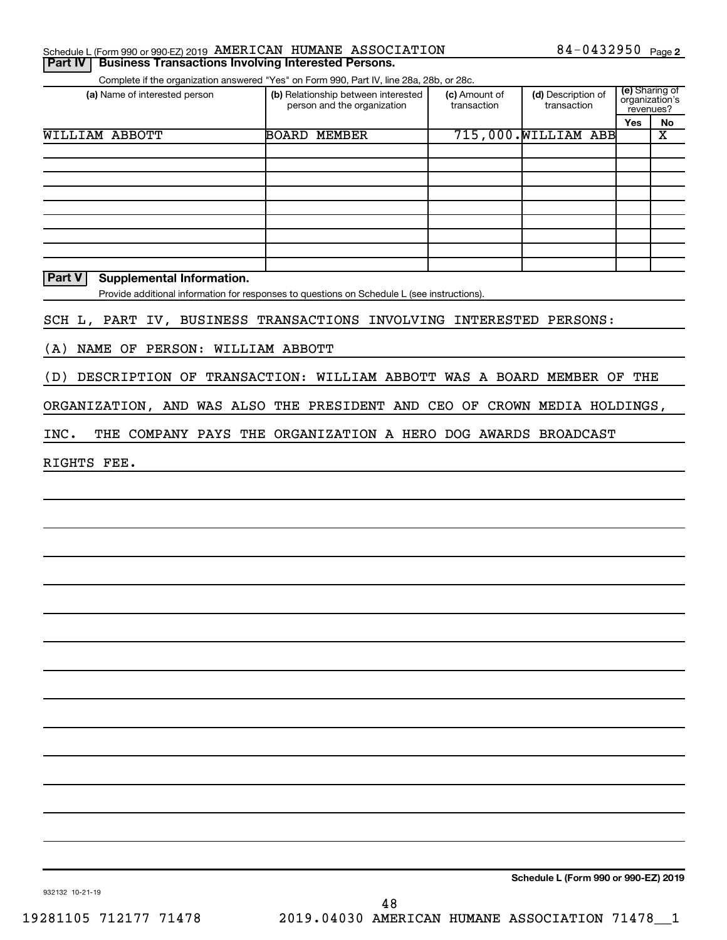|  | Schedule L (Form 990 or 990-EZ) 2019 AMERICAN HUMANE ASSOCIATION |  |  |  | 84-0432950 $_{Page 2}$ |
|--|------------------------------------------------------------------|--|--|--|------------------------|
|--|------------------------------------------------------------------|--|--|--|------------------------|

Complete if the organization answered "Yes" on Form 990, Part IV, line 28a, 28b, or 28c.

| (a) Name of interested person              | (b) Relationship between interested<br>person and the organization | (c) Amount of<br>transaction | (d) Description of<br>transaction | revenues? | (e) Sharing of<br>organization's |
|--------------------------------------------|--------------------------------------------------------------------|------------------------------|-----------------------------------|-----------|----------------------------------|
|                                            |                                                                    |                              |                                   | Yes       | No                               |
| WILLIAM ABBOTT                             | <b>BOARD</b><br>MEMBER                                             |                              | 715,000. WILLIAM ABB              |           | x                                |
|                                            |                                                                    |                              |                                   |           |                                  |
|                                            |                                                                    |                              |                                   |           |                                  |
|                                            |                                                                    |                              |                                   |           |                                  |
|                                            |                                                                    |                              |                                   |           |                                  |
|                                            |                                                                    |                              |                                   |           |                                  |
|                                            |                                                                    |                              |                                   |           |                                  |
|                                            |                                                                    |                              |                                   |           |                                  |
|                                            |                                                                    |                              |                                   |           |                                  |
|                                            |                                                                    |                              |                                   |           |                                  |
| <b>Part V</b><br>Supplemental Information. |                                                                    |                              |                                   |           |                                  |

Provide additional information for responses to questions on Schedule L (see instructions).

SCH L, PART IV, BUSINESS TRANSACTIONS INVOLVING INTERESTED PERSONS:

(A) NAME OF PERSON: WILLIAM ABBOTT

(D) DESCRIPTION OF TRANSACTION: WILLIAM ABBOTT WAS A BOARD MEMBER OF THE

ORGANIZATION, AND WAS ALSO THE PRESIDENT AND CEO OF CROWN MEDIA HOLDINGS,

INC. THE COMPANY PAYS THE ORGANIZATION A HERO DOG AWARDS BROADCAST

RIGHTS FEE.

**Schedule L (Form 990 or 990-EZ) 2019**

932132 10-21-19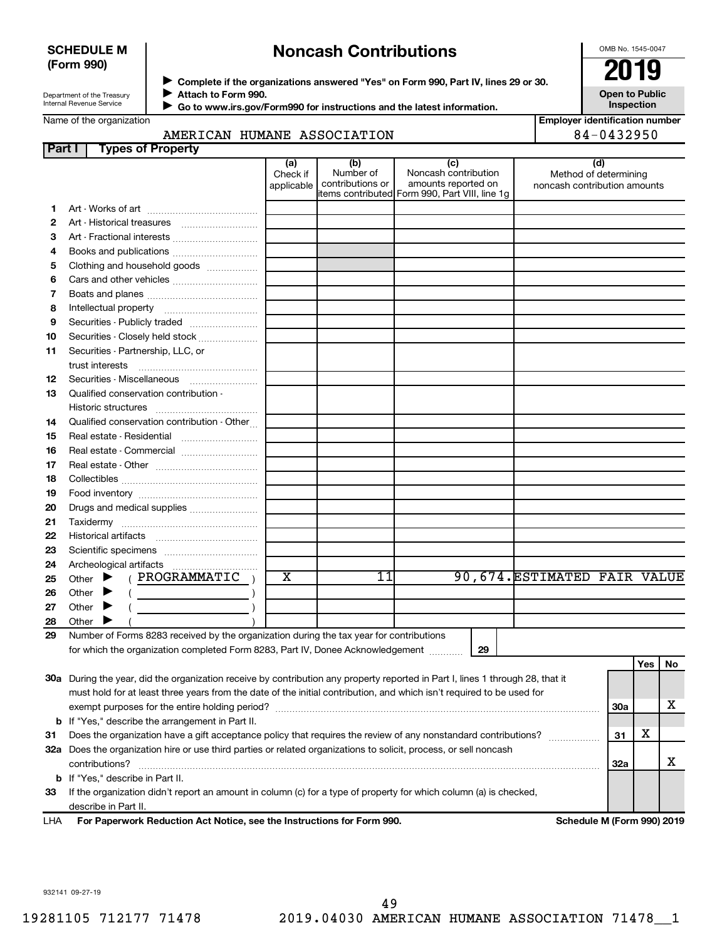## **SCHEDULE M (Form 990)**

## **Noncash Contributions**

OMB No. 1545-0047

**Open to Public**

| Department of the Treasury |
|----------------------------|
|                            |
| Internal Revenue Service   |

Name of the organization

◆ Complete if the organizations answered "Yes" on Form 990, Part IV, lines 29 or 30.<br>▶ Complete if the organizations answered "Yes" on Form 990, Part IV, lines 29 or 30. **Attach to Form 990.**  $\blacktriangleright$ 

 **Go to www.irs.gov/Form990 for instructions and the latest information.** J

**Inspection Employer identification number**

| AMERICAN | HUMANE | <b>ASSOCIATION</b> | $\sqrt{ }$<br>) U |
|----------|--------|--------------------|-------------------|
|          |        |                    |                   |
|          |        |                    |                   |

| Part I | <b>Types of Property</b>                                                                                                                  |                               |                                      |                                                                                                      |                                                       |            |     |    |
|--------|-------------------------------------------------------------------------------------------------------------------------------------------|-------------------------------|--------------------------------------|------------------------------------------------------------------------------------------------------|-------------------------------------------------------|------------|-----|----|
|        |                                                                                                                                           | (a)<br>Check if<br>applicable | (b)<br>Number of<br>contributions or | (c)<br>Noncash contribution<br>amounts reported on<br>items contributed Form 990, Part VIII, line 1g | Method of determining<br>noncash contribution amounts | (d)        |     |    |
| 1.     |                                                                                                                                           |                               |                                      |                                                                                                      |                                                       |            |     |    |
| 2      |                                                                                                                                           |                               |                                      |                                                                                                      |                                                       |            |     |    |
| З      | Art - Fractional interests                                                                                                                |                               |                                      |                                                                                                      |                                                       |            |     |    |
| 4      | Books and publications                                                                                                                    |                               |                                      |                                                                                                      |                                                       |            |     |    |
| 5      | Clothing and household goods                                                                                                              |                               |                                      |                                                                                                      |                                                       |            |     |    |
| 6      |                                                                                                                                           |                               |                                      |                                                                                                      |                                                       |            |     |    |
| 7      |                                                                                                                                           |                               |                                      |                                                                                                      |                                                       |            |     |    |
| 8      |                                                                                                                                           |                               |                                      |                                                                                                      |                                                       |            |     |    |
| 9      | Securities - Publicly traded                                                                                                              |                               |                                      |                                                                                                      |                                                       |            |     |    |
| 10     | Securities - Closely held stock                                                                                                           |                               |                                      |                                                                                                      |                                                       |            |     |    |
| 11     | Securities - Partnership, LLC, or                                                                                                         |                               |                                      |                                                                                                      |                                                       |            |     |    |
| 12     | Securities - Miscellaneous                                                                                                                |                               |                                      |                                                                                                      |                                                       |            |     |    |
| 13     | Qualified conservation contribution -                                                                                                     |                               |                                      |                                                                                                      |                                                       |            |     |    |
|        |                                                                                                                                           |                               |                                      |                                                                                                      |                                                       |            |     |    |
| 14     | Qualified conservation contribution - Other                                                                                               |                               |                                      |                                                                                                      |                                                       |            |     |    |
| 15     | Real estate - Residential                                                                                                                 |                               |                                      |                                                                                                      |                                                       |            |     |    |
| 16     | Real estate - Commercial                                                                                                                  |                               |                                      |                                                                                                      |                                                       |            |     |    |
| 17     |                                                                                                                                           |                               |                                      |                                                                                                      |                                                       |            |     |    |
| 18     |                                                                                                                                           |                               |                                      |                                                                                                      |                                                       |            |     |    |
| 19     |                                                                                                                                           |                               |                                      |                                                                                                      |                                                       |            |     |    |
| 20     | Drugs and medical supplies                                                                                                                |                               |                                      |                                                                                                      |                                                       |            |     |    |
| 21     |                                                                                                                                           |                               |                                      |                                                                                                      |                                                       |            |     |    |
| 22     |                                                                                                                                           |                               |                                      |                                                                                                      |                                                       |            |     |    |
| 23     |                                                                                                                                           |                               |                                      |                                                                                                      |                                                       |            |     |    |
| 24     |                                                                                                                                           |                               |                                      |                                                                                                      |                                                       |            |     |    |
| 25     | ( PROGRAMMATIC<br>Other $\blacktriangleright$                                                                                             | x                             | 11                                   |                                                                                                      | 90,674. ESTIMATED FAIR VALUE                          |            |     |    |
| 26     | Other $\blacktriangleright$                                                                                                               |                               |                                      |                                                                                                      |                                                       |            |     |    |
| 27     | Other $\blacktriangleright$                                                                                                               |                               |                                      |                                                                                                      |                                                       |            |     |    |
| 28     | Other $\blacktriangleright$                                                                                                               |                               |                                      |                                                                                                      |                                                       |            |     |    |
| 29     | Number of Forms 8283 received by the organization during the tax year for contributions                                                   |                               |                                      |                                                                                                      |                                                       |            |     |    |
|        | for which the organization completed Form 8283, Part IV, Donee Acknowledgement                                                            |                               |                                      | 29                                                                                                   |                                                       |            |     |    |
|        |                                                                                                                                           |                               |                                      |                                                                                                      |                                                       |            | Yes | No |
|        | 30a During the year, did the organization receive by contribution any property reported in Part I, lines 1 through 28, that it            |                               |                                      |                                                                                                      |                                                       |            |     |    |
|        | must hold for at least three years from the date of the initial contribution, and which isn't required to be used for                     |                               |                                      |                                                                                                      |                                                       |            |     |    |
|        |                                                                                                                                           |                               |                                      |                                                                                                      |                                                       | 30a        |     | х  |
|        | <b>b</b> If "Yes," describe the arrangement in Part II.                                                                                   |                               |                                      |                                                                                                      |                                                       | 31         | х   |    |
| 31     | Does the organization have a gift acceptance policy that requires the review of any nonstandard contributions?                            |                               |                                      |                                                                                                      |                                                       |            |     |    |
|        | 32a Does the organization hire or use third parties or related organizations to solicit, process, or sell noncash                         |                               |                                      |                                                                                                      |                                                       |            |     | х  |
|        | contributions?                                                                                                                            |                               |                                      |                                                                                                      |                                                       | <b>32a</b> |     |    |
|        | <b>b</b> If "Yes," describe in Part II.                                                                                                   |                               |                                      |                                                                                                      |                                                       |            |     |    |
| 33     | If the organization didn't report an amount in column (c) for a type of property for which column (a) is checked,<br>describe in Part II. |                               |                                      |                                                                                                      |                                                       |            |     |    |
|        |                                                                                                                                           |                               |                                      |                                                                                                      |                                                       |            |     |    |

**For Paperwork Reduction Act Notice, see the Instructions for Form 990. Schedule M (Form 990) 2019** LHA

932141 09-27-19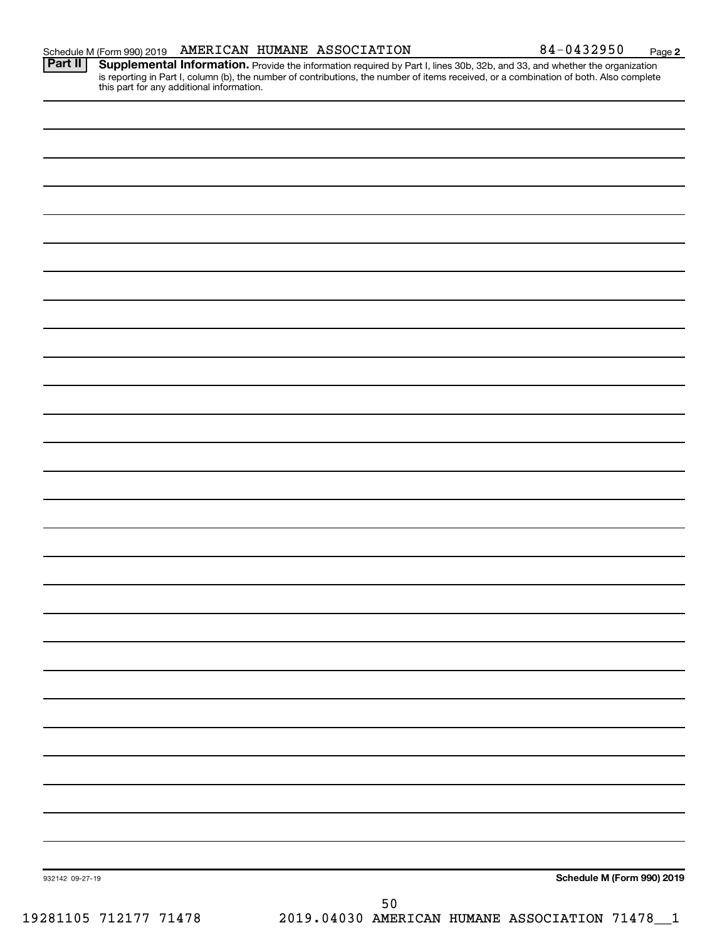Provide the information required by Part I, lines 30b, 32b, and 33, and whether the organization is reporting in Part I, column (b), the number of contributions, the number of items received, or a combination of both. Also complete this part for any additional information. **Part II Supplemental Information.** 

|  | Schedule M (Form 990) 2019 |
|--|----------------------------|
|  |                            |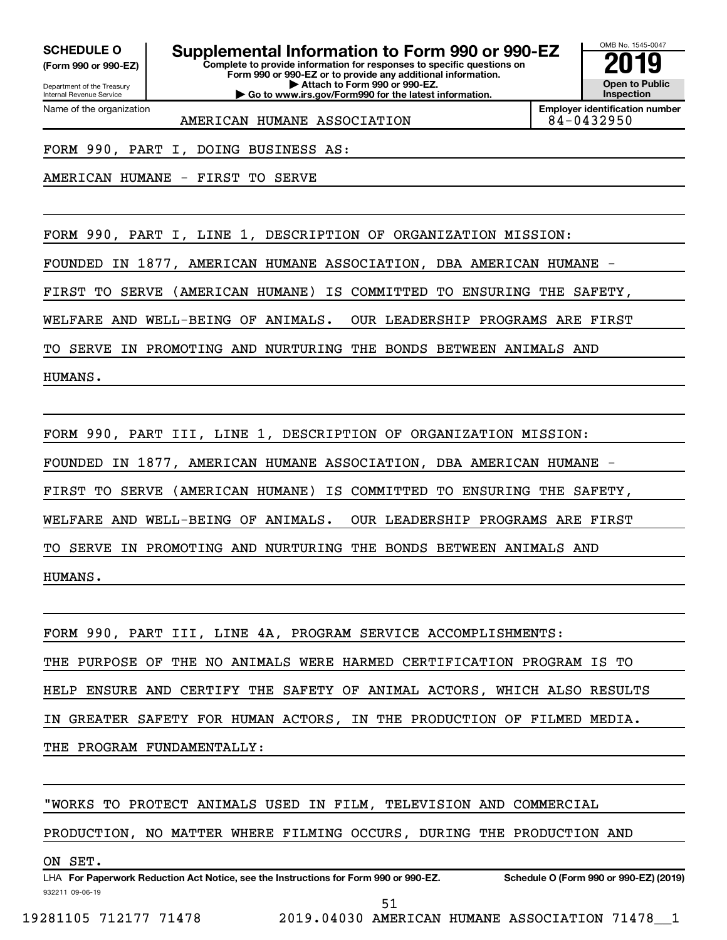Department of the Treasury Internal Revenue Service

**(Form 990 or 990-EZ)**

Name of the organization

**SCHEDULE O Supplemental Information to Form 990 or 990-EZ 2019** 

**Complete to provide information for responses to specific questions on Form 990 or 990-EZ or to provide any additional information. | Attach to Form 990 or 990-EZ. | Go to www.irs.gov/Form990 for the latest information.**



**Employer identification number**

AMERICAN HUMANE ASSOCIATION | 84-0432950

FORM 990, PART I, DOING BUSINESS AS:

AMERICAN HUMANE - FIRST TO SERVE

FORM 990, PART I, LINE 1, DESCRIPTION OF ORGANIZATION MISSION:

FOUNDED IN 1877, AMERICAN HUMANE ASSOCIATION, DBA AMERICAN HUMANE -

FIRST TO SERVE (AMERICAN HUMANE) IS COMMITTED TO ENSURING THE SAFETY,

WELFARE AND WELL-BEING OF ANIMALS. OUR LEADERSHIP PROGRAMS ARE FIRST

TO SERVE IN PROMOTING AND NURTURING THE BONDS BETWEEN ANIMALS AND

HUMANS.

FORM 990, PART III, LINE 1, DESCRIPTION OF ORGANIZATION MISSION:

FOUNDED IN 1877, AMERICAN HUMANE ASSOCIATION, DBA AMERICAN HUMANE -

FIRST TO SERVE (AMERICAN HUMANE) IS COMMITTED TO ENSURING THE SAFETY,

WELFARE AND WELL-BEING OF ANIMALS. OUR LEADERSHIP PROGRAMS ARE FIRST

TO SERVE IN PROMOTING AND NURTURING THE BONDS BETWEEN ANIMALS AND

HUMANS.

FORM 990, PART III, LINE 4A, PROGRAM SERVICE ACCOMPLISHMENTS: THE PURPOSE OF THE NO ANIMALS WERE HARMED CERTIFICATION PROGRAM IS TO HELP ENSURE AND CERTIFY THE SAFETY OF ANIMAL ACTORS, WHICH ALSO RESULTS IN GREATER SAFETY FOR HUMAN ACTORS, IN THE PRODUCTION OF FILMED MEDIA. THE PROGRAM FUNDAMENTALLY:

" WORKS TO PROTECT ANIMALS USED IN FILM, TELEVISION AND COMMERCIAL

PRODUCTION, NO MATTER WHERE FILMING OCCURS, DURING THE PRODUCTION AND

## ON SET.

932211 09-06-19 LHA For Paperwork Reduction Act Notice, see the Instructions for Form 990 or 990-EZ. Schedule O (Form 990 or 990-EZ) (2019)

51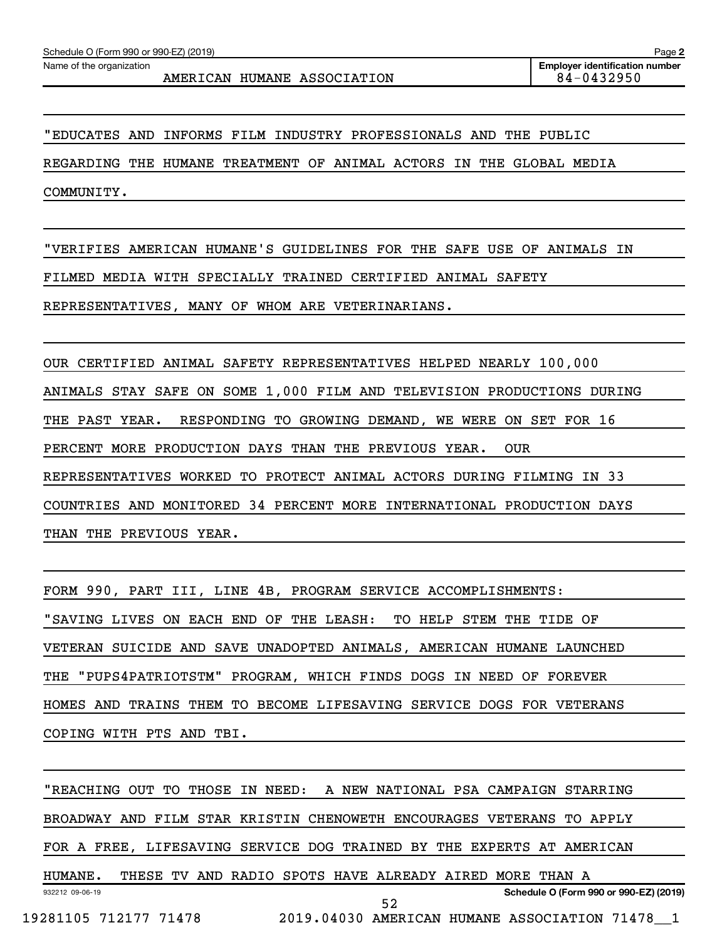" EDUCATES AND INFORMS FILM INDUSTRY PROFESSIONALS AND THE PUBLIC

REGARDING THE HUMANE TREATMENT OF ANIMAL ACTORS IN THE GLOBAL MEDIA

COMMUNITY.

"VERIFIES AMERICAN HUMANE'S GUIDELINES FOR THE SAFE USE OF ANIMALS IN

FILMED MEDIA WITH SPECIALLY TRAINED CERTIFIED ANIMAL SAFETY

REPRESENTATIVES, MANY OF WHOM ARE VETERINARIANS.

OUR CERTIFIED ANIMAL SAFETY REPRESENTATIVES HELPED NEARLY 100,000 ANIMALS STAY SAFE ON SOME 1,000 FILM AND TELEVISION PRODUCTIONS DURING THE PAST YEAR. RESPONDING TO GROWING DEMAND, WE WERE ON SET FOR 16 PERCENT MORE PRODUCTION DAYS THAN THE PREVIOUS YEAR. OUR REPRESENTATIVES WORKED TO PROTECT ANIMAL ACTORS DURING FILMING IN 33 COUNTRIES AND MONITORED 34 PERCENT MORE INTERNATIONAL PRODUCTION DAYS THAN THE PREVIOUS YEAR.

FORM 990, PART III, LINE 4B, PROGRAM SERVICE ACCOMPLISHMENTS: "SAVING LIVES ON EACH END OF THE LEASH: TO HELP STEM THE TIDE OF VETERAN SUICIDE AND SAVE UNADOPTED ANIMALS, AMERICAN HUMANE LAUNCHED THE "PUPS4PATRIOTSTM" PROGRAM, WHICH FINDS DOGS IN NEED OF FOREVER HOMES AND TRAINS THEM TO BECOME LIFESAVING SERVICE DOGS FOR VETERANS COPING WITH PTS AND TBI.

932212 09-06-19 **Schedule O (Form 990 or 990-EZ) (2019)** "REACHING OUT TO THOSE IN NEED: A NEW NATIONAL PSA CAMPAIGN STARRING BROADWAY AND FILM STAR KRISTIN CHENOWETH ENCOURAGES VETERANS TO APPLY FOR A FREE, LIFESAVING SERVICE DOG TRAINED BY THE EXPERTS AT AMERICAN HUMANE. THESE TV AND RADIO SPOTS HAVE ALREADY AIRED MORE THAN A 19281105 712177 71478 2019.04030 AMERICAN HUMANE ASSOCIATION 71478\_\_1 52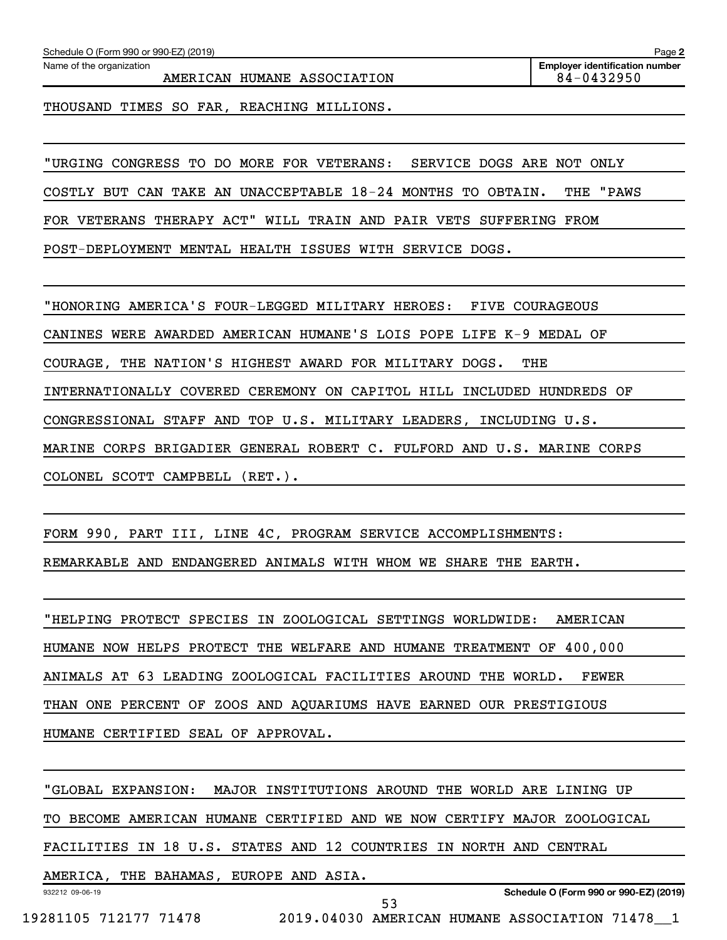Schedule O (Form 990 or 990-EZ) (2019)

Name of the organization

AMERICAN HUMANE ASSOCIATION 84-0432950

THOUSAND TIMES SO FAR, REACHING MILLIONS.

" URGING CONGRESS TO DO MORE FOR VETERANS: SERVICE DOGS ARE NOT ONLY

COSTLY BUT CAN TAKE AN UNACCEPTABLE 18-24 MONTHS TO OBTAIN. THE "PAWS

FOR VETERANS THERAPY ACT" WILL TRAIN AND PAIR VETS SUFFERING FROM

POST-DEPLOYMENT MENTAL HEALTH ISSUES WITH SERVICE DOGS.

"HONORING AMERICA'S FOUR-LEGGED MILITARY HEROES: FIVE COURAGEOUS CANINES WERE AWARDED AMERICAN HUMANE'S LOIS POPE LIFE K-9 MEDAL OF COURAGE, THE NATION'S HIGHEST AWARD FOR MILITARY DOGS. THE

INTERNATIONALLY COVERED CEREMONY ON CAPITOL HILL INCLUDED HUNDREDS OF

CONGRESSIONAL STAFF AND TOP U.S. MILITARY LEADERS, INCLUDING U.S.

MARINE CORPS BRIGADIER GENERAL ROBERT C. FULFORD AND U.S. MARINE CORPS

COLONEL SCOTT CAMPBELL (RET.).

FORM 990, PART III, LINE 4C, PROGRAM SERVICE ACCOMPLISHMENTS:

REMARKABLE AND ENDANGERED ANIMALS WITH WHOM WE SHARE THE EARTH.

"HELPING PROTECT SPECIES IN ZOOLOGICAL SETTINGS WORLDWIDE: AMERICAN HUMANE NOW HELPS PROTECT THE WELFARE AND HUMANE TREATMENT OF 400,000 ANIMALS AT 63 LEADING ZOOLOGICAL FACILITIES AROUND THE WORLD. FEWER THAN ONE PERCENT OF ZOOS AND AQUARIUMS HAVE EARNED OUR PRESTIGIOUS HUMANE CERTIFIED SEAL OF APPROVAL.

" GLOBAL EXPANSION: MAJOR INSTITUTIONS AROUND THE WORLD ARE LINING UP

TO BECOME AMERICAN HUMANE CERTIFIED AND WE NOW CERTIFY MAJOR ZOOLOGICAL

FACILITIES IN 18 U.S. STATES AND 12 COUNTRIES IN NORTH AND CENTRAL

932212 09-06-19 AMERICA, THE BAHAMAS, EUROPE AND ASIA.

**Schedule O (Form 990 or 990-EZ) (2019)**

19281105 712177 71478 2019.04030 AMERICAN HUMANE ASSOCIATION 71478\_\_1

53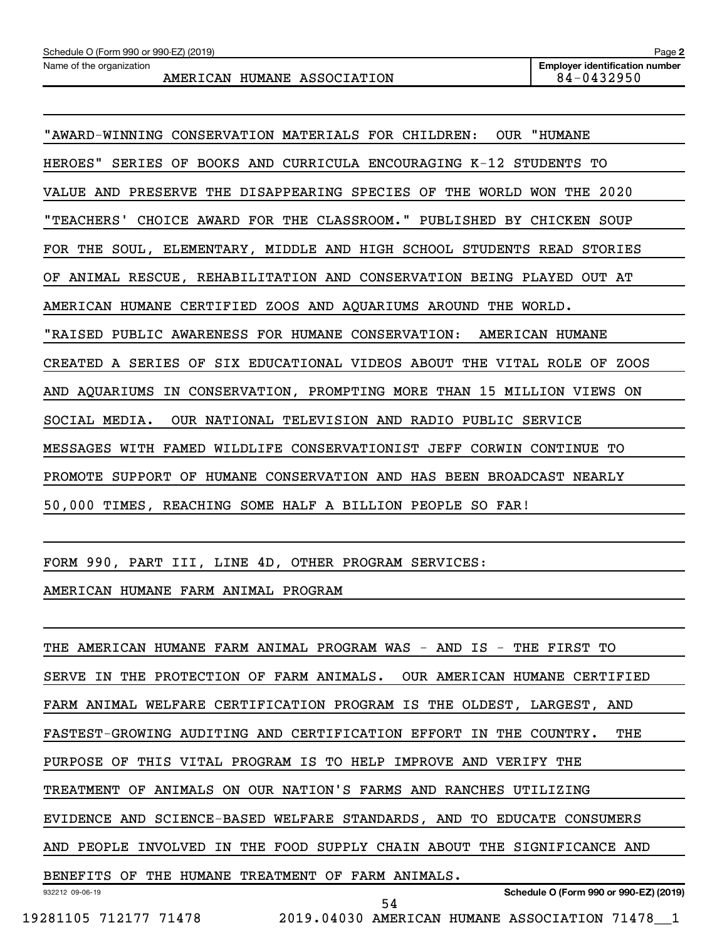| "AWARD-WINNING CONSERVATION MATERIALS FOR CHILDREN: OUR "HUMANE         |
|-------------------------------------------------------------------------|
| HEROES" SERIES OF BOOKS AND CURRICULA ENCOURAGING K-12 STUDENTS TO      |
| VALUE AND PRESERVE THE DISAPPEARING SPECIES OF THE WORLD WON THE 2020   |
| "TEACHERS' CHOICE AWARD FOR THE CLASSROOM." PUBLISHED BY CHICKEN SOUP   |
| FOR THE SOUL, ELEMENTARY, MIDDLE AND HIGH SCHOOL STUDENTS READ STORIES  |
| OF ANIMAL RESCUE, REHABILITATION AND CONSERVATION BEING PLAYED OUT AT   |
| AMERICAN HUMANE CERTIFIED ZOOS AND AQUARIUMS AROUND THE WORLD.          |
| "RAISED PUBLIC AWARENESS FOR HUMANE CONSERVATION: AMERICAN HUMANE       |
| CREATED A SERIES OF SIX EDUCATIONAL VIDEOS ABOUT THE VITAL ROLE OF ZOOS |
| AND AQUARIUMS IN CONSERVATION, PROMPTING MORE THAN 15 MILLION VIEWS ON  |
| SOCIAL MEDIA. OUR NATIONAL TELEVISION AND RADIO PUBLIC SERVICE          |
| MESSAGES WITH FAMED WILDLIFE CONSERVATIONIST JEFF CORWIN CONTINUE TO    |
| PROMOTE SUPPORT OF HUMANE CONSERVATION AND HAS BEEN BROADCAST NEARLY    |
| 50,000 TIMES, REACHING SOME HALF A BILLION PEOPLE SO FAR!               |

FORM 990, PART III, LINE 4D, OTHER PROGRAM SERVICES:

AMERICAN HUMANE FARM ANIMAL PROGRAM

932212 09-06-19 **Schedule O (Form 990 or 990-EZ) (2019)** THE AMERICAN HUMANE FARM ANIMAL PROGRAM WAS - AND IS - THE FIRST TO SERVE IN THE PROTECTION OF FARM ANIMALS. OUR AMERICAN HUMANE CERTIFIED FARM ANIMAL WELFARE CERTIFICATION PROGRAM IS THE OLDEST, LARGEST, AND FASTEST-GROWING AUDITING AND CERTIFICATION EFFORT IN THE COUNTRY. THE PURPOSE OF THIS VITAL PROGRAM IS TO HELP IMPROVE AND VERIFY THE TREATMENT OF ANIMALS ON OUR NATION'S FARMS AND RANCHES UTILIZING EVIDENCE AND SCIENCE-BASED WELFARE STANDARDS, AND TO EDUCATE CONSUMERS AND PEOPLE INVOLVED IN THE FOOD SUPPLY CHAIN ABOUT THE SIGNIFICANCE AND BENEFITS OF THE HUMANE TREATMENT OF FARM ANIMALS. 54

19281105 712177 71478 2019.04030 AMERICAN HUMANE ASSOCIATION 71478\_\_1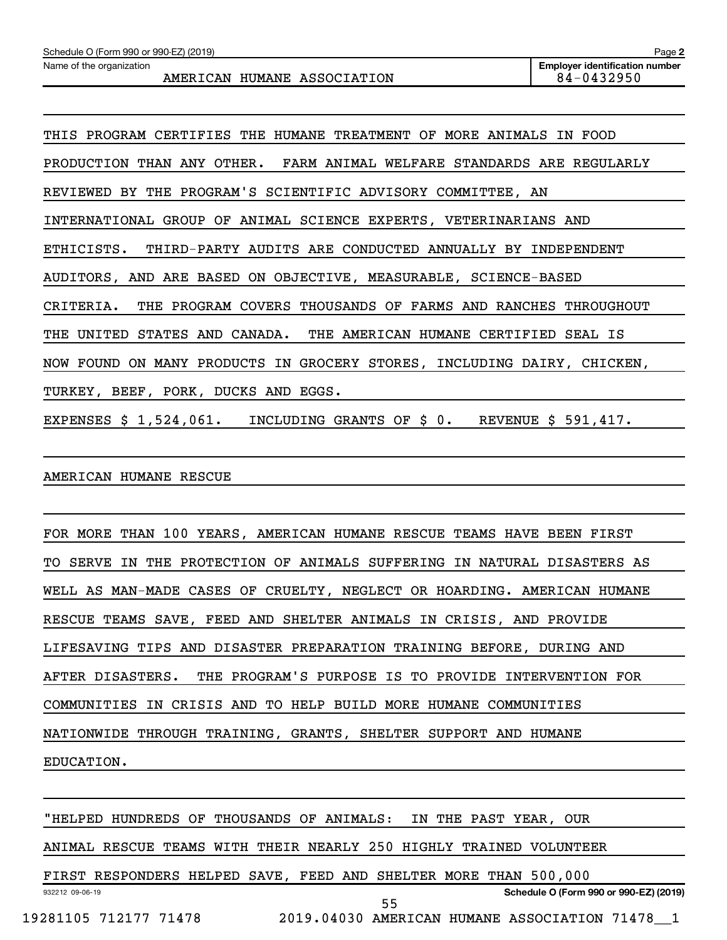THIS PROGRAM CERTIFIES THE HUMANE TREATMENT OF MORE ANIMALS IN FOOD PRODUCTION THAN ANY OTHER. FARM ANIMAL WELFARE STANDARDS ARE REGULARLY REVIEWED BY THE PROGRAM'S SCIENTIFIC ADVISORY COMMITTEE, AN INTERNATIONAL GROUP OF ANIMAL SCIENCE EXPERTS, VETERINARIANS AND ETHICISTS. THIRD-PARTY AUDITS ARE CONDUCTED ANNUALLY BY INDEPENDENT AUDITORS, AND ARE BASED ON OBJECTIVE, MEASURABLE, SCIENCE-BASED CRITERIA. THE PROGRAM COVERS THOUSANDS OF FARMS AND RANCHES THROUGHOUT THE UNITED STATES AND CANADA. THE AMERICAN HUMANE CERTIFIED SEAL IS NOW FOUND ON MANY PRODUCTS IN GROCERY STORES, INCLUDING DAIRY, CHICKEN, TURKEY, BEEF, PORK, DUCKS AND EGGS.

EXPENSES \$ 1,524,061. INCLUDING GRANTS OF \$ 0. REVENUE \$ 591,417.

AMERICAN HUMANE RESCUE

FOR MORE THAN 100 YEARS, AMERICAN HUMANE RESCUE TEAMS HAVE BEEN FIRST TO SERVE IN THE PROTECTION OF ANIMALS SUFFERING IN NATURAL DISASTERS AS WELL AS MAN-MADE CASES OF CRUELTY, NEGLECT OR HOARDING. AMERICAN HUMANE RESCUE TEAMS SAVE, FEED AND SHELTER ANIMALS IN CRISIS, AND PROVIDE LIFESAVING TIPS AND DISASTER PREPARATION TRAINING BEFORE, DURING AND AFTER DISASTERS. THE PROGRAM'S PURPOSE IS TO PROVIDE INTERVENTION FOR COMMUNITIES IN CRISIS AND TO HELP BUILD MORE HUMANE COMMUNITIES NATIONWIDE THROUGH TRAINING, GRANTS, SHELTER SUPPORT AND HUMANE EDUCATION.

"HELPED HUNDREDS OF THOUSANDS OF ANIMALS: IN THE PAST YEAR, OUR

ANIMAL RESCUE TEAMS WITH THEIR NEARLY 250 HIGHLY TRAINED VOLUNTEER

932212 09-06-19 **Schedule O (Form 990 or 990-EZ) (2019)** FIRST RESPONDERS HELPED SAVE, FEED AND SHELTER MORE THAN 500,000 19281105 712177 71478 2019.04030 AMERICAN HUMANE ASSOCIATION 71478\_\_1 55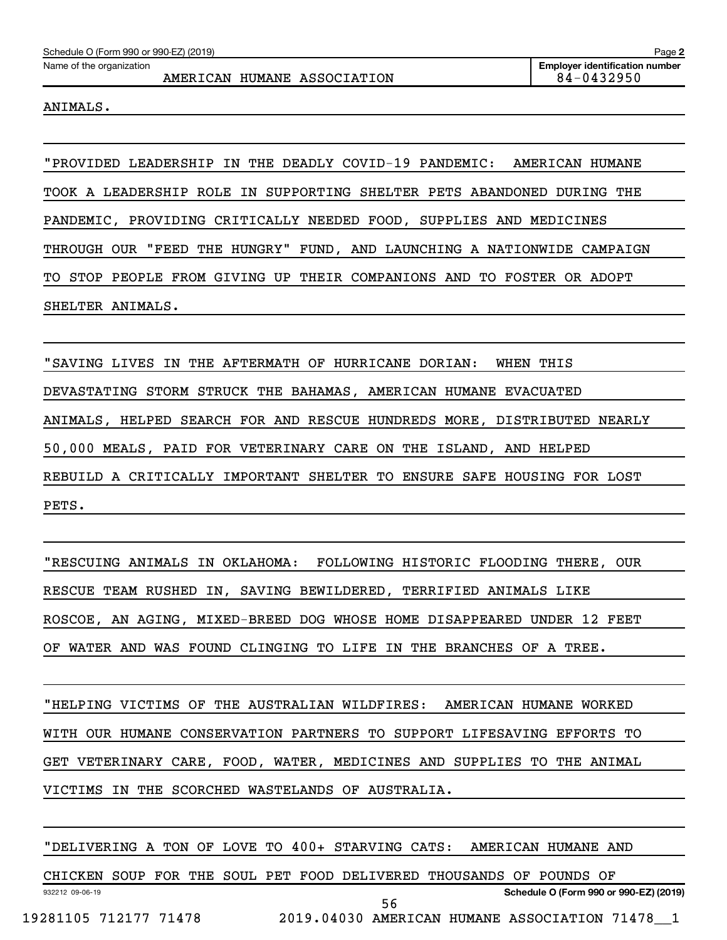## AMERICAN HUMANE ASSOCIATION 84-0432950

ANIMALS.

"PROVIDED LEADERSHIP IN THE DEADLY COVID-19 PANDEMIC: AMERICAN HUMANE TOOK A LEADERSHIP ROLE IN SUPPORTING SHELTER PETS ABANDONED DURING THE PANDEMIC, PROVIDING CRITICALLY NEEDED FOOD, SUPPLIES AND MEDICINES THROUGH OUR "FEED THE HUNGRY" FUND, AND LAUNCHING A NATIONWIDE CAMPAIGN TO STOP PEOPLE FROM GIVING UP THEIR COMPANIONS AND TO FOSTER OR ADOPT SHELTER ANIMALS.

" SAVING LIVES IN THE AFTERMATH OF HURRICANE DORIAN: WHEN THIS DEVASTATING STORM STRUCK THE BAHAMAS, AMERICAN HUMANE EVACUATED ANIMALS, HELPED SEARCH FOR AND RESCUE HUNDREDS MORE, DISTRIBUTED NEARLY 50,000 MEALS, PAID FOR VETERINARY CARE ON THE ISLAND, AND HELPED REBUILD A CRITICALLY IMPORTANT SHELTER TO ENSURE SAFE HOUSING FOR LOST PETS.

"RESCUING ANIMALS IN OKLAHOMA: FOLLOWING HISTORIC FLOODING THERE, OUR RESCUE TEAM RUSHED IN, SAVING BEWILDERED, TERRIFIED ANIMALS LIKE ROSCOE, AN AGING, MIXED-BREED DOG WHOSE HOME DISAPPEARED UNDER 12 FEET OF WATER AND WAS FOUND CLINGING TO LIFE IN THE BRANCHES OF A TREE.

"HELPING VICTIMS OF THE AUSTRALIAN WILDFIRES: AMERICAN HUMANE WORKED WITH OUR HUMANE CONSERVATION PARTNERS TO SUPPORT LIFESAVING EFFORTS TO GET VETERINARY CARE, FOOD, WATER, MEDICINES AND SUPPLIES TO THE ANIMAL VICTIMS IN THE SCORCHED WASTELANDS OF AUSTRALIA.

932212 09-06-19 **Schedule O (Form 990 or 990-EZ) (2019)** "DELIVERING A TON OF LOVE TO 400+ STARVING CATS: AMERICAN HUMANE AND CHICKEN SOUP FOR THE SOUL PET FOOD DELIVERED THOUSANDS OF POUNDS OF 19281105 712177 71478 2019.04030 AMERICAN HUMANE ASSOCIATION 71478\_\_1 56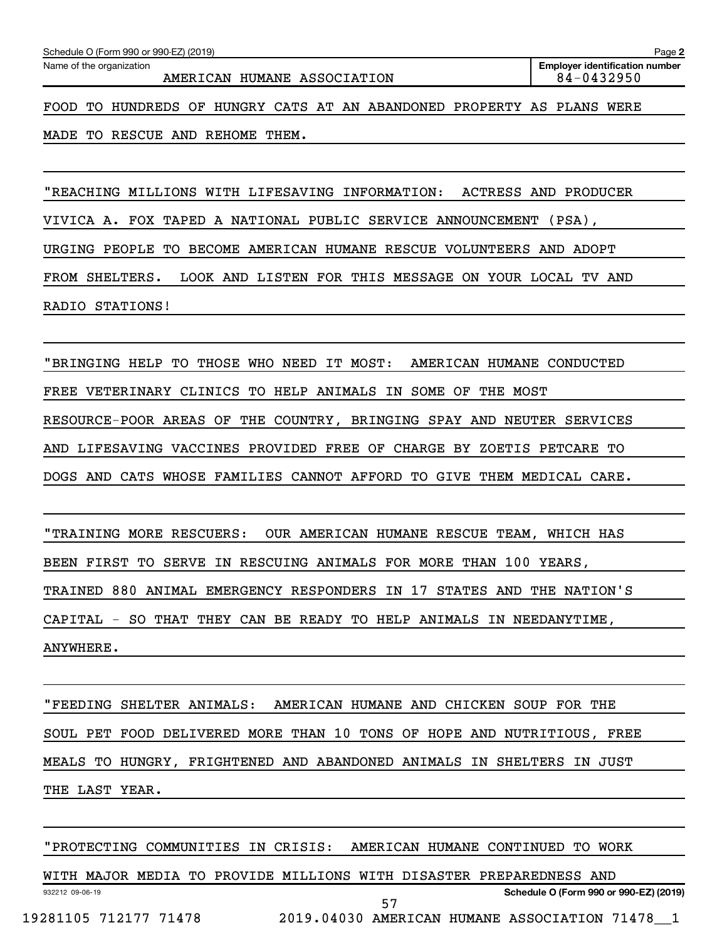AMERICAN HUMANE ASSOCIATION 84-0432950

FOOD TO HUNDREDS OF HUNGRY CATS AT AN ABANDONED PROPERTY AS PLANS WERE

MADE TO RESCUE AND REHOME THEM.

"REACHING MILLIONS WITH LIFESAVING INFORMATION: ACTRESS AND PRODUCER

VIVICA A. FOX TAPED A NATIONAL PUBLIC SERVICE ANNOUNCEMENT (PSA),

URGING PEOPLE TO BECOME AMERICAN HUMANE RESCUE VOLUNTEERS AND ADOPT

FROM SHELTERS. LOOK AND LISTEN FOR THIS MESSAGE ON YOUR LOCAL TV AND

RADIO STATIONS!

"BRINGING HELP TO THOSE WHO NEED IT MOST: AMERICAN HUMANE CONDUCTED FREE VETERINARY CLINICS TO HELP ANIMALS IN SOME OF THE MOST RESOURCE-POOR AREAS OF THE COUNTRY, BRINGING SPAY AND NEUTER SERVICES AND LIFESAVING VACCINES PROVIDED FREE OF CHARGE BY ZOETIS PETCARE TO DOGS AND CATS WHOSE FAMILIES CANNOT AFFORD TO GIVE THEM MEDICAL CARE.

"TRAINING MORE RESCUERS: OUR AMERICAN HUMANE RESCUE TEAM, WHICH HAS BEEN FIRST TO SERVE IN RESCUING ANIMALS FOR MORE THAN 100 YEARS, TRAINED 880 ANIMAL EMERGENCY RESPONDERS IN 17 STATES AND THE NATION'S CAPITAL - SO THAT THEY CAN BE READY TO HELP ANIMALS IN NEEDANYTIME, ANYWHERE.

"FEEDING SHELTER ANIMALS: AMERICAN HUMANE AND CHICKEN SOUP FOR THE SOUL PET FOOD DELIVERED MORE THAN 10 TONS OF HOPE AND NUTRITIOUS, FREE MEALS TO HUNGRY, FRIGHTENED AND ABANDONED ANIMALS IN SHELTERS IN JUST THE LAST YEAR.

"PROTECTING COMMUNITIES IN CRISIS: AMERICAN HUMANE CONTINUED TO WORK

932212 09-06-19 **Schedule O (Form 990 or 990-EZ) (2019)** WITH MAJOR MEDIA TO PROVIDE MILLIONS WITH DISASTER PREPAREDNESS AND 19281105 712177 71478 2019.04030 AMERICAN HUMANE ASSOCIATION 71478\_\_1 57

**2**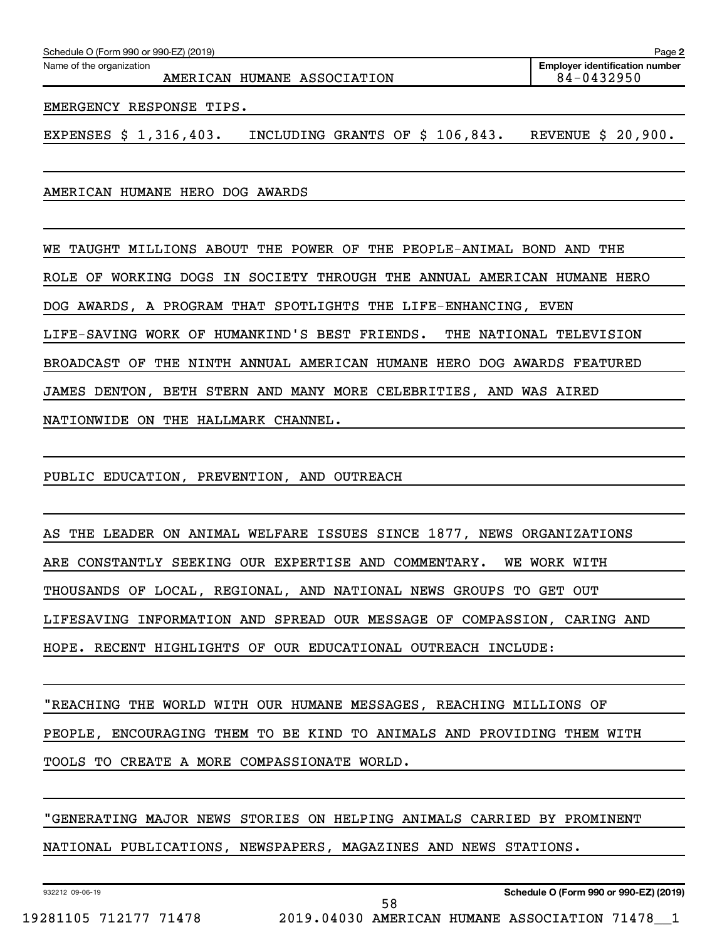| Schedule O (Form 990 or 990-EZ) (2019)<br>Page 2        |                                                     |  |  |  |  |
|---------------------------------------------------------|-----------------------------------------------------|--|--|--|--|
| Name of the organization<br>AMERICAN HUMANE ASSOCIATION | <b>Employer identification number</b><br>84-0432950 |  |  |  |  |
| EMERGENCY RESPONSE TIPS.                                |                                                     |  |  |  |  |

EXPENSES  $$ 1,316,403.$  INCLUDING GRANTS OF  $$ 106,843.$  REVENUE  $$ 20,900.$ 

AMERICAN HUMANE HERO DOG AWARDS

WE TAUGHT MILLIONS ABOUT THE POWER OF THE PEOPLE-ANIMAL BOND AND THE ROLE OF WORKING DOGS IN SOCIETY THROUGH THE ANNUAL AMERICAN HUMANE HERO DOG AWARDS, A PROGRAM THAT SPOTLIGHTS THE LIFE-ENHANCING, EVEN LIFE-SAVING WORK OF HUMANKIND'S BEST FRIENDS. THE NATIONAL TELEVISION BROADCAST OF THE NINTH ANNUAL AMERICAN HUMANE HERO DOG AWARDS FEATURED JAMES DENTON, BETH STERN AND MANY MORE CELEBRITIES, AND WAS AIRED NATIONWIDE ON THE HALLMARK CHANNEL.

PUBLIC EDUCATION, PREVENTION, AND OUTREACH

AS THE LEADER ON ANIMAL WELFARE ISSUES SINCE 1877, NEWS ORGANIZATIONS ARE CONSTANTLY SEEKING OUR EXPERTISE AND COMMENTARY. WE WORK WITH THOUSANDS OF LOCAL, REGIONAL, AND NATIONAL NEWS GROUPS TO GET OUT LIFESAVING INFORMATION AND SPREAD OUR MESSAGE OF COMPASSION, CARING AND HOPE. RECENT HIGHLIGHTS OF OUR EDUCATIONAL OUTREACH INCLUDE:

"REACHING THE WORLD WITH OUR HUMANE MESSAGES, REACHING MILLIONS OF PEOPLE, ENCOURAGING THEM TO BE KIND TO ANIMALS AND PROVIDING THEM WITH TOOLS TO CREATE A MORE COMPASSIONATE WORLD.

" GENERATING MAJOR NEWS STORIES ON HELPING ANIMALS CARRIED BY PROMINENT

58

NATIONAL PUBLICATIONS, NEWSPAPERS, MAGAZINES AND NEWS STATIONS.

932212 09-06-19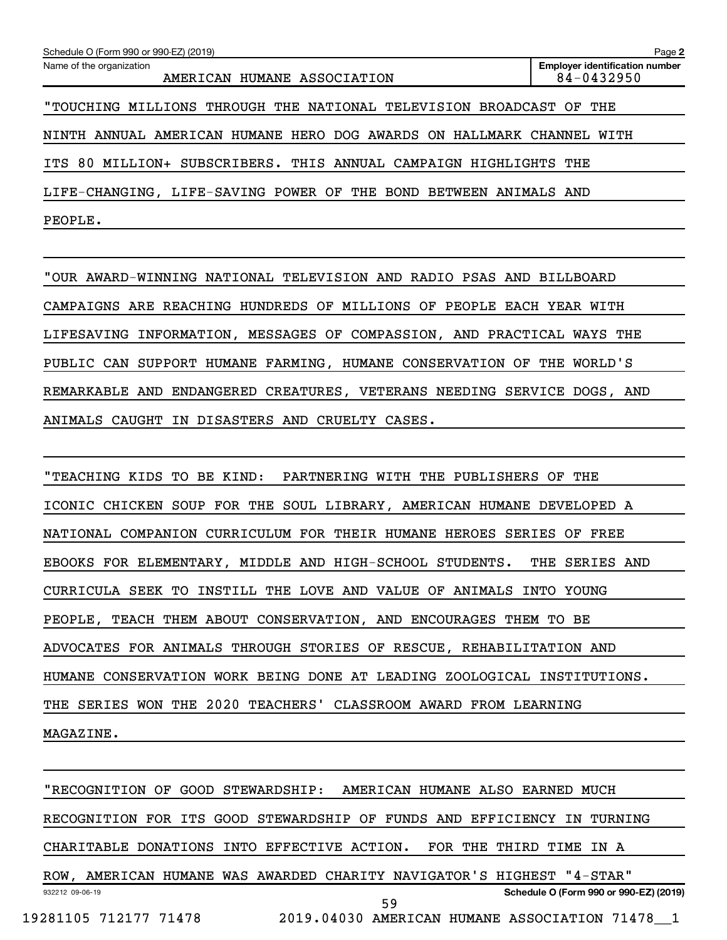| Schedule O (Form 990 or 990-EZ) (2019)                              | Page 2                                              |
|---------------------------------------------------------------------|-----------------------------------------------------|
| Name of the organization<br>AMERICAN HUMANE ASSOCIATION             | <b>Employer identification number</b><br>84-0432950 |
| "TOUCHING MILLIONS THROUGH THE NATIONAL TELEVISION BROADCAST OF THE |                                                     |
| NINTH ANNUAL AMERICAN HUMANE HERO DOG AWARDS ON HALLMARK CHANNEL    | WITH                                                |
| ITS 80 MILLION+ SUBSCRIBERS. THIS ANNUAL CAMPAIGN HIGHLIGHTS THE    |                                                     |
| LIFE-CHANGING, LIFE-SAVING POWER OF THE BOND BETWEEN ANIMALS AND    |                                                     |
| PEOPLE.                                                             |                                                     |

" OUR AWARD-WINNING NATIONAL TELEVISION AND RADIO PSAS AND BILLBOARD CAMPAIGNS ARE REACHING HUNDREDS OF MILLIONS OF PEOPLE EACH YEAR WITH LIFESAVING INFORMATION, MESSAGES OF COMPASSION, AND PRACTICAL WAYS THE PUBLIC CAN SUPPORT HUMANE FARMING, HUMANE CONSERVATION OF THE WORLD'S REMARKABLE AND ENDANGERED CREATURES, VETERANS NEEDING SERVICE DOGS, AND ANIMALS CAUGHT IN DISASTERS AND CRUELTY CASES.

"TEACHING KIDS TO BE KIND: PARTNERING WITH THE PUBLISHERS OF THE ICONIC CHICKEN SOUP FOR THE SOUL LIBRARY, AMERICAN HUMANE DEVELOPED A NATIONAL COMPANION CURRICULUM FOR THEIR HUMANE HEROES SERIES OF FREE EBOOKS FOR ELEMENTARY, MIDDLE AND HIGH-SCHOOL STUDENTS. THE SERIES AND CURRICULA SEEK TO INSTILL THE LOVE AND VALUE OF ANIMALS INTO YOUNG PEOPLE, TEACH THEM ABOUT CONSERVATION, AND ENCOURAGES THEM TO BE ADVOCATES FOR ANIMALS THROUGH STORIES OF RESCUE, REHABILITATION AND HUMANE CONSERVATION WORK BEING DONE AT LEADING ZOOLOGICAL INSTITUTIONS. THE SERIES WON THE 2020 TEACHERS' CLASSROOM AWARD FROM LEARNING MAGAZINE.

932212 09-06-19 **Schedule O (Form 990 or 990-EZ) (2019)** "RECOGNITION OF GOOD STEWARDSHIP: AMERICAN HUMANE ALSO EARNED MUCH RECOGNITION FOR ITS GOOD STEWARDSHIP OF FUNDS AND EFFICIENCY IN TURNING CHARITABLE DONATIONS INTO EFFECTIVE ACTION. FOR THE THIRD TIME IN A ROW, AMERICAN HUMANE WAS AWARDED CHARITY NAVIGATOR'S HIGHEST "4-STAR" 19281105 712177 71478 2019.04030 AMERICAN HUMANE ASSOCIATION 71478\_\_1 59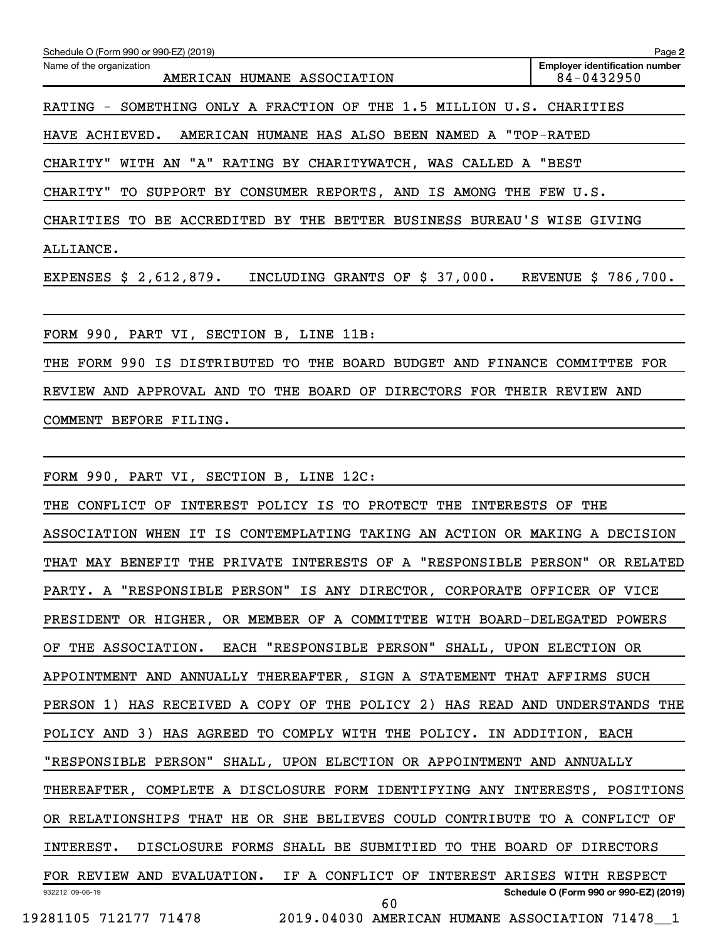| Schedule O (Form 990 or 990-EZ) (2019)                                        | Page 2                                              |
|-------------------------------------------------------------------------------|-----------------------------------------------------|
| Name of the organization<br>AMERICAN HUMANE ASSOCIATION                       | <b>Employer identification number</b><br>84-0432950 |
| RATING - SOMETHING ONLY A FRACTION OF THE 1.5 MILLION U.S. CHARITIES          |                                                     |
| HAVE ACHIEVED.<br>AMERICAN HUMANE HAS ALSO BEEN NAMED A "TOP-RATED            |                                                     |
| CHARITY" WITH AN "A" RATING BY CHARITYWATCH, WAS CALLED A "BEST               |                                                     |
| CHARITY" TO SUPPORT BY CONSUMER REPORTS, AND IS AMONG THE FEW U.S.            |                                                     |
| CHARITIES TO BE ACCREDITED BY THE BETTER BUSINESS BUREAU'S WISE GIVING        |                                                     |
| ALLIANCE.                                                                     |                                                     |
| EXPENSES $$2,612,879$ .<br>INCLUDING GRANTS OF \$ 37,000. REVENUE \$ 786,700. |                                                     |
| FORM 990, PART VI, SECTION B, LINE 11B:                                       |                                                     |
| THE FORM 990 IS DISTRIBUTED TO THE BOARD BUDGET AND FINANCE COMMITTEE FOR     |                                                     |
| REVIEW AND APPROVAL AND TO THE BOARD OF DIRECTORS FOR THEIR REVIEW AND        |                                                     |
| COMMENT BEFORE FILING.                                                        |                                                     |
|                                                                               |                                                     |
| FORM 990, PART VI, SECTION B, LINE 12C:                                       |                                                     |
| INTEREST POLICY IS TO PROTECT THE INTERESTS OF THE<br>THE CONFLICT OF         |                                                     |
| ASSOCIATION WHEN IT IS CONTEMPLATING TAKING AN ACTION OR MAKING A DECISION    |                                                     |
| THAT MAY BENEFIT THE PRIVATE INTERESTS OF A "RESPONSIBLE PERSON" OR RELATED   |                                                     |
| PARTY. A "RESPONSIBLE PERSON" IS ANY DIRECTOR, CORPORATE OFFICER OF VICE      |                                                     |
| PRESIDENT OR HIGHER, OR MEMBER OF A COMMITTEE WITH BOARD-DELEGATED POWERS     |                                                     |
| OF THE ASSOCIATION. EACH "RESPONSIBLE PERSON" SHALL, UPON ELECTION OR         |                                                     |
| APPOINTMENT AND ANNUALLY THEREAFTER, SIGN A STATEMENT THAT AFFIRMS SUCH       |                                                     |
| PERSON 1) HAS RECEIVED A COPY OF THE POLICY 2) HAS READ AND UNDERSTANDS THE   |                                                     |
| POLICY AND 3) HAS AGREED TO COMPLY WITH THE POLICY. IN ADDITION, EACH         |                                                     |
| "RESPONSIBLE PERSON" SHALL, UPON ELECTION OR APPOINTMENT AND ANNUALLY         |                                                     |
| THEREAFTER, COMPLETE A DISCLOSURE FORM IDENTIFYING ANY INTERESTS, POSITIONS   |                                                     |
| OR RELATIONSHIPS THAT HE OR SHE BELIEVES COULD CONTRIBUTE TO A CONFLICT OF    |                                                     |
| INTEREST. DISCLOSURE FORMS SHALL BE SUBMITIED TO THE BOARD OF DIRECTORS       |                                                     |
| FOR REVIEW AND EVALUATION. IF A CONFLICT OF INTEREST ARISES WITH RESPECT      |                                                     |
| 932212 09-06-19<br>60                                                         | Schedule O (Form 990 or 990-EZ) (2019)              |
| 19281105 712177 71478 2019.04030 AMERICAN HUMANE ASSOCIATION 71478_1          |                                                     |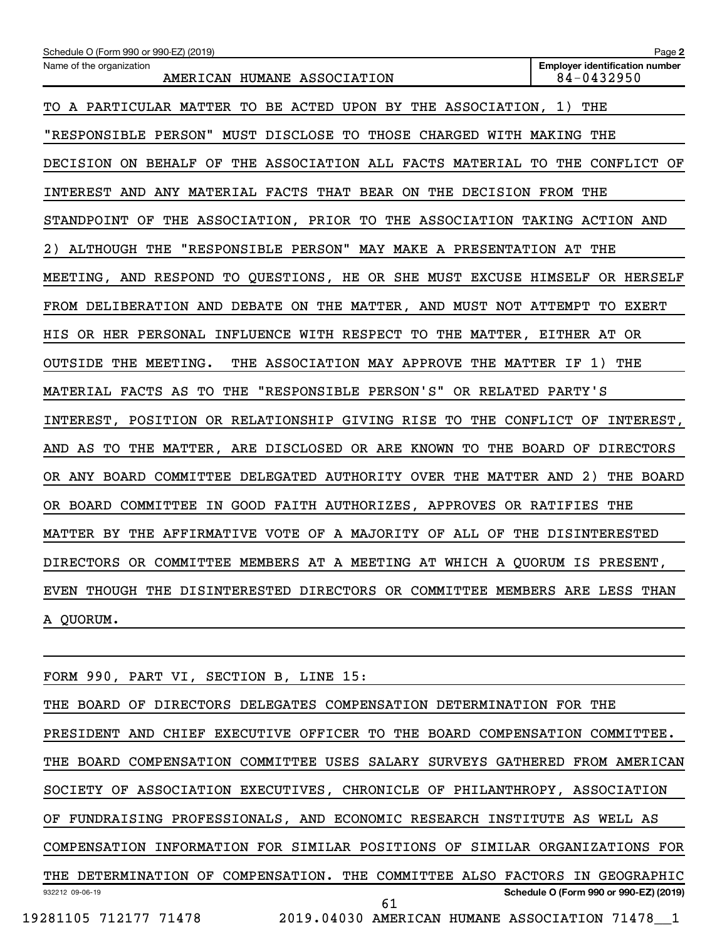| Schedule O (Form 990 or 990-EZ) (2019)                                      | Page 2                                              |
|-----------------------------------------------------------------------------|-----------------------------------------------------|
| Name of the organization<br>AMERICAN HUMANE ASSOCIATION                     | <b>Employer identification number</b><br>84-0432950 |
| TO A PARTICULAR MATTER TO BE ACTED UPON BY THE ASSOCIATION, 1) THE          |                                                     |
| "RESPONSIBLE PERSON" MUST DISCLOSE TO THOSE CHARGED WITH MAKING THE         |                                                     |
| DECISION ON BEHALF OF THE ASSOCIATION ALL FACTS MATERIAL TO THE CONFLICT OF |                                                     |
| INTEREST AND ANY MATERIAL FACTS THAT BEAR ON THE DECISION FROM THE          |                                                     |
| STANDPOINT OF THE ASSOCIATION, PRIOR TO THE ASSOCIATION TAKING ACTION AND   |                                                     |
| 2) ALTHOUGH THE "RESPONSIBLE PERSON" MAY MAKE A PRESENTATION AT THE         |                                                     |
| MEETING, AND RESPOND TO QUESTIONS, HE OR SHE MUST EXCUSE HIMSELF OR HERSELF |                                                     |
| FROM DELIBERATION AND DEBATE ON THE MATTER, AND MUST NOT ATTEMPT TO EXERT   |                                                     |
| HIS OR HER PERSONAL INFLUENCE WITH RESPECT TO THE MATTER, EITHER AT OR      |                                                     |
| OUTSIDE THE MEETING.<br>THE ASSOCIATION MAY APPROVE THE MATTER IF 1) THE    |                                                     |
| MATERIAL FACTS AS TO THE "RESPONSIBLE PERSON'S" OR RELATED PARTY'S          |                                                     |
| INTEREST, POSITION OR RELATIONSHIP GIVING RISE TO THE CONFLICT OF INTEREST, |                                                     |
| AND AS TO THE MATTER, ARE DISCLOSED OR ARE KNOWN TO THE BOARD OF DIRECTORS  |                                                     |
| OR ANY BOARD COMMITTEE DELEGATED AUTHORITY OVER THE MATTER AND 2) THE BOARD |                                                     |
| OR BOARD COMMITTEE IN GOOD FAITH AUTHORIZES, APPROVES OR RATIFIES THE       |                                                     |
| MATTER BY THE AFFIRMATIVE VOTE OF A MAJORITY OF ALL OF THE DISINTERESTED    |                                                     |
| DIRECTORS OR COMMITTEE MEMBERS AT A MEETING AT WHICH A QUORUM IS PRESENT,   |                                                     |
| EVEN THOUGH THE DISINTERESTED DIRECTORS OR COMMITTEE MEMBERS ARE LESS THAN  |                                                     |
| A QUORUM.                                                                   |                                                     |
|                                                                             |                                                     |

FORM 990, PART VI, SECTION B, LINE 15:

932212 09-06-19 **Schedule O (Form 990 or 990-EZ) (2019)** THE BOARD OF DIRECTORS DELEGATES COMPENSATION DETERMINATION FOR THE PRESIDENT AND CHIEF EXECUTIVE OFFICER TO THE BOARD COMPENSATION COMMITTEE. THE BOARD COMPENSATION COMMITTEE USES SALARY SURVEYS GATHERED FROM AMERICAN SOCIETY OF ASSOCIATION EXECUTIVES, CHRONICLE OF PHILANTHROPY, ASSOCIATION OF FUNDRAISING PROFESSIONALS, AND ECONOMIC RESEARCH INSTITUTE AS WELL AS COMPENSATION INFORMATION FOR SIMILAR POSITIONS OF SIMILAR ORGANIZATIONS FOR THE DETERMINATION OF COMPENSATION. THE COMMITTEE ALSO FACTORS IN GEOGRAPHIC 19281105 712177 71478 2019.04030 AMERICAN HUMANE ASSOCIATION 71478\_\_1 61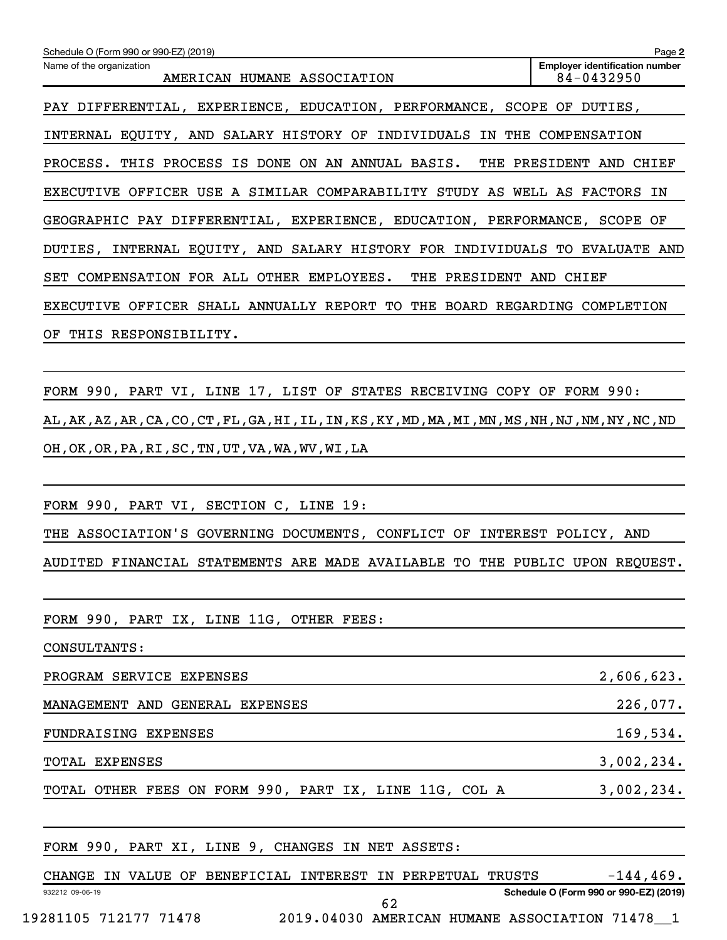| Schedule O (Form 990 or 990-EZ) (2019)                                                                                     | Page 2                                              |
|----------------------------------------------------------------------------------------------------------------------------|-----------------------------------------------------|
| Name of the organization<br>AMERICAN HUMANE ASSOCIATION                                                                    | <b>Employer identification number</b><br>84-0432950 |
| PAY DIFFERENTIAL, EXPERIENCE, EDUCATION, PERFORMANCE, SCOPE OF DUTIES,                                                     |                                                     |
| INTERNAL EQUITY, AND SALARY HISTORY OF INDIVIDUALS IN THE COMPENSATION                                                     |                                                     |
| PROCESS. THIS PROCESS IS DONE ON AN ANNUAL BASIS. THE PRESIDENT AND CHIEF                                                  |                                                     |
| EXECUTIVE OFFICER USE A SIMILAR COMPARABILITY STUDY AS WELL AS FACTORS IN                                                  |                                                     |
| GEOGRAPHIC PAY DIFFERENTIAL, EXPERIENCE, EDUCATION, PERFORMANCE, SCOPE OF                                                  |                                                     |
| DUTIES, INTERNAL EQUITY, AND SALARY HISTORY FOR INDIVIDUALS TO EVALUATE AND                                                |                                                     |
| SET COMPENSATION FOR ALL OTHER EMPLOYEES. THE PRESIDENT AND CHIEF                                                          |                                                     |
| EXECUTIVE OFFICER SHALL ANNUALLY REPORT TO THE BOARD REGARDING COMPLETION                                                  |                                                     |
| OF THIS RESPONSIBILITY.                                                                                                    |                                                     |
|                                                                                                                            |                                                     |
| FORM 990, PART VI, LINE 17, LIST OF STATES RECEIVING COPY OF FORM 990:                                                     |                                                     |
| AL , AK , AZ , AR , CA , CO , CT , FL , GA , HI , IL , IN , KS , KY , MD , MA , MI , MN , MS , NH , NJ , NM , NY , NC , ND |                                                     |
| OH, OK, OR, PA, RI, SC, TN, UT, VA, WA, WV, WI, LA                                                                         |                                                     |
|                                                                                                                            |                                                     |
| FORM 990, PART VI, SECTION C, LINE 19:                                                                                     |                                                     |
| THE ASSOCIATION'S GOVERNING DOCUMENTS, CONFLICT OF INTEREST POLICY, AND                                                    |                                                     |
| AUDITED FINANCIAL STATEMENTS ARE MADE AVAILABLE TO THE PUBLIC UPON REQUEST.                                                |                                                     |
|                                                                                                                            |                                                     |
| FORM 990, PART IX, LINE 11G, OTHER FEES:                                                                                   |                                                     |
| CONSULTANTS:                                                                                                               |                                                     |
| PROGRAM SERVICE EXPENSES                                                                                                   | 2,606,623.                                          |
| MANAGEMENT AND GENERAL EXPENSES                                                                                            | 226,077.                                            |
| FUNDRAISING EXPENSES                                                                                                       | 169,534.                                            |
| TOTAL EXPENSES                                                                                                             | 3,002,234.                                          |
| TOTAL OTHER FEES ON FORM 990, PART IX, LINE 11G, COL A                                                                     | 3,002,234.                                          |
|                                                                                                                            |                                                     |
| FORM 990, PART XI, LINE 9, CHANGES IN NET ASSETS:                                                                          |                                                     |
| CHANGE IN VALUE OF BENEFICIAL INTEREST IN PERPETUAL TRUSTS                                                                 | $-144, 469.$                                        |

19281105 712177 71478 2019.04030 AMERICAN HUMANE ASSOCIATION 71478\_\_1

932212 09-06-19

62

**Schedule O (Form 990 or 990-EZ) (2019)**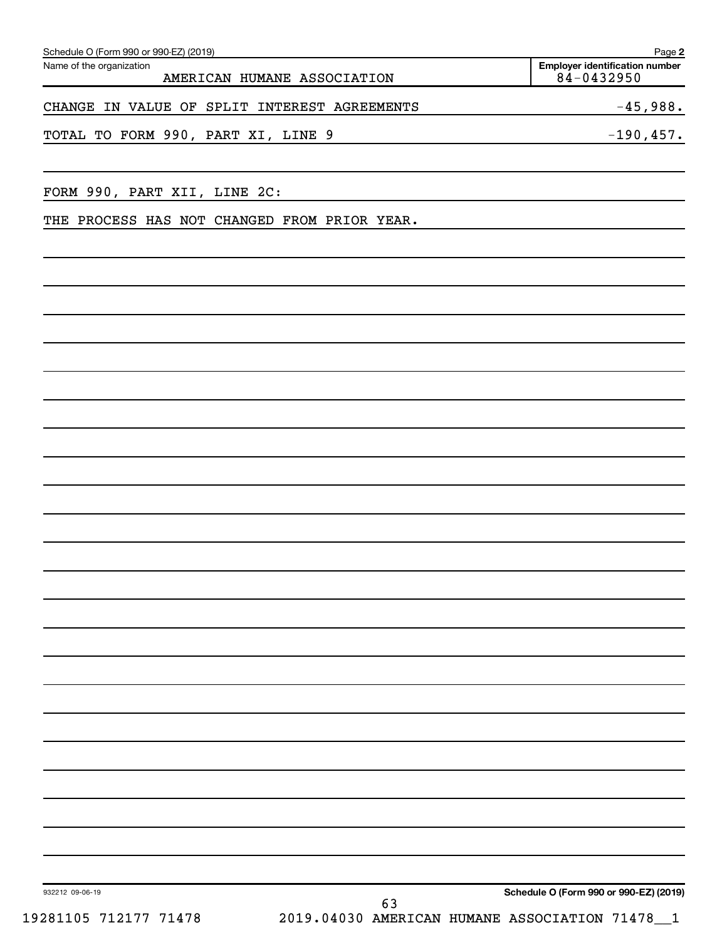| Schedule O (Form 990 or 990-EZ) (2019)       |                             | Page 2                                                      |
|----------------------------------------------|-----------------------------|-------------------------------------------------------------|
| Name of the organization                     | AMERICAN HUMANE ASSOCIATION | <b>Employer identification number</b><br>84-0432950         |
| CHANGE IN VALUE OF SPLIT INTEREST AGREEMENTS |                             | $-45,988.$                                                  |
| TOTAL TO FORM 990, PART XI, LINE 9           |                             | $-190, 457.$                                                |
| FORM 990, PART XII, LINE 2C:                 |                             |                                                             |
| THE PROCESS HAS NOT CHANGED FROM PRIOR YEAR. |                             |                                                             |
|                                              |                             |                                                             |
|                                              |                             |                                                             |
|                                              |                             |                                                             |
|                                              |                             |                                                             |
|                                              |                             |                                                             |
|                                              |                             |                                                             |
|                                              |                             |                                                             |
|                                              |                             |                                                             |
|                                              |                             |                                                             |
|                                              |                             |                                                             |
|                                              |                             |                                                             |
|                                              |                             |                                                             |
|                                              |                             |                                                             |
|                                              |                             |                                                             |
|                                              |                             |                                                             |
| 932212 09-06-19                              | 63                          | Schedule O (Form 990 or 990-EZ) (2019)                      |
| 19281105 712177 71478                        |                             | 2019.04030 AMERICAN HUMANE ASSOCIATION 71478<br>$\mathbf 1$ |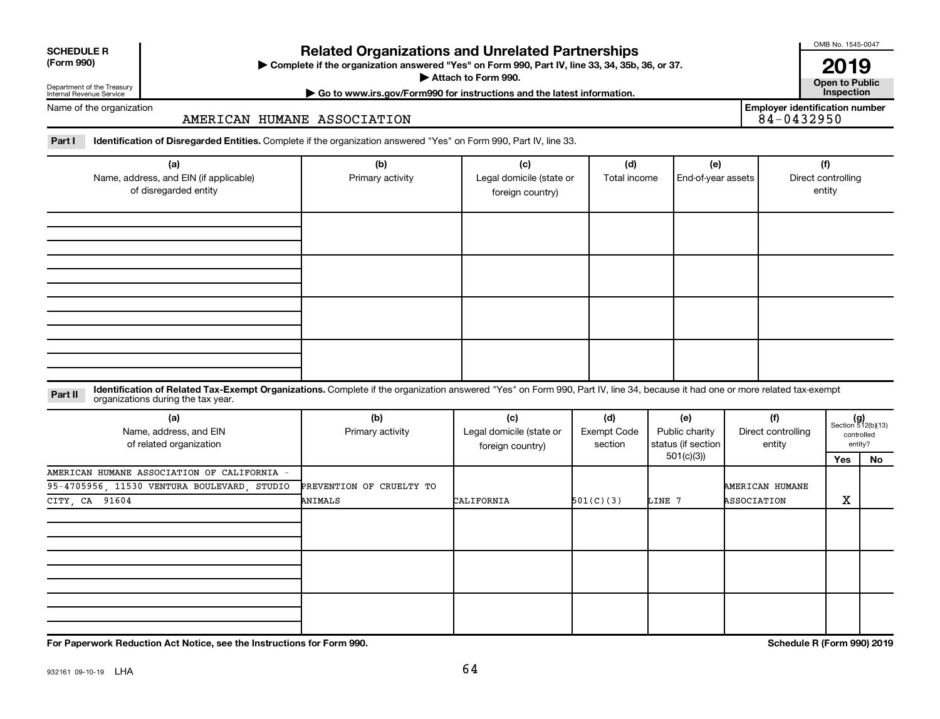| <b>SCHEDULE R</b> |
|-------------------|
|                   |

## Department of the Treasury

## **Related Organizations and Unrelated Partnerships**

**(Form 990) Complete if the organization answered "Yes" on Form 990, Part IV, line 33, 34, 35b, 36, or 37.** |

**Attach to Form 990. Contract to Form 990. Contract to Public** 

OMB No. 1545-0047

**| Go to www.irs.gov/Form990 for instructions and the latest information. Inspection 2019**<br>Open to Public

**Employer identification number**

Internal Revenue Service Name of the organization

## AMERICAN HUMANE ASSOCIATION

Part I ldentification of Disregarded Entities. Complete if the organization answered "Yes" on Form 990, Part IV, line 33.

| (a)<br>Name, address, and EIN (if applicable)<br>of disregarded entity | (b)<br>Primary activity | (c)<br>Legal domicile (state or<br>foreign country) | (d)<br>Total income | (e)<br>End-of-year assets | (f)<br>Direct controlling<br>entity |
|------------------------------------------------------------------------|-------------------------|-----------------------------------------------------|---------------------|---------------------------|-------------------------------------|
|                                                                        |                         |                                                     |                     |                           |                                     |
|                                                                        |                         |                                                     |                     |                           |                                     |
|                                                                        |                         |                                                     |                     |                           |                                     |
|                                                                        |                         |                                                     |                     |                           |                                     |

### **Part II** Identification of Related Tax-Exempt Organizations. Complete if the organization answered "Yes" on Form 990, Part IV, line 34, because it had one or more related tax-exempt<br>Part II acconizations during the tax ye organizations during the tax year.

| (a)<br>Name, address, and EIN<br>of related organization | (b)<br>Primary activity  | (c)<br>Legal domicile (state or<br>foreign country) | (d)<br>Exempt Code<br>section | (e)<br>Public charity<br>status (if section | (f)<br>Direct controlling<br>entity | $(g)$<br>Section 512(b)(13) | controlled<br>entity? |
|----------------------------------------------------------|--------------------------|-----------------------------------------------------|-------------------------------|---------------------------------------------|-------------------------------------|-----------------------------|-----------------------|
|                                                          |                          |                                                     |                               | 501(c)(3))                                  |                                     | Yes                         | No                    |
| AMERICAN HUMANE ASSOCIATION OF CALIFORNIA -              |                          |                                                     |                               |                                             |                                     |                             |                       |
| 95-4705956, 11530 VENTURA BOULEVARD, STUDIO              | PREVENTION OF CRUELTY TO |                                                     |                               |                                             | AMERICAN HUMANE                     |                             |                       |
| CITY, CA 91604                                           | ANIMALS                  | CALIFORNIA                                          | 501(C)(3)                     | LINE 7                                      | ASSOCIATION                         | X                           |                       |
|                                                          |                          |                                                     |                               |                                             |                                     |                             |                       |
|                                                          |                          |                                                     |                               |                                             |                                     |                             |                       |
|                                                          |                          |                                                     |                               |                                             |                                     |                             |                       |

**For Paperwork Reduction Act Notice, see the Instructions for Form 990. Schedule R (Form 990) 2019**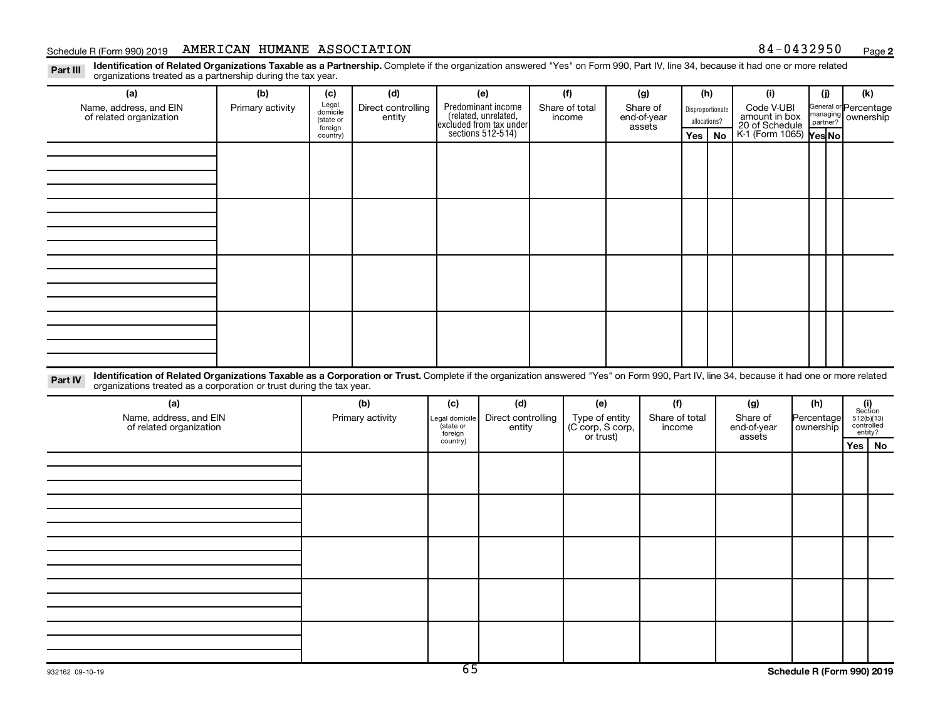## Schedule R (Form 990) 2019 AMERICAN HUMANE ASSOCIATION 84-0432950  $_{\text{Page}}$

Part III Identification of Related Organizations Taxable as a Partnership. Complete if the organization answered "Yes" on Form 990, Part IV, line 34, because it had one or more related<br>Read to the organizations tracted as organizations treated as a partnership during the tax year.

| Organizations treated as a partnership during the tax year.                                                                                                                                         |                  |                     |                    |          |                                                             |  |                                    |                                                                                            |                     |                  |                       |                        |            |                       |                                              |  |  |        |  |                       |  |              |                                 |  |                    |  |  |
|-----------------------------------------------------------------------------------------------------------------------------------------------------------------------------------------------------|------------------|---------------------|--------------------|----------|-------------------------------------------------------------|--|------------------------------------|--------------------------------------------------------------------------------------------|---------------------|------------------|-----------------------|------------------------|------------|-----------------------|----------------------------------------------|--|--|--------|--|-----------------------|--|--------------|---------------------------------|--|--------------------|--|--|
| (a)                                                                                                                                                                                                 | (b)              | (c)                 | (d)                |          | (e)                                                         |  | (f)                                |                                                                                            | (g)                 |                  | (h)                   | (i)                    |            | (i)                   | (k)                                          |  |  |        |  |                       |  |              |                                 |  |                    |  |  |
| Name, address, and EIN                                                                                                                                                                              | Primary activity | Legal<br>domicile   | Direct controlling |          |                                                             |  | Share of total                     | Share of                                                                                   |                     | Disproportionate |                       | Code V-UBI             |            | General or Percentage |                                              |  |  |        |  |                       |  |              |                                 |  |                    |  |  |
| of related organization                                                                                                                                                                             |                  | (state or           | entity             |          |                                                             |  |                                    | Predominant income<br>(related, unrelated,<br>excluded from tax under<br>sections 512-514) |                     |                  |                       |                        |            |                       |                                              |  |  | income |  | end-of-year<br>assets |  | allocations? | amount in box<br>20 of Schedule |  | managing ownership |  |  |
|                                                                                                                                                                                                     |                  | foreign<br>country) |                    |          |                                                             |  |                                    |                                                                                            |                     | Yes              | No                    | K-1 (Form 1065) Yes No |            |                       |                                              |  |  |        |  |                       |  |              |                                 |  |                    |  |  |
|                                                                                                                                                                                                     |                  |                     |                    |          |                                                             |  |                                    |                                                                                            |                     |                  |                       |                        |            |                       |                                              |  |  |        |  |                       |  |              |                                 |  |                    |  |  |
|                                                                                                                                                                                                     |                  |                     |                    |          |                                                             |  |                                    |                                                                                            |                     |                  |                       |                        |            |                       |                                              |  |  |        |  |                       |  |              |                                 |  |                    |  |  |
|                                                                                                                                                                                                     |                  |                     |                    |          |                                                             |  |                                    |                                                                                            |                     |                  |                       |                        |            |                       |                                              |  |  |        |  |                       |  |              |                                 |  |                    |  |  |
|                                                                                                                                                                                                     |                  |                     |                    |          |                                                             |  |                                    |                                                                                            |                     |                  |                       |                        |            |                       |                                              |  |  |        |  |                       |  |              |                                 |  |                    |  |  |
|                                                                                                                                                                                                     |                  |                     |                    |          |                                                             |  |                                    |                                                                                            |                     |                  |                       |                        |            |                       |                                              |  |  |        |  |                       |  |              |                                 |  |                    |  |  |
|                                                                                                                                                                                                     |                  |                     |                    |          |                                                             |  |                                    |                                                                                            |                     |                  |                       |                        |            |                       |                                              |  |  |        |  |                       |  |              |                                 |  |                    |  |  |
|                                                                                                                                                                                                     |                  |                     |                    |          |                                                             |  |                                    |                                                                                            |                     |                  |                       |                        |            |                       |                                              |  |  |        |  |                       |  |              |                                 |  |                    |  |  |
|                                                                                                                                                                                                     |                  |                     |                    |          |                                                             |  |                                    |                                                                                            |                     |                  |                       |                        |            |                       |                                              |  |  |        |  |                       |  |              |                                 |  |                    |  |  |
|                                                                                                                                                                                                     |                  |                     |                    |          |                                                             |  |                                    |                                                                                            |                     |                  |                       |                        |            |                       |                                              |  |  |        |  |                       |  |              |                                 |  |                    |  |  |
|                                                                                                                                                                                                     |                  |                     |                    |          |                                                             |  |                                    |                                                                                            |                     |                  |                       |                        |            |                       |                                              |  |  |        |  |                       |  |              |                                 |  |                    |  |  |
|                                                                                                                                                                                                     |                  |                     |                    |          |                                                             |  |                                    |                                                                                            |                     |                  |                       |                        |            |                       |                                              |  |  |        |  |                       |  |              |                                 |  |                    |  |  |
|                                                                                                                                                                                                     |                  |                     |                    |          |                                                             |  |                                    |                                                                                            |                     |                  |                       |                        |            |                       |                                              |  |  |        |  |                       |  |              |                                 |  |                    |  |  |
|                                                                                                                                                                                                     |                  |                     |                    |          |                                                             |  |                                    |                                                                                            |                     |                  |                       |                        |            |                       |                                              |  |  |        |  |                       |  |              |                                 |  |                    |  |  |
|                                                                                                                                                                                                     |                  |                     |                    |          |                                                             |  |                                    |                                                                                            |                     |                  |                       |                        |            |                       |                                              |  |  |        |  |                       |  |              |                                 |  |                    |  |  |
|                                                                                                                                                                                                     |                  |                     |                    |          |                                                             |  |                                    |                                                                                            |                     |                  |                       |                        |            |                       |                                              |  |  |        |  |                       |  |              |                                 |  |                    |  |  |
|                                                                                                                                                                                                     |                  |                     |                    |          |                                                             |  |                                    |                                                                                            |                     |                  |                       |                        |            |                       |                                              |  |  |        |  |                       |  |              |                                 |  |                    |  |  |
| Identification of Related Organizations Taxable as a Corporation or Trust. Complete if the organization answered "Yes" on Form 990, Part IV, line 34, because it had one or more related<br>Part IV |                  |                     |                    |          |                                                             |  |                                    |                                                                                            |                     |                  |                       |                        |            |                       |                                              |  |  |        |  |                       |  |              |                                 |  |                    |  |  |
| organizations treated as a corporation or trust during the tax year.                                                                                                                                |                  |                     |                    |          |                                                             |  |                                    |                                                                                            |                     |                  |                       |                        |            |                       |                                              |  |  |        |  |                       |  |              |                                 |  |                    |  |  |
| (a)                                                                                                                                                                                                 |                  |                     | (b)                | (c)      | (d)                                                         |  | (e)                                |                                                                                            | (f)                 |                  |                       | (g)                    |            | (h)                   |                                              |  |  |        |  |                       |  |              |                                 |  |                    |  |  |
| Name, address, and EIN                                                                                                                                                                              |                  |                     | Primary activity   |          | Direct controlling<br>Legal domicile<br>(state or<br>entity |  | Type of entity<br>(C corp, S corp, |                                                                                            |                     | Share of total   |                       | Share of               | Percentage |                       | $(i)$<br>Section<br>512(b)(13)<br>controlled |  |  |        |  |                       |  |              |                                 |  |                    |  |  |
| of related organization                                                                                                                                                                             |                  |                     |                    | foreign  |                                                             |  |                                    |                                                                                            | income<br>or trust) |                  | end-of-year<br>assets |                        | ownership  |                       | entity?                                      |  |  |        |  |                       |  |              |                                 |  |                    |  |  |
|                                                                                                                                                                                                     |                  |                     |                    | country) |                                                             |  |                                    |                                                                                            |                     |                  |                       |                        |            |                       | Yes   No                                     |  |  |        |  |                       |  |              |                                 |  |                    |  |  |
|                                                                                                                                                                                                     |                  |                     |                    |          |                                                             |  |                                    |                                                                                            |                     |                  |                       |                        |            |                       |                                              |  |  |        |  |                       |  |              |                                 |  |                    |  |  |
|                                                                                                                                                                                                     |                  |                     |                    |          |                                                             |  |                                    |                                                                                            |                     |                  |                       |                        |            |                       |                                              |  |  |        |  |                       |  |              |                                 |  |                    |  |  |
|                                                                                                                                                                                                     |                  |                     |                    |          |                                                             |  |                                    |                                                                                            |                     |                  |                       |                        |            |                       |                                              |  |  |        |  |                       |  |              |                                 |  |                    |  |  |
|                                                                                                                                                                                                     |                  |                     |                    |          |                                                             |  |                                    |                                                                                            |                     |                  |                       |                        |            |                       |                                              |  |  |        |  |                       |  |              |                                 |  |                    |  |  |
|                                                                                                                                                                                                     |                  |                     |                    |          |                                                             |  |                                    |                                                                                            |                     |                  |                       |                        |            |                       |                                              |  |  |        |  |                       |  |              |                                 |  |                    |  |  |
|                                                                                                                                                                                                     |                  |                     |                    |          |                                                             |  |                                    |                                                                                            |                     |                  |                       |                        |            |                       |                                              |  |  |        |  |                       |  |              |                                 |  |                    |  |  |
|                                                                                                                                                                                                     |                  |                     |                    |          |                                                             |  |                                    |                                                                                            |                     |                  |                       |                        |            |                       |                                              |  |  |        |  |                       |  |              |                                 |  |                    |  |  |
|                                                                                                                                                                                                     |                  |                     |                    |          |                                                             |  |                                    |                                                                                            |                     |                  |                       |                        |            |                       |                                              |  |  |        |  |                       |  |              |                                 |  |                    |  |  |
|                                                                                                                                                                                                     |                  |                     |                    |          |                                                             |  |                                    |                                                                                            |                     |                  |                       |                        |            |                       |                                              |  |  |        |  |                       |  |              |                                 |  |                    |  |  |
|                                                                                                                                                                                                     |                  |                     |                    |          |                                                             |  |                                    |                                                                                            |                     |                  |                       |                        |            |                       |                                              |  |  |        |  |                       |  |              |                                 |  |                    |  |  |
|                                                                                                                                                                                                     |                  |                     |                    |          |                                                             |  |                                    |                                                                                            |                     |                  |                       |                        |            |                       |                                              |  |  |        |  |                       |  |              |                                 |  |                    |  |  |
|                                                                                                                                                                                                     |                  |                     |                    |          |                                                             |  |                                    |                                                                                            |                     |                  |                       |                        |            |                       |                                              |  |  |        |  |                       |  |              |                                 |  |                    |  |  |
|                                                                                                                                                                                                     |                  |                     |                    |          |                                                             |  |                                    |                                                                                            |                     |                  |                       |                        |            |                       |                                              |  |  |        |  |                       |  |              |                                 |  |                    |  |  |
|                                                                                                                                                                                                     |                  |                     |                    |          |                                                             |  |                                    |                                                                                            |                     |                  |                       |                        |            |                       |                                              |  |  |        |  |                       |  |              |                                 |  |                    |  |  |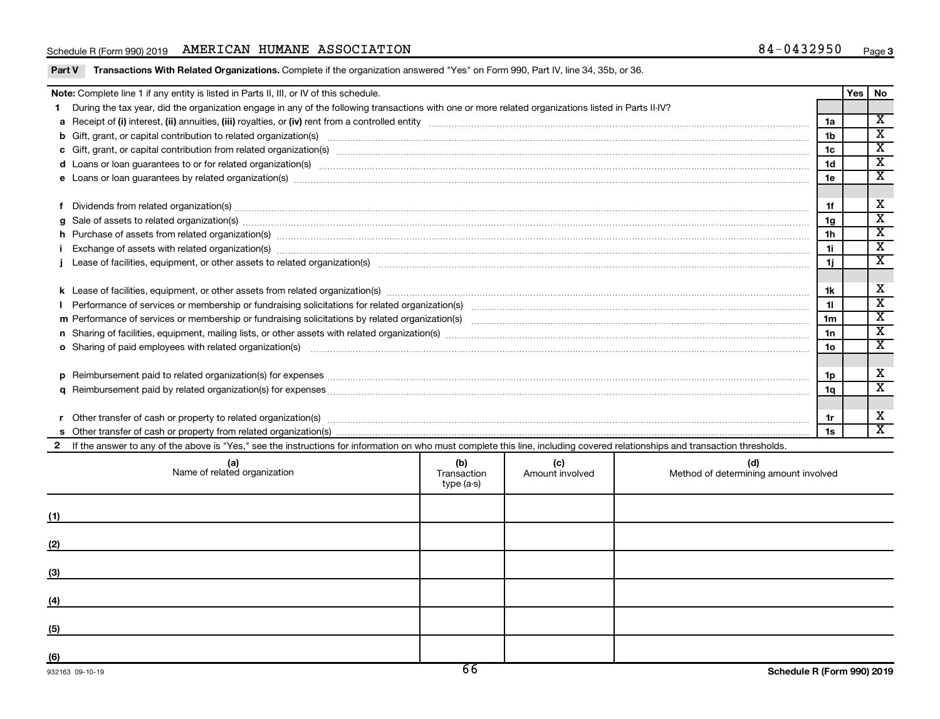## Schedule R (Form 990) 2019 AMERICAN HUMANE ASSOCIATION 84-0432950  $_{\text{Page}}$

|  |  |  |  | Part V Transactions With Related Organizations. Complete if the organization answered "Yes" on Form 990, Part IV, line 34, 35b, or 36. |
|--|--|--|--|----------------------------------------------------------------------------------------------------------------------------------------|
|--|--|--|--|----------------------------------------------------------------------------------------------------------------------------------------|

| Note: Complete line 1 if any entity is listed in Parts II, III, or IV of this schedule. |                                                                                                                                                                                                                                      |              |                 |                                       |                 |  |                                                        |  |  |  |
|-----------------------------------------------------------------------------------------|--------------------------------------------------------------------------------------------------------------------------------------------------------------------------------------------------------------------------------------|--------------|-----------------|---------------------------------------|-----------------|--|--------------------------------------------------------|--|--|--|
|                                                                                         | During the tax year, did the organization engage in any of the following transactions with one or more related organizations listed in Parts II-IV?                                                                                  |              |                 |                                       |                 |  |                                                        |  |  |  |
|                                                                                         |                                                                                                                                                                                                                                      |              |                 |                                       | 1a              |  | $\overline{\mathbf{x}}$<br>$\overline{\textnormal{x}}$ |  |  |  |
|                                                                                         |                                                                                                                                                                                                                                      |              |                 |                                       |                 |  |                                                        |  |  |  |
|                                                                                         |                                                                                                                                                                                                                                      |              |                 |                                       |                 |  |                                                        |  |  |  |
|                                                                                         | d Loans or loan guarantees to or for related organization(s) www.communities.com/www.communities.com/www.communities.com/www.communities.com/www.communities.com/www.communities.com/www.communities.com/www.communities.com/w       |              |                 |                                       |                 |  |                                                        |  |  |  |
|                                                                                         | e Loans or loan guarantees by related organization(s) www.array.com/www.array.com/www.array.com/www.array.com/www.array.com/www.array.com/www.array.com/www.array.com/www.array.com/www.array.com/www.array.com/www.array.com/       |              |                 |                                       | 1e              |  | $\overline{\texttt{x}}$                                |  |  |  |
|                                                                                         |                                                                                                                                                                                                                                      |              |                 |                                       |                 |  |                                                        |  |  |  |
|                                                                                         | Dividends from related organization(s) machinesis and contract and contract and contract and contract and contract and contract and contract and contract and contract and contract and contract and contract and contract and       |              |                 |                                       | 1f              |  | х                                                      |  |  |  |
| a                                                                                       | Sale of assets to related organization(s) www.assettion.com/www.assettion.com/www.assettion.com/www.assettion.com/www.assettion.com/www.assettion.com/www.assettion.com/www.assettion.com/www.assettion.com/www.assettion.com/       |              |                 |                                       | 1 <sub>q</sub>  |  | $\overline{\mathbf{x}}$                                |  |  |  |
|                                                                                         | h Purchase of assets from related organization(s) manufactured content to content the content of the content of the content of the content of the content of the content of the content of the content of the content of the c       |              |                 |                                       | 1 <sub>h</sub>  |  | $\overline{\mathbf{x}}$                                |  |  |  |
|                                                                                         |                                                                                                                                                                                                                                      |              |                 |                                       | 1i.             |  | $\overline{\texttt{x}}$                                |  |  |  |
|                                                                                         |                                                                                                                                                                                                                                      |              |                 |                                       | 11              |  | $\overline{\texttt{x}}$                                |  |  |  |
|                                                                                         |                                                                                                                                                                                                                                      |              |                 |                                       |                 |  |                                                        |  |  |  |
|                                                                                         |                                                                                                                                                                                                                                      |              |                 |                                       | 1k              |  | X                                                      |  |  |  |
|                                                                                         |                                                                                                                                                                                                                                      |              |                 |                                       | 11              |  | $\overline{\textbf{x}}$                                |  |  |  |
|                                                                                         |                                                                                                                                                                                                                                      |              |                 |                                       | 1 <sub>m</sub>  |  | $\overline{\texttt{x}}$                                |  |  |  |
|                                                                                         |                                                                                                                                                                                                                                      |              |                 |                                       | 1n              |  | $\overline{\texttt{x}}$                                |  |  |  |
|                                                                                         |                                                                                                                                                                                                                                      |              |                 |                                       | 10 <sub>o</sub> |  | $\overline{\texttt{x}}$                                |  |  |  |
|                                                                                         |                                                                                                                                                                                                                                      |              |                 |                                       |                 |  |                                                        |  |  |  |
| <b>D</b>                                                                                | Reimbursement paid to related organization(s) for expenses [111] Relation and the second term in the second second second second second second second second second second second second second second second second second se       |              |                 |                                       | 1p              |  | X                                                      |  |  |  |
|                                                                                         |                                                                                                                                                                                                                                      |              |                 |                                       |                 |  |                                                        |  |  |  |
|                                                                                         | 1q                                                                                                                                                                                                                                   |              |                 |                                       |                 |  |                                                        |  |  |  |
|                                                                                         | Other transfer of cash or property to related organization(s) COLOGO CONSERVITY OF A CONSERVITY OF A CONSERVITY OF A CONSERVITY OF A CONSERVITY OF A CONSERVITY OF A CONSERVITY OF A CONSERVITY OF A CONSERVITY OF A CONSERVIT<br>1r |              |                 |                                       |                 |  |                                                        |  |  |  |
|                                                                                         |                                                                                                                                                                                                                                      |              |                 |                                       |                 |  |                                                        |  |  |  |
|                                                                                         | 2 If the answer to any of the above is "Yes," see the instructions for information on who must complete this line, including covered relationships and transaction thresholds.                                                       |              |                 |                                       |                 |  |                                                        |  |  |  |
|                                                                                         |                                                                                                                                                                                                                                      | (b)          | (c)             | (d)                                   |                 |  |                                                        |  |  |  |
|                                                                                         | (a)<br>Name of related organization                                                                                                                                                                                                  | Transaction  | Amount involved | Method of determining amount involved |                 |  |                                                        |  |  |  |
|                                                                                         |                                                                                                                                                                                                                                      | tyne $(a,c)$ |                 |                                       |                 |  |                                                        |  |  |  |

| Name of related organization | $\ddot{\phantom{1}}$<br>Transaction<br>type (a-s) | $\sim$<br>Amount involved | Method of determining amount involved |
|------------------------------|---------------------------------------------------|---------------------------|---------------------------------------|
| (1)                          |                                                   |                           |                                       |
| (2)                          |                                                   |                           |                                       |
| (3)                          |                                                   |                           |                                       |
| (4)                          |                                                   |                           |                                       |
| (5)                          |                                                   |                           |                                       |
| (6)                          | $\overline{\phantom{a}}$                          |                           |                                       |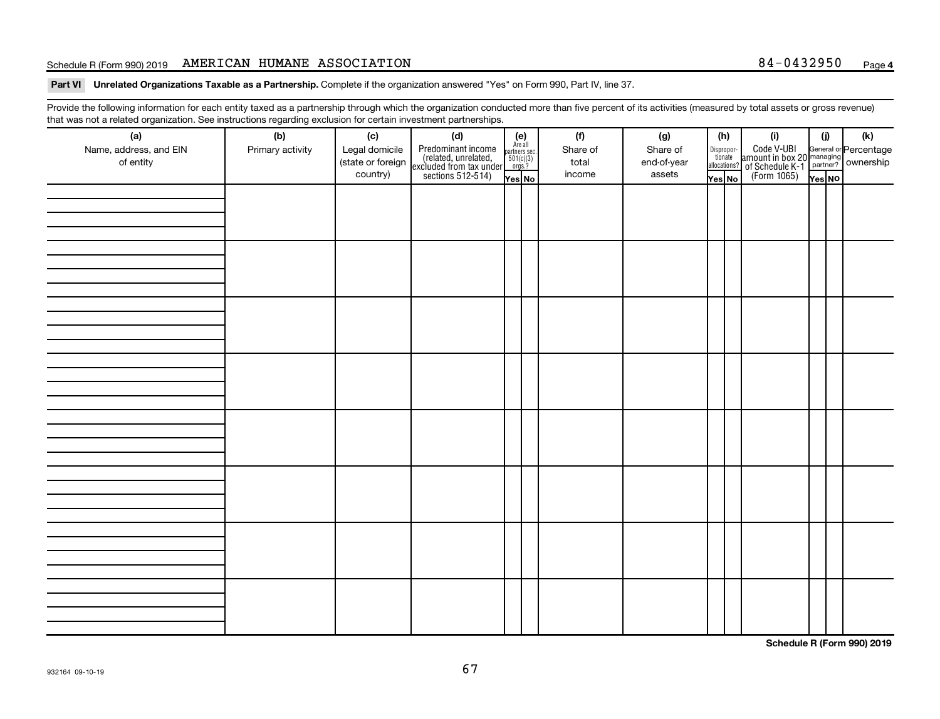## Schedule R (Form 990) 2019 AMERICAN HUMANE ASSOCIATION 84-0432950  $_{\text{Page}}$

Part VI Unrelated Organizations Taxable as a Partnership. Complete if the organization answered "Yes" on Form 990, Part IV, line 37.

Provide the following information for each entity taxed as a partnership through which the organization conducted more than five percent of its activities (measured by total assets or gross revenue) that was not a related organization. See instructions regarding exclusion for certain investment partnerships.

| (a)<br>Name, address, and EIN<br>of entity | - - -<br>(b)<br>Primary activity | (c)<br>Legal domicile<br>(state or foreign<br>country) | - - - - <sub>1</sub> - - 1<br>(d)<br>Predominant income<br>(related, unrelated,<br>excluded from tax under<br>sections 512-514) | (e)<br>Are all<br>partners sec.<br>$\frac{501(c)(3)}{0rgs?}$<br>Yes No | (f)<br>Share of<br>total<br>income | (g)<br>Share of<br>end-of-year<br>assets | (h)<br>Dispropor-<br>tionate<br>allocations?<br>Yes No | (i)<br>Code V-UBI<br>amount in box 20 managing<br>of Schedule K-1<br>(Form 1065)<br>$\overline{Y_{\text{res}}}\overline{NQ}$ | (i)<br>Yes NO | (k) |
|--------------------------------------------|----------------------------------|--------------------------------------------------------|---------------------------------------------------------------------------------------------------------------------------------|------------------------------------------------------------------------|------------------------------------|------------------------------------------|--------------------------------------------------------|------------------------------------------------------------------------------------------------------------------------------|---------------|-----|
|                                            |                                  |                                                        |                                                                                                                                 |                                                                        |                                    |                                          |                                                        |                                                                                                                              |               |     |
|                                            |                                  |                                                        |                                                                                                                                 |                                                                        |                                    |                                          |                                                        |                                                                                                                              |               |     |
|                                            |                                  |                                                        |                                                                                                                                 |                                                                        |                                    |                                          |                                                        |                                                                                                                              |               |     |
|                                            |                                  |                                                        |                                                                                                                                 |                                                                        |                                    |                                          |                                                        |                                                                                                                              |               |     |
|                                            |                                  |                                                        |                                                                                                                                 |                                                                        |                                    |                                          |                                                        |                                                                                                                              |               |     |
|                                            |                                  |                                                        |                                                                                                                                 |                                                                        |                                    |                                          |                                                        |                                                                                                                              |               |     |
|                                            |                                  |                                                        |                                                                                                                                 |                                                                        |                                    |                                          |                                                        |                                                                                                                              |               |     |
|                                            |                                  |                                                        |                                                                                                                                 |                                                                        |                                    |                                          |                                                        |                                                                                                                              |               |     |

**Schedule R (Form 990) 2019**